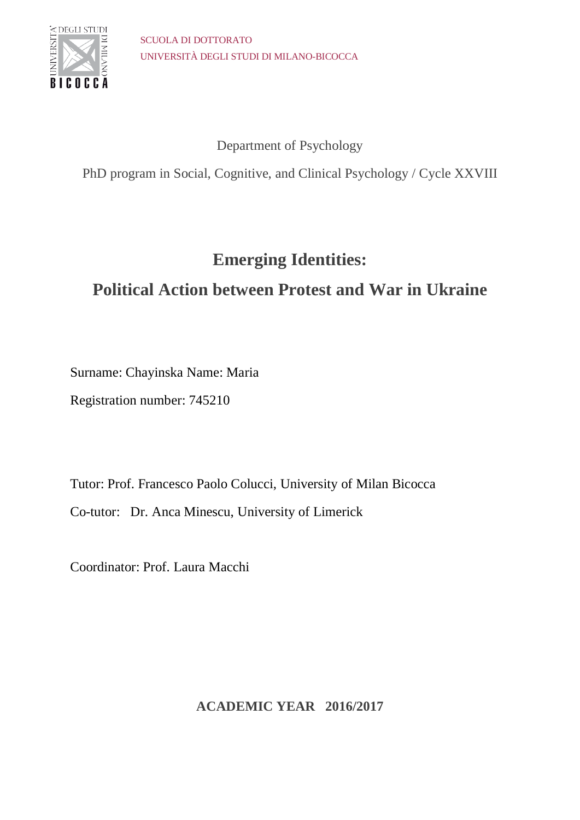

## Department of Psychology

PhD program in Social, Cognitive, and Clinical Psychology / Cycle XXVIII

# **Emerging Identities:**

# **Political Action between Protest and War in Ukraine**

Surname: Chayinska Name: Maria

Registration number: 745210

Tutor: Prof. Francesco Paolo Colucci, University of Milan Bicocca Co-tutor: Dr. Anca Minescu, University of Limerick

Coordinator: Prof. Laura Macchi

**ACADEMIC YEAR 2016/2017**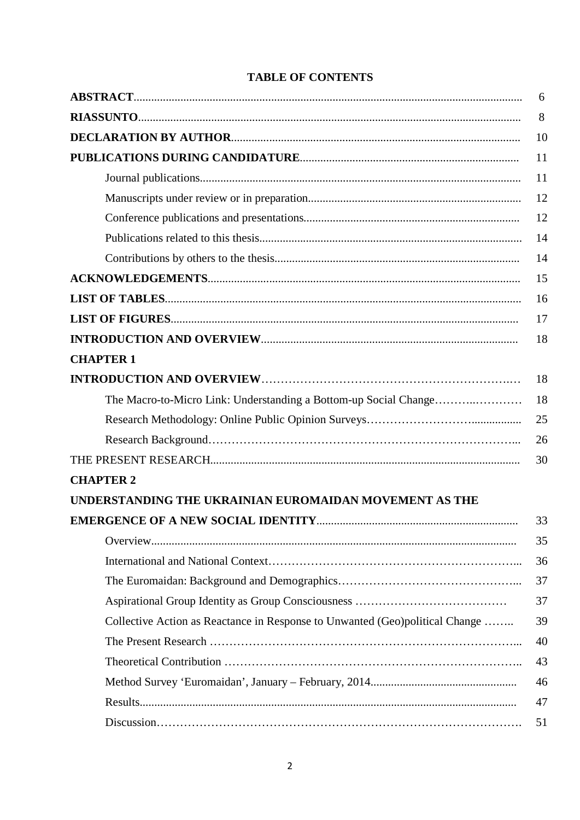|                                                                              | 6  |
|------------------------------------------------------------------------------|----|
|                                                                              | 8  |
|                                                                              | 10 |
|                                                                              | 11 |
|                                                                              | 11 |
|                                                                              | 12 |
|                                                                              | 12 |
|                                                                              | 14 |
|                                                                              | 14 |
|                                                                              | 15 |
|                                                                              | 16 |
|                                                                              | 17 |
|                                                                              | 18 |
| <b>CHAPTER 1</b>                                                             |    |
|                                                                              | 18 |
|                                                                              | 18 |
|                                                                              |    |
|                                                                              | 26 |
|                                                                              | 30 |
| <b>CHAPTER 2</b>                                                             |    |
| UNDERSTANDING THE UKRAINIAN EUROMAIDAN MOVEMENT AS THE                       |    |
|                                                                              | 33 |
|                                                                              | 35 |
|                                                                              | 36 |
|                                                                              | 37 |
|                                                                              | 37 |
| Collective Action as Reactance in Response to Unwanted (Geo)political Change | 39 |
|                                                                              | 40 |
|                                                                              | 43 |
|                                                                              | 46 |
|                                                                              | 47 |
|                                                                              | 51 |

### **TABLE OF CONTENTS**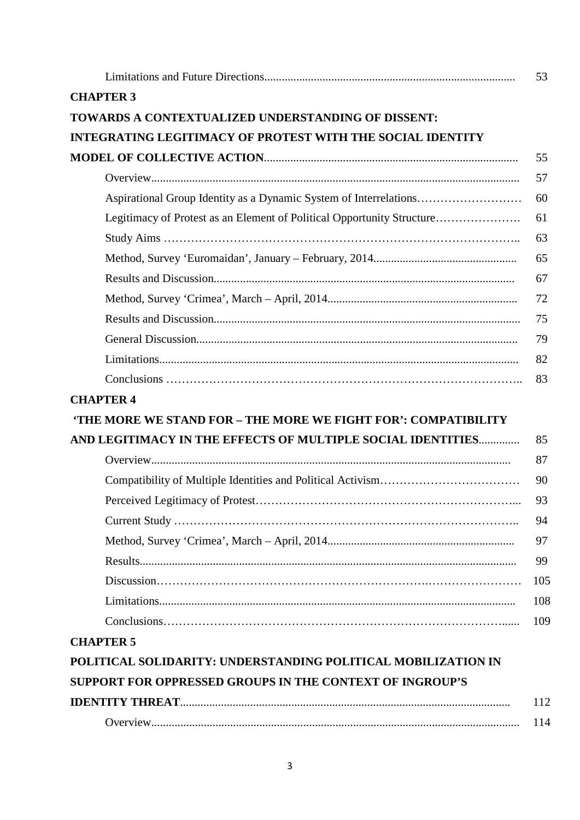|                                                                        | 53  |
|------------------------------------------------------------------------|-----|
| <b>CHAPTER 3</b>                                                       |     |
| TOWARDS A CONTEXTUALIZED UNDERSTANDING OF DISSENT:                     |     |
| <b>INTEGRATING LEGITIMACY OF PROTEST WITH THE SOCIAL IDENTITY</b>      |     |
|                                                                        | 55  |
|                                                                        | 57  |
| Aspirational Group Identity as a Dynamic System of Interrelations      | 60  |
| Legitimacy of Protest as an Element of Political Opportunity Structure | 61  |
|                                                                        | 63  |
|                                                                        | 65  |
|                                                                        | 67  |
|                                                                        | 72  |
|                                                                        | 75  |
|                                                                        | 79  |
|                                                                        | 82  |
|                                                                        | 83  |
| <b>CHAPTER 4</b>                                                       |     |
| 'THE MORE WE STAND FOR - THE MORE WE FIGHT FOR': COMPATIBILITY         |     |
| AND LEGITIMACY IN THE EFFECTS OF MULTIPLE SOCIAL IDENTITIES            | 85  |
|                                                                        | 87  |
|                                                                        | 90  |
|                                                                        | 93  |
|                                                                        | 94  |
|                                                                        | 97  |
|                                                                        | 99  |
|                                                                        | 105 |
|                                                                        | 108 |
|                                                                        | 109 |
| <b>CHAPTER 5</b>                                                       |     |
| POLITICAL SOLIDARITY: UNDERSTANDING POLITICAL MOBILIZATION IN          |     |
| SUPPORT FOR OPPRESSED GROUPS IN THE CONTEXT OF INGROUP'S               |     |
|                                                                        | 112 |
|                                                                        | 114 |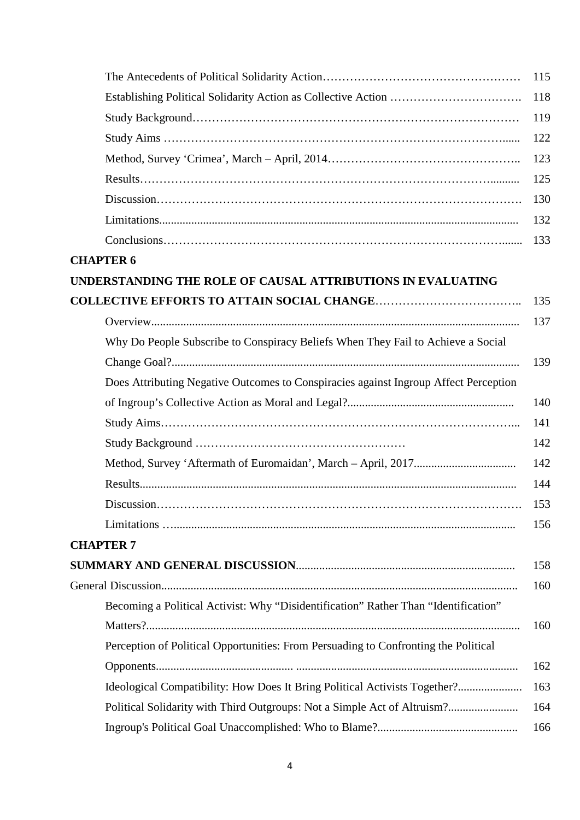|                                                                                      | 115 |
|--------------------------------------------------------------------------------------|-----|
|                                                                                      | 118 |
|                                                                                      | 119 |
|                                                                                      | 122 |
|                                                                                      | 123 |
|                                                                                      | 125 |
|                                                                                      | 130 |
|                                                                                      | 132 |
|                                                                                      | 133 |
| <b>CHAPTER 6</b>                                                                     |     |
| UNDERSTANDING THE ROLE OF CAUSAL ATTRIBUTIONS IN EVALUATING                          |     |
|                                                                                      | 135 |
|                                                                                      | 137 |
| Why Do People Subscribe to Conspiracy Beliefs When They Fail to Achieve a Social     |     |
|                                                                                      | 139 |
| Does Attributing Negative Outcomes to Conspiracies against Ingroup Affect Perception |     |
|                                                                                      | 140 |
|                                                                                      | 141 |
|                                                                                      | 142 |
|                                                                                      | 142 |
|                                                                                      | 144 |
|                                                                                      | 153 |
|                                                                                      | 156 |
| <b>CHAPTER 7</b>                                                                     |     |
|                                                                                      | 158 |
|                                                                                      | 160 |
| Becoming a Political Activist: Why "Disidentification" Rather Than "Identification"  |     |
|                                                                                      | 160 |
| Perception of Political Opportunities: From Persuading to Confronting the Political  |     |
|                                                                                      | 162 |
| Ideological Compatibility: How Does It Bring Political Activists Together?           | 163 |
| Political Solidarity with Third Outgroups: Not a Simple Act of Altruism?             | 164 |
|                                                                                      | 166 |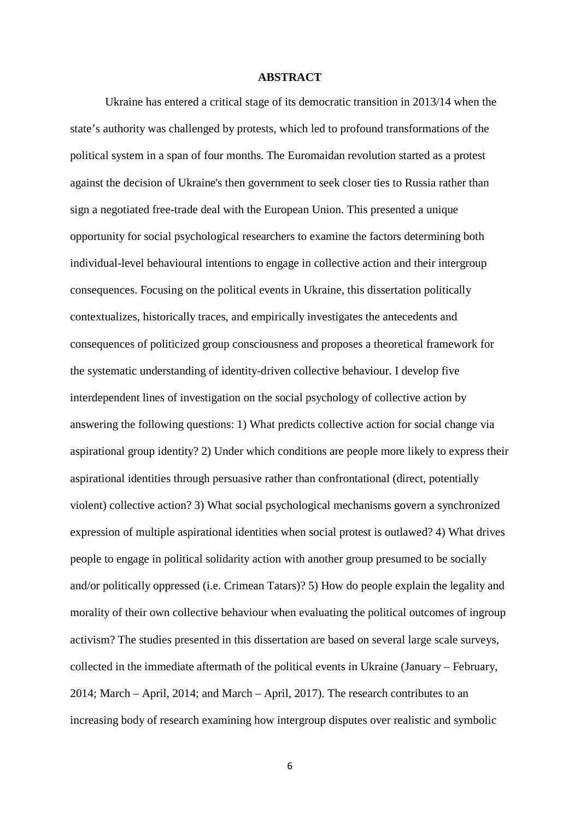### **ABSTRACT**

Ukraine has entered a critical stage of its democratic transition in 2013/14 when the state's authority was challenged by protests, which led to profound transformations of the political system in a span of four months. The Euromaidan revolution started as a protest against the decision of Ukraine's then government to seek closer ties to Russia rather than sign a negotiated free-trade deal with the European Union. This presented a unique opportunity for social psychological researchers to examine the factors determining both individual-level behavioural intentions to engage in collective action and their intergroup consequences. Focusing on the political events in Ukraine, this dissertation politically contextualizes, historically traces, and empirically investigates the antecedents and consequences of politicized group consciousness and proposes a theoretical framework for the systematic understanding of identity-driven collective behaviour. I develop five interdependent lines of investigation on the social psychology of collective action by answering the following questions: 1) What predicts collective action for social change via aspirational group identity? 2) Under which conditions are people more likely to express their aspirational identities through persuasive rather than confrontational (direct, potentially violent) collective action? 3) What social psychological mechanisms govern a synchronized expression of multiple aspirational identities when social protest is outlawed? 4) What drives people to engage in political solidarity action with another group presumed to be socially and/or politically oppressed (i.e. Crimean Tatars)? 5) How do people explain the legality and morality of their own collective behaviour when evaluating the political outcomes of ingroup activism? The studies presented in this dissertation are based on several large scale surveys, collected in the immediate aftermath of the political events in Ukraine (January – February, 2014; March – April, 2014; and March – April, 2017). The research contributes to an increasing body of research examining how intergroup disputes over realistic and symbolic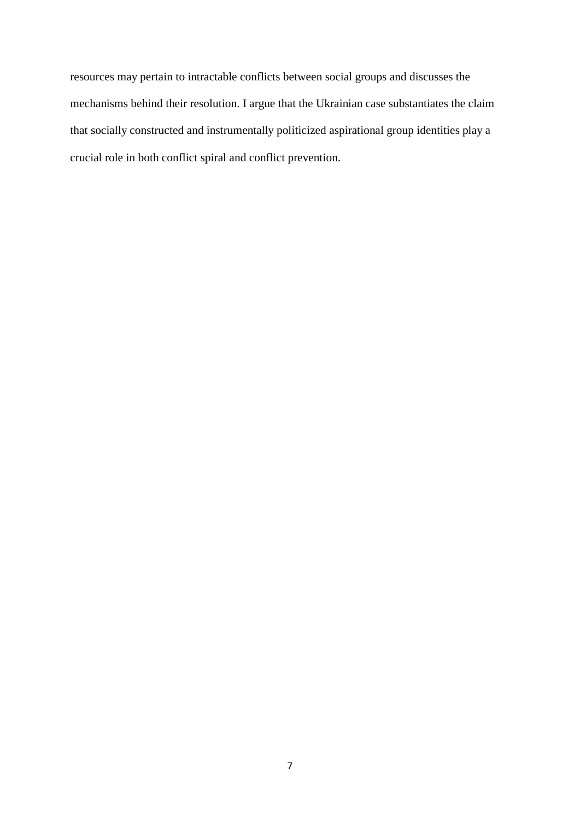resources may pertain to intractable conflicts between social groups and discusses the mechanisms behind their resolution. I argue that the Ukrainian case substantiates the claim that socially constructed and instrumentally politicized aspirational group identities play a crucial role in both conflict spiral and conflict prevention.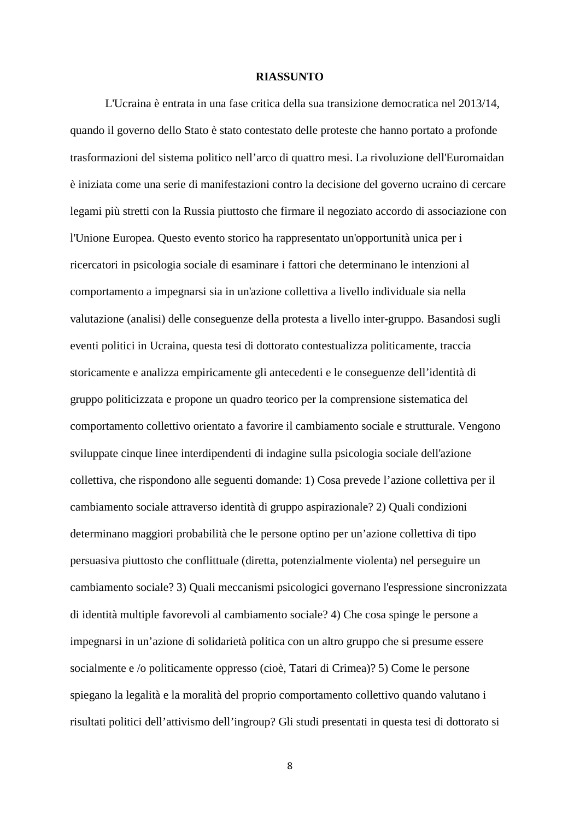### **RIASSUNTO**

L'Ucraina è entrata in una fase critica della sua transizione democratica nel 2013/14, quando il governo dello Stato è stato contestato delle proteste che hanno portato a profonde trasformazioni del sistema politico nell'arco di quattro mesi. La rivoluzione dell'Euromaidan è iniziata come una serie di manifestazioni contro la decisione del governo ucraino di cercare legami più stretti con la Russia piuttosto che firmare il negoziato accordo di associazione con l'Unione Europea. Questo evento storico ha rappresentato un'opportunità unica per i ricercatori in psicologia sociale di esaminare i fattori che determinano le intenzioni al comportamento a impegnarsi sia in un'azione collettiva a livello individuale sia nella valutazione (analisi) delle conseguenze della protesta a livello inter-gruppo. Basandosi sugli eventi politici in Ucraina, questa tesi di dottorato contestualizza politicamente, traccia storicamente e analizza empiricamente gli antecedenti e le conseguenze dell'identità di gruppo politicizzata e propone un quadro teorico per la comprensione sistematica del comportamento collettivo orientato a favorire il cambiamento sociale e strutturale. Vengono sviluppate cinque linee interdipendenti di indagine sulla psicologia sociale dell'azione collettiva, che rispondono alle seguenti domande: 1) Cosa prevede l'azione collettiva per il cambiamento sociale attraverso identità di gruppo aspirazionale? 2) Quali condizioni determinano maggiori probabilità che le persone optino per un'azione collettiva di tipo persuasiva piuttosto che conflittuale (diretta, potenzialmente violenta) nel perseguire un cambiamento sociale? 3) Quali meccanismi psicologici governano l'espressione sincronizzata di identità multiple favorevoli al cambiamento sociale? 4) Che cosa spinge le persone a impegnarsi in un'azione di solidarietà politica con un altro gruppo che si presume essere socialmente e /o politicamente oppresso (cioè, Tatari di Crimea)? 5) Come le persone spiegano la legalità e la moralità del proprio comportamento collettivo quando valutano i risultati politici dell'attivismo dell'ingroup? Gli studi presentati in questa tesi di dottorato si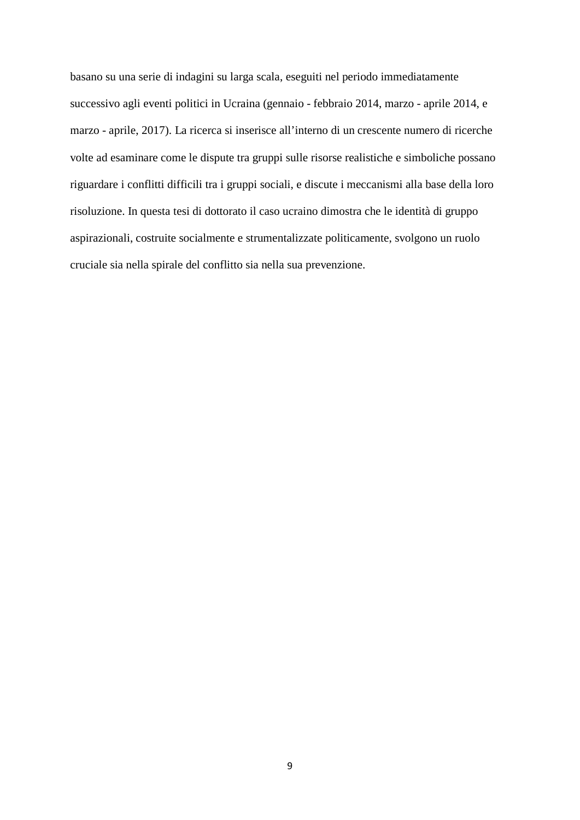basano su una serie di indagini su larga scala, eseguiti nel periodo immediatamente successivo agli eventi politici in Ucraina (gennaio - febbraio 2014, marzo - aprile 2014, e marzo - aprile, 2017). La ricerca si inserisce all'interno di un crescente numero di ricerche volte ad esaminare come le dispute tra gruppi sulle risorse realistiche e simboliche possano riguardare i conflitti difficili tra i gruppi sociali, e discute i meccanismi alla base della loro risoluzione. In questa tesi di dottorato il caso ucraino dimostra che le identità di gruppo aspirazionali, costruite socialmente e strumentalizzate politicamente, svolgono un ruolo cruciale sia nella spirale del conflitto sia nella sua prevenzione.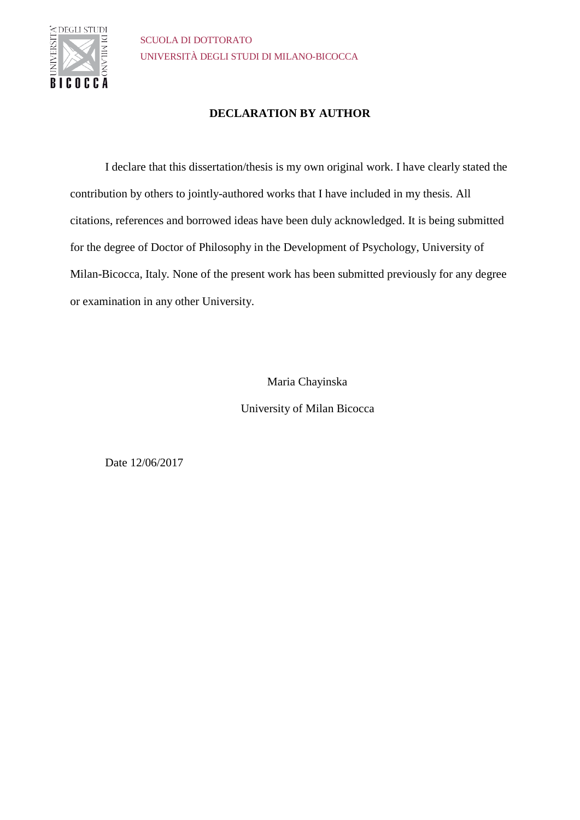

### **DECLARATION BY AUTHOR**

I declare that this dissertation/thesis is my own original work. I have clearly stated the contribution by others to jointly-authored works that I have included in my thesis. All citations, references and borrowed ideas have been duly acknowledged. It is being submitted for the degree of Doctor of Philosophy in the Development of Psychology, University of Milan-Bicocca, Italy. None of the present work has been submitted previously for any degree or examination in any other University.

Maria Chayinska

University of Milan Bicocca

Date 12/06/2017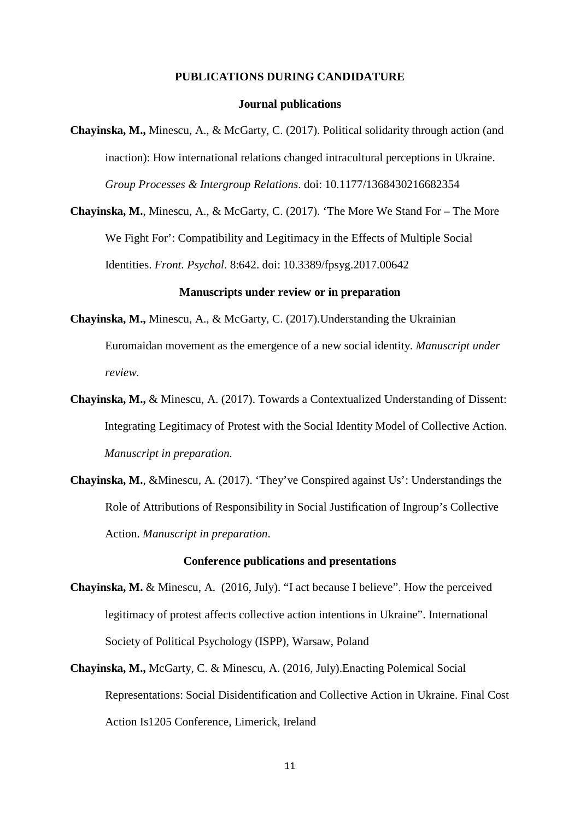#### **PUBLICATIONS DURING CANDIDATURE**

### **Journal publications**

**Chayinska, M.,** Minescu, A., & McGarty, C. (2017). Political solidarity through action (and inaction): How international relations changed intracultural perceptions in Ukraine. *Group Processes & Intergroup Relations*. doi: 10.1177/1368430216682354

**Chayinska, M.**, Minescu, A., & McGarty, C. (2017). 'The More We Stand For – The More We Fight For': Compatibility and Legitimacy in the Effects of Multiple Social Identities. *Front. Psychol*. 8:642. doi: 10.3389/fpsyg.2017.00642

#### **Manuscripts under review or in preparation**

- **Chayinska, M.,** Minescu, A., & McGarty, C. (2017).Understanding the Ukrainian Euromaidan movement as the emergence of a new social identity. *Manuscript under review.*
- **Chayinska, M.,** & Minescu, A. (2017). Towards a Contextualized Understanding of Dissent: Integrating Legitimacy of Protest with the Social Identity Model of Collective Action. *Manuscript in preparation.*
- **Chayinska, M.**, &Minescu, A. (2017). 'They've Conspired against Us': Understandings the Role of Attributions of Responsibility in Social Justification of Ingroup's Collective Action. *Manuscript in preparation*.

### **Conference publications and presentations**

- **Chayinska, M.** & Minescu, A. (2016, July). "I act because I believe". How the perceived legitimacy of protest affects collective action intentions in Ukraine". International Society of Political Psychology (ISPP), Warsaw, Poland
- **Chayinska, M.,** McGarty, C. & Minescu, A. (2016, July).Enacting Polemical Social Representations: Social Disidentification and Collective Action in Ukraine. Final Cost Action Is1205 Conference, Limerick, Ireland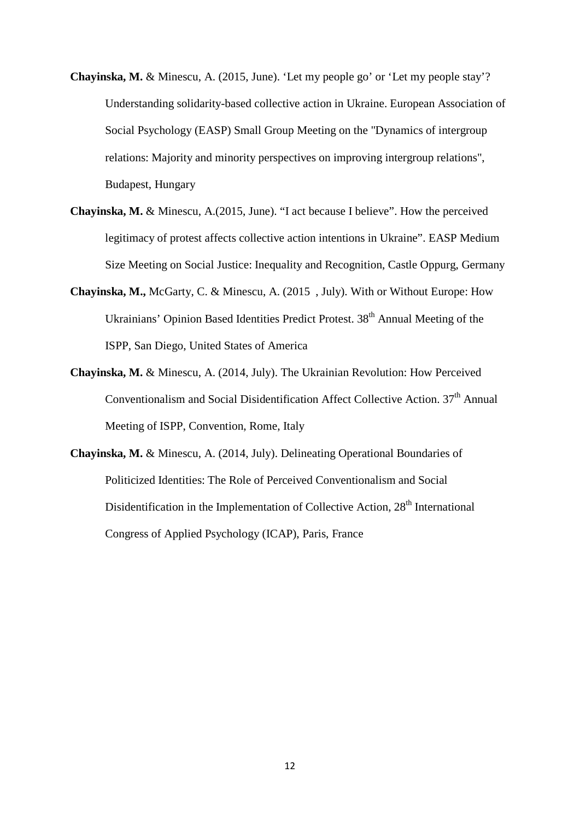- **Chayinska, M.** & Minescu, A. (2015, June). 'Let my people go' or 'Let my people stay'? Understanding solidarity-based collective action in Ukraine. European Association of Social Psychology (EASP) Small Group Meeting on the "Dynamics of intergroup relations: Majority and minority perspectives on improving intergroup relations", Budapest, Hungary
- **Chayinska, M.** & Minescu, A.(2015, June). "I act because I believe". How the perceived legitimacy of protest affects collective action intentions in Ukraine". EASP Medium Size Meeting on Social Justice: Inequality and Recognition, Castle Oppurg, Germany
- **Chayinska, M.,** McGarty, C. & Minescu, A. (2015 , July). With or Without Europe: How Ukrainians' Opinion Based Identities Predict Protest. 38<sup>th</sup> Annual Meeting of the ISPP, San Diego, United States of America
- **Chayinska, M.** & Minescu, A. (2014, July). The Ukrainian Revolution: How Perceived Conventionalism and Social Disidentification Affect Collective Action. 37<sup>th</sup> Annual Meeting of ISPP, Convention, Rome, Italy
- **Chayinska, M.** & Minescu, A. (2014, July). Delineating Operational Boundaries of Politicized Identities: The Role of Perceived Conventionalism and Social Disidentification in the Implementation of Collective Action,  $28<sup>th</sup>$  International Congress of Applied Psychology (ICAP), Paris, France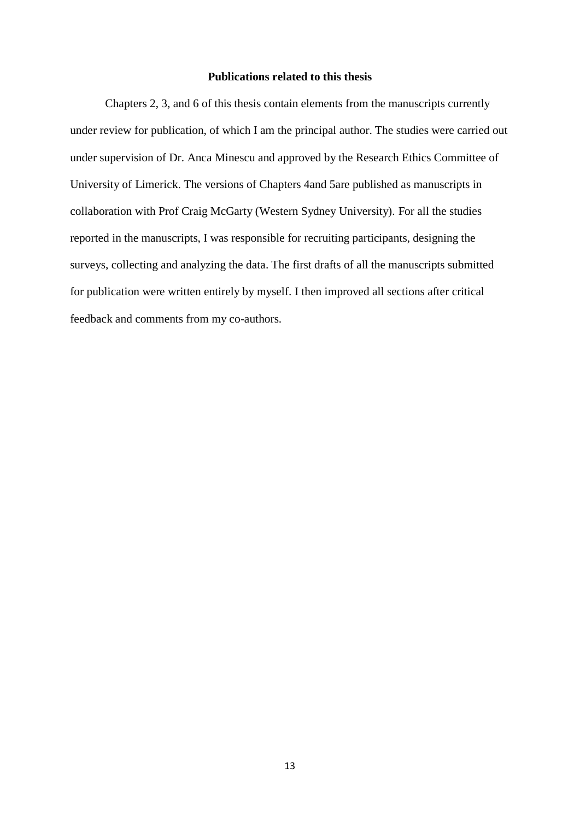### **Publications related to this thesis**

Chapters 2, 3, and 6 of this thesis contain elements from the manuscripts currently under review for publication, of which I am the principal author. The studies were carried out under supervision of Dr. Anca Minescu and approved by the Research Ethics Committee of University of Limerick. The versions of Chapters 4and 5are published as manuscripts in collaboration with Prof Craig McGarty (Western Sydney University). For all the studies reported in the manuscripts, I was responsible for recruiting participants, designing the surveys, collecting and analyzing the data. The first drafts of all the manuscripts submitted for publication were written entirely by myself. I then improved all sections after critical feedback and comments from my co-authors.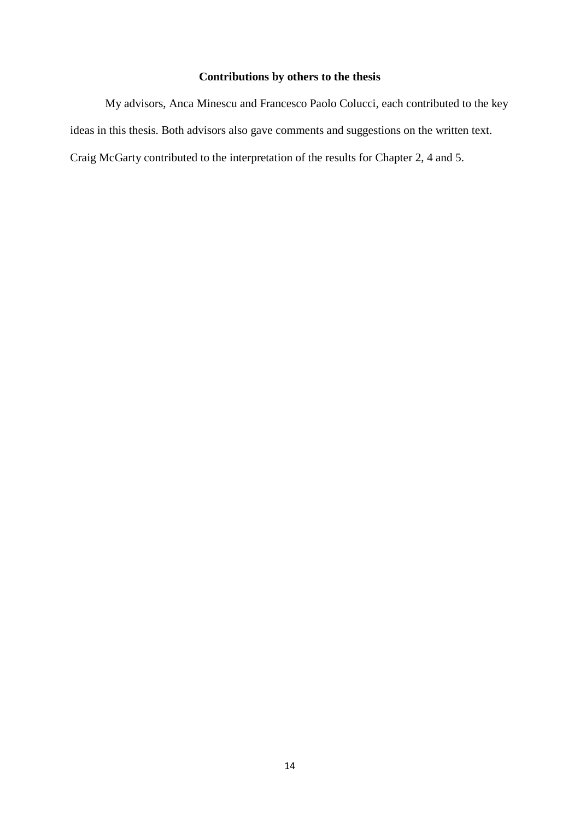### **Contributions by others to the thesis**

My advisors, Anca Minescu and Francesco Paolo Colucci, each contributed to the key ideas in this thesis. Both advisors also gave comments and suggestions on the written text. Craig McGarty contributed to the interpretation of the results for Chapter 2, 4 and 5.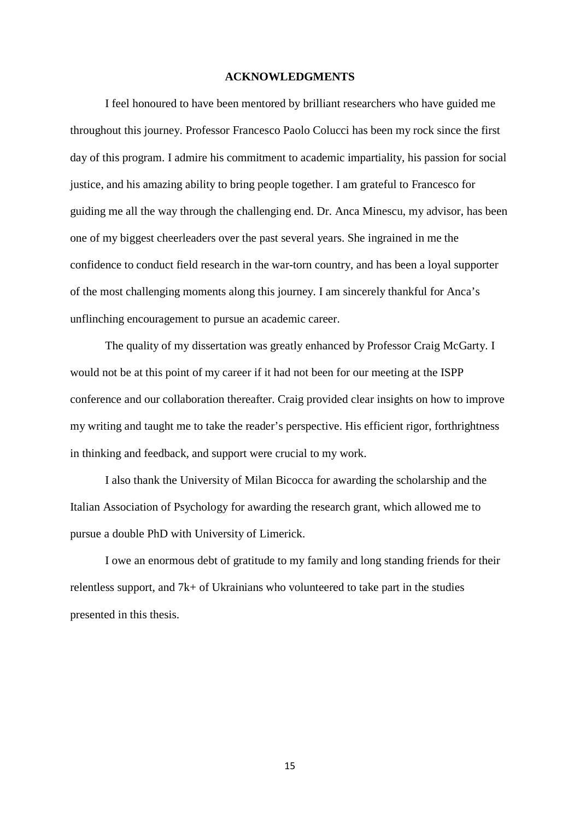### **ACKNOWLEDGMENTS**

I feel honoured to have been mentored by brilliant researchers who have guided me throughout this journey. Professor Francesco Paolo Colucci has been my rock since the first day of this program. I admire his commitment to academic impartiality, his passion for social justice, and his amazing ability to bring people together. I am grateful to Francesco for guiding me all the way through the challenging end. Dr. Anca Minescu, my advisor, has been one of my biggest cheerleaders over the past several years. She ingrained in me the confidence to conduct field research in the war-torn country, and has been a loyal supporter of the most challenging moments along this journey. I am sincerely thankful for Anca's unflinching encouragement to pursue an academic career.

The quality of my dissertation was greatly enhanced by Professor Craig McGarty. I would not be at this point of my career if it had not been for our meeting at the ISPP conference and our collaboration thereafter. Craig provided clear insights on how to improve my writing and taught me to take the reader's perspective. His efficient rigor, forthrightness in thinking and feedback, and support were crucial to my work.

I also thank the University of Milan Bicocca for awarding the scholarship and the Italian Association of Psychology for awarding the research grant, which allowed me to pursue a double PhD with University of Limerick.

I owe an enormous debt of gratitude to my family and long standing friends for their relentless support, and 7k+ of Ukrainians who volunteered to take part in the studies presented in this thesis.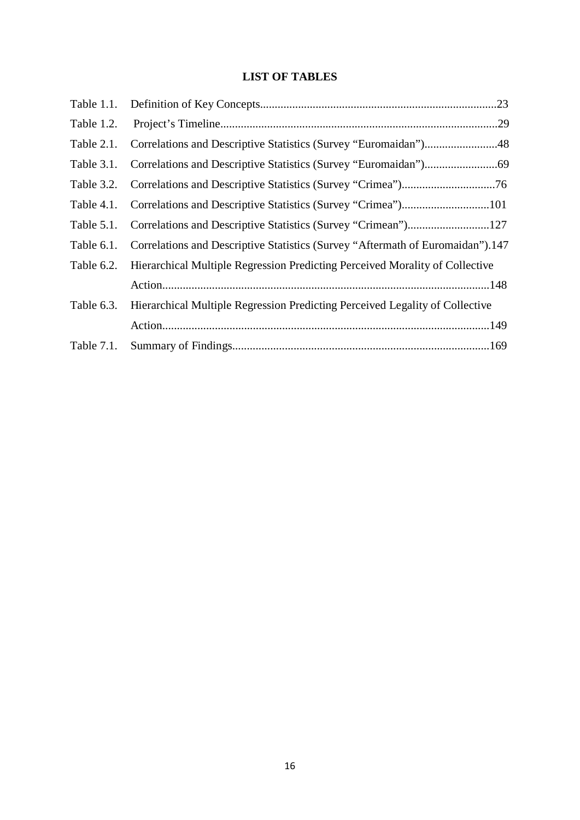### **LIST OF TABLES**

| Table 1.2. | .29                                                                            |
|------------|--------------------------------------------------------------------------------|
| Table 2.1. | Correlations and Descriptive Statistics (Survey "Euromaidan")48                |
| Table 3.1. |                                                                                |
| Table 3.2. |                                                                                |
| Table 4.1. |                                                                                |
| Table 5.1. |                                                                                |
| Table 6.1. | Correlations and Descriptive Statistics (Survey "Aftermath of Euromaidan").147 |
| Table 6.2. | Hierarchical Multiple Regression Predicting Perceived Morality of Collective   |
|            |                                                                                |
| Table 6.3. | Hierarchical Multiple Regression Predicting Perceived Legality of Collective   |
|            |                                                                                |
| Table 7.1. |                                                                                |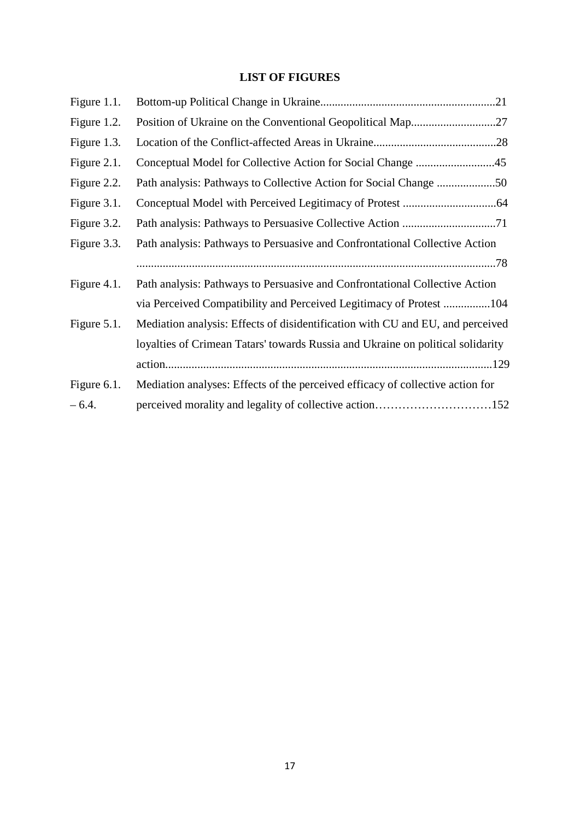### **LIST OF FIGURES**

| Figure 1.1. |                                                                                 |
|-------------|---------------------------------------------------------------------------------|
| Figure 1.2. |                                                                                 |
| Figure 1.3. |                                                                                 |
| Figure 2.1. |                                                                                 |
| Figure 2.2. |                                                                                 |
| Figure 3.1. |                                                                                 |
| Figure 3.2. |                                                                                 |
| Figure 3.3. | Path analysis: Pathways to Persuasive and Confrontational Collective Action     |
|             |                                                                                 |
| Figure 4.1. | Path analysis: Pathways to Persuasive and Confrontational Collective Action     |
|             | via Perceived Compatibility and Perceived Legitimacy of Protest 104             |
| Figure 5.1. | Mediation analysis: Effects of disidentification with CU and EU, and perceived  |
|             | loyalties of Crimean Tatars' towards Russia and Ukraine on political solidarity |
|             |                                                                                 |
| Figure 6.1. | Mediation analyses: Effects of the perceived efficacy of collective action for  |
| $-6.4.$     | perceived morality and legality of collective action152                         |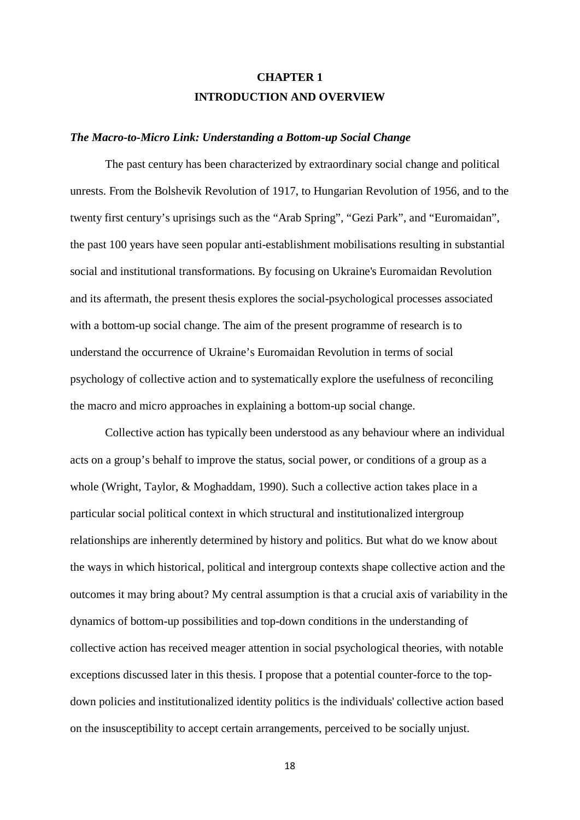## **CHAPTER 1 INTRODUCTION AND OVERVIEW**

#### *The Macro-to-Micro Link: Understanding a Bottom-up Social Change*

The past century has been characterized by extraordinary social change and political unrests. From the Bolshevik Revolution of 1917, to Hungarian Revolution of 1956, and to the twenty first century's uprisings such as the "Arab Spring", "Gezi Park", and "Euromaidan", the past 100 years have seen popular anti-establishment mobilisations resulting in substantial social and institutional transformations. By focusing on Ukraine's Euromaidan Revolution and its aftermath, the present thesis explores the social-psychological processes associated with a bottom-up social change. The aim of the present programme of research is to understand the occurrence of Ukraine's Euromaidan Revolution in terms of social psychology of collective action and to systematically explore the usefulness of reconciling the macro and micro approaches in explaining a bottom-up social change.

Collective action has typically been understood as any behaviour where an individual acts on a group's behalf to improve the status, social power, or conditions of a group as a whole (Wright, Taylor, & Moghaddam, 1990). Such a collective action takes place in a particular social political context in which structural and institutionalized intergroup relationships are inherently determined by history and politics. But what do we know about the ways in which historical, political and intergroup contexts shape collective action and the outcomes it may bring about? My central assumption is that a crucial axis of variability in the dynamics of bottom-up possibilities and top-down conditions in the understanding of collective action has received meager attention in social psychological theories, with notable exceptions discussed later in this thesis. I propose that a potential counter-force to the topdown policies and institutionalized identity politics is the individuals' collective action based on the insusceptibility to accept certain arrangements, perceived to be socially unjust.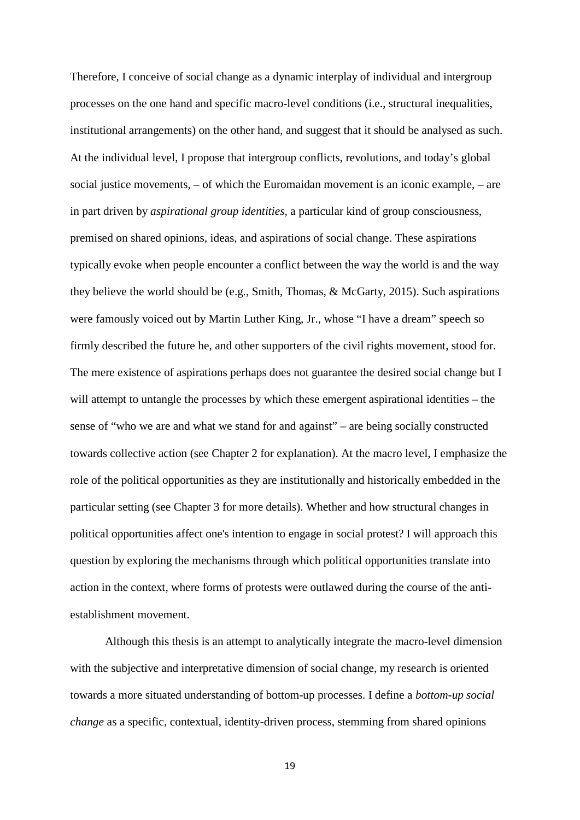Therefore, I conceive of social change as a dynamic interplay of individual and intergroup processes on the one hand and specific macro-level conditions (i.e., structural inequalities, institutional arrangements) on the other hand, and suggest that it should be analysed as such. At the individual level, I propose that intergroup conflicts, revolutions, and today's global social justice movements, – of which the Euromaidan movement is an iconic example, – are in part driven by *aspirational group identities,* a particular kind of group consciousness, premised on shared opinions, ideas, and aspirations of social change. These aspirations typically evoke when people encounter a conflict between the way the world is and the way they believe the world should be (e.g., Smith, Thomas, & McGarty, 2015). Such aspirations were famously voiced out by Martin Luther King, Jr., whose "I have a dream" speech so firmly described the future he, and other supporters of the civil rights movement, stood for. The mere existence of aspirations perhaps does not guarantee the desired social change but I will attempt to untangle the processes by which these emergent aspirational identities – the sense of "who we are and what we stand for and against" – are being socially constructed towards collective action (see Chapter 2 for explanation). At the macro level, I emphasize the role of the political opportunities as they are institutionally and historically embedded in the particular setting (see Chapter 3 for more details). Whether and how structural changes in political opportunities affect one's intention to engage in social protest? I will approach this question by exploring the mechanisms through which political opportunities translate into action in the context, where forms of protests were outlawed during the course of the antiestablishment movement.

Although this thesis is an attempt to analytically integrate the macro-level dimension with the subjective and interpretative dimension of social change, my research is oriented towards a more situated understanding of bottom-up processes. I define a *bottom-up social change* as a specific, contextual, identity-driven process, stemming from shared opinions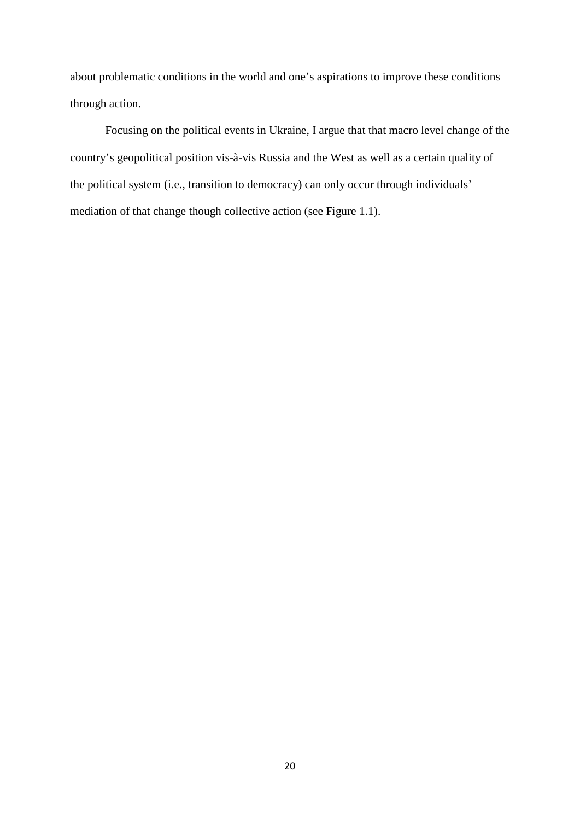about problematic conditions in the world and one's aspirations to improve these conditions through action.

Focusing on the political events in Ukraine, I argue that that macro level change of the country's geopolitical position vis-à-vis Russia and the West as well as a certain quality of the political system (i.e., transition to democracy) can only occur through individuals' mediation of that change though collective action (see Figure 1.1).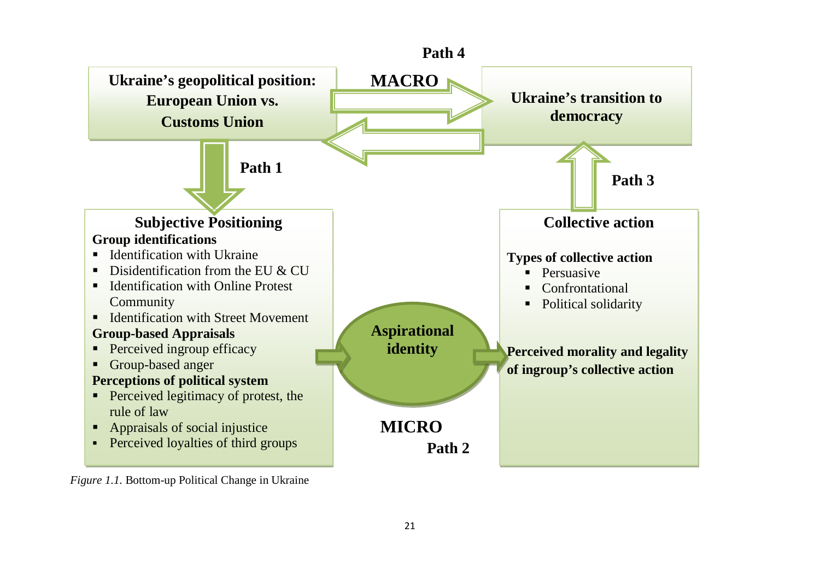

*Figure 1.1.* Bottom-up Political Change in Ukraine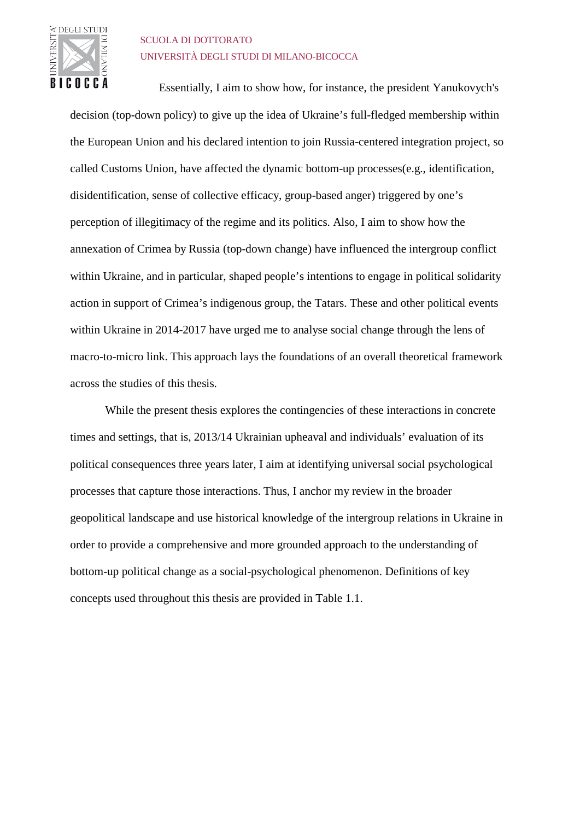

### SCUOLA DI DOTTORATO UNIVERSITÀ DEGLI STUDI DI MILANO-BICOCCA

Essentially, I aim to show how, for instance, the president Yanukovych's decision (top-down policy) to give up the idea of Ukraine's full-fledged membership within the European Union and his declared intention to join Russia-centered integration project, so called Customs Union, have affected the dynamic bottom-up processes(e.g., identification, disidentification, sense of collective efficacy, group-based anger) triggered by one's perception of illegitimacy of the regime and its politics. Also, I aim to show how the annexation of Crimea by Russia (top-down change) have influenced the intergroup conflict within Ukraine, and in particular, shaped people's intentions to engage in political solidarity action in support of Crimea's indigenous group, the Tatars. These and other political events within Ukraine in 2014-2017 have urged me to analyse social change through the lens of macro-to-micro link. This approach lays the foundations of an overall theoretical framework across the studies of this thesis.

While the present thesis explores the contingencies of these interactions in concrete times and settings, that is, 2013/14 Ukrainian upheaval and individuals' evaluation of its political consequences three years later, I aim at identifying universal social psychological processes that capture those interactions. Thus, I anchor my review in the broader geopolitical landscape and use historical knowledge of the intergroup relations in Ukraine in order to provide a comprehensive and more grounded approach to the understanding of bottom-up political change as a social-psychological phenomenon. Definitions of key concepts used throughout this thesis are provided in Table 1.1.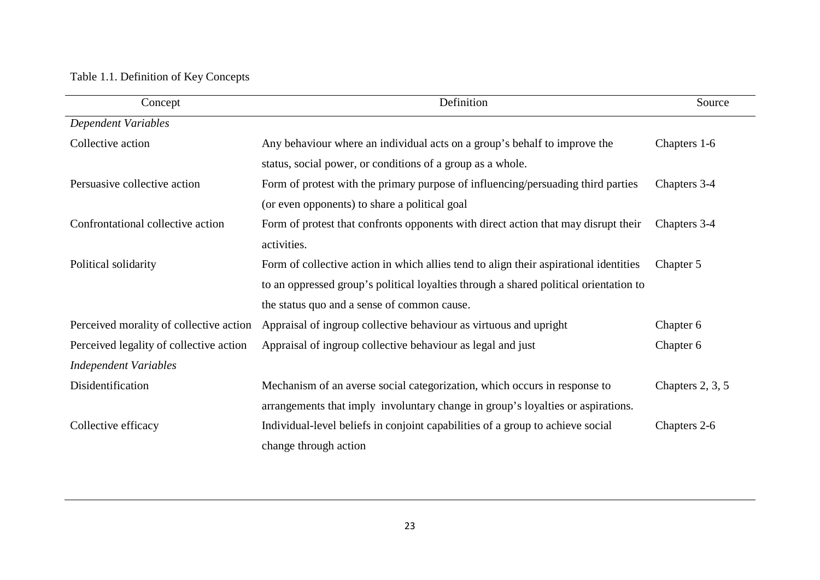## Table 1.1. Definition of Key Concepts

| Concept                                 | Definition                                                                            | Source             |
|-----------------------------------------|---------------------------------------------------------------------------------------|--------------------|
| <b>Dependent Variables</b>              |                                                                                       |                    |
| Collective action                       | Any behaviour where an individual acts on a group's behalf to improve the             | Chapters 1-6       |
|                                         | status, social power, or conditions of a group as a whole.                            |                    |
| Persuasive collective action            | Form of protest with the primary purpose of influencing/persuading third parties      | Chapters 3-4       |
|                                         | (or even opponents) to share a political goal                                         |                    |
| Confrontational collective action       | Form of protest that confronts opponents with direct action that may disrupt their    | Chapters 3-4       |
|                                         | activities.                                                                           |                    |
| Political solidarity                    | Form of collective action in which allies tend to align their aspirational identities | Chapter 5          |
|                                         | to an oppressed group's political loyalties through a shared political orientation to |                    |
|                                         | the status quo and a sense of common cause.                                           |                    |
| Perceived morality of collective action | Appraisal of ingroup collective behaviour as virtuous and upright                     | Chapter 6          |
| Perceived legality of collective action | Appraisal of ingroup collective behaviour as legal and just                           | Chapter 6          |
| <b>Independent Variables</b>            |                                                                                       |                    |
| Disidentification                       | Mechanism of an averse social categorization, which occurs in response to             | Chapters $2, 3, 5$ |
|                                         | arrangements that imply involuntary change in group's loyalties or aspirations.       |                    |
| Collective efficacy                     | Individual-level beliefs in conjoint capabilities of a group to achieve social        | Chapters 2-6       |
|                                         | change through action                                                                 |                    |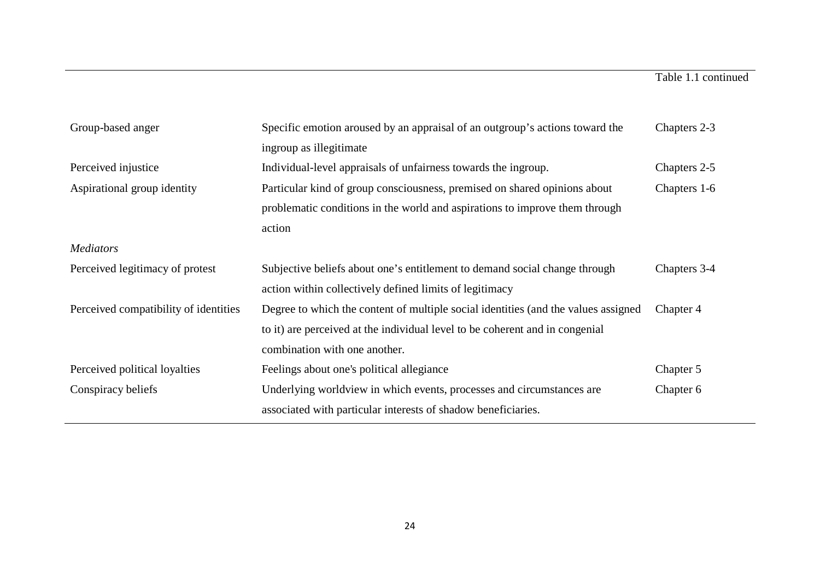| Group-based anger                                                                                                                                                                       | Specific emotion aroused by an appraisal of an outgroup's actions toward the       |              |  |
|-----------------------------------------------------------------------------------------------------------------------------------------------------------------------------------------|------------------------------------------------------------------------------------|--------------|--|
|                                                                                                                                                                                         | ingroup as illegitimate                                                            |              |  |
| Perceived injustice                                                                                                                                                                     | Individual-level appraisals of unfairness towards the ingroup.<br>Chapters 2-5     |              |  |
| Particular kind of group consciousness, premised on shared opinions about<br>Aspirational group identity<br>problematic conditions in the world and aspirations to improve them through |                                                                                    | Chapters 1-6 |  |
|                                                                                                                                                                                         |                                                                                    |              |  |
| <b>Mediators</b>                                                                                                                                                                        |                                                                                    |              |  |
| Perceived legitimacy of protest                                                                                                                                                         | Subjective beliefs about one's entitlement to demand social change through         | Chapters 3-4 |  |
|                                                                                                                                                                                         | action within collectively defined limits of legitimacy                            |              |  |
| Perceived compatibility of identities                                                                                                                                                   | Degree to which the content of multiple social identities (and the values assigned | Chapter 4    |  |
|                                                                                                                                                                                         | to it) are perceived at the individual level to be coherent and in congenial       |              |  |
|                                                                                                                                                                                         | combination with one another.                                                      |              |  |
| Perceived political loyalties                                                                                                                                                           | Feelings about one's political allegiance                                          | Chapter 5    |  |
| Conspiracy beliefs                                                                                                                                                                      | Underlying worldview in which events, processes and circumstances are              | Chapter 6    |  |
|                                                                                                                                                                                         | associated with particular interests of shadow beneficiaries.                      |              |  |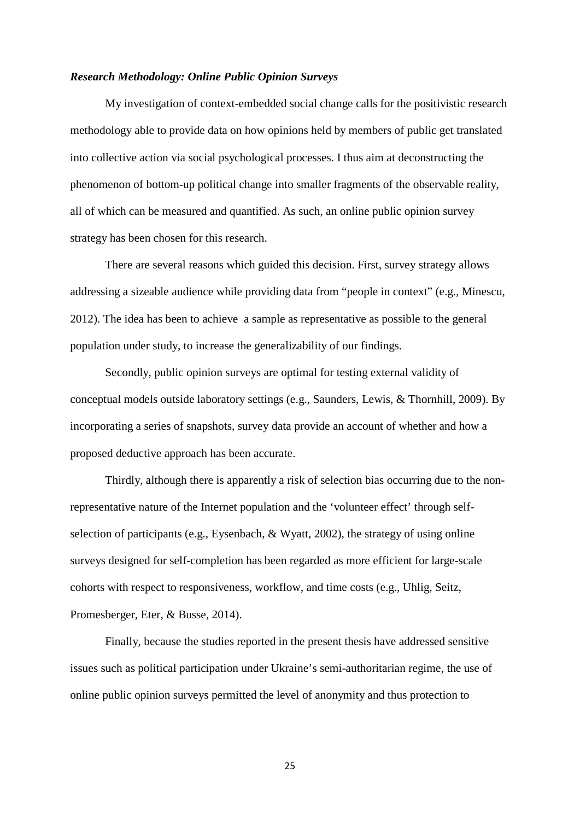### *Research Methodology: Online Public Opinion Surveys*

My investigation of context-embedded social change calls for the positivistic research methodology able to provide data on how opinions held by members of public get translated into collective action via social psychological processes. I thus aim at deconstructing the phenomenon of bottom-up political change into smaller fragments of the observable reality, all of which can be measured and quantified. As such, an online public opinion survey strategy has been chosen for this research.

There are several reasons which guided this decision. First, survey strategy allows addressing a sizeable audience while providing data from "people in context" (e.g., Minescu, 2012). The idea has been to achieve a sample as representative as possible to the general population under study, to increase the generalizability of our findings.

Secondly, public opinion surveys are optimal for testing external validity of conceptual models outside laboratory settings (e.g., Saunders, Lewis, & Thornhill, 2009). By incorporating a series of snapshots, survey data provide an account of whether and how a proposed deductive approach has been accurate.

Thirdly, although there is apparently a risk of selection bias occurring due to the nonrepresentative nature of the Internet population and the 'volunteer effect' through selfselection of participants (e.g., Eysenbach, & Wyatt, 2002), the strategy of using online surveys designed for self-completion has been regarded as more efficient for large-scale cohorts with respect to responsiveness, workflow, and time costs (e.g., Uhlig, Seitz, Promesberger, Eter, & Busse, 2014).

Finally, because the studies reported in the present thesis have addressed sensitive issues such as political participation under Ukraine's semi-authoritarian regime, the use of online public opinion surveys permitted the level of anonymity and thus protection to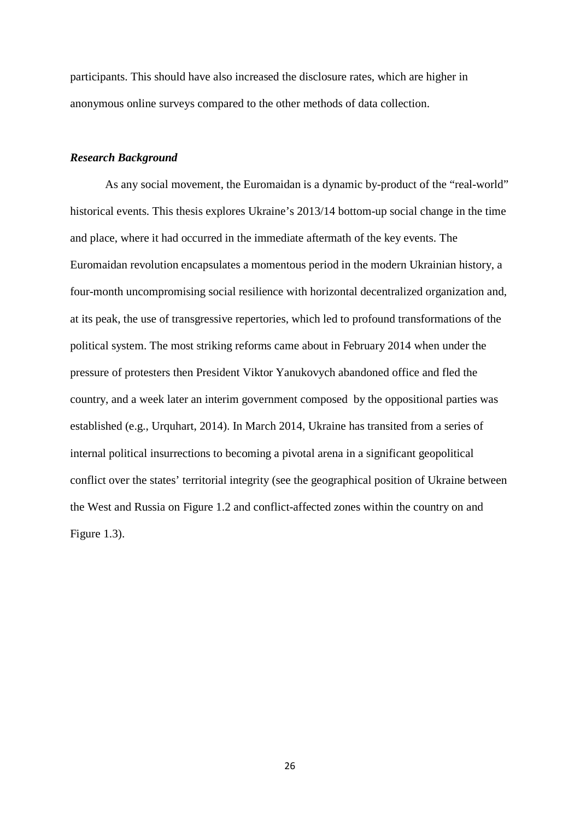participants. This should have also increased the disclosure rates, which are higher in anonymous online surveys compared to the other methods of data collection.

### *Research Background*

As any social movement, the Euromaidan is a dynamic by-product of the "real-world" historical events. This thesis explores Ukraine's 2013/14 bottom-up social change in the time and place, where it had occurred in the immediate aftermath of the key events. The Euromaidan revolution encapsulates a momentous period in the modern Ukrainian history, a four-month uncompromising social resilience with horizontal decentralized organization and, at its peak, the use of transgressive repertories, which led to profound transformations of the political system. The most striking reforms came about in February 2014 when under the pressure of protesters then President Viktor Yanukovych abandoned office and fled the country, and a week later an interim government composed by the oppositional parties was established (e.g., Urquhart, 2014). In March 2014, Ukraine has transited from a series of internal political insurrections to becoming a pivotal arena in a significant geopolitical conflict over the states' territorial integrity (see the geographical position of Ukraine between the West and Russia on Figure 1.2 and conflict-affected zones within the country on and Figure 1.3).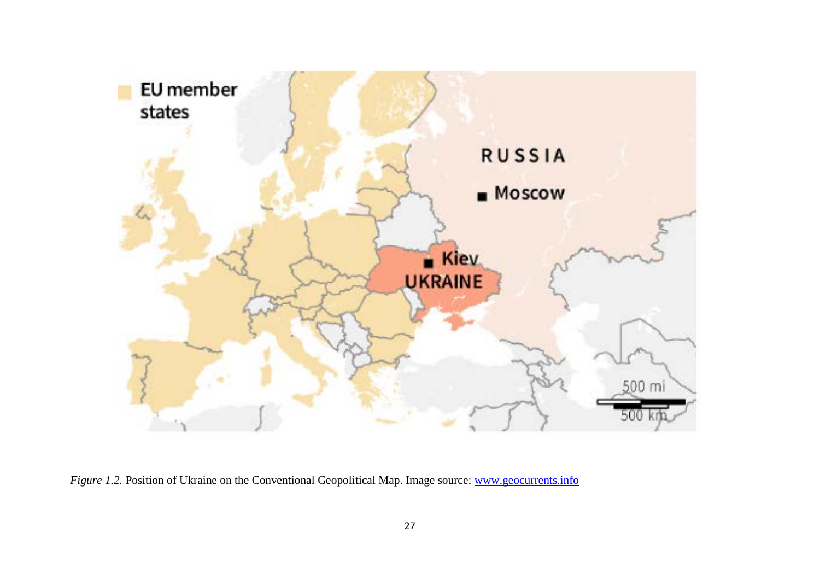

*Figure 1.2.* Position of Ukraine on the Conventional Geopolitical Map. Image source: [www.geocurrents.info](http://www.geocurrents.info/)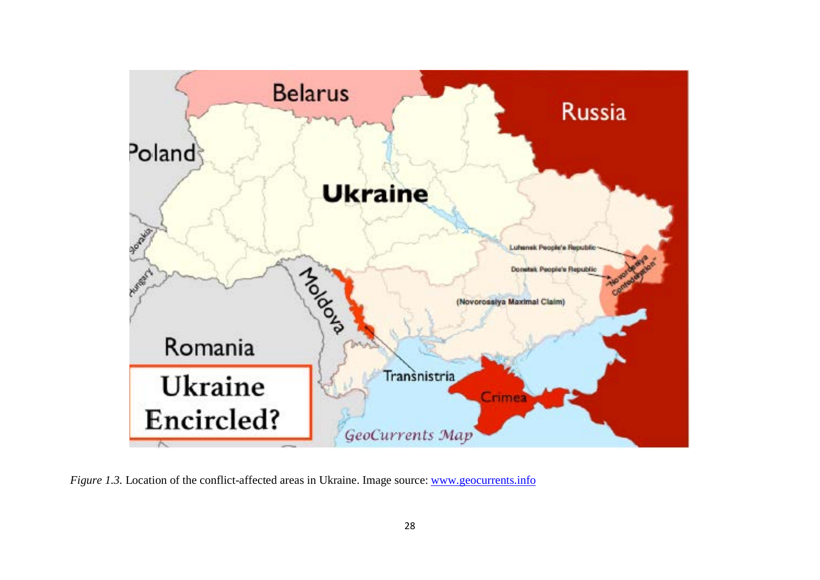

*Figure 1.3.* Location of the conflict-affected areas in Ukraine. Image source: [www.geocurrents.info](http://www.geocurrents.info/)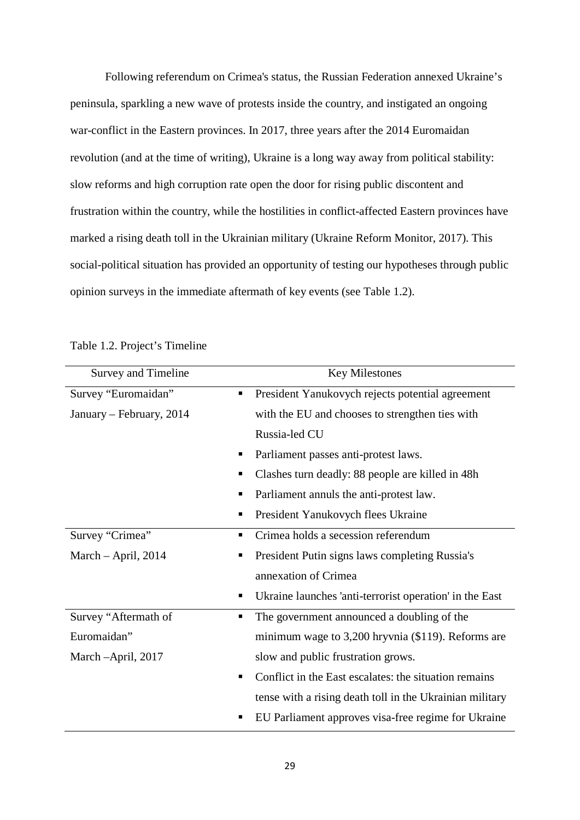Following referendum on Crimea's status, the Russian Federation annexed Ukraine's peninsula, sparkling a new wave of protests inside the country, and instigated an ongoing war-conflict in the Eastern provinces. In 2017, three years after the 2014 Euromaidan revolution (and at the time of writing), Ukraine is a long way away from political stability: slow reforms and high corruption rate open the door for rising public discontent and frustration within the country, while the hostilities in conflict-affected Eastern provinces have marked a rising death toll in the Ukrainian military (Ukraine Reform Monitor, 2017). This social-political situation has provided an opportunity of testing our hypotheses through public opinion surveys in the immediate aftermath of key events (see Table 1.2).

| Survey and Timeline       | <b>Key Milestones</b>                                    |
|---------------------------|----------------------------------------------------------|
| Survey "Euromaidan"<br>٠  | President Yanukovych rejects potential agreement         |
| January – February, 2014  | with the EU and chooses to strengthen ties with          |
|                           | Russia-led CU                                            |
| ш                         | Parliament passes anti-protest laws.                     |
| п                         | Clashes turn deadly: 88 people are killed in 48h         |
| п                         | Parliament annuls the anti-protest law.                  |
|                           | President Yanukovych flees Ukraine                       |
| Survey "Crimea"<br>п      | Crimea holds a secession referendum                      |
| March $-$ April, 2014     | President Putin signs laws completing Russia's           |
|                           | annexation of Crimea                                     |
| п                         | Ukraine launches 'anti-terrorist operation' in the East  |
| Survey "Aftermath of<br>٠ | The government announced a doubling of the               |
| Euromaidan"               | minimum wage to 3,200 hryvnia (\$119). Reforms are       |
| March -April, 2017        | slow and public frustration grows.                       |
|                           | Conflict in the East escalates: the situation remains    |
|                           | tense with a rising death toll in the Ukrainian military |
|                           | EU Parliament approves visa-free regime for Ukraine      |

Table 1.2. Project's Timeline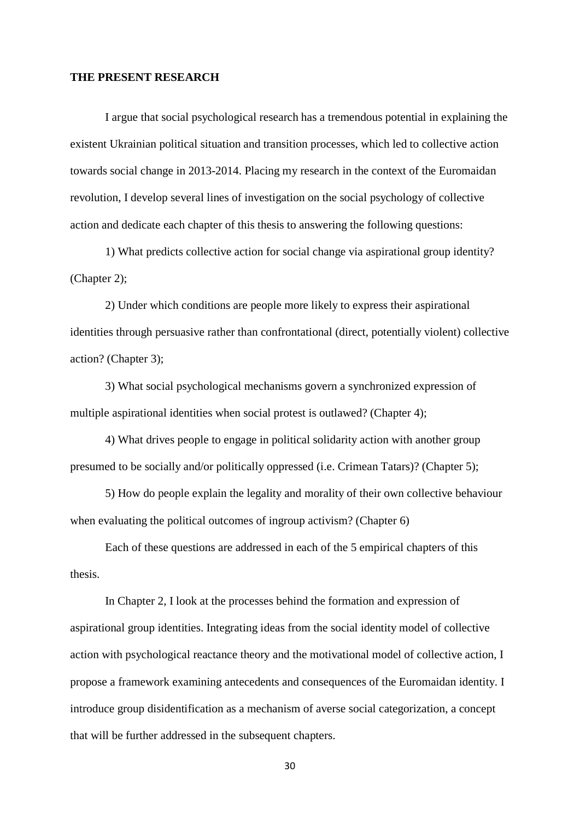### **THE PRESENT RESEARCH**

I argue that social psychological research has a tremendous potential in explaining the existent Ukrainian political situation and transition processes, which led to collective action towards social change in 2013-2014. Placing my research in the context of the Euromaidan revolution, I develop several lines of investigation on the social psychology of collective action and dedicate each chapter of this thesis to answering the following questions:

1) What predicts collective action for social change via aspirational group identity? (Chapter 2);

2) Under which conditions are people more likely to express their aspirational identities through persuasive rather than confrontational (direct, potentially violent) collective action? (Chapter 3);

3) What social psychological mechanisms govern a synchronized expression of multiple aspirational identities when social protest is outlawed? (Chapter 4);

4) What drives people to engage in political solidarity action with another group presumed to be socially and/or politically oppressed (i.e. Crimean Tatars)? (Chapter 5);

5) How do people explain the legality and morality of their own collective behaviour when evaluating the political outcomes of ingroup activism? (Chapter 6)

Each of these questions are addressed in each of the 5 empirical chapters of this thesis.

In Chapter 2, I look at the processes behind the formation and expression of aspirational group identities. Integrating ideas from the social identity model of collective action with psychological reactance theory and the motivational model of collective action, I propose a framework examining antecedents and consequences of the Euromaidan identity. I introduce group disidentification as a mechanism of averse social categorization, a concept that will be further addressed in the subsequent chapters.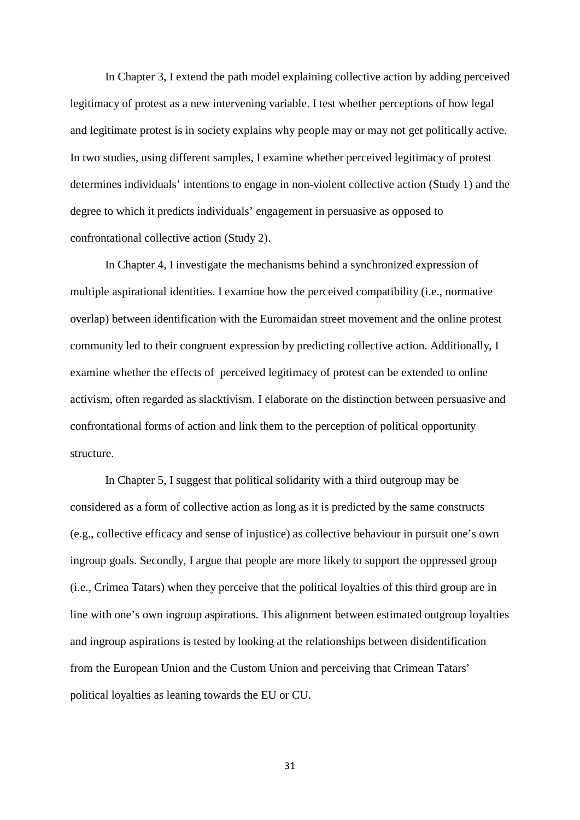In Chapter 3, I extend the path model explaining collective action by adding perceived legitimacy of protest as a new intervening variable. I test whether perceptions of how legal and legitimate protest is in society explains why people may or may not get politically active. In two studies, using different samples, I examine whether perceived legitimacy of protest determines individuals' intentions to engage in non-violent collective action (Study 1) and the degree to which it predicts individuals' engagement in persuasive as opposed to confrontational collective action (Study 2).

In Chapter 4, I investigate the mechanisms behind a synchronized expression of multiple aspirational identities. I examine how the perceived compatibility (i.e., normative overlap) between identification with the Euromaidan street movement and the online protest community led to their congruent expression by predicting collective action. Additionally, I examine whether the effects of perceived legitimacy of protest can be extended to online activism, often regarded as slacktivism. I elaborate on the distinction between persuasive and confrontational forms of action and link them to the perception of political opportunity structure.

In Chapter 5, I suggest that political solidarity with a third outgroup may be considered as a form of collective action as long as it is predicted by the same constructs (e.g., collective efficacy and sense of injustice) as collective behaviour in pursuit one's own ingroup goals. Secondly, I argue that people are more likely to support the oppressed group (i.e., Crimea Tatars) when they perceive that the political loyalties of this third group are in line with one's own ingroup aspirations. This alignment between estimated outgroup loyalties and ingroup aspirations is tested by looking at the relationships between disidentification from the European Union and the Custom Union and perceiving that Crimean Tatars' political loyalties as leaning towards the EU or CU.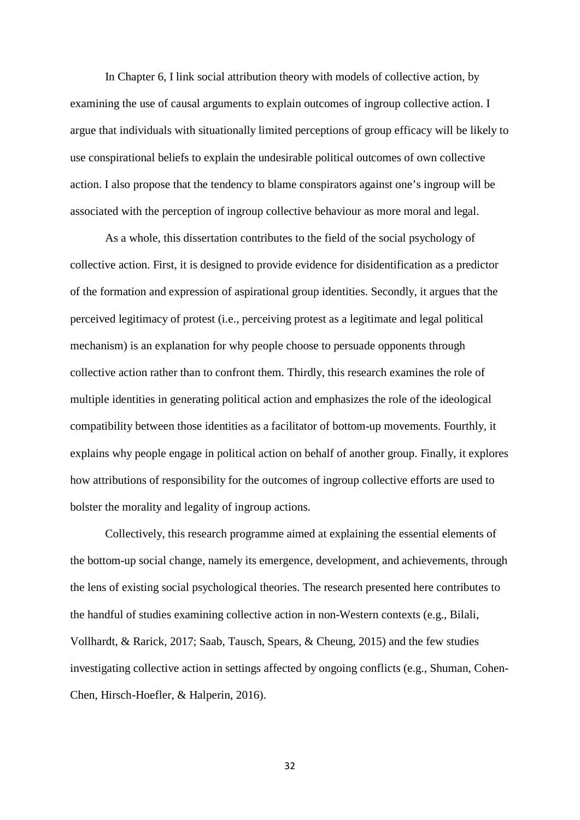In Chapter 6, I link social attribution theory with models of collective action, by examining the use of causal arguments to explain outcomes of ingroup collective action. I argue that individuals with situationally limited perceptions of group efficacy will be likely to use conspirational beliefs to explain the undesirable political outcomes of own collective action. I also propose that the tendency to blame conspirators against one's ingroup will be associated with the perception of ingroup collective behaviour as more moral and legal.

As a whole, this dissertation contributes to the field of the social psychology of collective action. First, it is designed to provide evidence for disidentification as a predictor of the formation and expression of aspirational group identities. Secondly, it argues that the perceived legitimacy of protest (i.e., perceiving protest as a legitimate and legal political mechanism) is an explanation for why people choose to persuade opponents through collective action rather than to confront them. Thirdly, this research examines the role of multiple identities in generating political action and emphasizes the role of the ideological compatibility between those identities as a facilitator of bottom-up movements. Fourthly, it explains why people engage in political action on behalf of another group. Finally, it explores how attributions of responsibility for the outcomes of ingroup collective efforts are used to bolster the morality and legality of ingroup actions.

Collectively, this research programme aimed at explaining the essential elements of the bottom-up social change, namely its emergence, development, and achievements, through the lens of existing social psychological theories. The research presented here contributes to the handful of studies examining collective action in non-Western contexts (e.g., Bilali, Vollhardt, & Rarick, 2017; Saab, Tausch, Spears, & Cheung, 2015) and the few studies investigating collective action in settings affected by ongoing conflicts (e.g., Shuman, Cohen-Chen, Hirsch-Hoefler, & Halperin, 2016).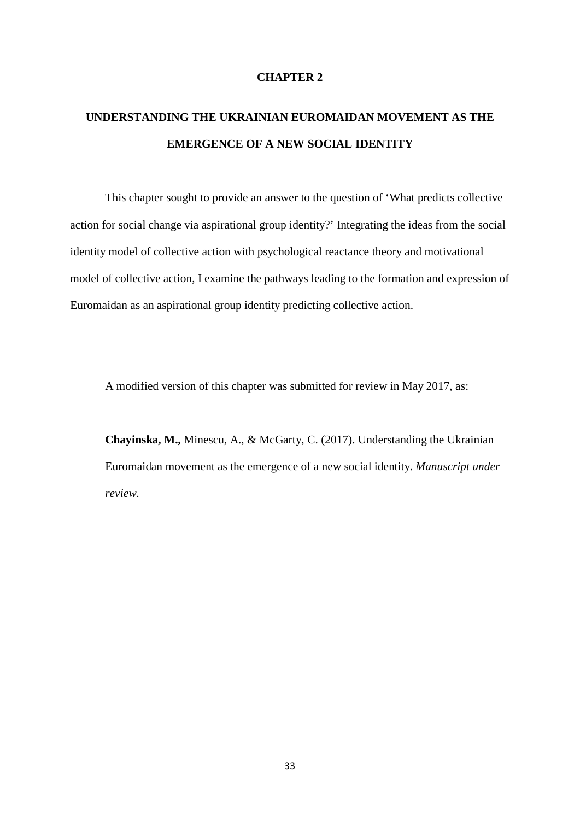### **CHAPTER 2**

# **UNDERSTANDING THE UKRAINIAN EUROMAIDAN MOVEMENT AS THE EMERGENCE OF A NEW SOCIAL IDENTITY**

This chapter sought to provide an answer to the question of 'What predicts collective action for social change via aspirational group identity?' Integrating the ideas from the social identity model of collective action with psychological reactance theory and motivational model of collective action, I examine the pathways leading to the formation and expression of Euromaidan as an aspirational group identity predicting collective action.

A modified version of this chapter was submitted for review in May 2017, as:

**Chayinska, M.,** Minescu, A., & McGarty, C. (2017). Understanding the Ukrainian Euromaidan movement as the emergence of a new social identity. *Manuscript under review.*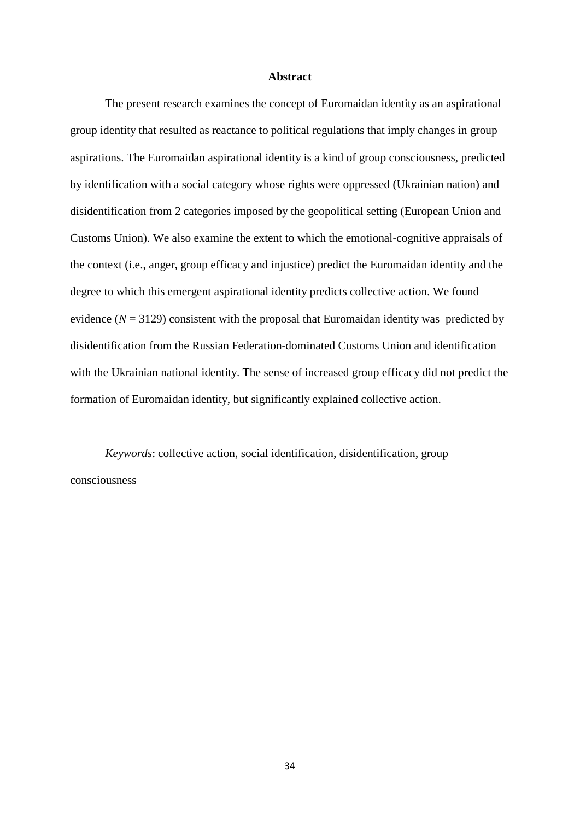### **Abstract**

The present research examines the concept of Euromaidan identity as an aspirational group identity that resulted as reactance to political regulations that imply changes in group aspirations. The Euromaidan aspirational identity is a kind of group consciousness, predicted by identification with a social category whose rights were oppressed (Ukrainian nation) and disidentification from 2 categories imposed by the geopolitical setting (European Union and Customs Union). We also examine the extent to which the emotional-cognitive appraisals of the context (i.e., anger, group efficacy and injustice) predict the Euromaidan identity and the degree to which this emergent aspirational identity predicts collective action. We found evidence  $(N = 3129)$  consistent with the proposal that Euromaidan identity was predicted by disidentification from the Russian Federation-dominated Customs Union and identification with the Ukrainian national identity. The sense of increased group efficacy did not predict the formation of Euromaidan identity, but significantly explained collective action.

*Keywords*: collective action, social identification, disidentification, group consciousness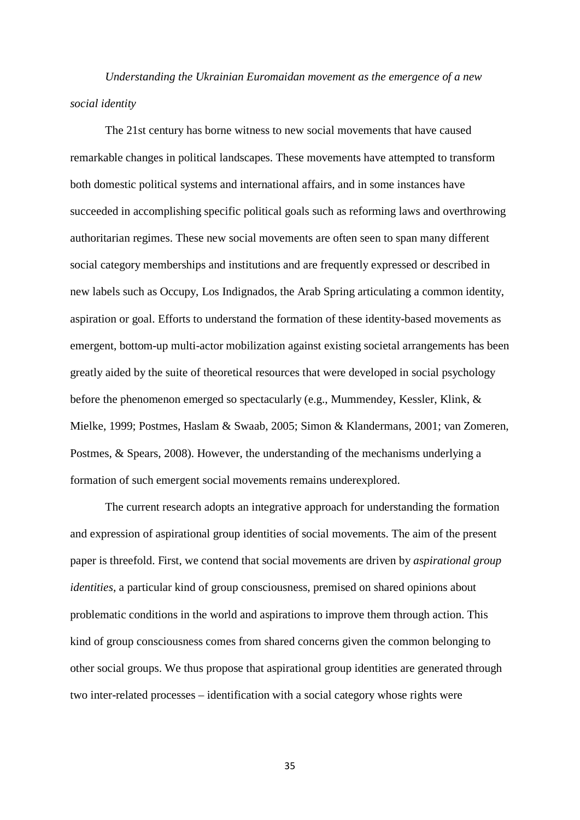*Understanding the Ukrainian Euromaidan movement as the emergence of a new social identity*

The 21st century has borne witness to new social movements that have caused remarkable changes in political landscapes. These movements have attempted to transform both domestic political systems and international affairs, and in some instances have succeeded in accomplishing specific political goals such as reforming laws and overthrowing authoritarian regimes. These new social movements are often seen to span many different social category memberships and institutions and are frequently expressed or described in new labels such as Occupy, Los Indignados, the Arab Spring articulating a common identity, aspiration or goal. Efforts to understand the formation of these identity-based movements as emergent, bottom-up multi-actor mobilization against existing societal arrangements has been greatly aided by the suite of theoretical resources that were developed in social psychology before the phenomenon emerged so spectacularly (e.g., Mummendey, Kessler, Klink, & Mielke, 1999; Postmes, Haslam & Swaab, 2005; Simon & Klandermans, 2001; van Zomeren, Postmes, & Spears, 2008). However, the understanding of the mechanisms underlying a formation of such emergent social movements remains underexplored.

The current research adopts an integrative approach for understanding the formation and expression of aspirational group identities of social movements. The aim of the present paper is threefold. First, we contend that social movements are driven by *aspirational group identities*, a particular kind of group consciousness, premised on shared opinions about problematic conditions in the world and aspirations to improve them through action. This kind of group consciousness comes from shared concerns given the common belonging to other social groups. We thus propose that aspirational group identities are generated through two inter-related processes – identification with a social category whose rights were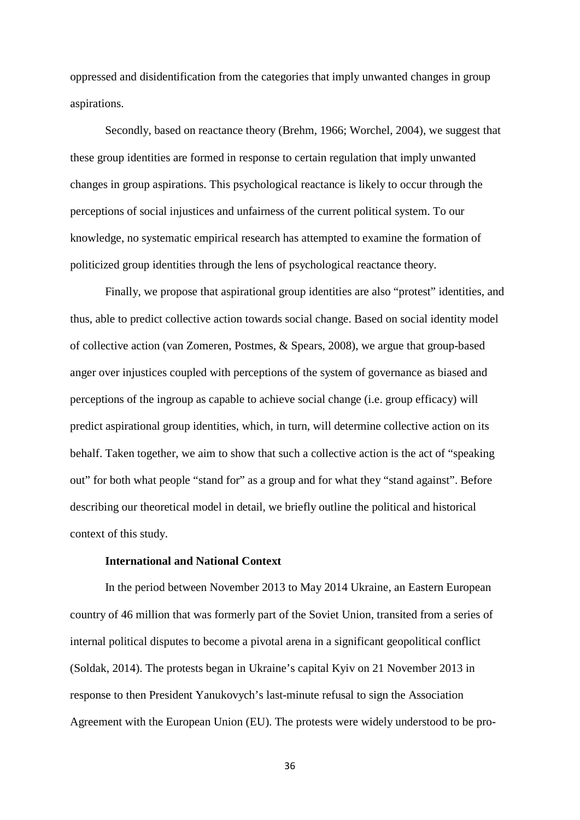oppressed and disidentification from the categories that imply unwanted changes in group aspirations.

Secondly, based on reactance theory (Brehm, 1966; Worchel, 2004), we suggest that these group identities are formed in response to certain regulation that imply unwanted changes in group aspirations. This psychological reactance is likely to occur through the perceptions of social injustices and unfairness of the current political system. To our knowledge, no systematic empirical research has attempted to examine the formation of politicized group identities through the lens of psychological reactance theory.

Finally, we propose that aspirational group identities are also "protest" identities, and thus, able to predict collective action towards social change. Based on social identity model of collective action (van Zomeren, Postmes, & Spears, 2008), we argue that group-based anger over injustices coupled with perceptions of the system of governance as biased and perceptions of the ingroup as capable to achieve social change (i.e. group efficacy) will predict aspirational group identities, which, in turn, will determine collective action on its behalf. Taken together, we aim to show that such a collective action is the act of "speaking out" for both what people "stand for" as a group and for what they "stand against". Before describing our theoretical model in detail, we briefly outline the political and historical context of this study.

### **International and National Context**

In the period between November 2013 to May 2014 Ukraine, an Eastern European country of 46 million that was formerly part of the Soviet Union, transited from a series of internal political disputes to become a pivotal arena in a significant geopolitical conflict (Soldak, 2014). The protests began in Ukraine's capital Kyiv on 21 November 2013 in response to then President Yanukovych's last-minute refusal to sign the Association Agreement with the European Union (EU). The protests were widely understood to be pro-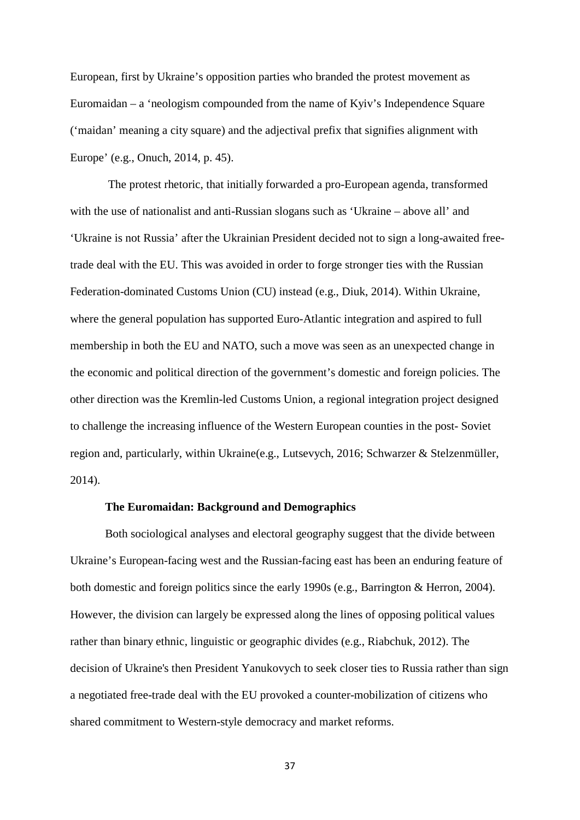European, first by Ukraine's opposition parties who branded the protest movement as Euromaidan – a 'neologism compounded from the name of Kyiv's Independence Square ('maidan' meaning a city square) and the adjectival prefix that signifies alignment with Europe' (e.g., Onuch, 2014, p. 45).

The protest rhetoric, that initially forwarded a pro-European agenda, transformed with the use of nationalist and anti-Russian slogans such as 'Ukraine – above all' and 'Ukraine is not Russia' after the Ukrainian President decided not to sign a long-awaited freetrade deal with the EU. This was avoided in order to forge stronger ties with the Russian Federation-dominated Customs Union (CU) instead (e.g., Diuk, 2014). Within Ukraine, where the general population has supported Euro-Atlantic integration and aspired to full membership in both the EU and NATO, such a move was seen as an unexpected change in the economic and political direction of the government's domestic and foreign policies. The other direction was the Kremlin-led Customs Union, a regional integration project designed to challenge the increasing influence of the Western European counties in the post- Soviet region and, particularly, within Ukraine(e.g., Lutsevych, 2016; Schwarzer & Stelzenmüller, 2014).

## **The Euromaidan: Background and Demographics**

Both sociological analyses and electoral geography suggest that the divide between Ukraine's European-facing west and the Russian-facing east has been an enduring feature of both domestic and foreign politics since the early 1990s (e.g., Barrington & Herron, 2004). However, the division can largely be expressed along the lines of opposing political values rather than binary ethnic, linguistic or geographic divides (e.g., Riabchuk, 2012). The decision of Ukraine's then President Yanukovych to seek closer ties to Russia rather than sign a negotiated free-trade deal with the EU provoked a counter-mobilization of citizens who shared commitment to Western-style democracy and market reforms.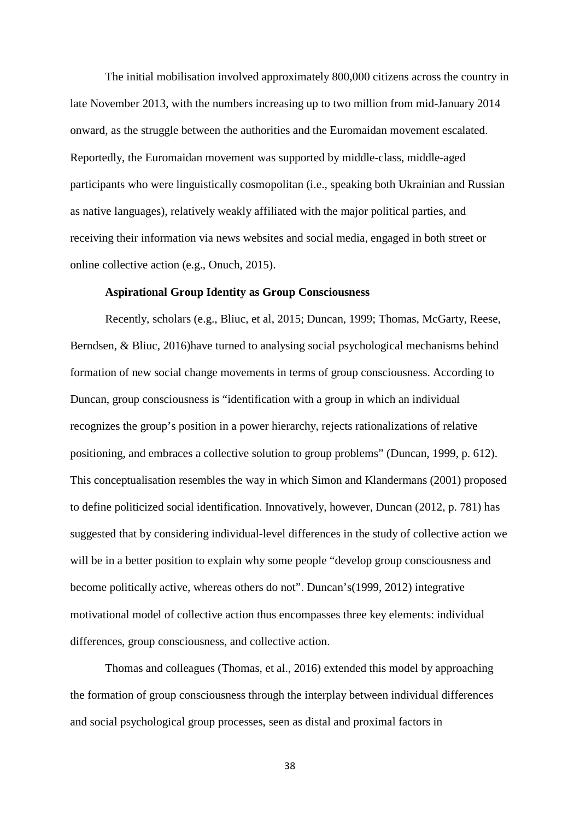The initial mobilisation involved approximately 800,000 citizens across the country in late November 2013, with the numbers increasing up to two million from mid-January 2014 onward, as the struggle between the authorities and the Euromaidan movement escalated. Reportedly, the Euromaidan movement was supported by middle-class, middle-aged participants who were linguistically cosmopolitan (i.e., speaking both Ukrainian and Russian as native languages), relatively weakly affiliated with the major political parties, and receiving their information via news websites and social media, engaged in both street or online collective action (e.g., Onuch, 2015).

### **Aspirational Group Identity as Group Consciousness**

Recently, scholars (e.g., Bliuc, et al, 2015; Duncan, 1999; Thomas, McGarty, Reese, Berndsen, & Bliuc, 2016)have turned to analysing social psychological mechanisms behind formation of new social change movements in terms of group consciousness. According to Duncan, group consciousness is "identification with a group in which an individual recognizes the group's position in a power hierarchy, rejects rationalizations of relative positioning, and embraces a collective solution to group problems" (Duncan, 1999, p. 612). This conceptualisation resembles the way in which Simon and Klandermans (2001) proposed to define politicized social identification. Innovatively, however, Duncan (2012, p. 781) has suggested that by considering individual-level differences in the study of collective action we will be in a better position to explain why some people "develop group consciousness and become politically active, whereas others do not". Duncan's(1999, 2012) integrative motivational model of collective action thus encompasses three key elements: individual differences, group consciousness, and collective action.

Thomas and colleagues (Thomas, et al., 2016) extended this model by approaching the formation of group consciousness through the interplay between individual differences and social psychological group processes, seen as distal and proximal factors in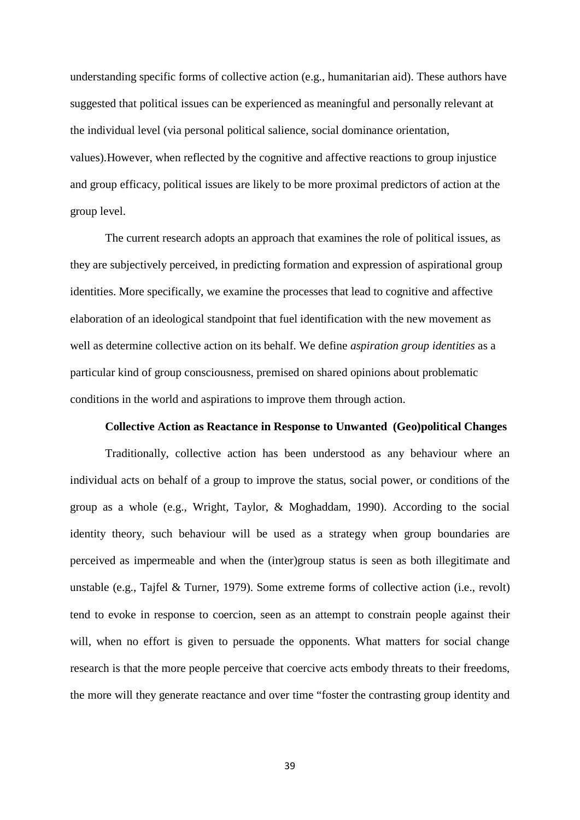understanding specific forms of collective action (e.g., humanitarian aid). These authors have suggested that political issues can be experienced as meaningful and personally relevant at the individual level (via personal political salience, social dominance orientation, values).However, when reflected by the cognitive and affective reactions to group injustice and group efficacy, political issues are likely to be more proximal predictors of action at the group level.

The current research adopts an approach that examines the role of political issues, as they are subjectively perceived, in predicting formation and expression of aspirational group identities. More specifically, we examine the processes that lead to cognitive and affective elaboration of an ideological standpoint that fuel identification with the new movement as well as determine collective action on its behalf. We define *aspiration group identities* as a particular kind of group consciousness, premised on shared opinions about problematic conditions in the world and aspirations to improve them through action.

#### **Collective Action as Reactance in Response to Unwanted (Geo)political Changes**

Traditionally, collective action has been understood as any behaviour where an individual acts on behalf of a group to improve the status, social power, or conditions of the group as a whole (e.g., Wright, Taylor, & Moghaddam, 1990). According to the social identity theory, such behaviour will be used as a strategy when group boundaries are perceived as impermeable and when the (inter)group status is seen as both illegitimate and unstable (e.g., Tajfel & Turner, 1979). Some extreme forms of collective action (i.e., revolt) tend to evoke in response to coercion, seen as an attempt to constrain people against their will, when no effort is given to persuade the opponents. What matters for social change research is that the more people perceive that coercive acts embody threats to their freedoms, the more will they generate reactance and over time "foster the contrasting group identity and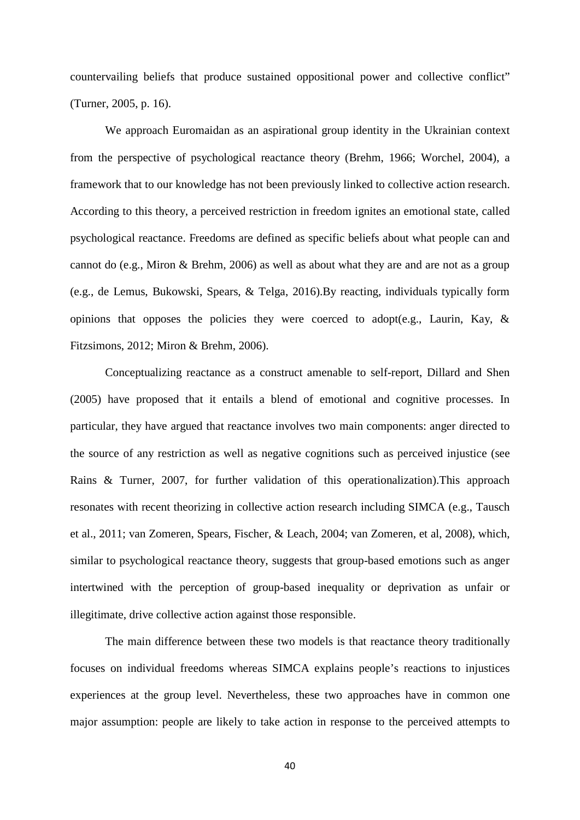countervailing beliefs that produce sustained oppositional power and collective conflict" (Turner, 2005, p. 16).

We approach Euromaidan as an aspirational group identity in the Ukrainian context from the perspective of psychological reactance theory (Brehm, 1966; Worchel, 2004), a framework that to our knowledge has not been previously linked to collective action research. According to this theory, a perceived restriction in freedom ignites an emotional state, called psychological reactance. Freedoms are defined as specific beliefs about what people can and cannot do (e.g., Miron & Brehm, 2006) as well as about what they are and are not as a group (e.g., de Lemus, Bukowski, Spears, & Telga, 2016).By reacting, individuals typically form opinions that opposes the policies they were coerced to adopt(e.g., Laurin, Kay, & Fitzsimons, 2012; Miron & Brehm, 2006).

Conceptualizing reactance as a construct amenable to self-report, Dillard and Shen (2005) have proposed that it entails a blend of emotional and cognitive processes. In particular, they have argued that reactance involves two main components: anger directed to the source of any restriction as well as negative cognitions such as perceived injustice (see Rains & Turner, 2007, for further validation of this operationalization).This approach resonates with recent theorizing in collective action research including SIMCA (e.g., Tausch et al., 2011; van Zomeren, Spears, Fischer, & Leach, 2004; van Zomeren, et al, 2008), which, similar to psychological reactance theory, suggests that group-based emotions such as anger intertwined with the perception of group-based inequality or deprivation as unfair or illegitimate, drive collective action against those responsible.

The main difference between these two models is that reactance theory traditionally focuses on individual freedoms whereas SIMCA explains people's reactions to injustices experiences at the group level. Nevertheless, these two approaches have in common one major assumption: people are likely to take action in response to the perceived attempts to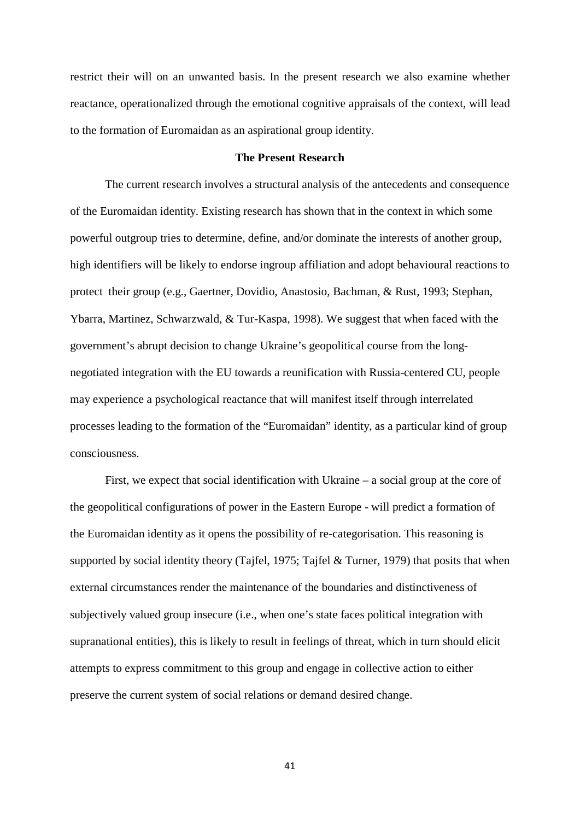restrict their will on an unwanted basis. In the present research we also examine whether reactance, operationalized through the emotional cognitive appraisals of the context, will lead to the formation of Euromaidan as an aspirational group identity.

## **The Present Research**

The current research involves a structural analysis of the antecedents and consequence of the Euromaidan identity. Existing research has shown that in the context in which some powerful outgroup tries to determine, define, and/or dominate the interests of another group, high identifiers will be likely to endorse ingroup affiliation and adopt behavioural reactions to protect their group (e.g., Gaertner, Dovidio, Anastosio, Bachman, & Rust, 1993; Stephan, Ybarra, Martinez, Schwarzwald, & Tur-Kaspa, 1998). We suggest that when faced with the government's abrupt decision to change Ukraine's geopolitical course from the longnegotiated integration with the EU towards a reunification with Russia-centered CU, people may experience a psychological reactance that will manifest itself through interrelated processes leading to the formation of the "Euromaidan" identity, as a particular kind of group consciousness.

First, we expect that social identification with Ukraine – a social group at the core of the geopolitical configurations of power in the Eastern Europe - will predict a formation of the Euromaidan identity as it opens the possibility of re-categorisation. This reasoning is supported by social identity theory (Tajfel, 1975; Tajfel & Turner, 1979) that posits that when external circumstances render the maintenance of the boundaries and distinctiveness of subjectively valued group insecure (i.e., when one's state faces political integration with supranational entities), this is likely to result in feelings of threat, which in turn should elicit attempts to express commitment to this group and engage in collective action to either preserve the current system of social relations or demand desired change.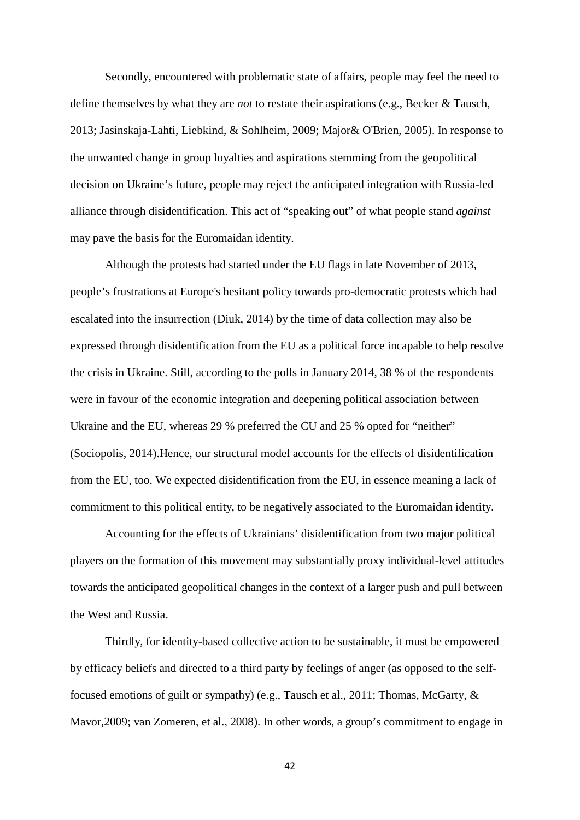Secondly, encountered with problematic state of affairs, people may feel the need to define themselves by what they are *not* to restate their aspirations (e.g., Becker & Tausch, 2013; Jasinskaja-Lahti, Liebkind, & Sohlheim, 2009; Major& O'Brien, 2005). In response to the unwanted change in group loyalties and aspirations stemming from the geopolitical decision on Ukraine's future, people may reject the anticipated integration with Russia-led alliance through disidentification. This act of "speaking out" of what people stand *against* may pave the basis for the Euromaidan identity.

Although the protests had started under the EU flags in late November of 2013, people's frustrations at Europe's hesitant policy towards pro-democratic protests which had escalated into the insurrection (Diuk, 2014) by the time of data collection may also be expressed through disidentification from the EU as a political force incapable to help resolve the crisis in Ukraine. Still, according to the polls in January 2014, 38 % of the respondents were in favour of the economic integration and deepening political association between Ukraine and the EU, whereas 29 % preferred the CU and 25 % opted for "neither" (Sociopolis, 2014).Hence, our structural model accounts for the effects of disidentification from the EU, too. We expected disidentification from the EU, in essence meaning a lack of commitment to this political entity, to be negatively associated to the Euromaidan identity.

Accounting for the effects of Ukrainians' disidentification from two major political players on the formation of this movement may substantially proxy individual-level attitudes towards the anticipated geopolitical changes in the context of a larger push and pull between the West and Russia.

Thirdly, for identity-based collective action to be sustainable, it must be empowered by efficacy beliefs and directed to a third party by feelings of anger (as opposed to the selffocused emotions of guilt or sympathy) (e.g., Tausch et al., 2011; Thomas, McGarty, & Mavor,2009; van Zomeren, et al., 2008). In other words, a group's commitment to engage in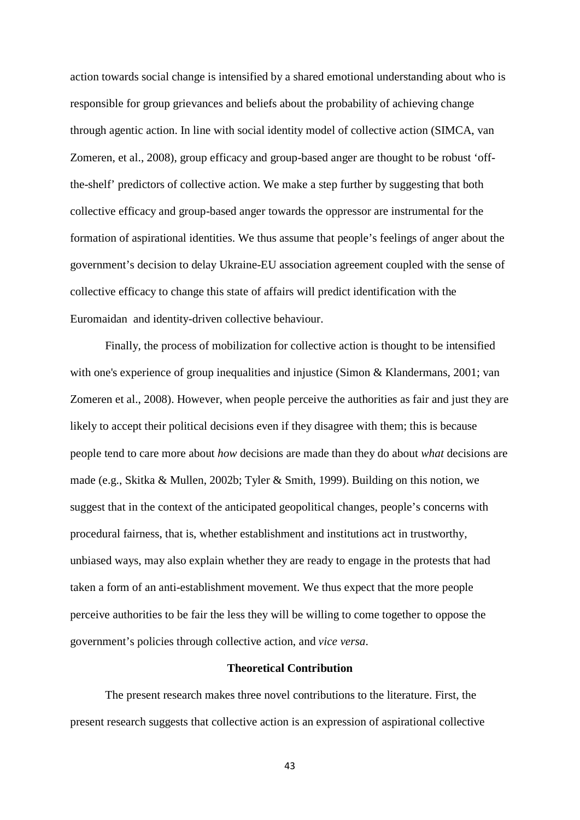action towards social change is intensified by a shared emotional understanding about who is responsible for group grievances and beliefs about the probability of achieving change through agentic action. In line with social identity model of collective action (SIMCA, van Zomeren, et al., 2008), group efficacy and group-based anger are thought to be robust 'offthe-shelf' predictors of collective action. We make a step further by suggesting that both collective efficacy and group-based anger towards the oppressor are instrumental for the formation of aspirational identities. We thus assume that people's feelings of anger about the government's decision to delay Ukraine-EU association agreement coupled with the sense of collective efficacy to change this state of affairs will predict identification with the Euromaidan and identity-driven collective behaviour.

Finally, the process of mobilization for collective action is thought to be intensified with one's experience of group inequalities and injustice (Simon & Klandermans, 2001; van Zomeren et al., 2008). However, when people perceive the authorities as fair and just they are likely to accept their political decisions even if they disagree with them; this is because people tend to care more about *how* decisions are made than they do about *what* decisions are made (e.g., Skitka & Mullen, 2002b; Tyler & Smith, 1999). Building on this notion, we suggest that in the context of the anticipated geopolitical changes, people's concerns with procedural fairness, that is, whether establishment and institutions act in trustworthy, unbiased ways, may also explain whether they are ready to engage in the protests that had taken a form of an anti-establishment movement. We thus expect that the more people perceive authorities to be fair the less they will be willing to come together to oppose the government's policies through collective action, and *vice versa*.

## **Theoretical Contribution**

The present research makes three novel contributions to the literature. First, the present research suggests that collective action is an expression of aspirational collective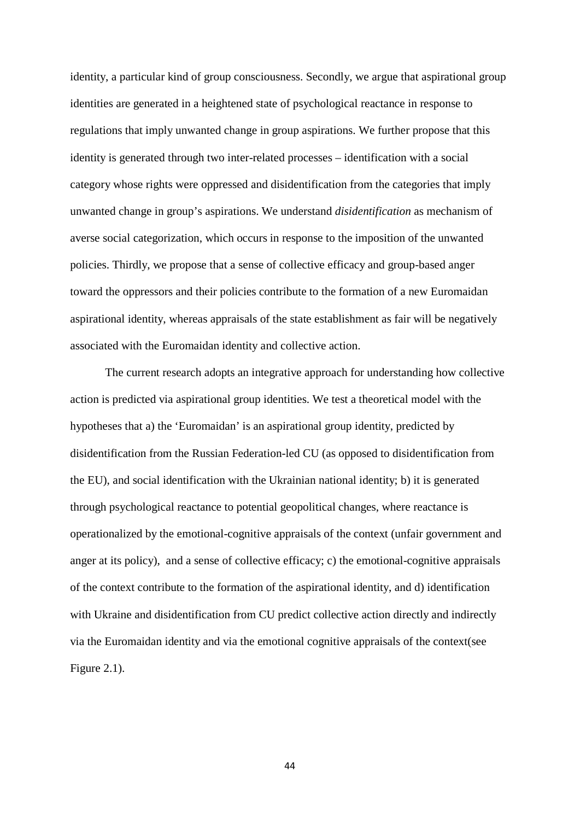identity, a particular kind of group consciousness. Secondly, we argue that aspirational group identities are generated in a heightened state of psychological reactance in response to regulations that imply unwanted change in group aspirations. We further propose that this identity is generated through two inter-related processes – identification with a social category whose rights were oppressed and disidentification from the categories that imply unwanted change in group's aspirations. We understand *disidentification* as mechanism of averse social categorization, which occurs in response to the imposition of the unwanted policies. Thirdly, we propose that a sense of collective efficacy and group-based anger toward the oppressors and their policies contribute to the formation of a new Euromaidan aspirational identity, whereas appraisals of the state establishment as fair will be negatively associated with the Euromaidan identity and collective action.

The current research adopts an integrative approach for understanding how collective action is predicted via aspirational group identities. We test a theoretical model with the hypotheses that a) the 'Euromaidan' is an aspirational group identity, predicted by disidentification from the Russian Federation-led CU (as opposed to disidentification from the EU), and social identification with the Ukrainian national identity; b) it is generated through psychological reactance to potential geopolitical changes, where reactance is operationalized by the emotional-cognitive appraisals of the context (unfair government and anger at its policy), and a sense of collective efficacy; c) the emotional-cognitive appraisals of the context contribute to the formation of the aspirational identity, and d) identification with Ukraine and disidentification from CU predict collective action directly and indirectly via the Euromaidan identity and via the emotional cognitive appraisals of the context(see Figure 2.1).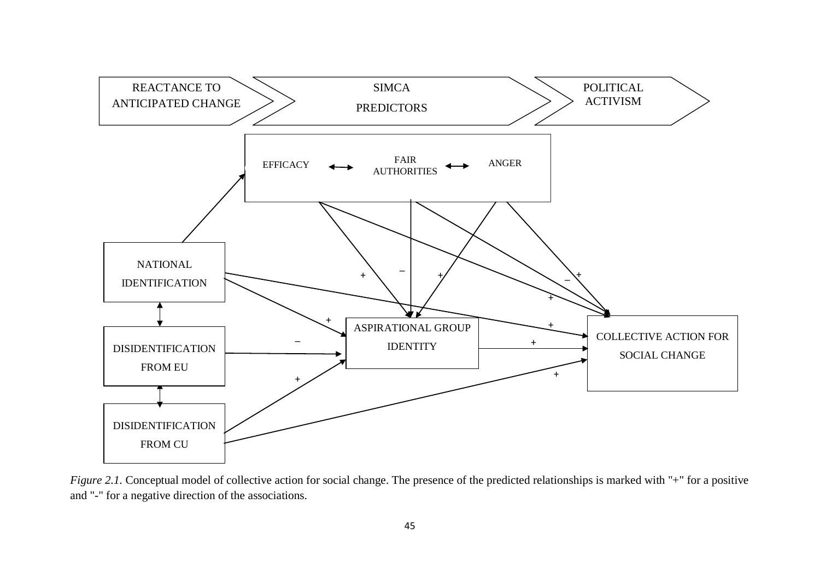

*Figure 2.1.* Conceptual model of collective action for social change. The presence of the predicted relationships is marked with "+" for a positive and "-" for a negative direction of the associations.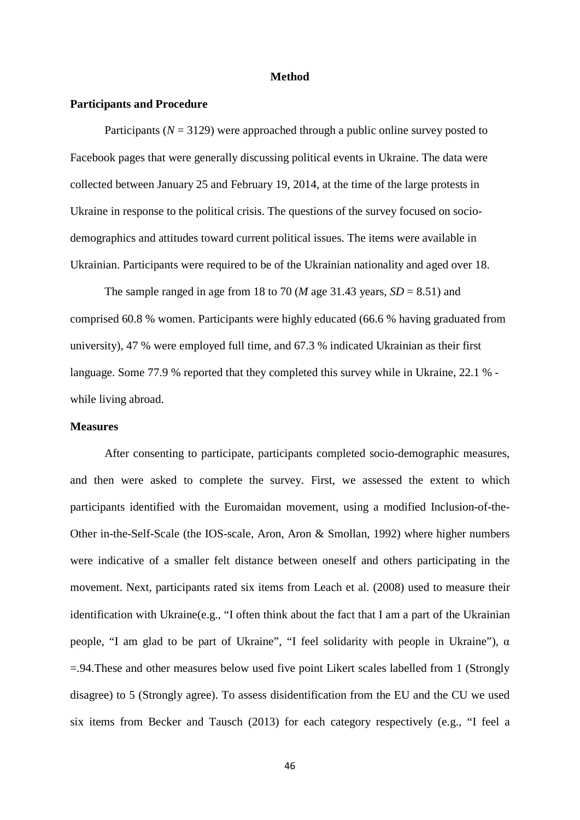#### **Method**

#### **Participants and Procedure**

Participants (*N* = 3129) were approached through a public online survey posted to Facebook pages that were generally discussing political events in Ukraine. The data were collected between January 25 and February 19, 2014, at the time of the large protests in Ukraine in response to the political crisis. The questions of the survey focused on sociodemographics and attitudes toward current political issues. The items were available in Ukrainian. Participants were required to be of the Ukrainian nationality and aged over 18.

The sample ranged in age from 18 to 70 (*M* age 31.43 years,  $SD = 8.51$ ) and comprised 60.8 % women. Participants were highly educated (66.6 % having graduated from university), 47 % were employed full time, and 67.3 % indicated Ukrainian as their first language. Some 77.9 % reported that they completed this survey while in Ukraine, 22.1 % while living abroad.

### **Measures**

After consenting to participate, participants completed socio-demographic measures, and then were asked to complete the survey. First, we assessed the extent to which participants identified with the Euromaidan movement, using a modified Inclusion-of-the-Other in-the-Self-Scale (the IOS-scale, Aron, Aron & Smollan, 1992) where higher numbers were indicative of a smaller felt distance between oneself and others participating in the movement. Next, participants rated six items from Leach et al. (2008) used to measure their identification with Ukraine(e.g., "I often think about the fact that I am a part of the Ukrainian people, "I am glad to be part of Ukraine", "I feel solidarity with people in Ukraine"),  $\alpha$ =.94.These and other measures below used five point Likert scales labelled from 1 (Strongly disagree) to 5 (Strongly agree). To assess disidentification from the EU and the CU we used six items from Becker and Tausch (2013) for each category respectively (e.g., "I feel a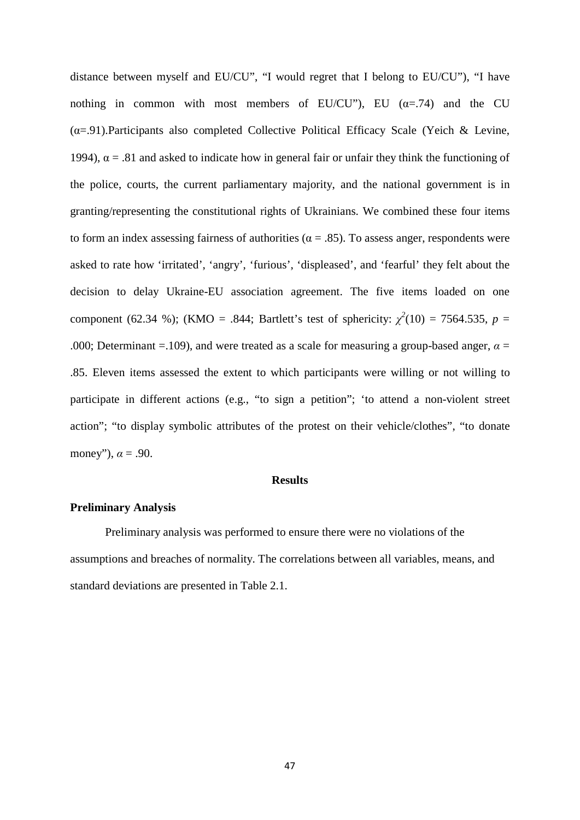distance between myself and EU/CU", "I would regret that I belong to EU/CU"), "I have nothing in common with most members of EU/CU"), EU ( $\alpha$ =.74) and the CU  $(\alpha=0.91)$ . Participants also completed Collective Political Efficacy Scale (Yeich & Levine, 1994),  $\alpha = .81$  and asked to indicate how in general fair or unfair they think the functioning of the police, courts, the current parliamentary majority, and the national government is in granting/representing the constitutional rights of Ukrainians. We combined these four items to form an index assessing fairness of authorities ( $\alpha = .85$ ). To assess anger, respondents were asked to rate how 'irritated', 'angry', 'furious', 'displeased', and 'fearful' they felt about the decision to delay Ukraine-EU association agreement. The five items loaded on one component (62.34 %); (KMO = .844; Bartlett's test of sphericity:  $\chi^2(10) = 7564.535$ ,  $p =$ .000; Determinant =.109), and were treated as a scale for measuring a group-based anger,  $\alpha$  = .85. Eleven items assessed the extent to which participants were willing or not willing to participate in different actions (e.g., "to sign a petition"; 'to attend a non-violent street action"; "to display symbolic attributes of the protest on their vehicle/clothes", "to donate money"),  $\alpha = .90$ .

## **Results**

## **Preliminary Analysis**

Preliminary analysis was performed to ensure there were no violations of the assumptions and breaches of normality. The correlations between all variables, means, and standard deviations are presented in Table 2.1.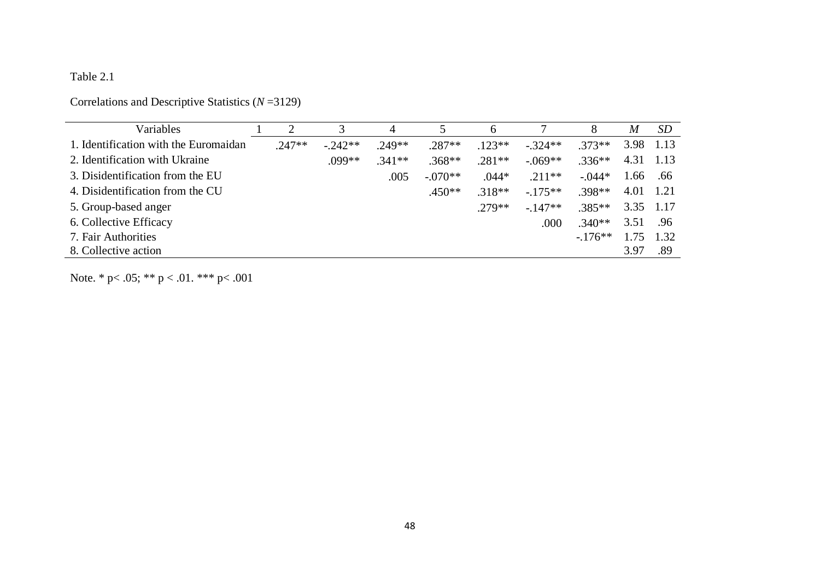## Table 2.1

## Correlations and Descriptive Statistics (*N* =3129)

| Variables                             |          |           | 4        | 5         | 6        |           | 8        | M         | <i>SD</i> |
|---------------------------------------|----------|-----------|----------|-----------|----------|-----------|----------|-----------|-----------|
| 1. Identification with the Euromaidan | $.247**$ | $-.242**$ | $.249**$ | $.287**$  | $.123**$ | $-.324**$ | $.373**$ | 3.98      | 1.13      |
| 2. Identification with Ukraine        |          | $.099**$  | $.341**$ | $.368**$  | $.281**$ | $-.069**$ | $.336**$ | 4.31      | 1.13      |
| 3. Disidentification from the EU      |          |           | .005     | $-.070**$ | $.044*$  | $.211**$  | $-.044*$ | 1.66      | .66       |
| 4. Disidentification from the CU      |          |           |          | $.450**$  | $.318**$ | $-175**$  | $.398**$ | 4.01      | - 1.21    |
| 5. Group-based anger                  |          |           |          |           | $279**$  | $-147**$  | $.385**$ | 3.35 1.17 |           |
| 6. Collective Efficacy                |          |           |          |           |          | .000      | $.340**$ | 3.51      | .96       |
| 7. Fair Authorities                   |          |           |          |           |          |           | $-176**$ |           | 1.32      |
| 8. Collective action                  |          |           |          |           |          |           |          | 3.97      | .89       |

Note. \* p< .05; \*\* p < .01. \*\*\* p< .001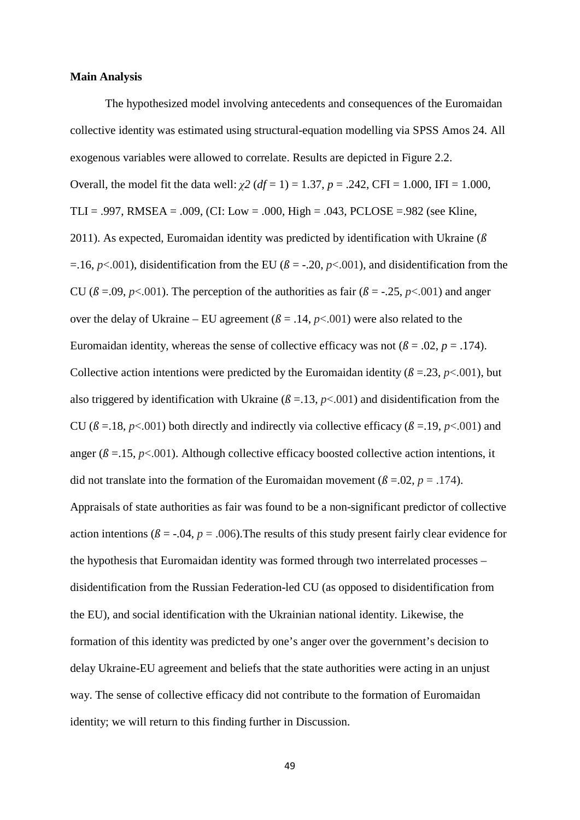### **Main Analysis**

The hypothesized model involving antecedents and consequences of the Euromaidan collective identity was estimated using structural-equation modelling via SPSS Amos 24. All exogenous variables were allowed to correlate. Results are depicted in Figure 2.2. Overall, the model fit the data well: *χ2* (*df* = 1) = 1.37, *p* = .242, CFI = 1.000, IFI = 1.000, TLI = .997, RMSEA = .009, (CI: Low = .000, High = .043, PCLOSE = .982 (see Kline, 2011). As expected, Euromaidan identity was predicted by identification with Ukraine (*ß* =.16,  $p$ <.001), disidentification from the EU ( $\beta$  = -.20,  $p$ <.001), and disidentification from the CU ( $\beta$  =.09,  $p$ <.001). The perception of the authorities as fair ( $\beta$  = -.25,  $p$ <.001) and anger over the delay of Ukraine – EU agreement  $(\beta = .14, p<.001)$  were also related to the Euromaidan identity, whereas the sense of collective efficacy was not  $(\beta = .02, p = .174)$ . Collective action intentions were predicted by the Euromaidan identity ( $\beta = 23$ ,  $p < .001$ ), but also triggered by identification with Ukraine ( $\beta = 13$ ,  $p < .001$ ) and disidentification from the CU ( $\beta$  =.18,  $p$ <.001) both directly and indirectly via collective efficacy ( $\beta$  =.19,  $p$ <.001) and anger ( $\beta = 15$ ,  $p < .001$ ). Although collective efficacy boosted collective action intentions, it did not translate into the formation of the Euromaidan movement ( $\beta = .02$ ,  $p = .174$ ). Appraisals of state authorities as fair was found to be a non-significant predictor of collective action intentions ( $\beta$  = -.04,  $p$  = .006). The results of this study present fairly clear evidence for the hypothesis that Euromaidan identity was formed through two interrelated processes – disidentification from the Russian Federation-led CU (as opposed to disidentification from the EU), and social identification with the Ukrainian national identity. Likewise, the formation of this identity was predicted by one's anger over the government's decision to delay Ukraine-EU agreement and beliefs that the state authorities were acting in an unjust way. The sense of collective efficacy did not contribute to the formation of Euromaidan identity; we will return to this finding further in Discussion.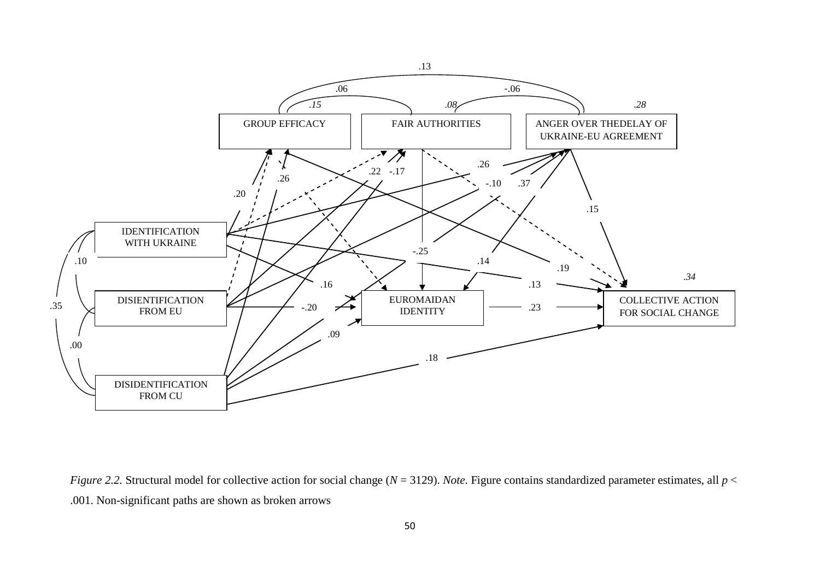

*Figure 2.2.* Structural model for collective action for social change (*N* = 3129). *Note*. Figure contains standardized parameter estimates, all *p* < .001. Non-significant paths are shown as broken arrows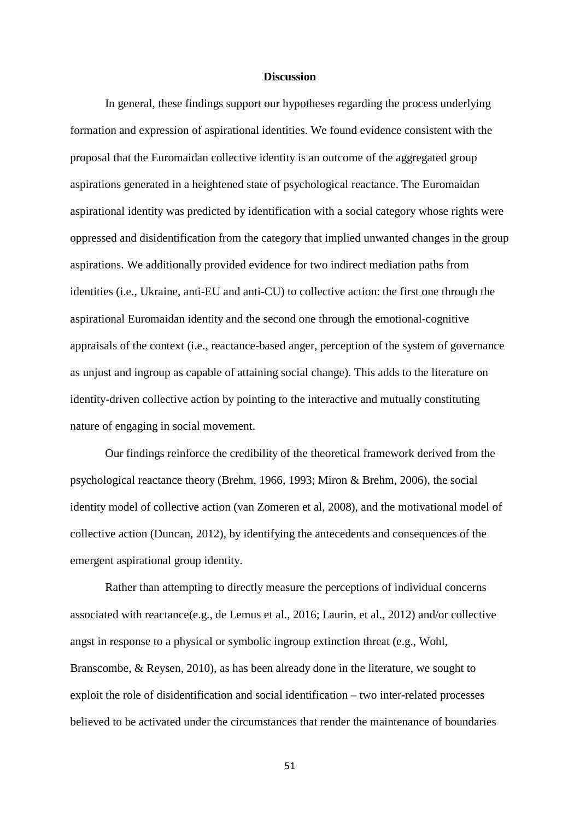### **Discussion**

In general, these findings support our hypotheses regarding the process underlying formation and expression of aspirational identities. We found evidence consistent with the proposal that the Euromaidan collective identity is an outcome of the aggregated group aspirations generated in a heightened state of psychological reactance. The Euromaidan aspirational identity was predicted by identification with a social category whose rights were oppressed and disidentification from the category that implied unwanted changes in the group aspirations. We additionally provided evidence for two indirect mediation paths from identities (i.e., Ukraine, anti-EU and anti-CU) to collective action: the first one through the aspirational Euromaidan identity and the second one through the emotional-cognitive appraisals of the context (i.e., reactance-based anger, perception of the system of governance as unjust and ingroup as capable of attaining social change). This adds to the literature on identity-driven collective action by pointing to the interactive and mutually constituting nature of engaging in social movement.

Our findings reinforce the credibility of the theoretical framework derived from the psychological reactance theory (Brehm, 1966, 1993; Miron & Brehm, 2006), the social identity model of collective action (van Zomeren et al, 2008), and the motivational model of collective action (Duncan, 2012), by identifying the antecedents and consequences of the emergent aspirational group identity.

Rather than attempting to directly measure the perceptions of individual concerns associated with reactance(e.g., de Lemus et al., 2016; Laurin, et al., 2012) and/or collective angst in response to a physical or symbolic ingroup extinction threat (e.g., Wohl, Branscombe, & Reysen, 2010), as has been already done in the literature, we sought to exploit the role of disidentification and social identification – two inter-related processes believed to be activated under the circumstances that render the maintenance of boundaries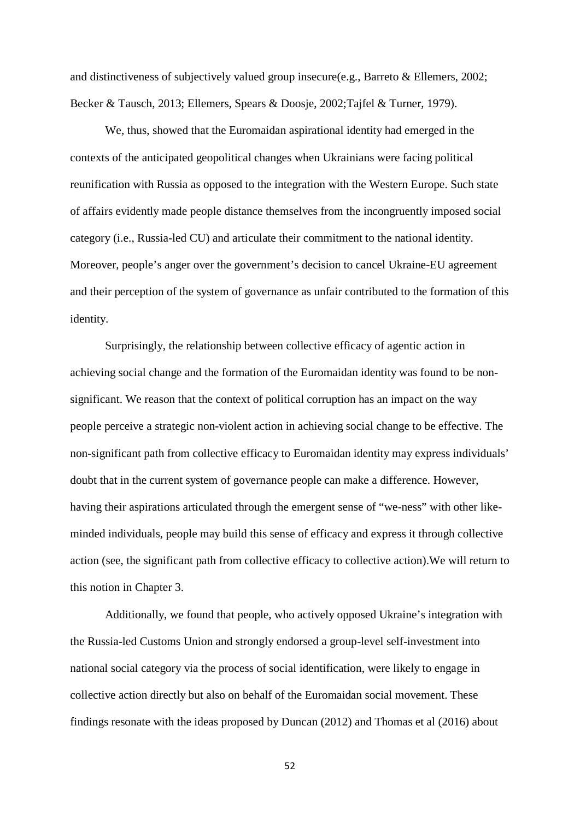and distinctiveness of subjectively valued group insecure(e.g., Barreto & Ellemers, 2002; Becker & Tausch, 2013; Ellemers, Spears & Doosje, 2002;Tajfel & Turner, 1979).

We, thus, showed that the Euromaidan aspirational identity had emerged in the contexts of the anticipated geopolitical changes when Ukrainians were facing political reunification with Russia as opposed to the integration with the Western Europe. Such state of affairs evidently made people distance themselves from the incongruently imposed social category (i.e., Russia-led CU) and articulate their commitment to the national identity. Moreover, people's anger over the government's decision to cancel Ukraine-EU agreement and their perception of the system of governance as unfair contributed to the formation of this identity.

Surprisingly, the relationship between collective efficacy of agentic action in achieving social change and the formation of the Euromaidan identity was found to be nonsignificant. We reason that the context of political corruption has an impact on the way people perceive a strategic non-violent action in achieving social change to be effective. The non-significant path from collective efficacy to Euromaidan identity may express individuals' doubt that in the current system of governance people can make a difference. However, having their aspirations articulated through the emergent sense of "we-ness" with other likeminded individuals, people may build this sense of efficacy and express it through collective action (see, the significant path from collective efficacy to collective action).We will return to this notion in Chapter 3.

Additionally, we found that people, who actively opposed Ukraine's integration with the Russia-led Customs Union and strongly endorsed a group-level self-investment into national social category via the process of social identification, were likely to engage in collective action directly but also on behalf of the Euromaidan social movement. These findings resonate with the ideas proposed by Duncan (2012) and Thomas et al (2016) about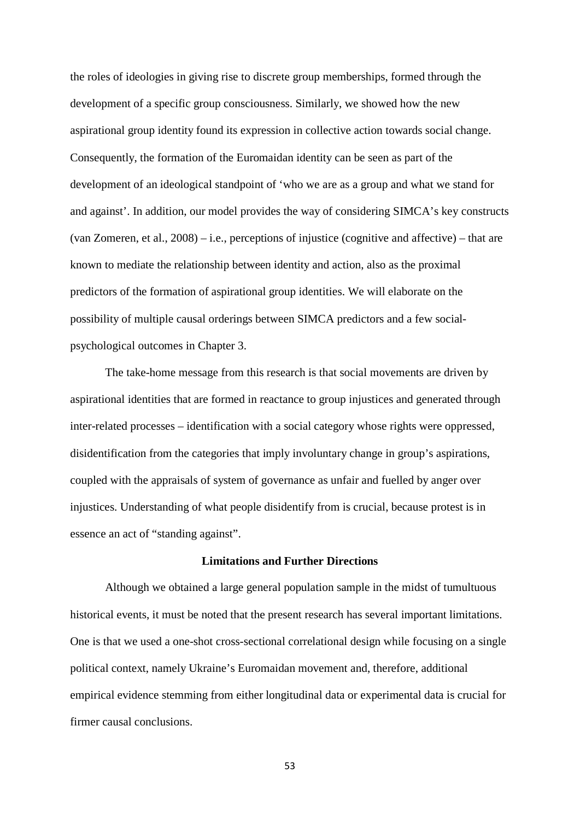the roles of ideologies in giving rise to discrete group memberships, formed through the development of a specific group consciousness. Similarly, we showed how the new aspirational group identity found its expression in collective action towards social change. Consequently, the formation of the Euromaidan identity can be seen as part of the development of an ideological standpoint of 'who we are as a group and what we stand for and against'. In addition, our model provides the way of considering SIMCA's key constructs (van Zomeren, et al., 2008) – i.e., perceptions of injustice (cognitive and affective) – that are known to mediate the relationship between identity and action, also as the proximal predictors of the formation of aspirational group identities. We will elaborate on the possibility of multiple causal orderings between SIMCA predictors and a few socialpsychological outcomes in Chapter 3.

The take-home message from this research is that social movements are driven by aspirational identities that are formed in reactance to group injustices and generated through inter-related processes – identification with a social category whose rights were oppressed, disidentification from the categories that imply involuntary change in group's aspirations, coupled with the appraisals of system of governance as unfair and fuelled by anger over injustices. Understanding of what people disidentify from is crucial, because protest is in essence an act of "standing against".

#### **Limitations and Further Directions**

Although we obtained a large general population sample in the midst of tumultuous historical events, it must be noted that the present research has several important limitations. One is that we used a one-shot cross-sectional correlational design while focusing on a single political context, namely Ukraine's Euromaidan movement and, therefore, additional empirical evidence stemming from either longitudinal data or experimental data is crucial for firmer causal conclusions.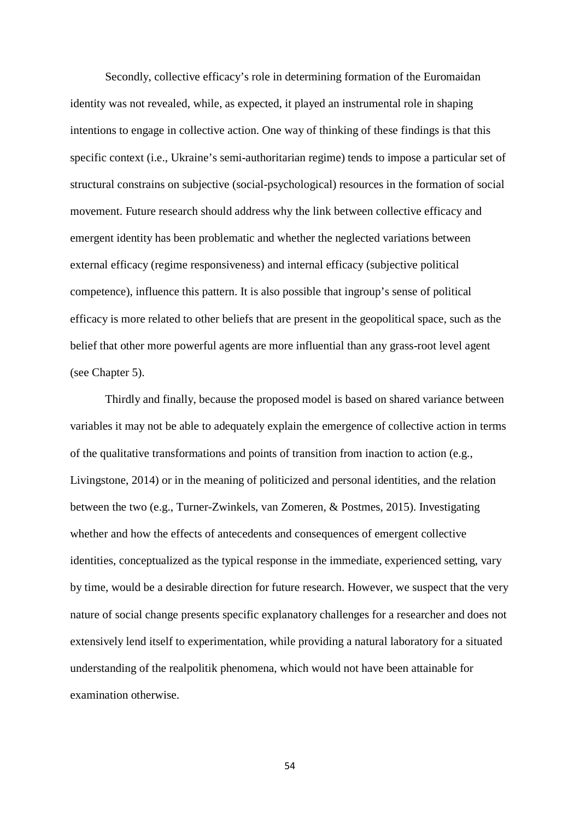Secondly, collective efficacy's role in determining formation of the Euromaidan identity was not revealed, while, as expected, it played an instrumental role in shaping intentions to engage in collective action. One way of thinking of these findings is that this specific context (i.e., Ukraine's semi-authoritarian regime) tends to impose a particular set of structural constrains on subjective (social-psychological) resources in the formation of social movement. Future research should address why the link between collective efficacy and emergent identity has been problematic and whether the neglected variations between external efficacy (regime responsiveness) and internal efficacy (subjective political competence), influence this pattern. It is also possible that ingroup's sense of political efficacy is more related to other beliefs that are present in the geopolitical space, such as the belief that other more powerful agents are more influential than any grass-root level agent (see Chapter 5).

Thirdly and finally, because the proposed model is based on shared variance between variables it may not be able to adequately explain the emergence of collective action in terms of the qualitative transformations and points of transition from inaction to action (e.g., Livingstone, 2014) or in the meaning of politicized and personal identities, and the relation between the two (e.g., Turner-Zwinkels, van Zomeren, & Postmes, 2015). Investigating whether and how the effects of antecedents and consequences of emergent collective identities, conceptualized as the typical response in the immediate, experienced setting, vary by time, would be a desirable direction for future research. However, we suspect that the very nature of social change presents specific explanatory challenges for a researcher and does not extensively lend itself to experimentation, while providing a natural laboratory for a situated understanding of the realpolitik phenomena, which would not have been attainable for examination otherwise.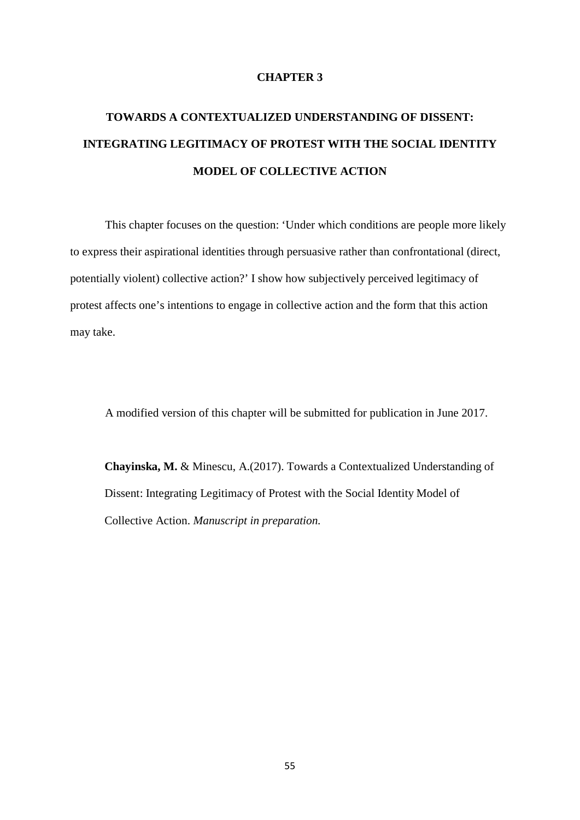### **CHAPTER 3**

# **TOWARDS A CONTEXTUALIZED UNDERSTANDING OF DISSENT: INTEGRATING LEGITIMACY OF PROTEST WITH THE SOCIAL IDENTITY MODEL OF COLLECTIVE ACTION**

This chapter focuses on the question: 'Under which conditions are people more likely to express their aspirational identities through persuasive rather than confrontational (direct, potentially violent) collective action?' I show how subjectively perceived legitimacy of protest affects one's intentions to engage in collective action and the form that this action may take.

A modified version of this chapter will be submitted for publication in June 2017.

**Chayinska, M.** & Minescu, A.(2017). Towards a Contextualized Understanding of Dissent: Integrating Legitimacy of Protest with the Social Identity Model of Collective Action. *Manuscript in preparation.*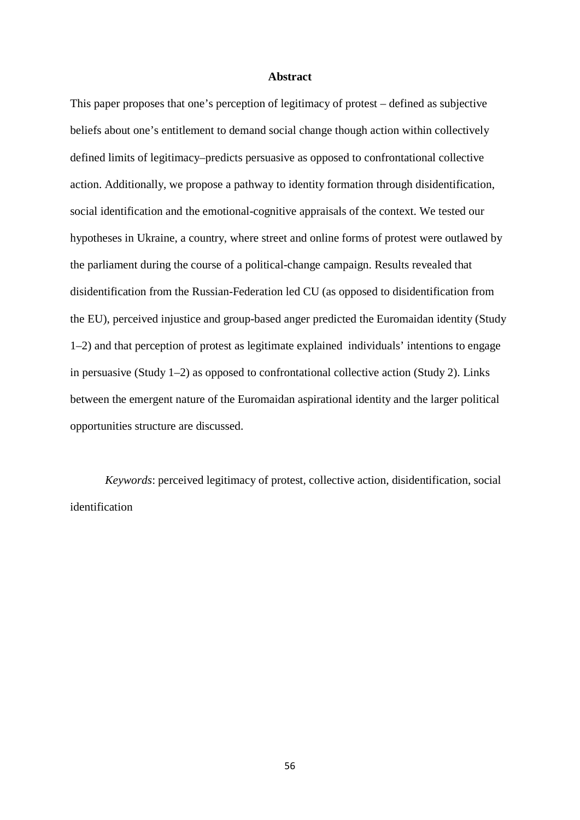### **Abstract**

This paper proposes that one's perception of legitimacy of protest – defined as subjective beliefs about one's entitlement to demand social change though action within collectively defined limits of legitimacy–predicts persuasive as opposed to confrontational collective action. Additionally, we propose a pathway to identity formation through disidentification, social identification and the emotional-cognitive appraisals of the context. We tested our hypotheses in Ukraine, a country, where street and online forms of protest were outlawed by the parliament during the course of a political-change campaign. Results revealed that disidentification from the Russian-Federation led CU (as opposed to disidentification from the EU), perceived injustice and group-based anger predicted the Euromaidan identity (Study 1–2) and that perception of protest as legitimate explained individuals' intentions to engage in persuasive (Study 1–2) as opposed to confrontational collective action (Study 2). Links between the emergent nature of the Euromaidan aspirational identity and the larger political opportunities structure are discussed.

*Keywords*: perceived legitimacy of protest, collective action, disidentification, social identification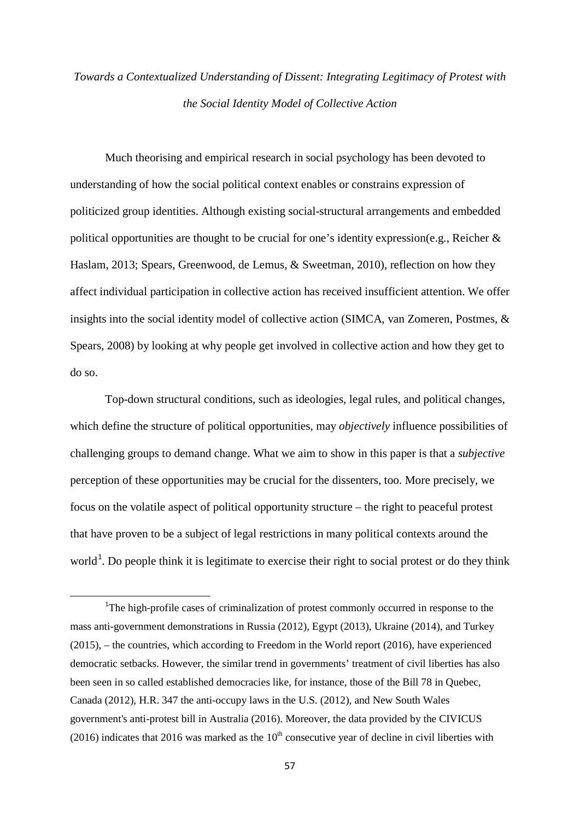# *Towards a Contextualized Understanding of Dissent: Integrating Legitimacy of Protest with the Social Identity Model of Collective Action*

Much theorising and empirical research in social psychology has been devoted to understanding of how the social political context enables or constrains expression of politicized group identities. Although existing social-structural arrangements and embedded political opportunities are thought to be crucial for one's identity expression(e.g., Reicher & Haslam, 2013; Spears, Greenwood, de Lemus, & Sweetman, 2010), reflection on how they affect individual participation in collective action has received insufficient attention. We offer insights into the social identity model of collective action (SIMCA, van Zomeren, Postmes, & Spears, 2008) by looking at why people get involved in collective action and how they get to do so.

Top-down structural conditions, such as ideologies, legal rules, and political changes, which define the structure of political opportunities, may *objectively* influence possibilities of challenging groups to demand change. What we aim to show in this paper is that a *subjective* perception of these opportunities may be crucial for the dissenters, too. More precisely, we focus on the volatile aspect of political opportunity structure – the right to peaceful protest that have proven to be a subject of legal restrictions in many political contexts around the world<sup>[1](#page-56-0)</sup>. Do people think it is legitimate to exercise their right to social protest or do they think

.

<span id="page-56-0"></span><sup>&</sup>lt;sup>1</sup>The high-profile cases of criminalization of protest commonly occurred in response to the mass anti-government demonstrations in Russia (2012), Egypt (2013), Ukraine (2014), and Turkey (2015), – the countries, which according to Freedom in the World report (2016), have experienced democratic setbacks. However, the similar trend in governments' treatment of civil liberties has also been seen in so called established democracies like, for instance, those of the Bill 78 in Quebec, Canada (2012), H.R. 347 the anti-occupy laws in the U.S. (2012), and New South Wales government's anti-protest bill in Australia (2016). Moreover, the data provided by the CIVICUS (2016) indicates that 2016 was marked as the  $10<sup>th</sup>$  consecutive year of decline in civil liberties with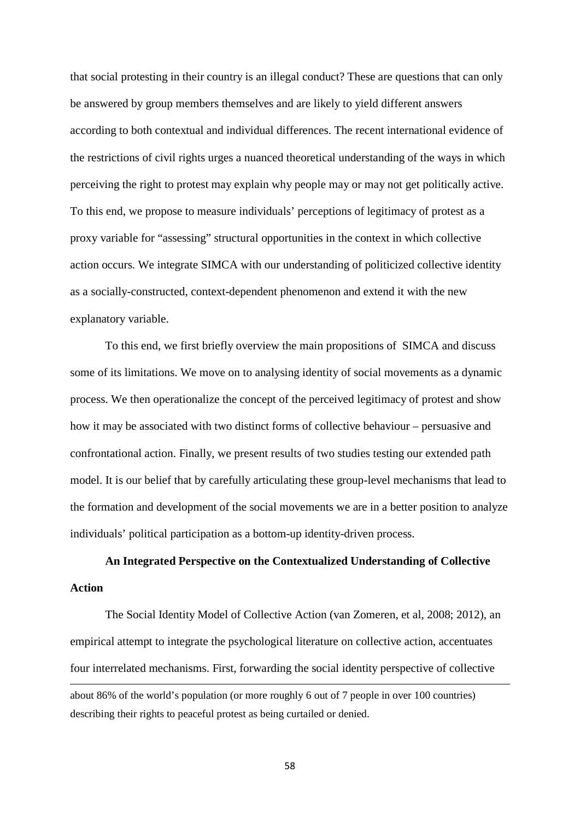that social protesting in their country is an illegal conduct? These are questions that can only be answered by group members themselves and are likely to yield different answers according to both contextual and individual differences. The recent international evidence of the restrictions of civil rights urges a nuanced theoretical understanding of the ways in which perceiving the right to protest may explain why people may or may not get politically active. To this end, we propose to measure individuals' perceptions of legitimacy of protest as a proxy variable for "assessing" structural opportunities in the context in which collective action occurs. We integrate SIMCA with our understanding of politicized collective identity as a socially-constructed, context-dependent phenomenon and extend it with the new explanatory variable.

To this end, we first briefly overview the main propositions of SIMCA and discuss some of its limitations. We move on to analysing identity of social movements as a dynamic process. We then operationalize the concept of the perceived legitimacy of protest and show how it may be associated with two distinct forms of collective behaviour – persuasive and confrontational action. Finally, we present results of two studies testing our extended path model. It is our belief that by carefully articulating these group-level mechanisms that lead to the formation and development of the social movements we are in a better position to analyze individuals' political participation as a bottom-up identity-driven process.

# **An Integrated Perspective on the Contextualized Understanding of Collective Action**

The Social Identity Model of Collective Action (van Zomeren, et al, 2008; 2012), an empirical attempt to integrate the psychological literature on collective action, accentuates four interrelated mechanisms. First, forwarding the social identity perspective of collective about 86% of the world's population (or more roughly 6 out of 7 people in over 100 countries) 1

describing their rights to peaceful protest as being curtailed or denied.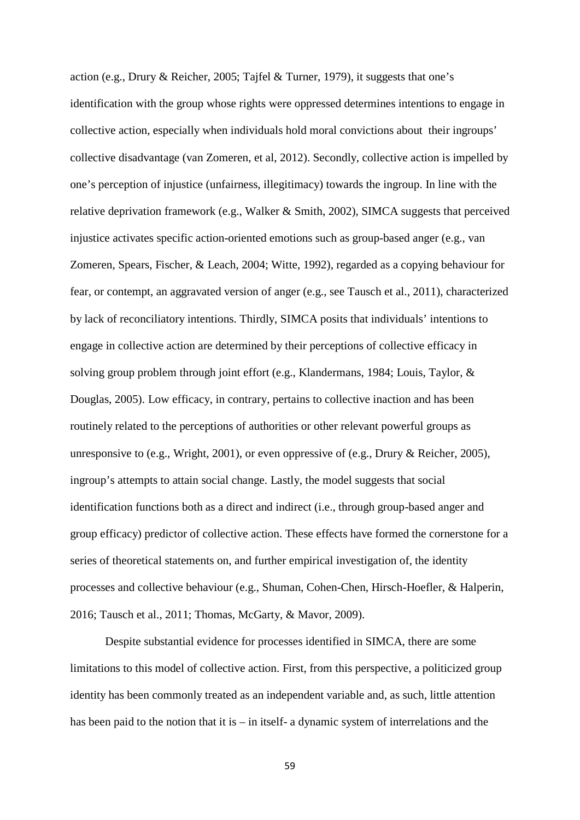action (e.g., Drury & Reicher, 2005; Tajfel & Turner, 1979), it suggests that one's identification with the group whose rights were oppressed determines intentions to engage in collective action, especially when individuals hold moral convictions about their ingroups' collective disadvantage (van Zomeren, et al, 2012). Secondly, collective action is impelled by one's perception of injustice (unfairness, illegitimacy) towards the ingroup. In line with the relative deprivation framework (e.g., Walker & Smith, 2002), SIMCA suggests that perceived injustice activates specific action-oriented emotions such as group-based anger (e.g., van Zomeren, Spears, Fischer, & Leach, 2004; Witte, 1992), regarded as a copying behaviour for fear, or contempt, an aggravated version of anger (e.g., see Tausch et al., 2011), characterized by lack of reconciliatory intentions. Thirdly, SIMCA posits that individuals' intentions to engage in collective action are determined by their perceptions of collective efficacy in solving group problem through joint effort (e.g., Klandermans, 1984; Louis, Taylor, & Douglas, 2005). Low efficacy, in contrary, pertains to collective inaction and has been routinely related to the perceptions of authorities or other relevant powerful groups as unresponsive to (e.g., Wright, 2001), or even oppressive of (e.g., Drury & Reicher, 2005), ingroup's attempts to attain social change. Lastly, the model suggests that social identification functions both as a direct and indirect (i.e., through group-based anger and group efficacy) predictor of collective action. These effects have formed the cornerstone for a series of theoretical statements on, and further empirical investigation of, the identity processes and collective behaviour (e.g., Shuman, Cohen-Chen, Hirsch-Hoefler, & Halperin, 2016; Tausch et al., 2011; Thomas, McGarty, & Mavor, 2009).

Despite substantial evidence for processes identified in SIMCA, there are some limitations to this model of collective action. First, from this perspective, a politicized group identity has been commonly treated as an independent variable and, as such, little attention has been paid to the notion that it is – in itself- a dynamic system of interrelations and the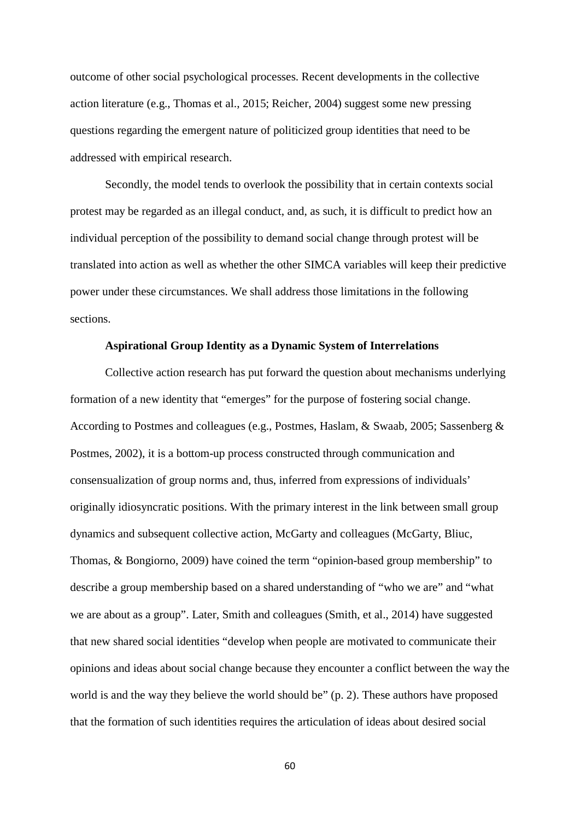outcome of other social psychological processes. Recent developments in the collective action literature (e.g., Thomas et al., 2015; Reicher, 2004) suggest some new pressing questions regarding the emergent nature of politicized group identities that need to be addressed with empirical research.

Secondly, the model tends to overlook the possibility that in certain contexts social protest may be regarded as an illegal conduct, and, as such, it is difficult to predict how an individual perception of the possibility to demand social change through protest will be translated into action as well as whether the other SIMCA variables will keep their predictive power under these circumstances. We shall address those limitations in the following sections.

## **Aspirational Group Identity as a Dynamic System of Interrelations**

Collective action research has put forward the question about mechanisms underlying formation of a new identity that "emerges" for the purpose of fostering social change. According to Postmes and colleagues (e.g., Postmes, Haslam, & Swaab, 2005; Sassenberg & Postmes, 2002), it is a bottom-up process constructed through communication and consensualization of group norms and, thus, inferred from expressions of individuals' originally idiosyncratic positions. With the primary interest in the link between small group dynamics and subsequent collective action, McGarty and colleagues (McGarty, Bliuc, Thomas, & Bongiorno, 2009) have coined the term "opinion-based group membership" to describe a group membership based on a shared understanding of "who we are" and "what we are about as a group". Later, Smith and colleagues (Smith, et al., 2014) have suggested that new shared social identities "develop when people are motivated to communicate their opinions and ideas about social change because they encounter a conflict between the way the world is and the way they believe the world should be" (p. 2). These authors have proposed that the formation of such identities requires the articulation of ideas about desired social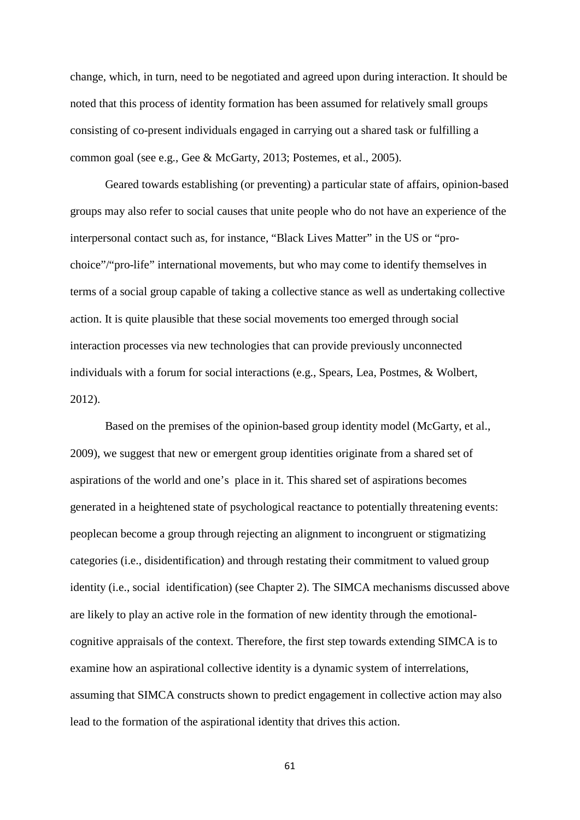change, which, in turn, need to be negotiated and agreed upon during interaction. It should be noted that this process of identity formation has been assumed for relatively small groups consisting of co-present individuals engaged in carrying out a shared task or fulfilling a common goal (see e.g., Gee & McGarty, 2013; Postemes, et al., 2005).

Geared towards establishing (or preventing) a particular state of affairs, opinion-based groups may also refer to social causes that unite people who do not have an experience of the interpersonal contact such as, for instance, "Black Lives Matter" in the US or "prochoice"/"pro-life" international movements, but who may come to identify themselves in terms of a social group capable of taking a collective stance as well as undertaking collective action. It is quite plausible that these social movements too emerged through social interaction processes via new technologies that can provide previously unconnected individuals with a forum for social interactions (e.g., Spears, Lea, Postmes, & Wolbert, 2012).

Based on the premises of the opinion-based group identity model (McGarty, et al., 2009), we suggest that new or emergent group identities originate from a shared set of aspirations of the world and one's place in it. This shared set of aspirations becomes generated in a heightened state of psychological reactance to potentially threatening events: peoplecan become a group through rejecting an alignment to incongruent or stigmatizing categories (i.e., disidentification) and through restating their commitment to valued group identity (i.e., social identification) (see Chapter 2). The SIMCA mechanisms discussed above are likely to play an active role in the formation of new identity through the emotionalcognitive appraisals of the context. Therefore, the first step towards extending SIMCA is to examine how an aspirational collective identity is a dynamic system of interrelations, assuming that SIMCA constructs shown to predict engagement in collective action may also lead to the formation of the aspirational identity that drives this action.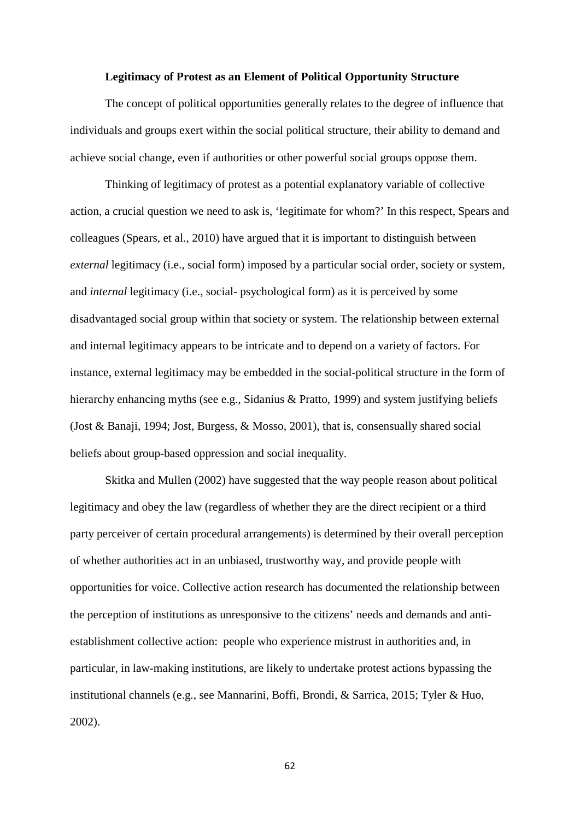#### **Legitimacy of Protest as an Element of Political Opportunity Structure**

The concept of political opportunities generally relates to the degree of influence that individuals and groups exert within the social political structure, their ability to demand and achieve social change, even if authorities or other powerful social groups oppose them.

Thinking of legitimacy of protest as a potential explanatory variable of collective action, a crucial question we need to ask is, 'legitimate for whom?' In this respect, Spears and colleagues (Spears, et al., 2010) have argued that it is important to distinguish between *external* legitimacy (i.e., social form) imposed by a particular social order, society or system, and *internal* legitimacy (i.e., social- psychological form) as it is perceived by some disadvantaged social group within that society or system. The relationship between external and internal legitimacy appears to be intricate and to depend on a variety of factors. For instance, external legitimacy may be embedded in the social-political structure in the form of hierarchy enhancing myths (see e.g., Sidanius & Pratto, 1999) and system justifying beliefs (Jost & Banaji, 1994; Jost, Burgess, & Mosso, 2001), that is, consensually shared social beliefs about group-based oppression and social inequality.

Skitka and Mullen (2002) have suggested that the way people reason about political legitimacy and obey the law (regardless of whether they are the direct recipient or a third party perceiver of certain procedural arrangements) is determined by their overall perception of whether authorities act in an unbiased, trustworthy way, and provide people with opportunities for voice. Collective action research has documented the relationship between the perception of institutions as unresponsive to the citizens' needs and demands and antiestablishment collective action: people who experience mistrust in authorities and, in particular, in law-making institutions, are likely to undertake protest actions bypassing the institutional channels (e.g., see Mannarini, Boffi, Brondi, & Sarrica, 2015; Tyler & Huo, 2002).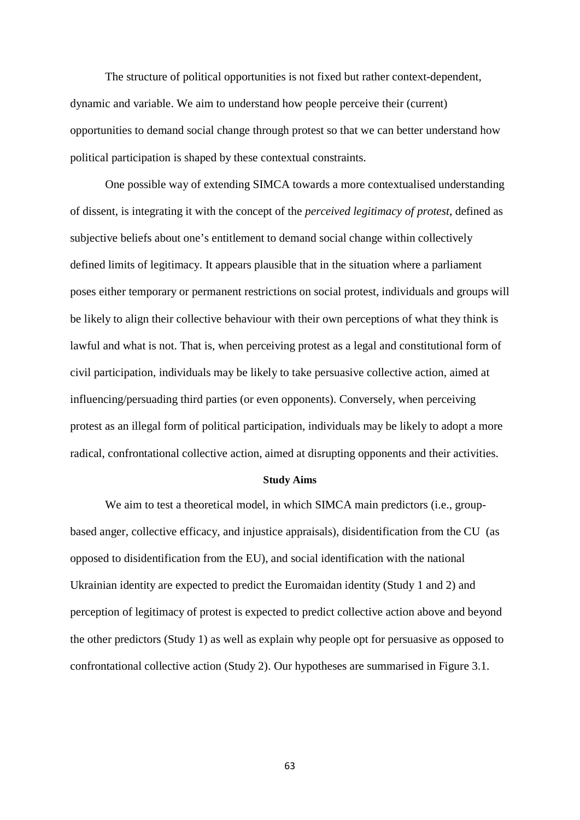The structure of political opportunities is not fixed but rather context-dependent, dynamic and variable. We aim to understand how people perceive their (current) opportunities to demand social change through protest so that we can better understand how political participation is shaped by these contextual constraints.

One possible way of extending SIMCA towards a more contextualised understanding of dissent, is integrating it with the concept of the *perceived legitimacy of protest*, defined as subjective beliefs about one's entitlement to demand social change within collectively defined limits of legitimacy. It appears plausible that in the situation where a parliament poses either temporary or permanent restrictions on social protest, individuals and groups will be likely to align their collective behaviour with their own perceptions of what they think is lawful and what is not. That is, when perceiving protest as a legal and constitutional form of civil participation, individuals may be likely to take persuasive collective action, aimed at influencing/persuading third parties (or even opponents). Conversely, when perceiving protest as an illegal form of political participation, individuals may be likely to adopt a more radical, confrontational collective action, aimed at disrupting opponents and their activities.

#### **Study Aims**

We aim to test a theoretical model, in which SIMCA main predictors (i.e., groupbased anger, collective efficacy, and injustice appraisals), disidentification from the CU (as opposed to disidentification from the EU), and social identification with the national Ukrainian identity are expected to predict the Euromaidan identity (Study 1 and 2) and perception of legitimacy of protest is expected to predict collective action above and beyond the other predictors (Study 1) as well as explain why people opt for persuasive as opposed to confrontational collective action (Study 2). Our hypotheses are summarised in Figure 3.1.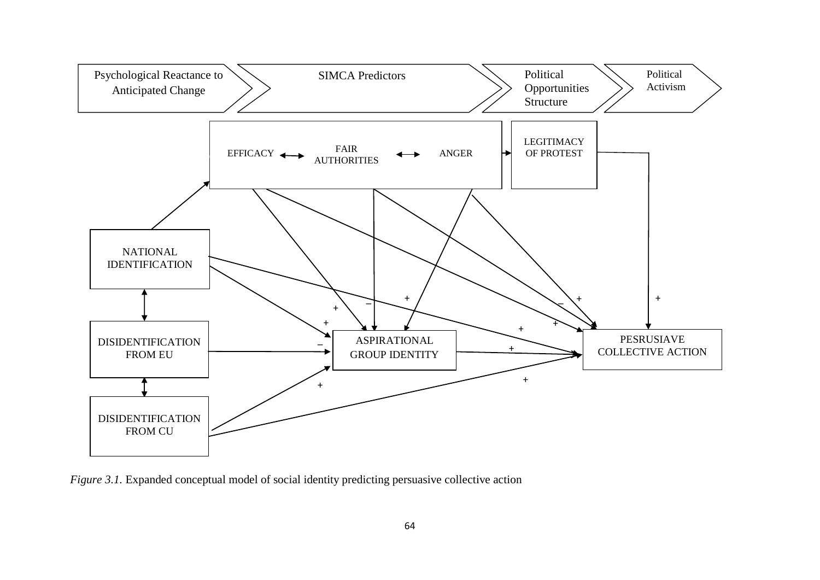

*Figure 3.1.* Expanded conceptual model of social identity predicting persuasive collective action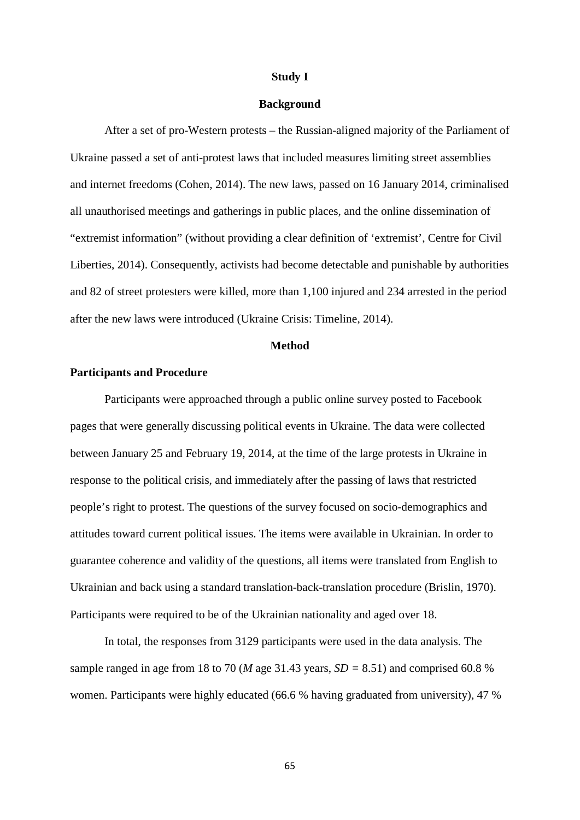#### **Study I**

#### **Background**

After a set of pro-Western protests – the Russian-aligned majority of the Parliament of Ukraine passed a set of anti-protest laws that included measures limiting street assemblies and internet freedoms (Cohen, 2014). The new laws, passed on 16 January 2014, criminalised all unauthorised meetings and gatherings in public places, and the online dissemination of "extremist information" (without providing a clear definition of 'extremist', Centre for Civil Liberties, 2014). Consequently, activists had become detectable and punishable by authorities and 82 of street protesters were killed, more than 1,100 injured and 234 arrested in the period after the new laws were introduced (Ukraine Crisis: Timeline, 2014).

## **Method**

## **Participants and Procedure**

Participants were approached through a public online survey posted to Facebook pages that were generally discussing political events in Ukraine. The data were collected between January 25 and February 19, 2014, at the time of the large protests in Ukraine in response to the political crisis, and immediately after the passing of laws that restricted people's right to protest. The questions of the survey focused on socio-demographics and attitudes toward current political issues. The items were available in Ukrainian. In order to guarantee coherence and validity of the questions, all items were translated from English to Ukrainian and back using a standard translation-back-translation procedure (Brislin, 1970). Participants were required to be of the Ukrainian nationality and aged over 18.

In total, the responses from 3129 participants were used in the data analysis. The sample ranged in age from 18 to 70 (*M* age 31.43 years,  $SD = 8.51$ ) and comprised 60.8 % women. Participants were highly educated (66.6 % having graduated from university), 47 %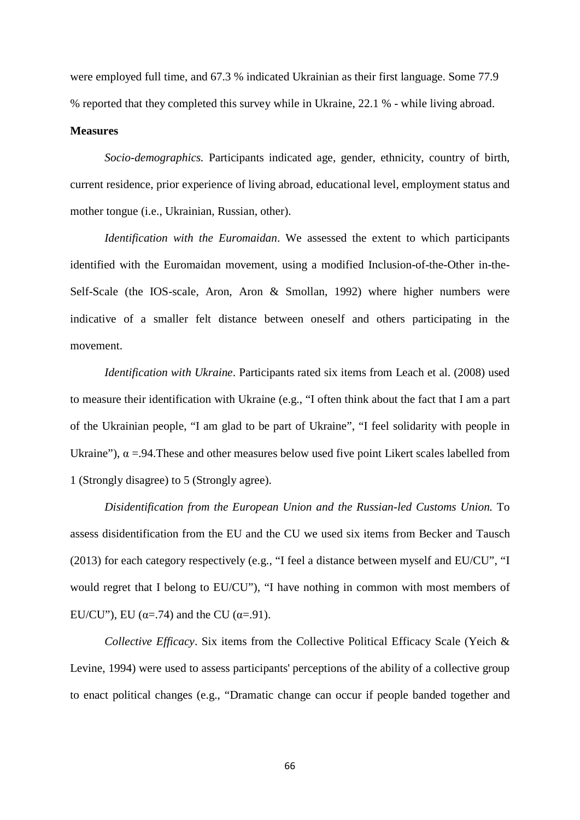were employed full time, and 67.3 % indicated Ukrainian as their first language. Some 77.9 % reported that they completed this survey while in Ukraine, 22.1 % - while living abroad.

#### **Measures**

*Socio-demographics.* Participants indicated age, gender, ethnicity, country of birth, current residence, prior experience of living abroad, educational level, employment status and mother tongue (i.e., Ukrainian, Russian, other).

*Identification with the Euromaidan*. We assessed the extent to which participants identified with the Euromaidan movement, using a modified Inclusion-of-the-Other in-the-Self-Scale (the IOS-scale, Aron, Aron & Smollan, 1992) where higher numbers were indicative of a smaller felt distance between oneself and others participating in the movement.

*Identification with Ukraine*. Participants rated six items from Leach et al. (2008) used to measure their identification with Ukraine (e.g., "I often think about the fact that I am a part of the Ukrainian people, "I am glad to be part of Ukraine", "I feel solidarity with people in Ukraine"),  $\alpha$  =.94. These and other measures below used five point Likert scales labelled from 1 (Strongly disagree) to 5 (Strongly agree).

*Disidentification from the European Union and the Russian-led Customs Union.* To assess disidentification from the EU and the CU we used six items from Becker and Tausch (2013) for each category respectively (e.g., "I feel a distance between myself and EU/CU", "I would regret that I belong to EU/CU"), "I have nothing in common with most members of EU/CU"), EU ( $\alpha$ =.74) and the CU ( $\alpha$ =.91).

*Collective Efficacy*. Six items from the Collective Political Efficacy Scale (Yeich & Levine, 1994) were used to assess participants' perceptions of the ability of a collective group to enact political changes (e.g., "Dramatic change can occur if people banded together and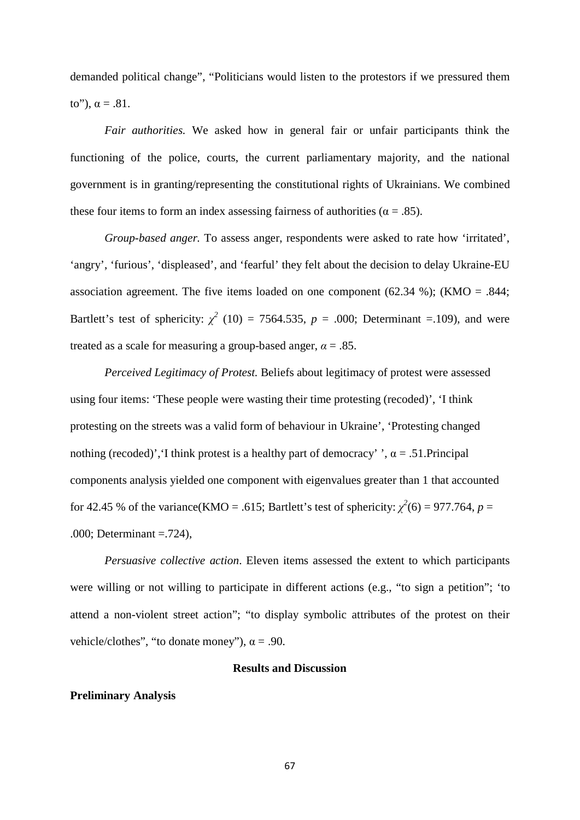demanded political change", "Politicians would listen to the protestors if we pressured them to"),  $\alpha = .81$ .

*Fair authorities.* We asked how in general fair or unfair participants think the functioning of the police, courts, the current parliamentary majority, and the national government is in granting/representing the constitutional rights of Ukrainians. We combined these four items to form an index assessing fairness of authorities ( $\alpha = .85$ ).

*Group-based anger.* To assess anger, respondents were asked to rate how 'irritated', 'angry', 'furious', 'displeased', and 'fearful' they felt about the decision to delay Ukraine-EU association agreement. The five items loaded on one component (62.34 %); (KMO = .844; Bartlett's test of sphericity:  $\chi^2$  (10) = 7564.535,  $p = .000$ ; Determinant =.109), and were treated as a scale for measuring a group-based anger,  $\alpha = .85$ .

*Perceived Legitimacy of Protest.* Beliefs about legitimacy of protest were assessed using four items: 'These people were wasting their time protesting (recoded)', 'I think protesting on the streets was a valid form of behaviour in Ukraine', 'Protesting changed nothing (recoded)', I think protest is a healthy part of democracy' ',  $\alpha$  = .51. Principal components analysis yielded one component with eigenvalues greater than 1 that accounted for 42.45 % of the variance(KMO = .615; Bartlett's test of sphericity:  $\chi^2(6) = 977.764$ ,  $p =$ .000; Determinant =.724),

*Persuasive collective action*. Eleven items assessed the extent to which participants were willing or not willing to participate in different actions (e.g., "to sign a petition"; 'to attend a non-violent street action"; "to display symbolic attributes of the protest on their vehicle/clothes", "to donate money"),  $\alpha$  = .90.

## **Results and Discussion**

### **Preliminary Analysis**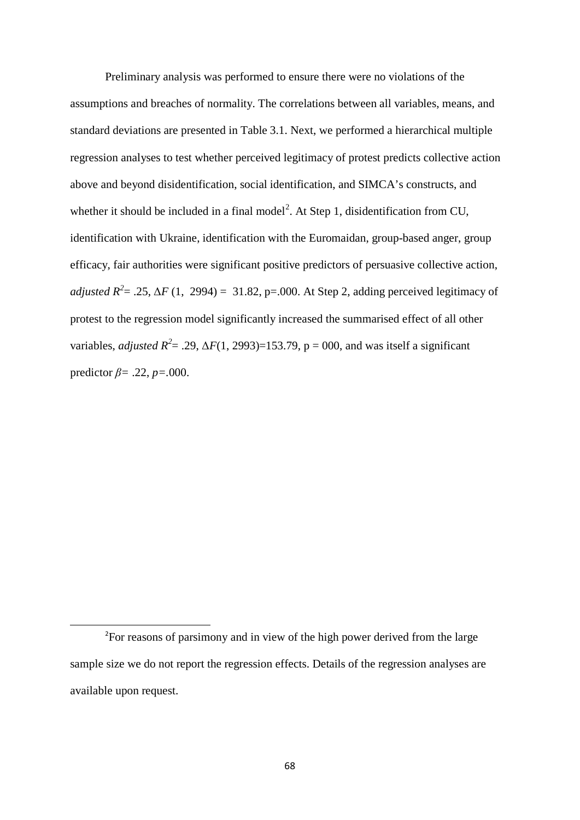Preliminary analysis was performed to ensure there were no violations of the assumptions and breaches of normality. The correlations between all variables, means, and standard deviations are presented in Table 3.1. Next, we performed a hierarchical multiple regression analyses to test whether perceived legitimacy of protest predicts collective action above and beyond disidentification, social identification, and SIMCA's constructs, and whether it should be included in a final model<sup>[2](#page-67-0)</sup>. At Step 1, disidentification from CU, identification with Ukraine, identification with the Euromaidan, group-based anger, group efficacy, fair authorities were significant positive predictors of persuasive collective action, *adjusted R*<sup>2</sup> = .25,  $\Delta F$  (1, 2994) = 31.82, p=.000. At Step 2, adding perceived legitimacy of protest to the regression model significantly increased the summarised effect of all other variables, *adjusted*  $R^2 = .29$ ,  $\Delta F(1, 2993) = 153.79$ ,  $p = 000$ , and was itself a significant predictor *β=* .22, *p=.*000.

.

<span id="page-67-0"></span><sup>&</sup>lt;sup>2</sup>For reasons of parsimony and in view of the high power derived from the large sample size we do not report the regression effects. Details of the regression analyses are available upon request.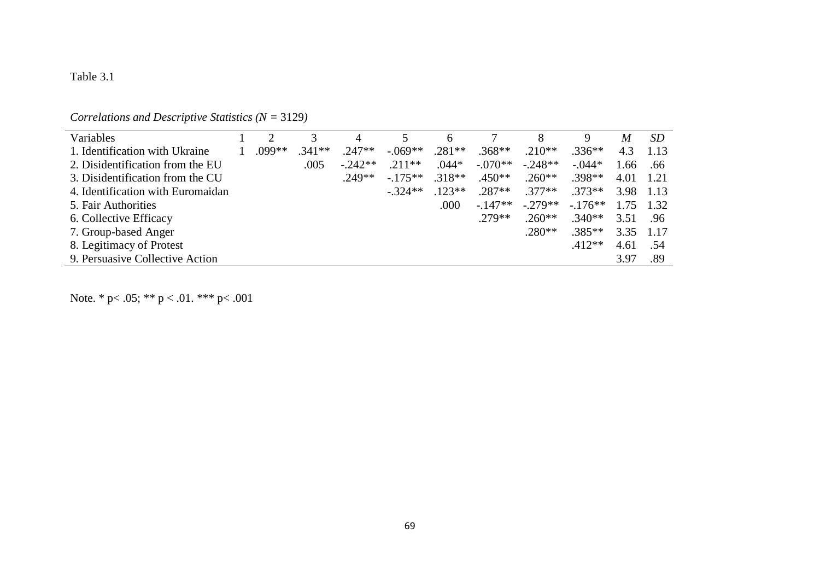## Table 3.1

## *Correlations and Descriptive Statistics (N =* 3129*)*

| Variables                         |        |          | 4          | 5.        | 6        |           | 8          | 9        | M    | <i>SD</i> |
|-----------------------------------|--------|----------|------------|-----------|----------|-----------|------------|----------|------|-----------|
| 1. Identification with Ukraine    | .099** | $.341**$ | $.247**$   | $-.069**$ | $.281**$ | $.368**$  | $.210**$   | $.336**$ | 4.3  | 1.13      |
| 2. Disidentification from the EU  |        | .005     | $-0.242**$ | $.211**$  | $.044*$  | $-.070**$ | $-0.248**$ | $-.044*$ | 1.66 | .66       |
| 3. Disidentification from the CU  |        |          | $.249**$   | $-175**$  | $.318**$ | $.450**$  | $.260**$   | $.398**$ | 4.01 | 1.21      |
| 4. Identification with Euromaidan |        |          |            | $-.324**$ | $.123**$ | $.287**$  | $.377**$   | $.373**$ | 3.98 | -1.13     |
| 5. Fair Authorities               |        |          |            |           | .000     | $-147**$  | $-279**$   | $-176**$ | 1.75 | 1.32      |
| 6. Collective Efficacy            |        |          |            |           |          | $.279**$  | $.260**$   | $.340**$ | 3.51 | .96       |
| 7. Group-based Anger              |        |          |            |           |          |           | $.280**$   | $.385**$ | 3.35 | 1.17      |
| 8. Legitimacy of Protest          |        |          |            |           |          |           |            | $.412**$ | 4.61 | .54       |
| 9. Persuasive Collective Action   |        |          |            |           |          |           |            |          | 3.97 | .89       |

Note. \* p< .05; \*\* p < .01. \*\*\* p< .001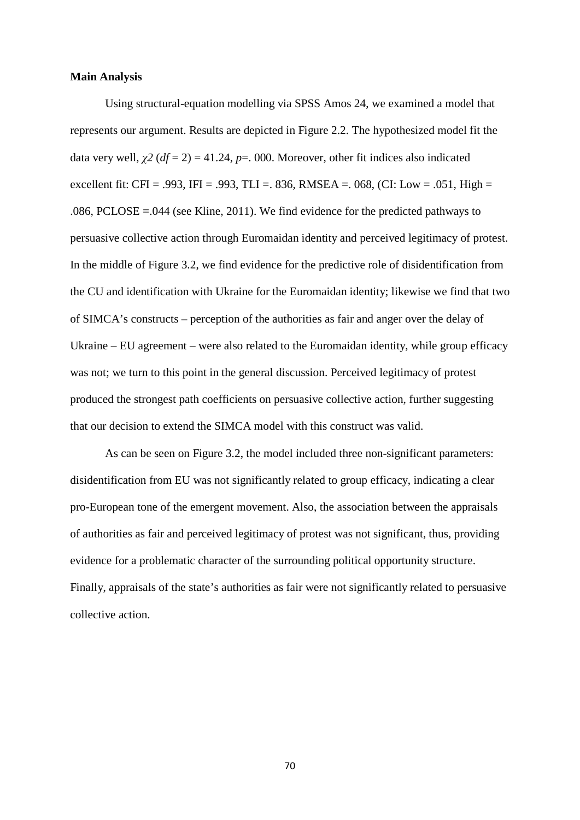### **Main Analysis**

Using structural-equation modelling via SPSS Amos 24, we examined a model that represents our argument. Results are depicted in Figure 2.2. The hypothesized model fit the data very well,  $\chi^2$  ( $df = 2$ ) = 41.24,  $p = 0.000$ . Moreover, other fit indices also indicated excellent fit: CFI = .993, IFI = .993, TLI = .836, RMSEA = .068, (CI: Low = .051, High = .086, PCLOSE =.044 (see Kline, 2011). We find evidence for the predicted pathways to persuasive collective action through Euromaidan identity and perceived legitimacy of protest. In the middle of Figure 3.2, we find evidence for the predictive role of disidentification from the CU and identification with Ukraine for the Euromaidan identity; likewise we find that two of SIMCA's constructs – perception of the authorities as fair and anger over the delay of Ukraine – EU agreement – were also related to the Euromaidan identity, while group efficacy was not; we turn to this point in the general discussion. Perceived legitimacy of protest produced the strongest path coefficients on persuasive collective action, further suggesting that our decision to extend the SIMCA model with this construct was valid.

As can be seen on Figure 3.2, the model included three non-significant parameters: disidentification from EU was not significantly related to group efficacy, indicating a clear pro-European tone of the emergent movement. Also, the association between the appraisals of authorities as fair and perceived legitimacy of protest was not significant, thus, providing evidence for a problematic character of the surrounding political opportunity structure. Finally, appraisals of the state's authorities as fair were not significantly related to persuasive collective action.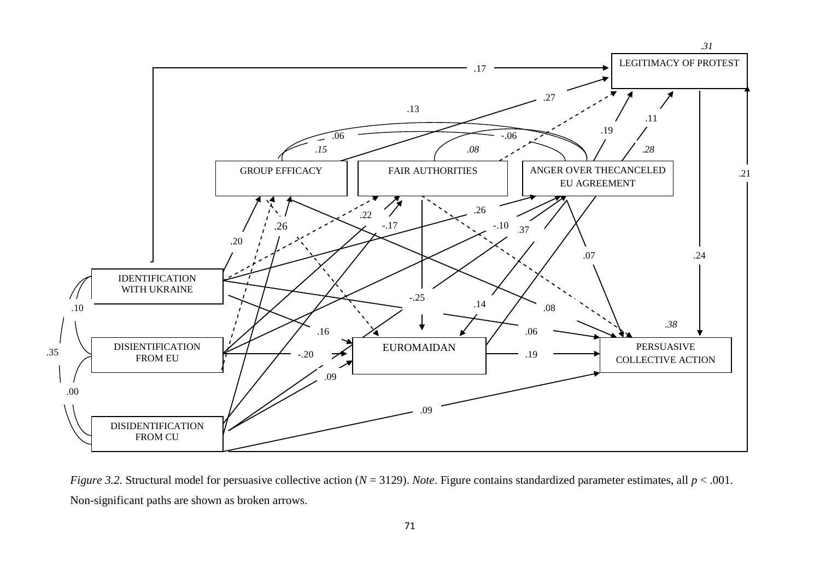

*Figure 3.2.* Structural model for persuasive collective action (*N* = 3129). *Note*. Figure contains standardized parameter estimates, all *p* < .001. Non-significant paths are shown as broken arrows.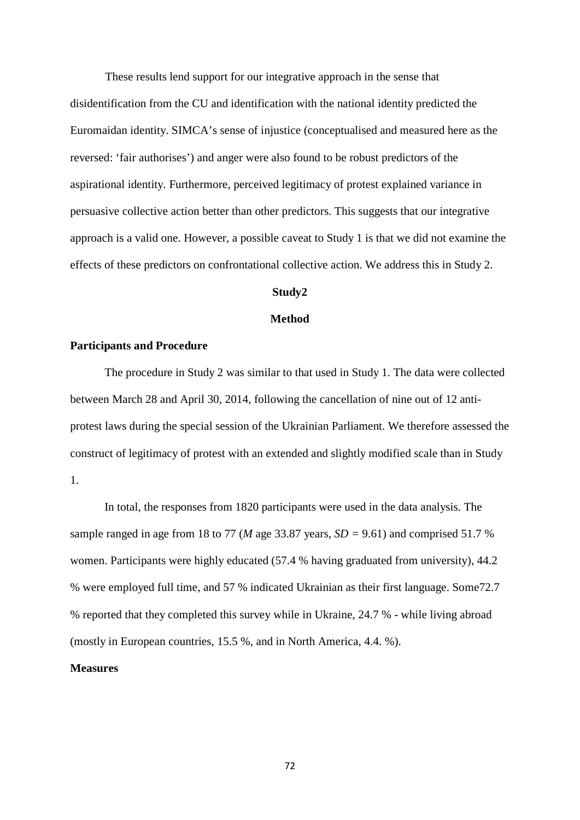These results lend support for our integrative approach in the sense that disidentification from the CU and identification with the national identity predicted the Euromaidan identity. SIMCA's sense of injustice (conceptualised and measured here as the reversed: 'fair authorises') and anger were also found to be robust predictors of the aspirational identity. Furthermore, perceived legitimacy of protest explained variance in persuasive collective action better than other predictors. This suggests that our integrative approach is a valid one. However, a possible caveat to Study 1 is that we did not examine the effects of these predictors on confrontational collective action. We address this in Study 2.

## **Study2**

## **Method**

## **Participants and Procedure**

The procedure in Study 2 was similar to that used in Study 1. The data were collected between March 28 and April 30, 2014, following the cancellation of nine out of 12 antiprotest laws during the special session of the Ukrainian Parliament. We therefore assessed the construct of legitimacy of protest with an extended and slightly modified scale than in Study 1.

In total, the responses from 1820 participants were used in the data analysis. The sample ranged in age from 18 to 77 (*M* age 33.87 years, *SD =* 9.61) and comprised 51.7 % women. Participants were highly educated (57.4 % having graduated from university), 44.2 % were employed full time, and 57 % indicated Ukrainian as their first language. Some72.7 % reported that they completed this survey while in Ukraine, 24.7 % - while living abroad (mostly in European countries, 15.5 %, and in North America, 4.4. %).

## **Measures**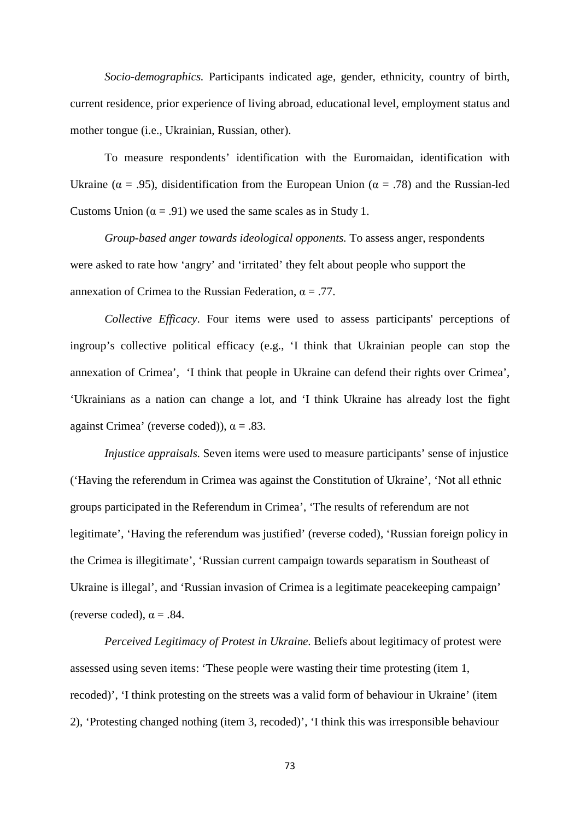*Socio-demographics.* Participants indicated age, gender, ethnicity, country of birth, current residence, prior experience of living abroad, educational level, employment status and mother tongue (i.e., Ukrainian, Russian, other).

To measure respondents' identification with the Euromaidan, identification with Ukraine ( $\alpha = .95$ ), disidentification from the European Union ( $\alpha = .78$ ) and the Russian-led Customs Union ( $\alpha$  = .91) we used the same scales as in Study 1.

*Group-based anger towards ideological opponents.* To assess anger, respondents were asked to rate how 'angry' and 'irritated' they felt about people who support the annexation of Crimea to the Russian Federation,  $\alpha = .77$ .

*Collective Efficacy*. Four items were used to assess participants' perceptions of ingroup's collective political efficacy (e.g., 'I think that Ukrainian people can stop the annexation of Crimea', 'I think that people in Ukraine can defend their rights over Crimea', 'Ukrainians as a nation can change a lot, and 'I think Ukraine has already lost the fight against Crimea' (reverse coded)),  $\alpha = .83$ .

*Injustice appraisals.* Seven items were used to measure participants' sense of injustice ('Having the referendum in Crimea was against the Constitution of Ukraine', 'Not all ethnic groups participated in the Referendum in Crimea', 'The results of referendum are not legitimate', 'Having the referendum was justified' (reverse coded), 'Russian foreign policy in the Crimea is illegitimate', 'Russian current campaign towards separatism in Southeast of Ukraine is illegal', and 'Russian invasion of Crimea is a legitimate peacekeeping campaign' (reverse coded),  $\alpha = .84$ .

*Perceived Legitimacy of Protest in Ukraine.* Beliefs about legitimacy of protest were assessed using seven items: 'These people were wasting their time protesting (item 1, recoded)', 'I think protesting on the streets was a valid form of behaviour in Ukraine' (item 2), 'Protesting changed nothing (item 3, recoded)', 'I think this was irresponsible behaviour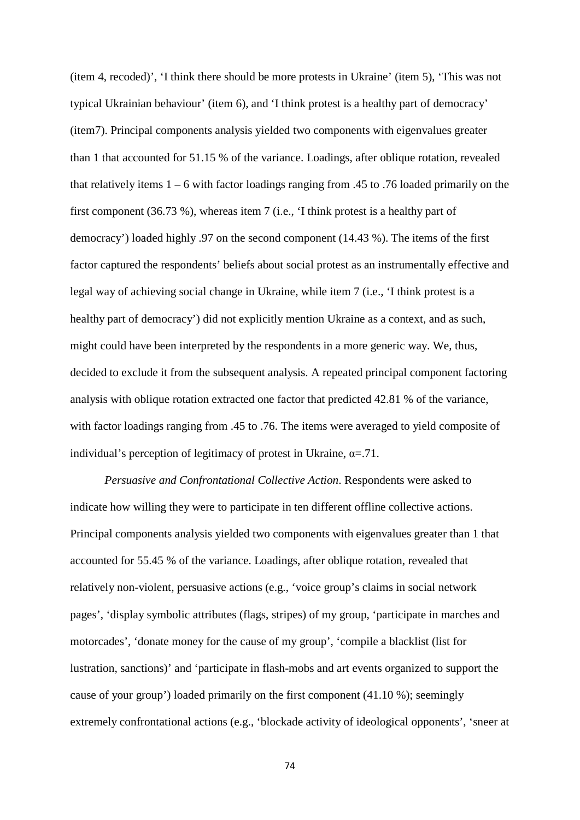(item 4, recoded)', 'I think there should be more protests in Ukraine' (item 5), 'This was not typical Ukrainian behaviour' (item 6), and 'I think protest is a healthy part of democracy' (item7). Principal components analysis yielded two components with eigenvalues greater than 1 that accounted for 51.15 % of the variance. Loadings, after oblique rotation, revealed that relatively items 1 – 6 with factor loadings ranging from .45 to .76 loaded primarily on the first component (36.73 %), whereas item 7 (i.e., 'I think protest is a healthy part of democracy') loaded highly .97 on the second component (14.43 %). The items of the first factor captured the respondents' beliefs about social protest as an instrumentally effective and legal way of achieving social change in Ukraine, while item 7 (i.e., 'I think protest is a healthy part of democracy') did not explicitly mention Ukraine as a context, and as such, might could have been interpreted by the respondents in a more generic way. We, thus, decided to exclude it from the subsequent analysis. A repeated principal component factoring analysis with oblique rotation extracted one factor that predicted 42.81 % of the variance, with factor loadings ranging from .45 to .76. The items were averaged to yield composite of individual's perception of legitimacy of protest in Ukraine,  $\alpha = .71$ .

*Persuasive and Confrontational Collective Action*. Respondents were asked to indicate how willing they were to participate in ten different offline collective actions. Principal components analysis yielded two components with eigenvalues greater than 1 that accounted for 55.45 % of the variance. Loadings, after oblique rotation, revealed that relatively non-violent, persuasive actions (e.g., 'voice group's claims in social network pages', 'display symbolic attributes (flags, stripes) of my group, 'participate in marches and motorcades', 'donate money for the cause of my group', 'compile a blacklist (list for lustration, sanctions)' and 'participate in flash-mobs and art events organized to support the cause of your group') loaded primarily on the first component (41.10 %); seemingly extremely confrontational actions (e.g., 'blockade activity of ideological opponents', 'sneer at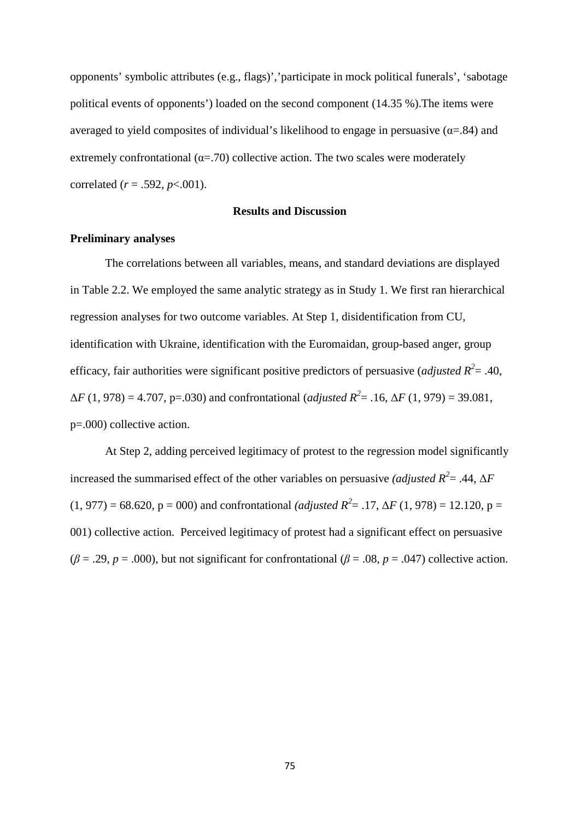opponents' symbolic attributes (e.g., flags)','participate in mock political funerals', 'sabotage political events of opponents') loaded on the second component (14.35 %).The items were averaged to yield composites of individual's likelihood to engage in persuasive ( $\alpha$ =.84) and extremely confrontational ( $\alpha$ =.70) collective action. The two scales were moderately correlated (*r* = .592, *p*<.001).

#### **Results and Discussion**

#### **Preliminary analyses**

The correlations between all variables, means, and standard deviations are displayed in Table 2.2. We employed the same analytic strategy as in Study 1. We first ran hierarchical regression analyses for two outcome variables. At Step 1, disidentification from CU, identification with Ukraine, identification with the Euromaidan, group-based anger, group efficacy, fair authorities were significant positive predictors of persuasive (*adjusted*  $R^2 = .40$ ,  $\Delta F (1, 978) = 4.707$ , p=.030) and confrontational (*adjusted R*<sup>2</sup> = .16,  $\Delta F (1, 979) = 39.081$ , p=.000) collective action.

At Step 2, adding perceived legitimacy of protest to the regression model significantly increased the summarised effect of the other variables on persuasive *(adjusted R*<sup>2</sup> = .44,  $\Delta F$  $(1, 977) = 68.620$ ,  $p = 000$ ) and confrontational *(adjusted R<sup>2</sup>* = .17,  $\Delta F$  (1, 978) = 12.120,  $p =$ 001) collective action. Perceived legitimacy of protest had a significant effect on persuasive ( $\beta$  = .29, *p* = .000), but not significant for confrontational ( $\beta$  = .08, *p* = .047) collective action.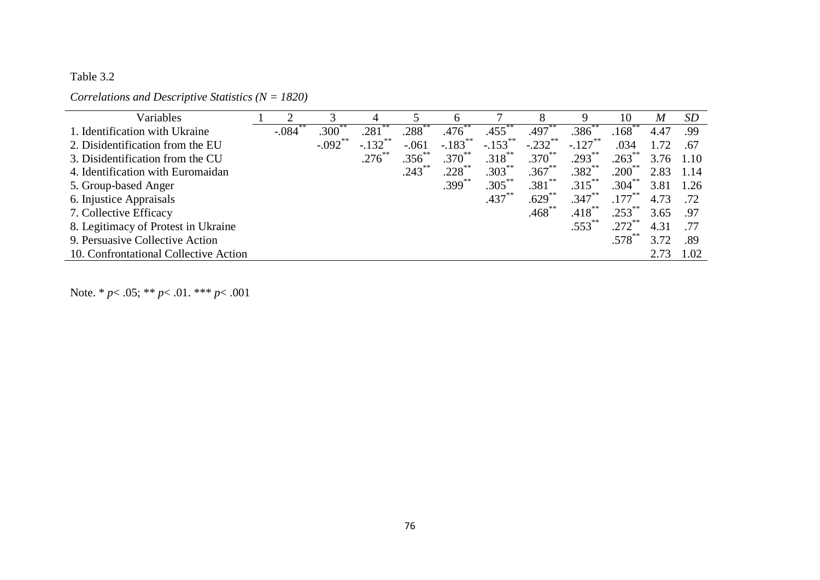## Table 3.2

### *Correlations and Descriptive Statistics (N = 1820)*

| Variables                             |         |            |                       |             |                       |                   |             |                   | 10                  | M    | SD   |
|---------------------------------------|---------|------------|-----------------------|-------------|-----------------------|-------------------|-------------|-------------------|---------------------|------|------|
| 1. Identification with Ukraine        | $-.084$ | .300       | $.281$ <sup>2</sup>   | .288°       | .476                  | .455 <sup>°</sup> | .497        | .386 <sup>°</sup> | $.168^\degree$      | 4.47 | .99  |
| 2. Disidentification from the EU      |         | $-.092$ ** | $-.132$ <sup>**</sup> | $-.061$     | $-.183$ <sup>**</sup> | $-.153$ **        | $-.232$ **  | $-.127***$        | .034                | 1.72 | .67  |
| 3. Disidentification from the CU      |         |            | $.276$ **             | $.356^{**}$ | $.370^{**}$           | $.318***$         | $.370^{**}$ | $.293***$         | $.263^{**}$         | 3.76 | 1.10 |
| 4. Identification with Euromaidan     |         |            |                       | $.243$ **   | $.228$ **             | $.303***$         | $.367***$   | $.382***$         | $.200^{**}$         | 2.83 | 1.14 |
| 5. Group-based Anger                  |         |            |                       |             | $.399***$             | $.305***$         | .381        | $.315***$         | $.304$ <sup>2</sup> | 3.81 | 1.26 |
| 6. Injustice Appraisals               |         |            |                       |             |                       | $.437***$         | $.629$ **   | $.347***$         | $.177***$           | 4.73 | .72  |
| 7. Collective Efficacy                |         |            |                       |             |                       |                   | $.468$ **   | $.418***$         | $.253$ **           | 3.65 | .97  |
| 8. Legitimacy of Protest in Ukraine   |         |            |                       |             |                       |                   |             | $.553***$         | .272                | 4.31 | .77  |
| 9. Persuasive Collective Action       |         |            |                       |             |                       |                   |             |                   | $.578^{^{\circ}}$   | 3.72 | .89  |
| 10. Confrontational Collective Action |         |            |                       |             |                       |                   |             |                   |                     | 2.73 | 1.02 |

Note. \* *p*< .05; \*\* *p*< .01. \*\*\* *p*< .001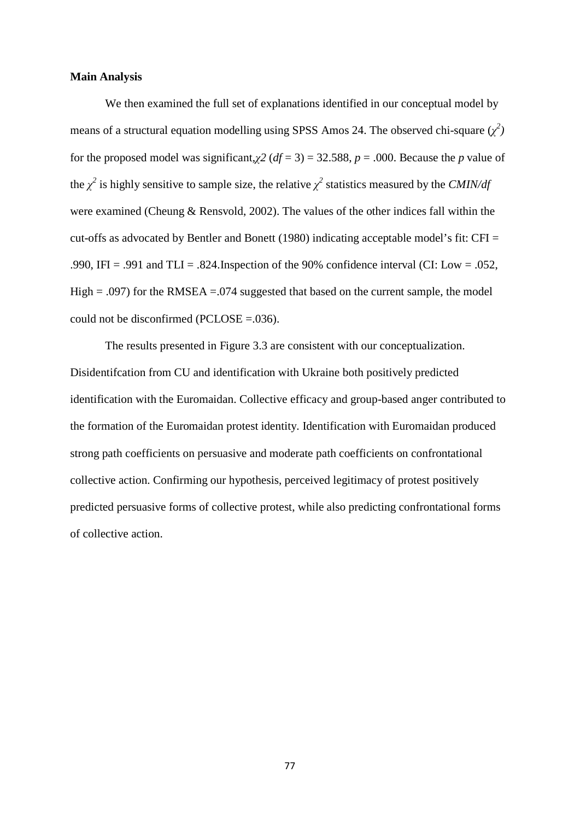#### **Main Analysis**

We then examined the full set of explanations identified in our conceptual model by means of a structural equation modelling using SPSS Amos 24. The observed chi-square  $(\chi^2)$ for the proposed model was significant, $\chi^2$  ( $df = 3$ ) = 32.588,  $p = .000$ . Because the *p* value of the  $\chi^2$  is highly sensitive to sample size, the relative  $\chi^2$  statistics measured by the *CMIN/df* were examined (Cheung & Rensvold, 2002). The values of the other indices fall within the cut-offs as advocated by Bentler and Bonett (1980) indicating acceptable model's fit: CFI = .990, IFI = .991 and TLI = .824. Inspection of the 90% confidence interval (CI: Low = .052, High  $= .097$ ) for the RMSEA  $= .074$  suggested that based on the current sample, the model could not be disconfirmed (PCLOSE =.036).

The results presented in Figure 3.3 are consistent with our conceptualization. Disidentifcation from CU and identification with Ukraine both positively predicted identification with the Euromaidan. Collective efficacy and group-based anger contributed to the formation of the Euromaidan protest identity. Identification with Euromaidan produced strong path coefficients on persuasive and moderate path coefficients on confrontational collective action. Confirming our hypothesis, perceived legitimacy of protest positively predicted persuasive forms of collective protest, while also predicting confrontational forms of collective action.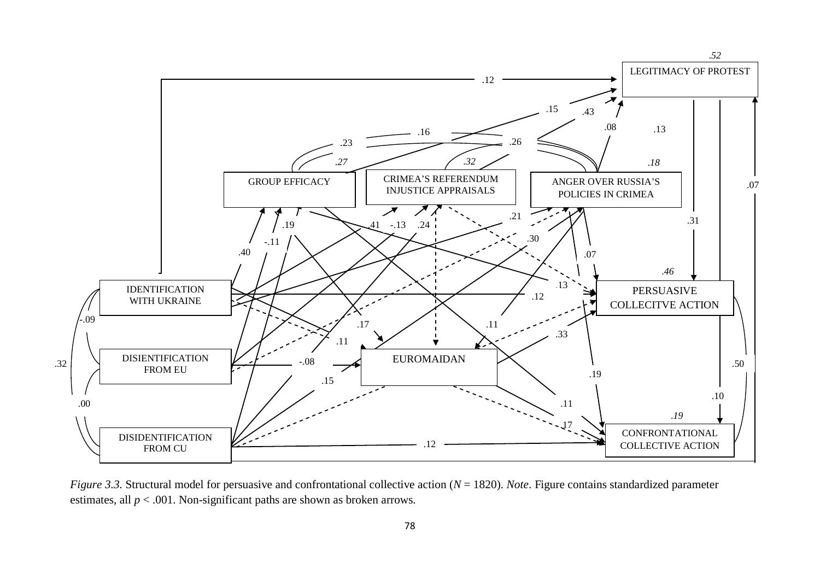

*Figure 3.3.* Structural model for persuasive and confrontational collective action (*N* = 1820). *Note*. Figure contains standardized parameter estimates, all *p* < .001. Non-significant paths are shown as broken arrows.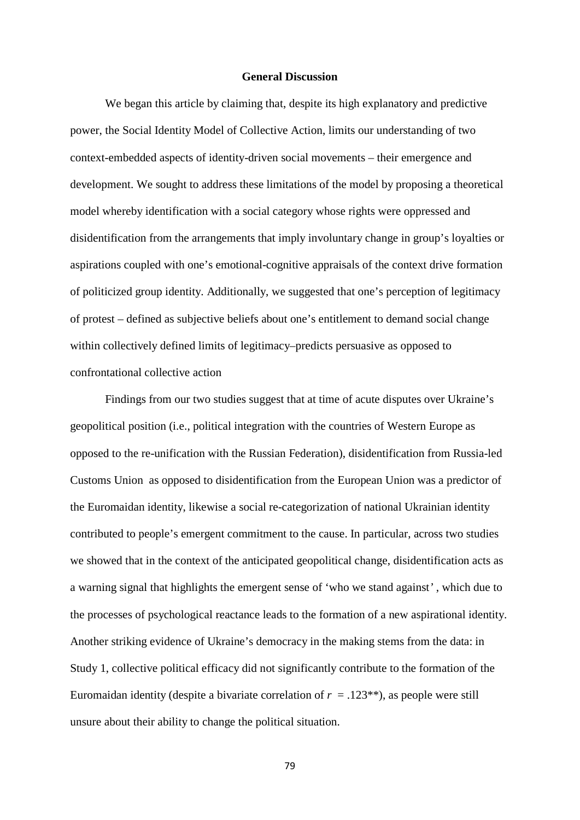#### **General Discussion**

We began this article by claiming that, despite its high explanatory and predictive power, the Social Identity Model of Collective Action, limits our understanding of two context-embedded aspects of identity-driven social movements – their emergence and development. We sought to address these limitations of the model by proposing a theoretical model whereby identification with a social category whose rights were oppressed and disidentification from the arrangements that imply involuntary change in group's loyalties or aspirations coupled with one's emotional-cognitive appraisals of the context drive formation of politicized group identity. Additionally, we suggested that one's perception of legitimacy of protest – defined as subjective beliefs about one's entitlement to demand social change within collectively defined limits of legitimacy–predicts persuasive as opposed to confrontational collective action

Findings from our two studies suggest that at time of acute disputes over Ukraine's geopolitical position (i.e., political integration with the countries of Western Europe as opposed to the re-unification with the Russian Federation), disidentification from Russia-led Customs Union as opposed to disidentification from the European Union was a predictor of the Euromaidan identity, likewise a social re-categorization of national Ukrainian identity contributed to people's emergent commitment to the cause. In particular, across two studies we showed that in the context of the anticipated geopolitical change, disidentification acts as a warning signal that highlights the emergent sense of 'who we stand against*'* , which due to the processes of psychological reactance leads to the formation of a new aspirational identity. Another striking evidence of Ukraine's democracy in the making stems from the data: in Study 1, collective political efficacy did not significantly contribute to the formation of the Euromaidan identity (despite a bivariate correlation of  $r = .123**$ ), as people were still unsure about their ability to change the political situation.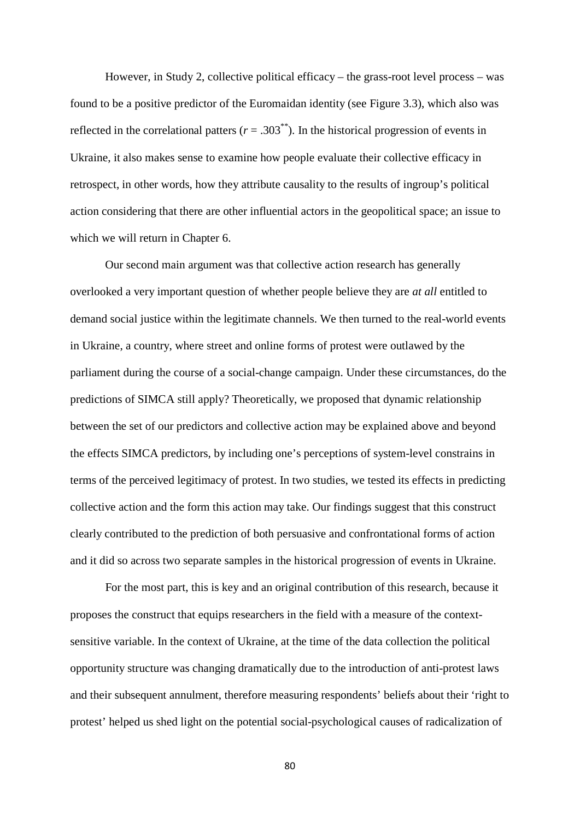However, in Study 2, collective political efficacy – the grass-root level process – was found to be a positive predictor of the Euromaidan identity (see Figure 3.3), which also was reflected in the correlational patters  $(r = .303^{**})$ . In the historical progression of events in Ukraine, it also makes sense to examine how people evaluate their collective efficacy in retrospect, in other words, how they attribute causality to the results of ingroup's political action considering that there are other influential actors in the geopolitical space; an issue to which we will return in Chapter 6.

Our second main argument was that collective action research has generally overlooked a very important question of whether people believe they are *at all* entitled to demand social justice within the legitimate channels. We then turned to the real-world events in Ukraine, a country, where street and online forms of protest were outlawed by the parliament during the course of a social-change campaign. Under these circumstances, do the predictions of SIMCA still apply? Theoretically, we proposed that dynamic relationship between the set of our predictors and collective action may be explained above and beyond the effects SIMCA predictors, by including one's perceptions of system-level constrains in terms of the perceived legitimacy of protest. In two studies, we tested its effects in predicting collective action and the form this action may take. Our findings suggest that this construct clearly contributed to the prediction of both persuasive and confrontational forms of action and it did so across two separate samples in the historical progression of events in Ukraine.

For the most part, this is key and an original contribution of this research, because it proposes the construct that equips researchers in the field with a measure of the contextsensitive variable. In the context of Ukraine, at the time of the data collection the political opportunity structure was changing dramatically due to the introduction of anti-protest laws and their subsequent annulment, therefore measuring respondents' beliefs about their 'right to protest' helped us shed light on the potential social-psychological causes of radicalization of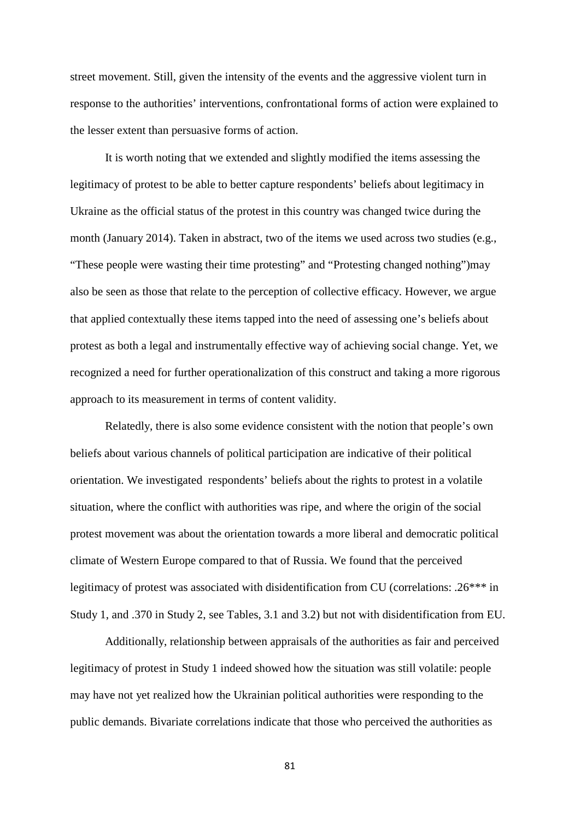street movement. Still, given the intensity of the events and the aggressive violent turn in response to the authorities' interventions, confrontational forms of action were explained to the lesser extent than persuasive forms of action.

It is worth noting that we extended and slightly modified the items assessing the legitimacy of protest to be able to better capture respondents' beliefs about legitimacy in Ukraine as the official status of the protest in this country was changed twice during the month (January 2014). Taken in abstract, two of the items we used across two studies (e.g., "These people were wasting their time protesting" and "Protesting changed nothing")may also be seen as those that relate to the perception of collective efficacy. However, we argue that applied contextually these items tapped into the need of assessing one's beliefs about protest as both a legal and instrumentally effective way of achieving social change. Yet, we recognized a need for further operationalization of this construct and taking a more rigorous approach to its measurement in terms of content validity.

Relatedly, there is also some evidence consistent with the notion that people's own beliefs about various channels of political participation are indicative of their political orientation. We investigated respondents' beliefs about the rights to protest in a volatile situation, where the conflict with authorities was ripe, and where the origin of the social protest movement was about the orientation towards a more liberal and democratic political climate of Western Europe compared to that of Russia. We found that the perceived legitimacy of protest was associated with disidentification from CU (correlations: .26\*\*\* in Study 1, and .370 in Study 2, see Tables, 3.1 and 3.2) but not with disidentification from EU.

Additionally, relationship between appraisals of the authorities as fair and perceived legitimacy of protest in Study 1 indeed showed how the situation was still volatile: people may have not yet realized how the Ukrainian political authorities were responding to the public demands. Bivariate correlations indicate that those who perceived the authorities as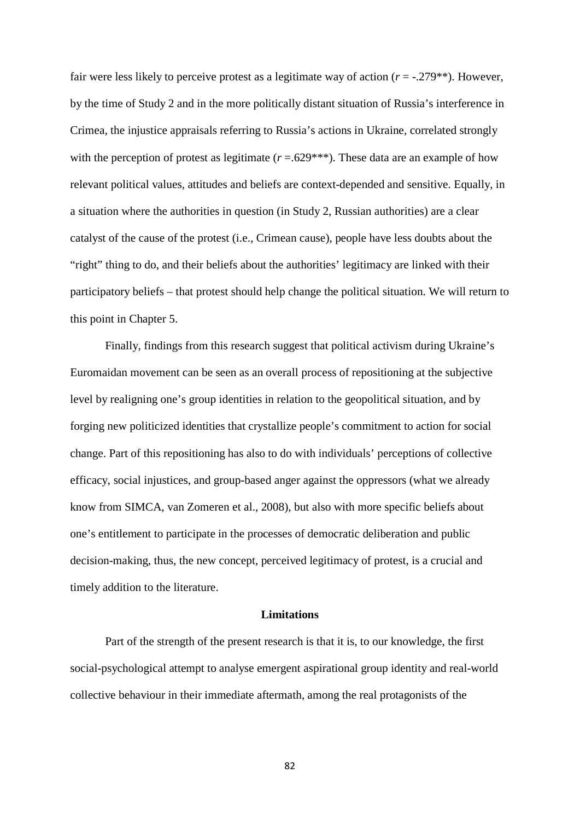fair were less likely to perceive protest as a legitimate way of action (*r* = -.279\*\*). However, by the time of Study 2 and in the more politically distant situation of Russia's interference in Crimea, the injustice appraisals referring to Russia's actions in Ukraine, correlated strongly with the perception of protest as legitimate  $(r=.629***)$ . These data are an example of how relevant political values, attitudes and beliefs are context-depended and sensitive. Equally, in a situation where the authorities in question (in Study 2, Russian authorities) are a clear catalyst of the cause of the protest (i.e., Crimean cause), people have less doubts about the "right" thing to do, and their beliefs about the authorities' legitimacy are linked with their participatory beliefs – that protest should help change the political situation. We will return to this point in Chapter 5.

Finally, findings from this research suggest that political activism during Ukraine's Euromaidan movement can be seen as an overall process of repositioning at the subjective level by realigning one's group identities in relation to the geopolitical situation, and by forging new politicized identities that crystallize people's commitment to action for social change. Part of this repositioning has also to do with individuals' perceptions of collective efficacy, social injustices, and group-based anger against the oppressors (what we already know from SIMCA, van Zomeren et al., 2008), but also with more specific beliefs about one's entitlement to participate in the processes of democratic deliberation and public decision-making, thus, the new concept, perceived legitimacy of protest, is a crucial and timely addition to the literature.

#### **Limitations**

Part of the strength of the present research is that it is, to our knowledge, the first social-psychological attempt to analyse emergent aspirational group identity and real-world collective behaviour in their immediate aftermath, among the real protagonists of the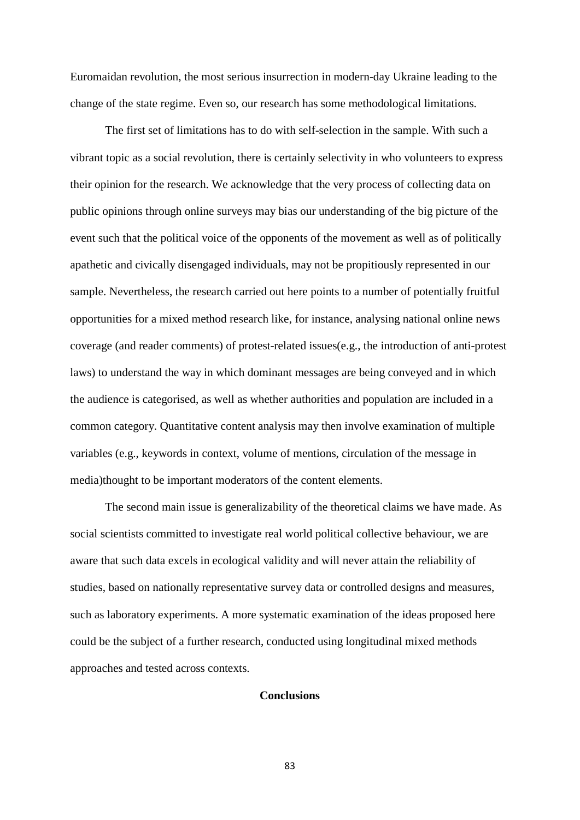Euromaidan revolution, the most serious insurrection in modern-day Ukraine leading to the change of the state regime. Even so, our research has some methodological limitations.

The first set of limitations has to do with self-selection in the sample. With such a vibrant topic as a social revolution, there is certainly selectivity in who volunteers to express their opinion for the research. We acknowledge that the very process of collecting data on public opinions through online surveys may bias our understanding of the big picture of the event such that the political voice of the opponents of the movement as well as of politically apathetic and civically disengaged individuals, may not be propitiously represented in our sample. Nevertheless, the research carried out here points to a number of potentially fruitful opportunities for a mixed method research like, for instance, analysing national online news coverage (and reader comments) of protest-related issues(e.g., the introduction of anti-protest laws) to understand the way in which dominant messages are being conveyed and in which the audience is categorised, as well as whether authorities and population are included in a common category. Quantitative content analysis may then involve examination of multiple variables (e.g., keywords in context, volume of mentions, circulation of the message in media)thought to be important moderators of the content elements.

The second main issue is generalizability of the theoretical claims we have made. As social scientists committed to investigate real world political collective behaviour, we are aware that such data excels in ecological validity and will never attain the reliability of studies, based on nationally representative survey data or controlled designs and measures, such as laboratory experiments. A more systematic examination of the ideas proposed here could be the subject of a further research, conducted using longitudinal mixed methods approaches and tested across contexts.

#### **Conclusions**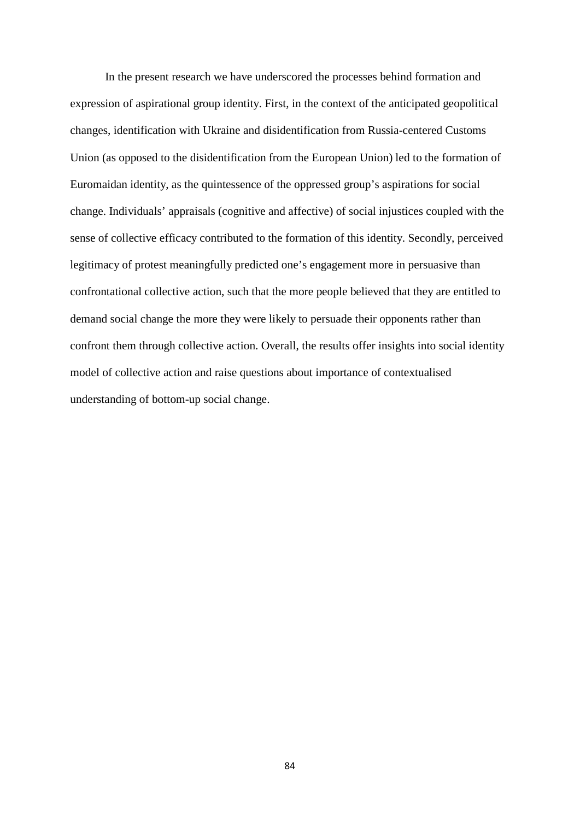In the present research we have underscored the processes behind formation and expression of aspirational group identity. First, in the context of the anticipated geopolitical changes, identification with Ukraine and disidentification from Russia-centered Customs Union (as opposed to the disidentification from the European Union) led to the formation of Euromaidan identity, as the quintessence of the oppressed group's aspirations for social change. Individuals' appraisals (cognitive and affective) of social injustices coupled with the sense of collective efficacy contributed to the formation of this identity. Secondly, perceived legitimacy of protest meaningfully predicted one's engagement more in persuasive than confrontational collective action, such that the more people believed that they are entitled to demand social change the more they were likely to persuade their opponents rather than confront them through collective action. Overall, the results offer insights into social identity model of collective action and raise questions about importance of contextualised understanding of bottom-up social change.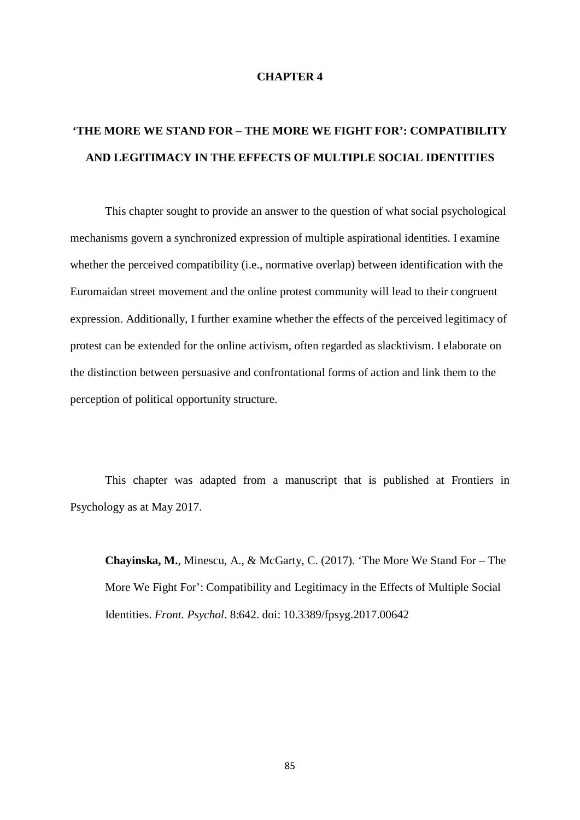#### **CHAPTER 4**

## **'THE MORE WE STAND FOR – THE MORE WE FIGHT FOR': COMPATIBILITY AND LEGITIMACY IN THE EFFECTS OF MULTIPLE SOCIAL IDENTITIES**

This chapter sought to provide an answer to the question of what social psychological mechanisms govern a synchronized expression of multiple aspirational identities. I examine whether the perceived compatibility (i.e., normative overlap) between identification with the Euromaidan street movement and the online protest community will lead to their congruent expression. Additionally, I further examine whether the effects of the perceived legitimacy of protest can be extended for the online activism, often regarded as slacktivism. I elaborate on the distinction between persuasive and confrontational forms of action and link them to the perception of political opportunity structure.

This chapter was adapted from a manuscript that is published at Frontiers in Psychology as at May 2017.

**Chayinska, M.**, Minescu, A., & McGarty, C. (2017). 'The More We Stand For – The More We Fight For': Compatibility and Legitimacy in the Effects of Multiple Social Identities. *Front. Psychol*. 8:642. doi: 10.3389/fpsyg.2017.00642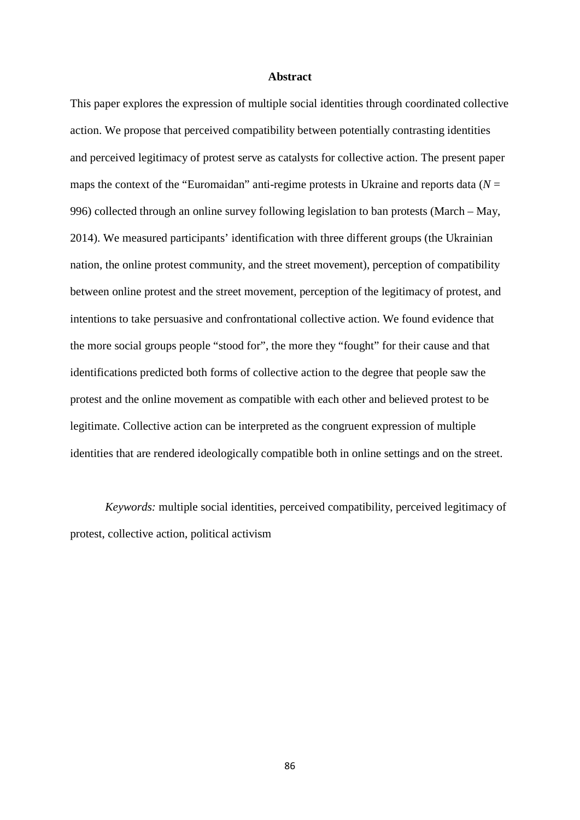#### **Abstract**

This paper explores the expression of multiple social identities through coordinated collective action. We propose that perceived compatibility between potentially contrasting identities and perceived legitimacy of protest serve as catalysts for collective action. The present paper maps the context of the "Euromaidan" anti-regime protests in Ukraine and reports data ( $N =$ 996) collected through an online survey following legislation to ban protests (March – May, 2014). We measured participants' identification with three different groups (the Ukrainian nation, the online protest community, and the street movement), perception of compatibility between online protest and the street movement, perception of the legitimacy of protest, and intentions to take persuasive and confrontational collective action. We found evidence that the more social groups people "stood for", the more they "fought" for their cause and that identifications predicted both forms of collective action to the degree that people saw the protest and the online movement as compatible with each other and believed protest to be legitimate. Collective action can be interpreted as the congruent expression of multiple identities that are rendered ideologically compatible both in online settings and on the street.

*Keywords:* multiple social identities, perceived compatibility, perceived legitimacy of protest, collective action, political activism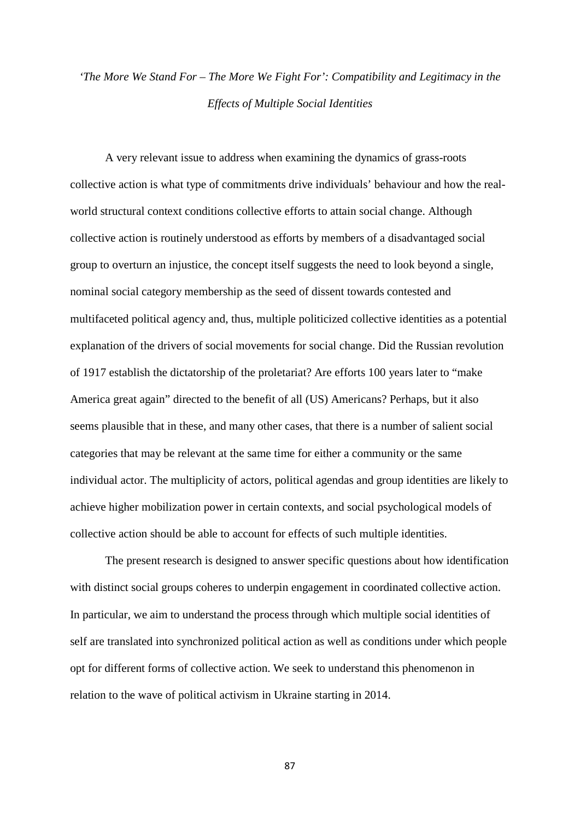## *'The More We Stand For – The More We Fight For': Compatibility and Legitimacy in the Effects of Multiple Social Identities*

A very relevant issue to address when examining the dynamics of grass-roots collective action is what type of commitments drive individuals' behaviour and how the realworld structural context conditions collective efforts to attain social change. Although collective action is routinely understood as efforts by members of a disadvantaged social group to overturn an injustice, the concept itself suggests the need to look beyond a single, nominal social category membership as the seed of dissent towards contested and multifaceted political agency and, thus, multiple politicized collective identities as a potential explanation of the drivers of social movements for social change. Did the Russian revolution of 1917 establish the dictatorship of the proletariat? Are efforts 100 years later to "make America great again" directed to the benefit of all (US) Americans? Perhaps, but it also seems plausible that in these, and many other cases, that there is a number of salient social categories that may be relevant at the same time for either a community or the same individual actor. The multiplicity of actors, political agendas and group identities are likely to achieve higher mobilization power in certain contexts, and social psychological models of collective action should be able to account for effects of such multiple identities.

The present research is designed to answer specific questions about how identification with distinct social groups coheres to underpin engagement in coordinated collective action. In particular, we aim to understand the process through which multiple social identities of self are translated into synchronized political action as well as conditions under which people opt for different forms of collective action. We seek to understand this phenomenon in relation to the wave of political activism in Ukraine starting in 2014.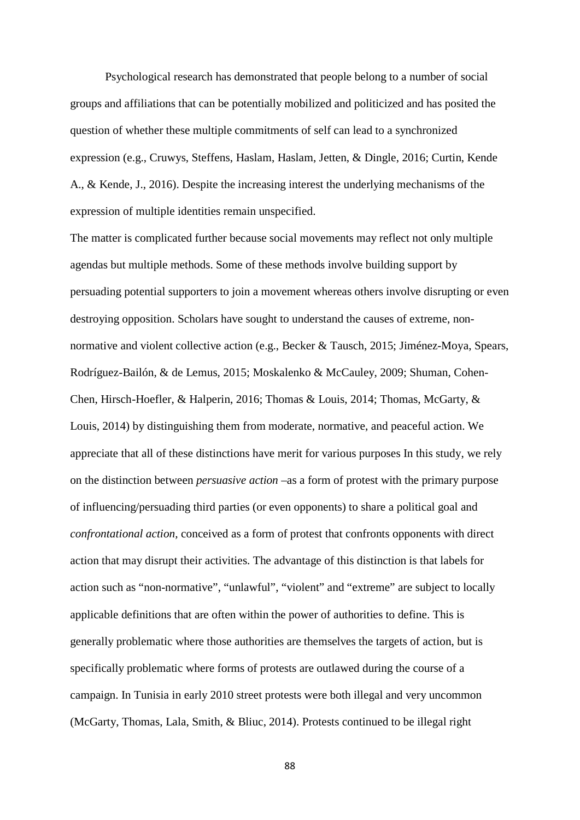Psychological research has demonstrated that people belong to a number of social groups and affiliations that can be potentially mobilized and politicized and has posited the question of whether these multiple commitments of self can lead to a synchronized expression (e.g., Cruwys, Steffens, Haslam, Haslam, Jetten, & Dingle, 2016; Curtin, Kende A., & Kende, J., 2016). Despite the increasing interest the underlying mechanisms of the expression of multiple identities remain unspecified.

The matter is complicated further because social movements may reflect not only multiple agendas but multiple methods. Some of these methods involve building support by persuading potential supporters to join a movement whereas others involve disrupting or even destroying opposition. Scholars have sought to understand the causes of extreme, nonnormative and violent collective action (e.g., Becker & Tausch, 2015; Jiménez-Moya, Spears, Rodríguez-Bailón, & de Lemus, 2015; Moskalenko & McCauley, 2009; Shuman, Cohen-Chen, Hirsch-Hoefler, & Halperin, 2016; Thomas & Louis, 2014; Thomas, McGarty, & Louis, 2014) by distinguishing them from moderate, normative, and peaceful action. We appreciate that all of these distinctions have merit for various purposes In this study, we rely on the distinction between *persuasive action –*as a form of protest with the primary purpose of influencing/persuading third parties (or even opponents) to share a political goal and *confrontational action,* conceived as a form of protest that confronts opponents with direct action that may disrupt their activities. The advantage of this distinction is that labels for action such as "non-normative", "unlawful", "violent" and "extreme" are subject to locally applicable definitions that are often within the power of authorities to define. This is generally problematic where those authorities are themselves the targets of action, but is specifically problematic where forms of protests are outlawed during the course of a campaign. In Tunisia in early 2010 street protests were both illegal and very uncommon (McGarty, Thomas, Lala, Smith, & Bliuc, 2014). Protests continued to be illegal right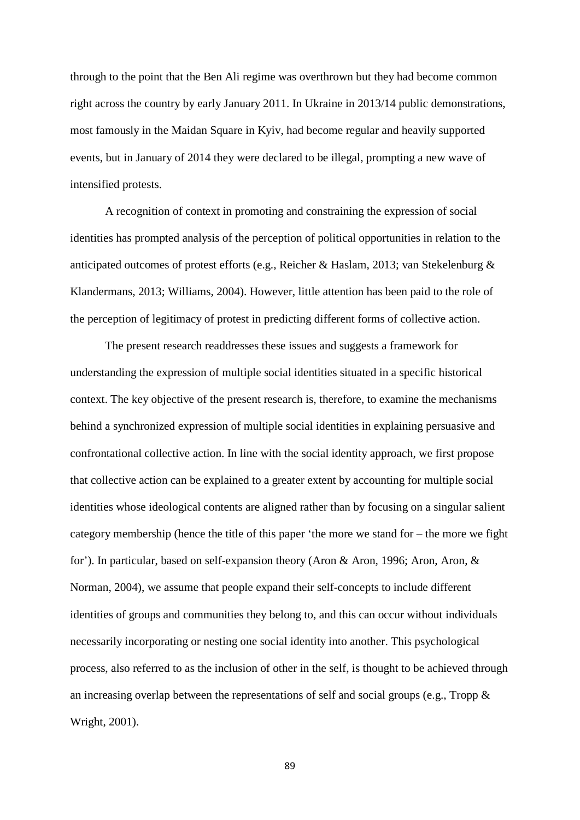through to the point that the Ben Ali regime was overthrown but they had become common right across the country by early January 2011. In Ukraine in 2013/14 public demonstrations, most famously in the Maidan Square in Kyiv, had become regular and heavily supported events, but in January of 2014 they were declared to be illegal, prompting a new wave of intensified protests.

A recognition of context in promoting and constraining the expression of social identities has prompted analysis of the perception of political opportunities in relation to the anticipated outcomes of protest efforts (e.g., Reicher & Haslam, 2013; van Stekelenburg & Klandermans, 2013; Williams, 2004). However, little attention has been paid to the role of the perception of legitimacy of protest in predicting different forms of collective action.

The present research readdresses these issues and suggests a framework for understanding the expression of multiple social identities situated in a specific historical context. The key objective of the present research is, therefore, to examine the mechanisms behind a synchronized expression of multiple social identities in explaining persuasive and confrontational collective action. In line with the social identity approach, we first propose that collective action can be explained to a greater extent by accounting for multiple social identities whose ideological contents are aligned rather than by focusing on a singular salient category membership (hence the title of this paper 'the more we stand for – the more we fight for'). In particular, based on self-expansion theory (Aron & Aron, 1996; Aron, Aron, & Norman, 2004), we assume that people expand their self-concepts to include different identities of groups and communities they belong to, and this can occur without individuals necessarily incorporating or nesting one social identity into another. This psychological process, also referred to as the inclusion of other in the self, is thought to be achieved through an increasing overlap between the representations of self and social groups (e.g., Tropp & Wright, 2001).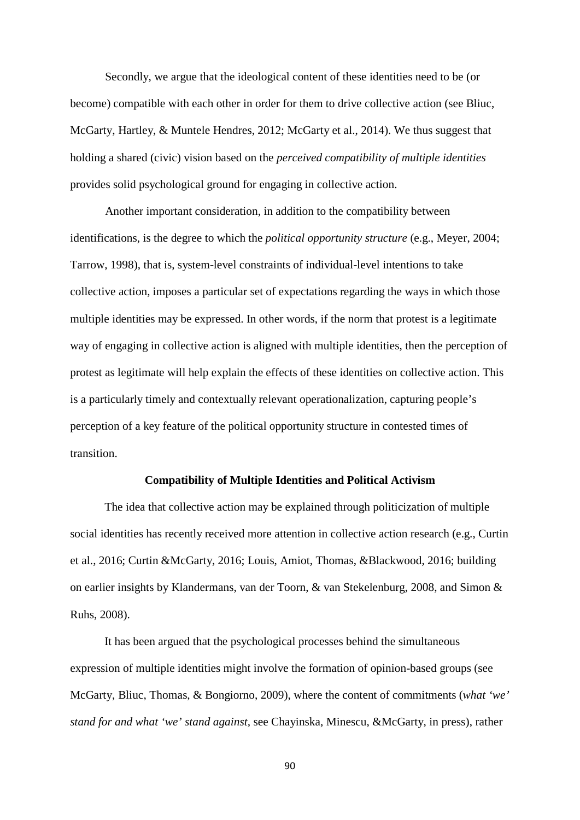Secondly, we argue that the ideological content of these identities need to be (or become) compatible with each other in order for them to drive collective action (see Bliuc, McGarty, Hartley, & Muntele Hendres, 2012; McGarty et al., 2014). We thus suggest that holding a shared (civic) vision based on the *perceived compatibility of multiple identities*  provides solid psychological ground for engaging in collective action.

Another important consideration, in addition to the compatibility between identifications, is the degree to which the *political opportunity structure* (e.g., Meyer, 2004; Tarrow, 1998), that is, system-level constraints of individual-level intentions to take collective action, imposes a particular set of expectations regarding the ways in which those multiple identities may be expressed. In other words, if the norm that protest is a legitimate way of engaging in collective action is aligned with multiple identities, then the perception of protest as legitimate will help explain the effects of these identities on collective action. This is a particularly timely and contextually relevant operationalization, capturing people's perception of a key feature of the political opportunity structure in contested times of transition.

#### **Compatibility of Multiple Identities and Political Activism**

The idea that collective action may be explained through politicization of multiple social identities has recently received more attention in collective action research (e.g., Curtin et al., 2016; Curtin &McGarty, 2016; Louis, Amiot, Thomas, &Blackwood, 2016; building on earlier insights by Klandermans, van der Toorn, & van Stekelenburg, 2008, and Simon & Ruhs, 2008).

It has been argued that the psychological processes behind the simultaneous expression of multiple identities might involve the formation of opinion-based groups (see McGarty, Bliuc, Thomas, & Bongiorno, 2009), where the content of commitments (*what 'we' stand for and what 'we' stand against,* see Chayinska, Minescu, &McGarty, in press), rather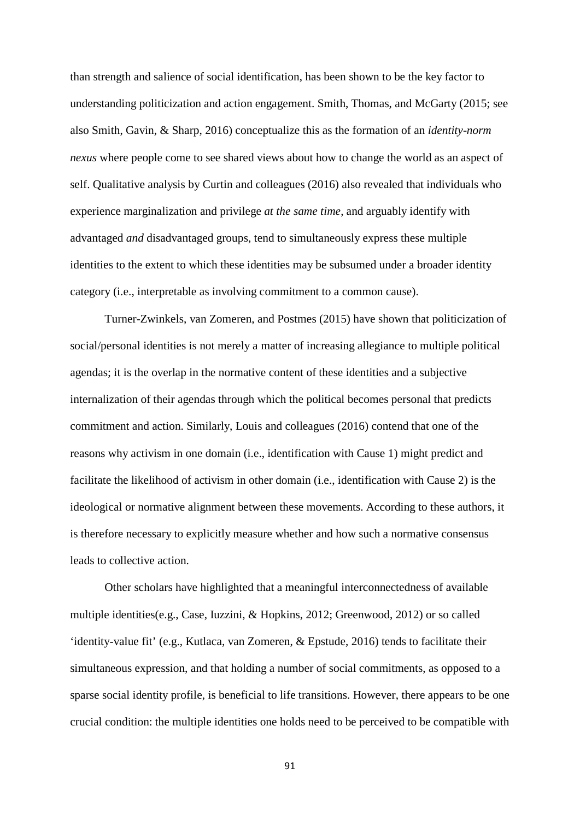than strength and salience of social identification, has been shown to be the key factor to understanding politicization and action engagement. Smith, Thomas, and McGarty (2015; see also Smith, Gavin, & Sharp, 2016) conceptualize this as the formation of an *identity-norm nexus* where people come to see shared views about how to change the world as an aspect of self. Qualitative analysis by Curtin and colleagues (2016) also revealed that individuals who experience marginalization and privilege *at the same time*, and arguably identify with advantaged *and* disadvantaged groups, tend to simultaneously express these multiple identities to the extent to which these identities may be subsumed under a broader identity category (i.e., interpretable as involving commitment to a common cause).

Turner-Zwinkels, van Zomeren, and Postmes (2015) have shown that politicization of social/personal identities is not merely a matter of increasing allegiance to multiple political agendas; it is the overlap in the normative content of these identities and a subjective internalization of their agendas through which the political becomes personal that predicts commitment and action. Similarly, Louis and colleagues (2016) contend that one of the reasons why activism in one domain (i.e., identification with Cause 1) might predict and facilitate the likelihood of activism in other domain (i.e., identification with Cause 2) is the ideological or normative alignment between these movements. According to these authors, it is therefore necessary to explicitly measure whether and how such a normative consensus leads to collective action.

Other scholars have highlighted that a meaningful interconnectedness of available multiple identities(e.g., Case, Iuzzini, & Hopkins, 2012; Greenwood, 2012) or so called 'identity-value fit' (e.g., Kutlaca, van Zomeren, & Epstude, 2016) tends to facilitate their simultaneous expression, and that holding a number of social commitments, as opposed to a sparse social identity profile, is beneficial to life transitions. However, there appears to be one crucial condition: the multiple identities one holds need to be perceived to be compatible with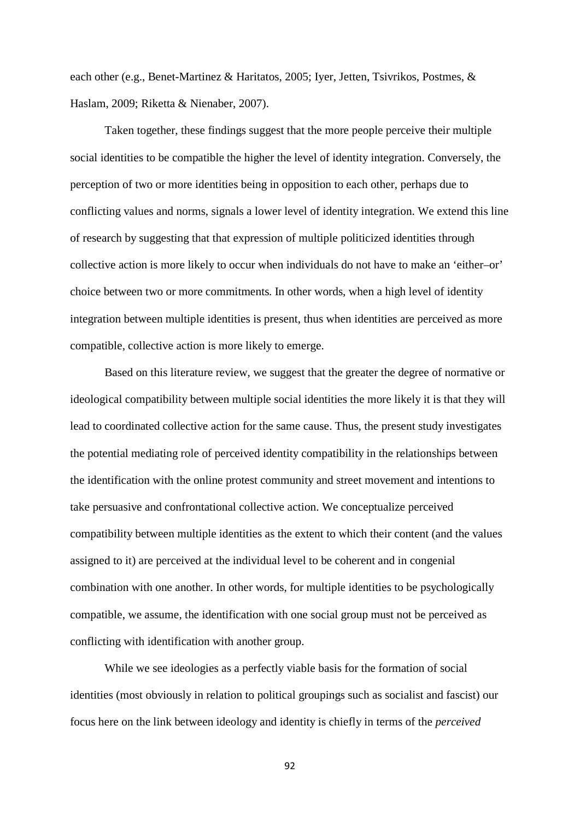each other (e.g., Benet-Martinez & Haritatos, 2005; Iyer, Jetten, Tsivrikos, Postmes, & Haslam, 2009; Riketta & Nienaber, 2007).

Taken together, these findings suggest that the more people perceive their multiple social identities to be compatible the higher the level of identity integration. Conversely, the perception of two or more identities being in opposition to each other, perhaps due to conflicting values and norms, signals a lower level of identity integration. We extend this line of research by suggesting that that expression of multiple politicized identities through collective action is more likely to occur when individuals do not have to make an 'either–or' choice between two or more commitments. In other words, when a high level of identity integration between multiple identities is present, thus when identities are perceived as more compatible, collective action is more likely to emerge.

Based on this literature review, we suggest that the greater the degree of normative or ideological compatibility between multiple social identities the more likely it is that they will lead to coordinated collective action for the same cause. Thus, the present study investigates the potential mediating role of perceived identity compatibility in the relationships between the identification with the online protest community and street movement and intentions to take persuasive and confrontational collective action. We conceptualize perceived compatibility between multiple identities as the extent to which their content (and the values assigned to it) are perceived at the individual level to be coherent and in congenial combination with one another. In other words, for multiple identities to be psychologically compatible, we assume, the identification with one social group must not be perceived as conflicting with identification with another group.

While we see ideologies as a perfectly viable basis for the formation of social identities (most obviously in relation to political groupings such as socialist and fascist) our focus here on the link between ideology and identity is chiefly in terms of the *perceived*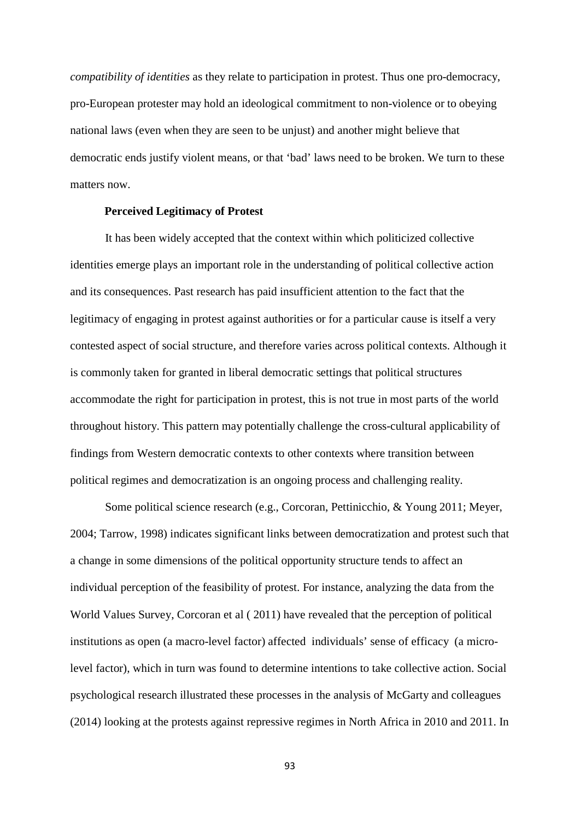*compatibility of identities* as they relate to participation in protest. Thus one pro-democracy, pro-European protester may hold an ideological commitment to non-violence or to obeying national laws (even when they are seen to be unjust) and another might believe that democratic ends justify violent means, or that 'bad' laws need to be broken. We turn to these matters now.

#### **Perceived Legitimacy of Protest**

It has been widely accepted that the context within which politicized collective identities emerge plays an important role in the understanding of political collective action and its consequences. Past research has paid insufficient attention to the fact that the legitimacy of engaging in protest against authorities or for a particular cause is itself a very contested aspect of social structure, and therefore varies across political contexts. Although it is commonly taken for granted in liberal democratic settings that political structures accommodate the right for participation in protest, this is not true in most parts of the world throughout history. This pattern may potentially challenge the cross-cultural applicability of findings from Western democratic contexts to other contexts where transition between political regimes and democratization is an ongoing process and challenging reality.

Some political science research (e.g., Corcoran, Pettinicchio, & Young 2011; Meyer, 2004; Tarrow, 1998) indicates significant links between democratization and protest such that a change in some dimensions of the political opportunity structure tends to affect an individual perception of the feasibility of protest. For instance, analyzing the data from the World Values Survey, Corcoran et al ( 2011) have revealed that the perception of political institutions as open (a macro-level factor) affected individuals' sense of efficacy (a microlevel factor), which in turn was found to determine intentions to take collective action. Social psychological research illustrated these processes in the analysis of McGarty and colleagues (2014) looking at the protests against repressive regimes in North Africa in 2010 and 2011. In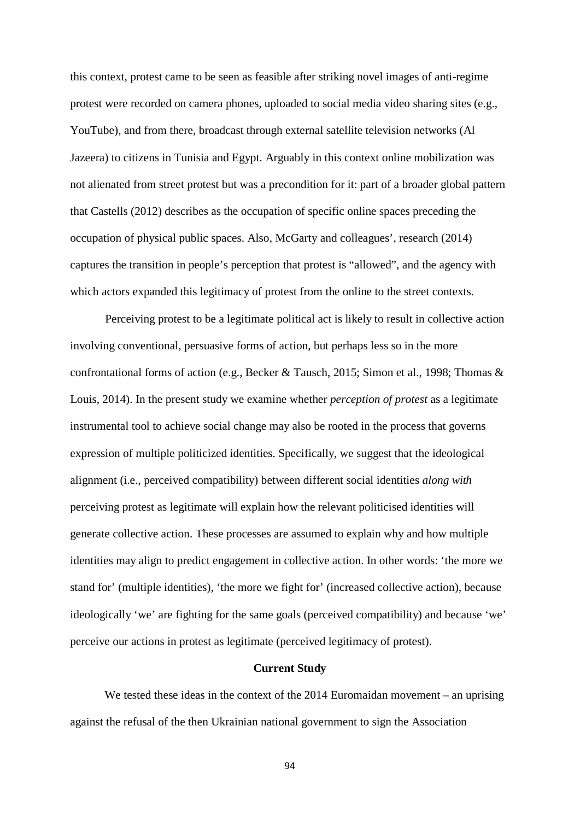this context, protest came to be seen as feasible after striking novel images of anti-regime protest were recorded on camera phones, uploaded to social media video sharing sites (e.g., YouTube), and from there, broadcast through external satellite television networks (Al Jazeera) to citizens in Tunisia and Egypt. Arguably in this context online mobilization was not alienated from street protest but was a precondition for it: part of a broader global pattern that Castells (2012) describes as the occupation of specific online spaces preceding the occupation of physical public spaces. Also, McGarty and colleagues', research (2014) captures the transition in people's perception that protest is "allowed", and the agency with which actors expanded this legitimacy of protest from the online to the street contexts.

Perceiving protest to be a legitimate political act is likely to result in collective action involving conventional, persuasive forms of action, but perhaps less so in the more confrontational forms of action (e.g., Becker & Tausch, 2015; Simon et al., 1998; Thomas & Louis, 2014). In the present study we examine whether *perception of protest* as a legitimate instrumental tool to achieve social change may also be rooted in the process that governs expression of multiple politicized identities. Specifically, we suggest that the ideological alignment (i.e., perceived compatibility) between different social identities *along with* perceiving protest as legitimate will explain how the relevant politicised identities will generate collective action. These processes are assumed to explain why and how multiple identities may align to predict engagement in collective action. In other words: 'the more we stand for' (multiple identities), 'the more we fight for' (increased collective action), because ideologically 'we' are fighting for the same goals (perceived compatibility) and because 'we' perceive our actions in protest as legitimate (perceived legitimacy of protest).

#### **Current Study**

We tested these ideas in the context of the 2014 Euromaidan movement – an uprising against the refusal of the then Ukrainian national government to sign the Association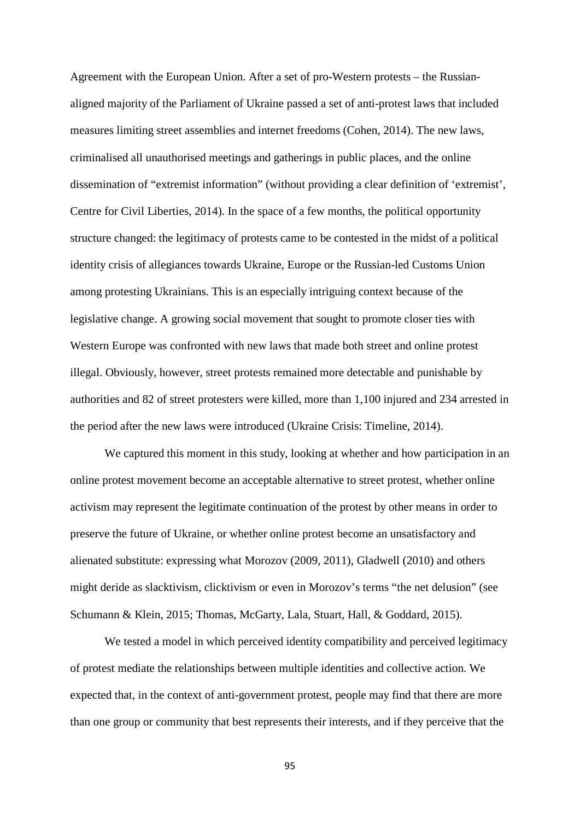Agreement with the European Union. After a set of pro-Western protests – the Russianaligned majority of the Parliament of Ukraine passed a set of anti-protest laws that included measures limiting street assemblies and internet freedoms (Cohen, 2014). The new laws, criminalised all unauthorised meetings and gatherings in public places, and the online dissemination of "extremist information" (without providing a clear definition of 'extremist', Centre for Civil Liberties, 2014). In the space of a few months, the political opportunity structure changed: the legitimacy of protests came to be contested in the midst of a political identity crisis of allegiances towards Ukraine, Europe or the Russian-led Customs Union among protesting Ukrainians. This is an especially intriguing context because of the legislative change. A growing social movement that sought to promote closer ties with Western Europe was confronted with new laws that made both street and online protest illegal. Obviously, however, street protests remained more detectable and punishable by authorities and 82 of street protesters were killed, more than 1,100 injured and 234 arrested in the period after the new laws were introduced (Ukraine Crisis: Timeline, 2014).

We captured this moment in this study, looking at whether and how participation in an online protest movement become an acceptable alternative to street protest, whether online activism may represent the legitimate continuation of the protest by other means in order to preserve the future of Ukraine, or whether online protest become an unsatisfactory and alienated substitute: expressing what Morozov (2009, 2011), Gladwell (2010) and others might deride as slacktivism, clicktivism or even in Morozov's terms "the net delusion" (see Schumann & Klein, 2015; Thomas, McGarty, Lala, Stuart, Hall, & Goddard, 2015).

We tested a model in which perceived identity compatibility and perceived legitimacy of protest mediate the relationships between multiple identities and collective action. We expected that, in the context of anti-government protest, people may find that there are more than one group or community that best represents their interests, and if they perceive that the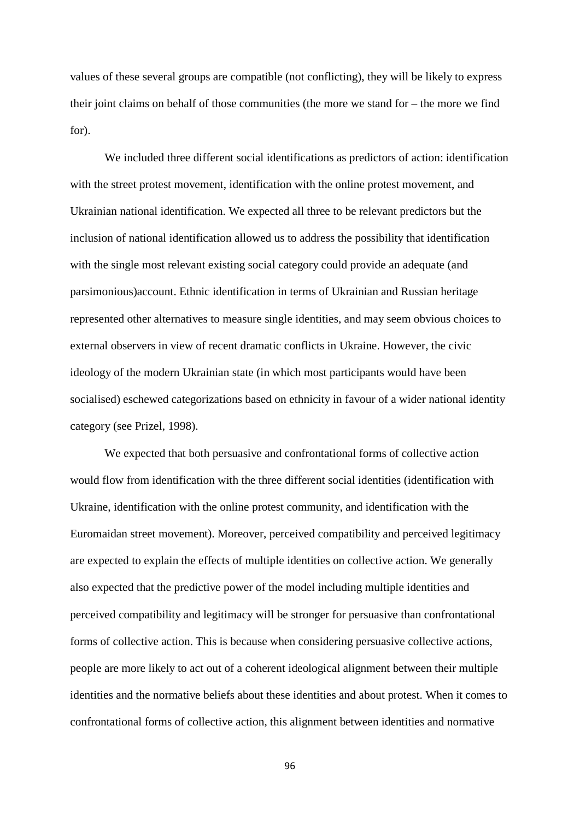values of these several groups are compatible (not conflicting), they will be likely to express their joint claims on behalf of those communities (the more we stand for – the more we find for).

We included three different social identifications as predictors of action: identification with the street protest movement, identification with the online protest movement, and Ukrainian national identification. We expected all three to be relevant predictors but the inclusion of national identification allowed us to address the possibility that identification with the single most relevant existing social category could provide an adequate (and parsimonious)account. Ethnic identification in terms of Ukrainian and Russian heritage represented other alternatives to measure single identities, and may seem obvious choices to external observers in view of recent dramatic conflicts in Ukraine. However, the civic ideology of the modern Ukrainian state (in which most participants would have been socialised) eschewed categorizations based on ethnicity in favour of a wider national identity category (see Prizel, 1998).

We expected that both persuasive and confrontational forms of collective action would flow from identification with the three different social identities (identification with Ukraine, identification with the online protest community, and identification with the Euromaidan street movement). Moreover, perceived compatibility and perceived legitimacy are expected to explain the effects of multiple identities on collective action. We generally also expected that the predictive power of the model including multiple identities and perceived compatibility and legitimacy will be stronger for persuasive than confrontational forms of collective action. This is because when considering persuasive collective actions, people are more likely to act out of a coherent ideological alignment between their multiple identities and the normative beliefs about these identities and about protest. When it comes to confrontational forms of collective action, this alignment between identities and normative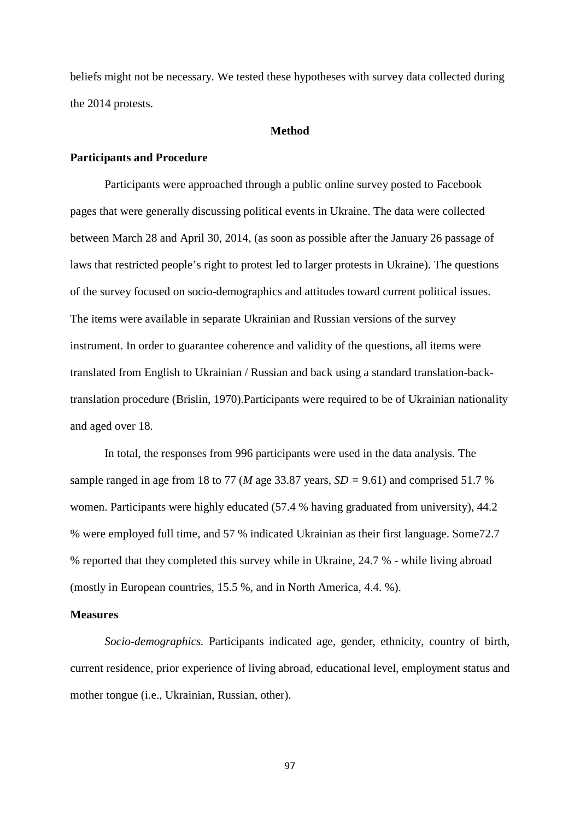beliefs might not be necessary. We tested these hypotheses with survey data collected during the 2014 protests.

#### **Method**

#### **Participants and Procedure**

Participants were approached through a public online survey posted to Facebook pages that were generally discussing political events in Ukraine. The data were collected between March 28 and April 30, 2014, (as soon as possible after the January 26 passage of laws that restricted people's right to protest led to larger protests in Ukraine). The questions of the survey focused on socio-demographics and attitudes toward current political issues. The items were available in separate Ukrainian and Russian versions of the survey instrument. In order to guarantee coherence and validity of the questions, all items were translated from English to Ukrainian / Russian and back using a standard translation-backtranslation procedure (Brislin, 1970).Participants were required to be of Ukrainian nationality and aged over 18.

In total, the responses from 996 participants were used in the data analysis. The sample ranged in age from 18 to 77 (*M* age 33.87 years, *SD =* 9.61) and comprised 51.7 % women. Participants were highly educated (57.4 % having graduated from university), 44.2 % were employed full time, and 57 % indicated Ukrainian as their first language. Some72.7 % reported that they completed this survey while in Ukraine, 24.7 % - while living abroad (mostly in European countries, 15.5 %, and in North America, 4.4. %).

#### **Measures**

*Socio-demographics.* Participants indicated age, gender, ethnicity, country of birth, current residence, prior experience of living abroad, educational level, employment status and mother tongue (i.e., Ukrainian, Russian, other).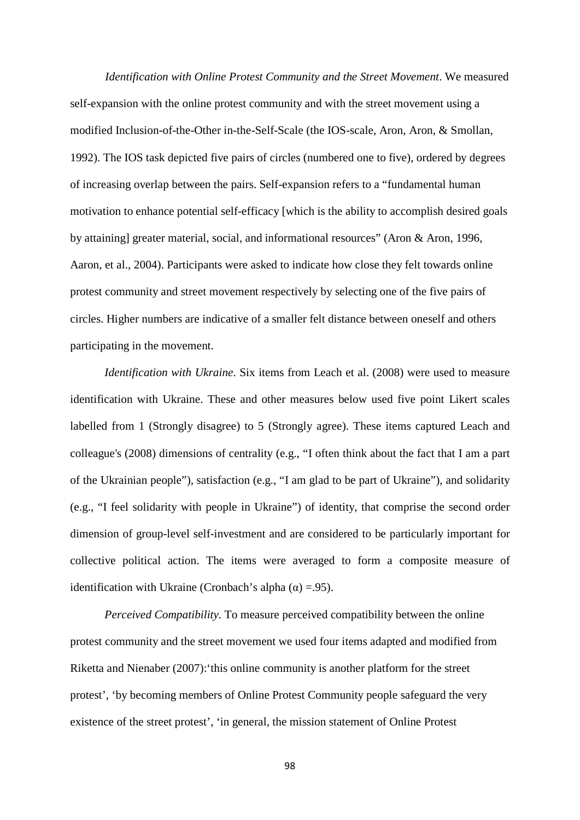*Identification with Online Protest Community and the Street Movement*. We measured self-expansion with the online protest community and with the street movement using a modified Inclusion-of-the-Other in-the-Self-Scale (the IOS-scale, Aron, Aron, & Smollan, 1992). The IOS task depicted five pairs of circles (numbered one to five), ordered by degrees of increasing overlap between the pairs. Self-expansion refers to a "fundamental human motivation to enhance potential self-efficacy [which is the ability to accomplish desired goals by attaining] greater material, social, and informational resources" (Aron & Aron, 1996, Aaron, et al., 2004). Participants were asked to indicate how close they felt towards online protest community and street movement respectively by selecting one of the five pairs of circles. Higher numbers are indicative of a smaller felt distance between oneself and others participating in the movement.

*Identification with Ukraine*. Six items from Leach et al. (2008) were used to measure identification with Ukraine. These and other measures below used five point Likert scales labelled from 1 (Strongly disagree) to 5 (Strongly agree). These items captured Leach and colleague's (2008) dimensions of centrality (e.g., "I often think about the fact that I am a part of the Ukrainian people"), satisfaction (e.g., "I am glad to be part of Ukraine"), and solidarity (e.g., "I feel solidarity with people in Ukraine") of identity, that comprise the second order dimension of group-level self-investment and are considered to be particularly important for collective political action. The items were averaged to form a composite measure of identification with Ukraine (Cronbach's alpha  $(\alpha) = .95$ ).

*Perceived Compatibility.* To measure perceived compatibility between the online protest community and the street movement we used four items adapted and modified from Riketta and Nienaber (2007):'this online community is another platform for the street protest', 'by becoming members of Online Protest Community people safeguard the very existence of the street protest', 'in general, the mission statement of Online Protest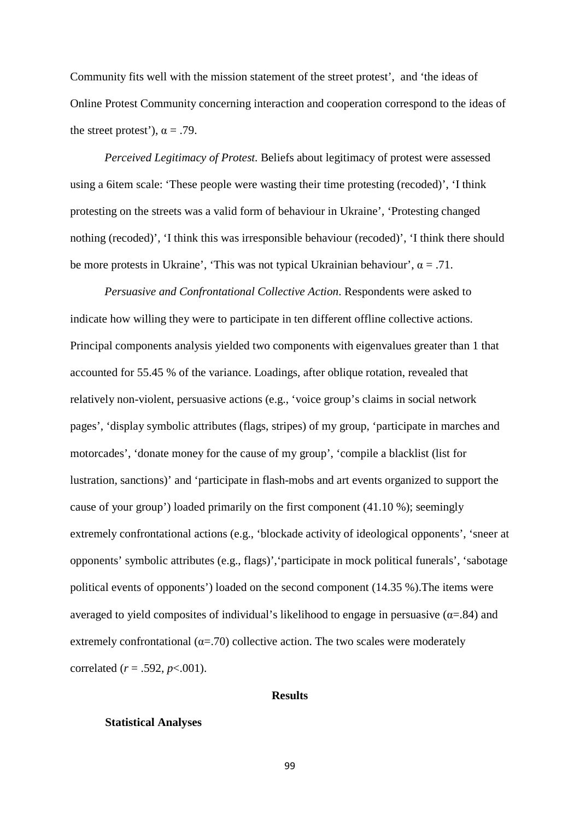Community fits well with the mission statement of the street protest', and 'the ideas of Online Protest Community concerning interaction and cooperation correspond to the ideas of the street protest'),  $\alpha = .79$ .

*Perceived Legitimacy of Protest.* Beliefs about legitimacy of protest were assessed using a 6item scale: 'These people were wasting their time protesting (recoded)', 'I think protesting on the streets was a valid form of behaviour in Ukraine', 'Protesting changed nothing (recoded)', 'I think this was irresponsible behaviour (recoded)', 'I think there should be more protests in Ukraine', 'This was not typical Ukrainian behaviour',  $\alpha = .71$ .

*Persuasive and Confrontational Collective Action*. Respondents were asked to indicate how willing they were to participate in ten different offline collective actions. Principal components analysis yielded two components with eigenvalues greater than 1 that accounted for 55.45 % of the variance. Loadings, after oblique rotation, revealed that relatively non-violent, persuasive actions (e.g., 'voice group's claims in social network pages', 'display symbolic attributes (flags, stripes) of my group, 'participate in marches and motorcades', 'donate money for the cause of my group', 'compile a blacklist (list for lustration, sanctions)' and 'participate in flash-mobs and art events organized to support the cause of your group') loaded primarily on the first component (41.10 %); seemingly extremely confrontational actions (e.g., 'blockade activity of ideological opponents', 'sneer at opponents' symbolic attributes (e.g., flags)','participate in mock political funerals', 'sabotage political events of opponents') loaded on the second component (14.35 %).The items were averaged to yield composites of individual's likelihood to engage in persuasive ( $\alpha$ =.84) and extremely confrontational ( $\alpha$ =.70) collective action. The two scales were moderately correlated (*r* = .592, *p*<.001).

#### **Results**

#### **Statistical Analyses**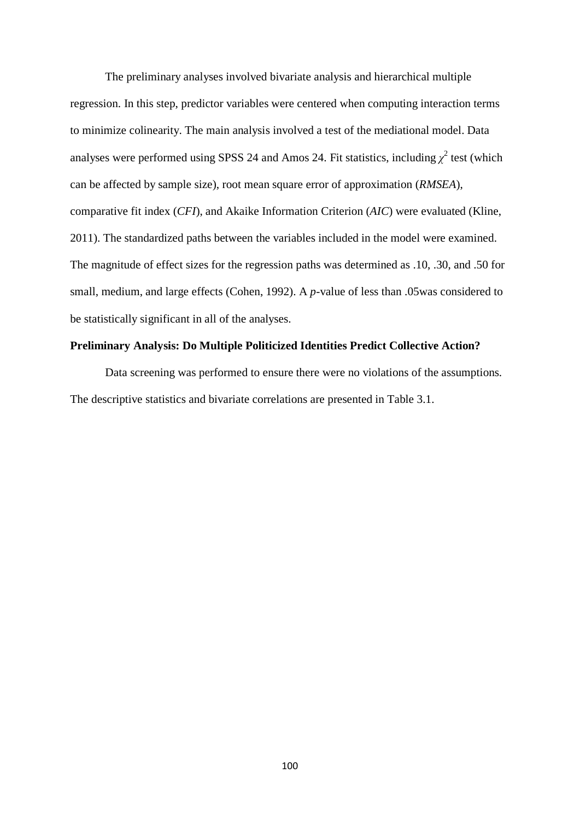The preliminary analyses involved bivariate analysis and hierarchical multiple regression. In this step, predictor variables were centered when computing interaction terms to minimize colinearity. The main analysis involved a test of the mediational model. Data analyses were performed using SPSS 24 and Amos 24. Fit statistics, including  $\chi^2$  test (which can be affected by sample size), root mean square error of approximation (*RMSEA*), comparative fit index (*CFI*), and Akaike Information Criterion (*AIC*) were evaluated (Kline, 2011). The standardized paths between the variables included in the model were examined. The magnitude of effect sizes for the regression paths was determined as .10, .30, and .50 for small, medium, and large effects (Cohen, 1992). A *p*-value of less than .05was considered to be statistically significant in all of the analyses.

#### **Preliminary Analysis: Do Multiple Politicized Identities Predict Collective Action?**

Data screening was performed to ensure there were no violations of the assumptions. The descriptive statistics and bivariate correlations are presented in Table 3.1.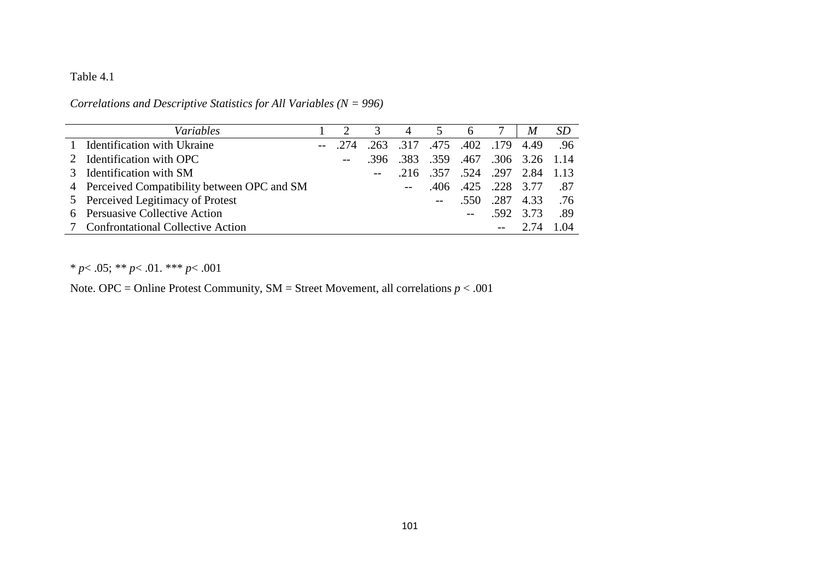## Table 4.1

| Variables                                    |        | 3                                 | $\overline{4}$ | $\overline{5}$ | 6 7                                |           | M                  | <i>SD</i> |
|----------------------------------------------|--------|-----------------------------------|----------------|----------------|------------------------------------|-----------|--------------------|-----------|
| 1 Identification with Ukraine                | $-274$ | .263 .317 .475 .402 .179 4.49 .96 |                |                |                                    |           |                    |           |
| 2 Identification with OPC                    | $- -$  |                                   |                |                | .396 .383 .359 .467 .306 3.26 1.14 |           |                    |           |
| 3 Identification with SM                     |        |                                   |                |                | .216 .357 .524 .297 2.84 1.13      |           |                    |           |
| 4 Perceived Compatibility between OPC and SM |        |                                   |                | .406           |                                    |           | .425 .228 3.77 .87 |           |
| 5 Perceived Legitimacy of Protest            |        |                                   |                |                |                                    |           | .550 .287 4.33 .76 |           |
| 6 Persuasive Collective Action               |        |                                   |                |                |                                    | .592 3.73 |                    | .89       |
| 7 Confrontational Collective Action          |        |                                   |                |                |                                    |           | $-2.74$            | 1.04      |

*Correlations and Descriptive Statistics for All Variables (N = 996)*

\* *p*< .05; \*\* *p*< .01. \*\*\* *p*< .001

Note. OPC = Online Protest Community, SM = Street Movement, all correlations *p* < .001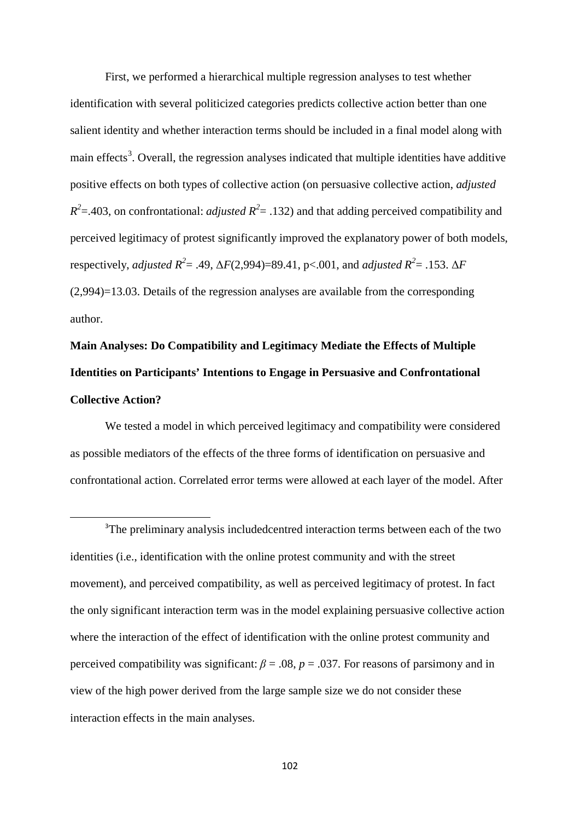First, we performed a hierarchical multiple regression analyses to test whether identification with several politicized categories predicts collective action better than one salient identity and whether interaction terms should be included in a final model along with main effects<sup>[3](#page-101-0)</sup>. Overall, the regression analyses indicated that multiple identities have additive positive effects on both types of collective action (on persuasive collective action, *adjusted*   $R^2$ =.403, on confrontational: *adjusted*  $R^2$ = .132) and that adding perceived compatibility and perceived legitimacy of protest significantly improved the explanatory power of both models, respectively, *adjusted*  $R^2$  = .49,  $\Delta F(2,994)$  = 89.41, p < .001, and *adjusted*  $R^2$  = .153.  $\Delta F$ (2,994)=13.03. Details of the regression analyses are available from the corresponding author.

# **Main Analyses: Do Compatibility and Legitimacy Mediate the Effects of Multiple Identities on Participants' Intentions to Engage in Persuasive and Confrontational Collective Action?**

We tested a model in which perceived legitimacy and compatibility were considered as possible mediators of the effects of the three forms of identification on persuasive and confrontational action. Correlated error terms were allowed at each layer of the model. After

<span id="page-101-0"></span><sup>&</sup>lt;sup>3</sup>The preliminary analysis includedcentred interaction terms between each of the two identities (i.e., identification with the online protest community and with the street movement), and perceived compatibility, as well as perceived legitimacy of protest. In fact the only significant interaction term was in the model explaining persuasive collective action where the interaction of the effect of identification with the online protest community and perceived compatibility was significant:  $\beta = .08$ ,  $p = .037$ . For reasons of parsimony and in view of the high power derived from the large sample size we do not consider these interaction effects in the main analyses.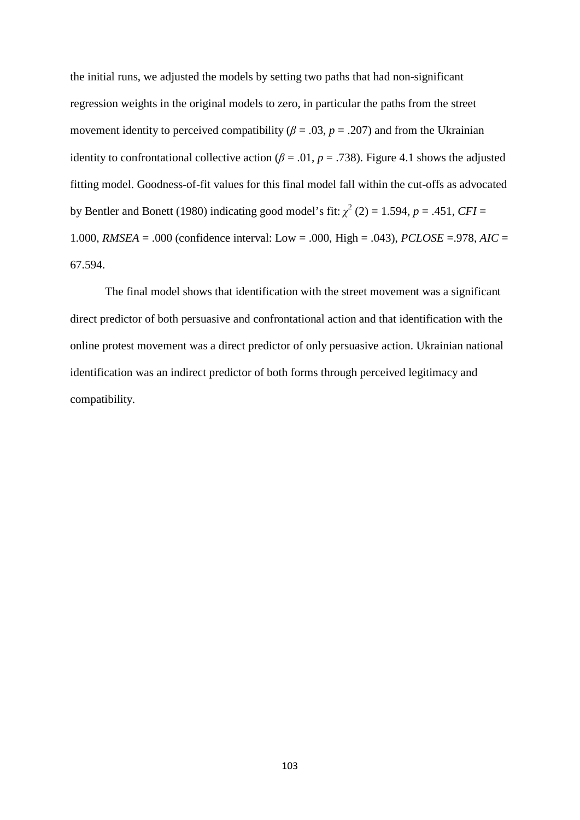the initial runs, we adjusted the models by setting two paths that had non-significant regression weights in the original models to zero, in particular the paths from the street movement identity to perceived compatibility ( $\beta$  = .03,  $p$  = .207) and from the Ukrainian identity to confrontational collective action ( $\beta$  = .01, *p* = .738). Figure 4.1 shows the adjusted fitting model. Goodness-of-fit values for this final model fall within the cut-offs as advocated by Bentler and Bonett (1980) indicating good model's fit:  $\chi^2$  (2) = 1.594, *p* = .451, *CFI* = 1.000, *RMSEA* = .000 (confidence interval: Low = .000, High = .043), *PCLOSE* =.978, *AIC* = 67.594.

The final model shows that identification with the street movement was a significant direct predictor of both persuasive and confrontational action and that identification with the online protest movement was a direct predictor of only persuasive action. Ukrainian national identification was an indirect predictor of both forms through perceived legitimacy and compatibility.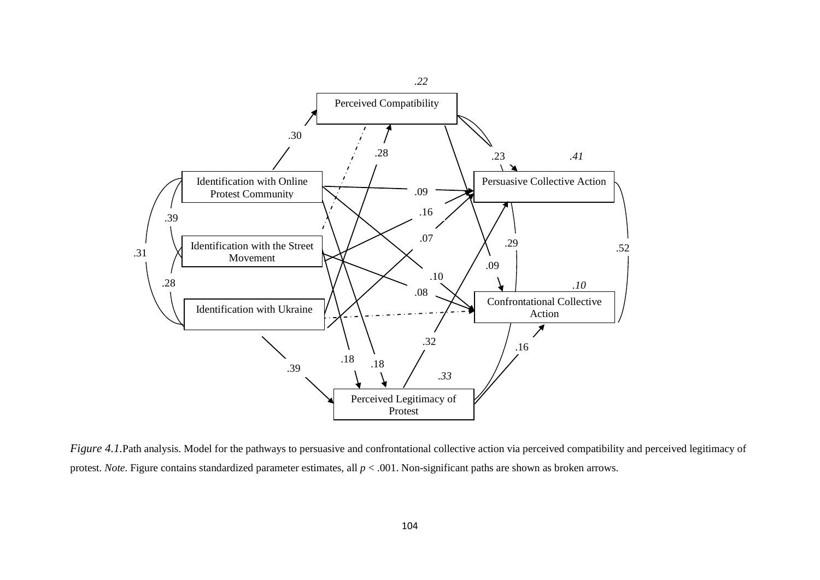

*Figure 4.1.*Path analysis. Model for the pathways to persuasive and confrontational collective action via perceived compatibility and perceived legitimacy of protest. *Note*. Figure contains standardized parameter estimates, all *p* < .001. Non-significant paths are shown as broken arrows.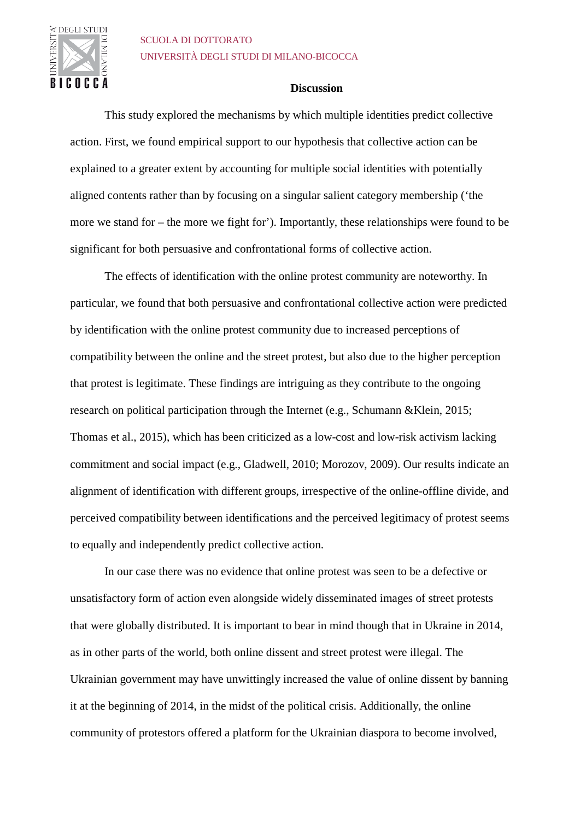

### SCUOLA DI DOTTORATO UNIVERSITÀ DEGLI STUDI DI MILANO-BICOCCA

#### **Discussion**

This study explored the mechanisms by which multiple identities predict collective action. First, we found empirical support to our hypothesis that collective action can be explained to a greater extent by accounting for multiple social identities with potentially aligned contents rather than by focusing on a singular salient category membership ('the more we stand for – the more we fight for'). Importantly, these relationships were found to be significant for both persuasive and confrontational forms of collective action.

The effects of identification with the online protest community are noteworthy. In particular, we found that both persuasive and confrontational collective action were predicted by identification with the online protest community due to increased perceptions of compatibility between the online and the street protest, but also due to the higher perception that protest is legitimate. These findings are intriguing as they contribute to the ongoing research on political participation through the Internet (e.g., Schumann &Klein, 2015; Thomas et al., 2015), which has been criticized as a low-cost and low-risk activism lacking commitment and social impact (e.g., Gladwell, 2010; Morozov, 2009). Our results indicate an alignment of identification with different groups, irrespective of the online-offline divide, and perceived compatibility between identifications and the perceived legitimacy of protest seems to equally and independently predict collective action.

In our case there was no evidence that online protest was seen to be a defective or unsatisfactory form of action even alongside widely disseminated images of street protests that were globally distributed. It is important to bear in mind though that in Ukraine in 2014, as in other parts of the world, both online dissent and street protest were illegal. The Ukrainian government may have unwittingly increased the value of online dissent by banning it at the beginning of 2014, in the midst of the political crisis. Additionally, the online community of protestors offered a platform for the Ukrainian diaspora to become involved,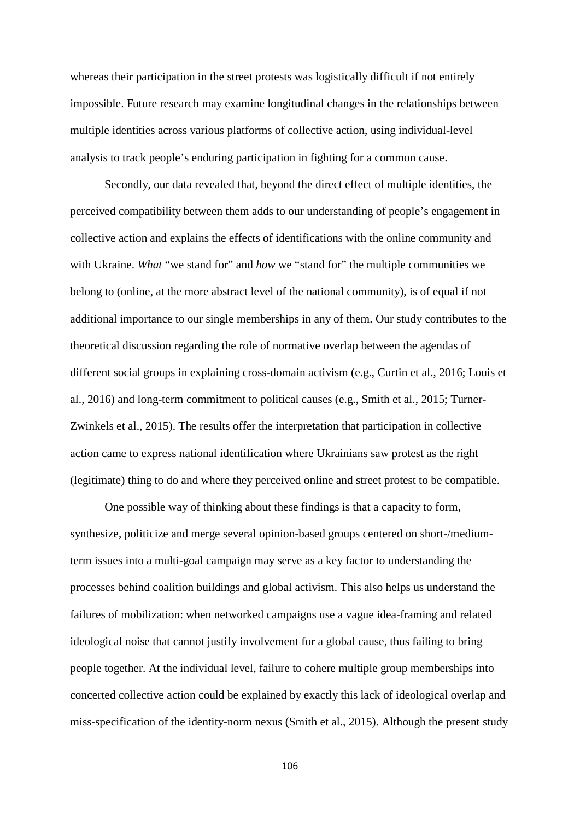whereas their participation in the street protests was logistically difficult if not entirely impossible. Future research may examine longitudinal changes in the relationships between multiple identities across various platforms of collective action, using individual-level analysis to track people's enduring participation in fighting for a common cause.

Secondly, our data revealed that, beyond the direct effect of multiple identities, the perceived compatibility between them adds to our understanding of people's engagement in collective action and explains the effects of identifications with the online community and with Ukraine. *What* "we stand for" and *how* we "stand for" the multiple communities we belong to (online, at the more abstract level of the national community), is of equal if not additional importance to our single memberships in any of them. Our study contributes to the theoretical discussion regarding the role of normative overlap between the agendas of different social groups in explaining cross-domain activism (e.g., Curtin et al., 2016; Louis et al., 2016) and long-term commitment to political causes (e.g., Smith et al., 2015; Turner-Zwinkels et al., 2015). The results offer the interpretation that participation in collective action came to express national identification where Ukrainians saw protest as the right (legitimate) thing to do and where they perceived online and street protest to be compatible.

One possible way of thinking about these findings is that a capacity to form, synthesize, politicize and merge several opinion-based groups centered on short-/mediumterm issues into a multi-goal campaign may serve as a key factor to understanding the processes behind coalition buildings and global activism. This also helps us understand the failures of mobilization: when networked campaigns use a vague idea-framing and related ideological noise that cannot justify involvement for a global cause, thus failing to bring people together. At the individual level, failure to cohere multiple group memberships into concerted collective action could be explained by exactly this lack of ideological overlap and miss-specification of the identity-norm nexus (Smith et al., 2015). Although the present study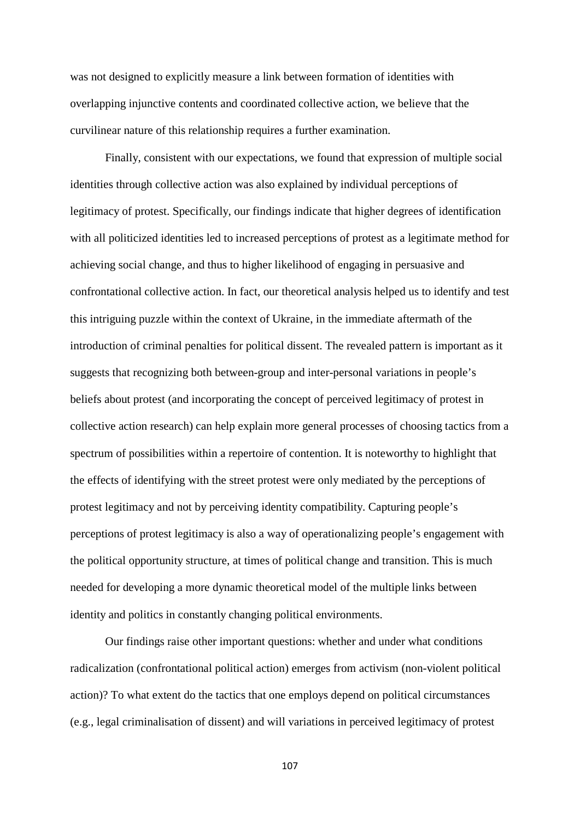was not designed to explicitly measure a link between formation of identities with overlapping injunctive contents and coordinated collective action, we believe that the curvilinear nature of this relationship requires a further examination.

Finally, consistent with our expectations, we found that expression of multiple social identities through collective action was also explained by individual perceptions of legitimacy of protest. Specifically, our findings indicate that higher degrees of identification with all politicized identities led to increased perceptions of protest as a legitimate method for achieving social change, and thus to higher likelihood of engaging in persuasive and confrontational collective action. In fact, our theoretical analysis helped us to identify and test this intriguing puzzle within the context of Ukraine, in the immediate aftermath of the introduction of criminal penalties for political dissent. The revealed pattern is important as it suggests that recognizing both between-group and inter-personal variations in people's beliefs about protest (and incorporating the concept of perceived legitimacy of protest in collective action research) can help explain more general processes of choosing tactics from a spectrum of possibilities within a repertoire of contention. It is noteworthy to highlight that the effects of identifying with the street protest were only mediated by the perceptions of protest legitimacy and not by perceiving identity compatibility. Capturing people's perceptions of protest legitimacy is also a way of operationalizing people's engagement with the political opportunity structure, at times of political change and transition. This is much needed for developing a more dynamic theoretical model of the multiple links between identity and politics in constantly changing political environments.

Our findings raise other important questions: whether and under what conditions radicalization (confrontational political action) emerges from activism (non-violent political action)? To what extent do the tactics that one employs depend on political circumstances (e.g., legal criminalisation of dissent) and will variations in perceived legitimacy of protest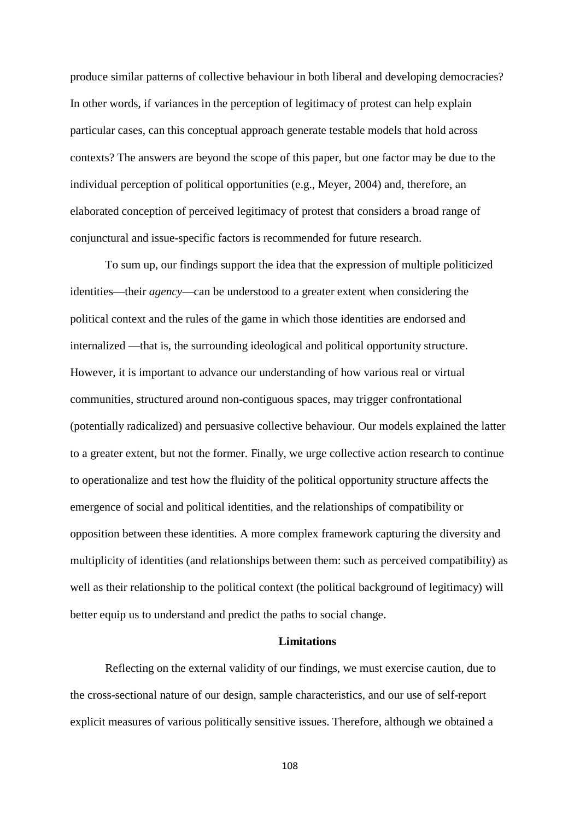produce similar patterns of collective behaviour in both liberal and developing democracies? In other words, if variances in the perception of legitimacy of protest can help explain particular cases, can this conceptual approach generate testable models that hold across contexts? The answers are beyond the scope of this paper, but one factor may be due to the individual perception of political opportunities (e.g., Meyer, 2004) and, therefore, an elaborated conception of perceived legitimacy of protest that considers a broad range of conjunctural and issue-specific factors is recommended for future research.

To sum up, our findings support the idea that the expression of multiple politicized identities—their *agency*—can be understood to a greater extent when considering the political context and the rules of the game in which those identities are endorsed and internalized —that is, the surrounding ideological and political opportunity structure. However, it is important to advance our understanding of how various real or virtual communities, structured around non-contiguous spaces, may trigger confrontational (potentially radicalized) and persuasive collective behaviour. Our models explained the latter to a greater extent, but not the former. Finally, we urge collective action research to continue to operationalize and test how the fluidity of the political opportunity structure affects the emergence of social and political identities, and the relationships of compatibility or opposition between these identities. A more complex framework capturing the diversity and multiplicity of identities (and relationships between them: such as perceived compatibility) as well as their relationship to the political context (the political background of legitimacy) will better equip us to understand and predict the paths to social change.

#### **Limitations**

Reflecting on the external validity of our findings, we must exercise caution, due to the cross-sectional nature of our design, sample characteristics, and our use of self-report explicit measures of various politically sensitive issues. Therefore, although we obtained a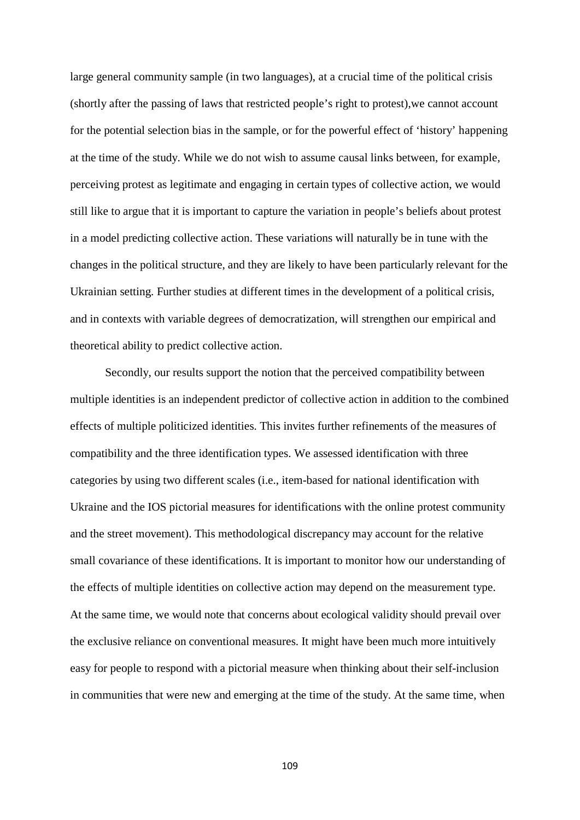large general community sample (in two languages), at a crucial time of the political crisis (shortly after the passing of laws that restricted people's right to protest),we cannot account for the potential selection bias in the sample, or for the powerful effect of 'history' happening at the time of the study. While we do not wish to assume causal links between, for example, perceiving protest as legitimate and engaging in certain types of collective action, we would still like to argue that it is important to capture the variation in people's beliefs about protest in a model predicting collective action. These variations will naturally be in tune with the changes in the political structure, and they are likely to have been particularly relevant for the Ukrainian setting. Further studies at different times in the development of a political crisis, and in contexts with variable degrees of democratization, will strengthen our empirical and theoretical ability to predict collective action.

Secondly, our results support the notion that the perceived compatibility between multiple identities is an independent predictor of collective action in addition to the combined effects of multiple politicized identities. This invites further refinements of the measures of compatibility and the three identification types. We assessed identification with three categories by using two different scales (i.e., item-based for national identification with Ukraine and the IOS pictorial measures for identifications with the online protest community and the street movement). This methodological discrepancy may account for the relative small covariance of these identifications. It is important to monitor how our understanding of the effects of multiple identities on collective action may depend on the measurement type. At the same time, we would note that concerns about ecological validity should prevail over the exclusive reliance on conventional measures. It might have been much more intuitively easy for people to respond with a pictorial measure when thinking about their self-inclusion in communities that were new and emerging at the time of the study. At the same time, when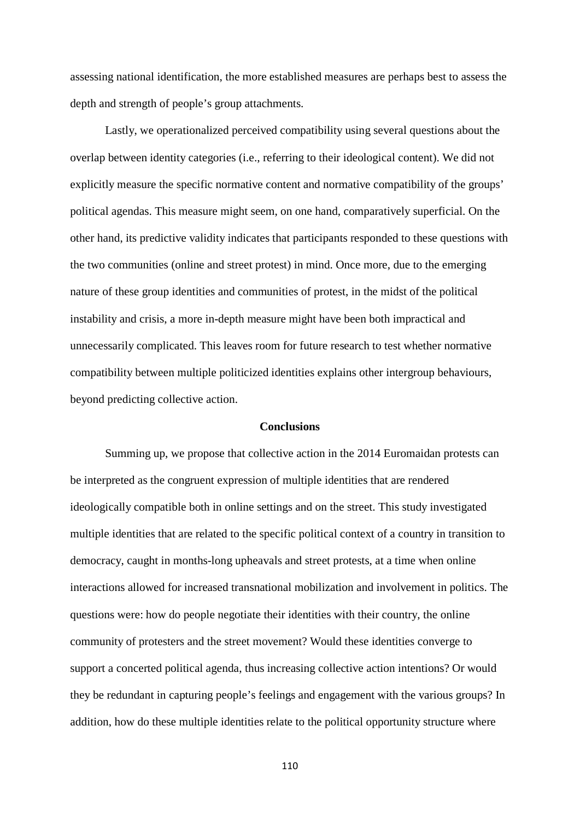assessing national identification, the more established measures are perhaps best to assess the depth and strength of people's group attachments.

Lastly, we operationalized perceived compatibility using several questions about the overlap between identity categories (i.e., referring to their ideological content). We did not explicitly measure the specific normative content and normative compatibility of the groups' political agendas. This measure might seem, on one hand, comparatively superficial. On the other hand, its predictive validity indicates that participants responded to these questions with the two communities (online and street protest) in mind. Once more, due to the emerging nature of these group identities and communities of protest, in the midst of the political instability and crisis, a more in-depth measure might have been both impractical and unnecessarily complicated. This leaves room for future research to test whether normative compatibility between multiple politicized identities explains other intergroup behaviours, beyond predicting collective action.

#### **Conclusions**

Summing up, we propose that collective action in the 2014 Euromaidan protests can be interpreted as the congruent expression of multiple identities that are rendered ideologically compatible both in online settings and on the street. This study investigated multiple identities that are related to the specific political context of a country in transition to democracy, caught in months-long upheavals and street protests, at a time when online interactions allowed for increased transnational mobilization and involvement in politics. The questions were: how do people negotiate their identities with their country, the online community of protesters and the street movement? Would these identities converge to support a concerted political agenda, thus increasing collective action intentions? Or would they be redundant in capturing people's feelings and engagement with the various groups? In addition, how do these multiple identities relate to the political opportunity structure where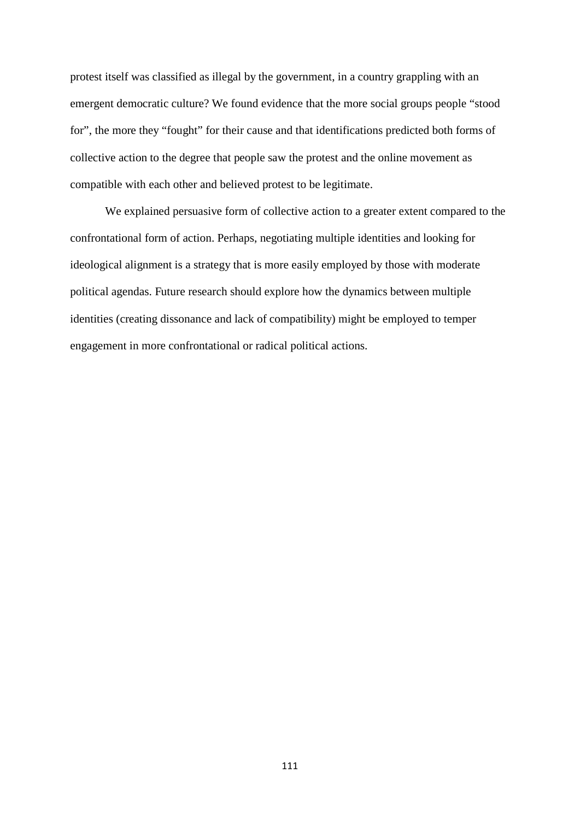protest itself was classified as illegal by the government, in a country grappling with an emergent democratic culture? We found evidence that the more social groups people "stood for", the more they "fought" for their cause and that identifications predicted both forms of collective action to the degree that people saw the protest and the online movement as compatible with each other and believed protest to be legitimate.

We explained persuasive form of collective action to a greater extent compared to the confrontational form of action. Perhaps, negotiating multiple identities and looking for ideological alignment is a strategy that is more easily employed by those with moderate political agendas. Future research should explore how the dynamics between multiple identities (creating dissonance and lack of compatibility) might be employed to temper engagement in more confrontational or radical political actions.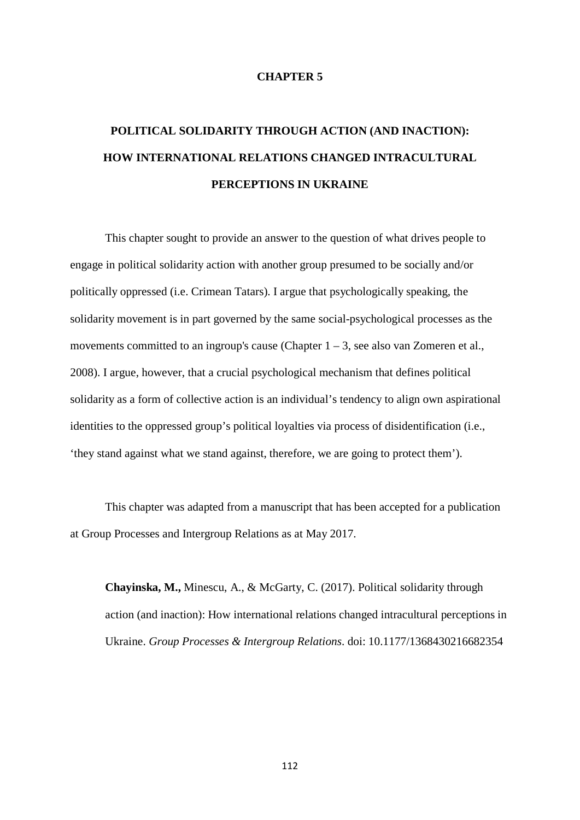#### **CHAPTER 5**

# **POLITICAL SOLIDARITY THROUGH ACTION (AND INACTION): HOW INTERNATIONAL RELATIONS CHANGED INTRACULTURAL PERCEPTIONS IN UKRAINE**

This chapter sought to provide an answer to the question of what drives people to engage in political solidarity action with another group presumed to be socially and/or politically oppressed (i.e. Crimean Tatars). I argue that psychologically speaking, the solidarity movement is in part governed by the same social-psychological processes as the movements committed to an ingroup's cause (Chapter  $1 - 3$ , see also van Zomeren et al., 2008). I argue, however, that a crucial psychological mechanism that defines political solidarity as a form of collective action is an individual's tendency to align own aspirational identities to the oppressed group's political loyalties via process of disidentification (i.e., 'they stand against what we stand against, therefore, we are going to protect them').

This chapter was adapted from a manuscript that has been accepted for a publication at Group Processes and Intergroup Relations as at May 2017.

**Chayinska, M.,** Minescu, A., & McGarty, C. (2017). Political solidarity through action (and inaction): How international relations changed intracultural perceptions in Ukraine. *Group Processes & Intergroup Relations*. doi: 10.1177/1368430216682354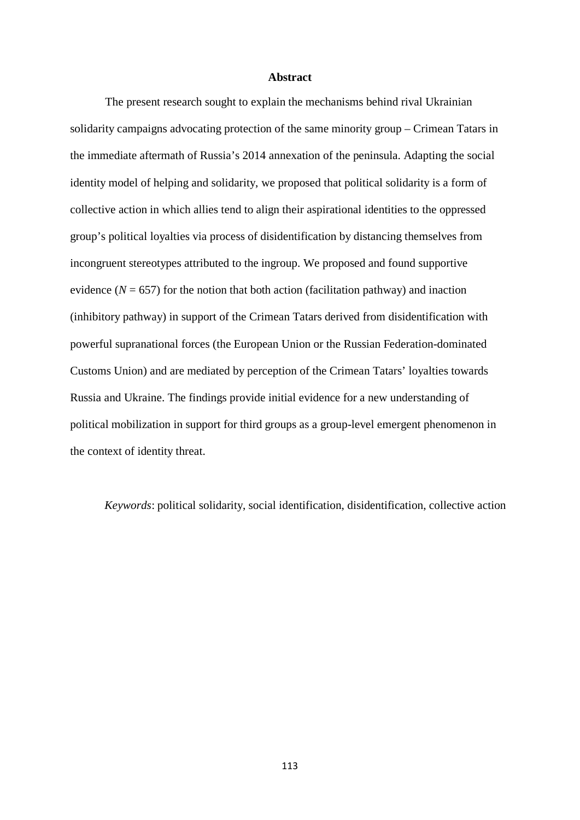#### **Abstract**

The present research sought to explain the mechanisms behind rival Ukrainian solidarity campaigns advocating protection of the same minority group – Crimean Tatars in the immediate aftermath of Russia's 2014 annexation of the peninsula. Adapting the social identity model of helping and solidarity, we proposed that political solidarity is a form of collective action in which allies tend to align their aspirational identities to the oppressed group's political loyalties via process of disidentification by distancing themselves from incongruent stereotypes attributed to the ingroup. We proposed and found supportive evidence  $(N = 657)$  for the notion that both action (facilitation pathway) and inaction (inhibitory pathway) in support of the Crimean Tatars derived from disidentification with powerful supranational forces (the European Union or the Russian Federation-dominated Customs Union) and are mediated by perception of the Crimean Tatars' loyalties towards Russia and Ukraine. The findings provide initial evidence for a new understanding of political mobilization in support for third groups as a group-level emergent phenomenon in the context of identity threat.

*Keywords*: political solidarity, social identification, disidentification, collective action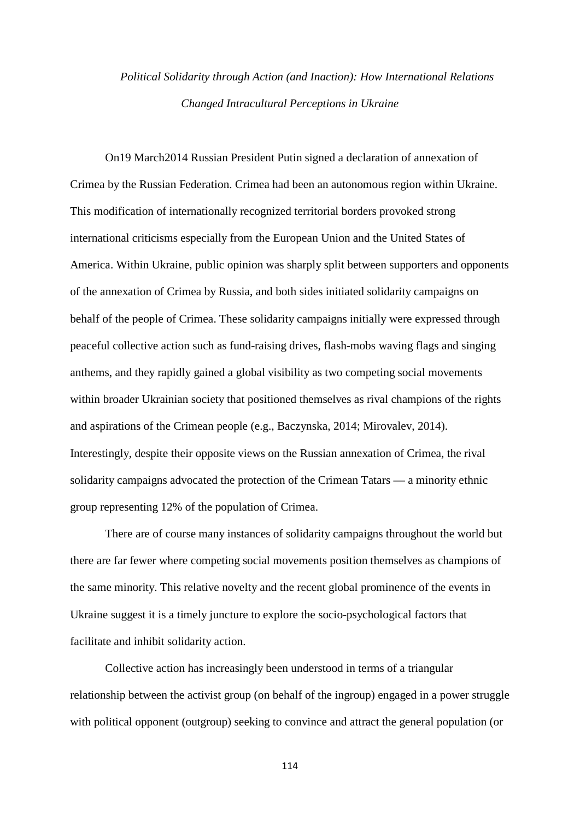# *Political Solidarity through Action (and Inaction): How International Relations Changed Intracultural Perceptions in Ukraine*

On19 March2014 Russian President Putin signed a declaration of annexation of Crimea by the Russian Federation. Crimea had been an autonomous region within Ukraine. This modification of internationally recognized territorial borders provoked strong international criticisms especially from the European Union and the United States of America. Within Ukraine, public opinion was sharply split between supporters and opponents of the annexation of Crimea by Russia, and both sides initiated solidarity campaigns on behalf of the people of Crimea. These solidarity campaigns initially were expressed through peaceful collective action such as fund-raising drives, flash-mobs waving flags and singing anthems, and they rapidly gained a global visibility as two competing social movements within broader Ukrainian society that positioned themselves as rival champions of the rights and aspirations of the Crimean people (e.g., Baczynska, 2014; Mirovalev, 2014). Interestingly, despite their opposite views on the Russian annexation of Crimea, the rival solidarity campaigns advocated the protection of the Crimean Tatars — a minority ethnic group representing 12% of the population of Crimea.

There are of course many instances of solidarity campaigns throughout the world but there are far fewer where competing social movements position themselves as champions of the same minority. This relative novelty and the recent global prominence of the events in Ukraine suggest it is a timely juncture to explore the socio-psychological factors that facilitate and inhibit solidarity action.

Collective action has increasingly been understood in terms of a triangular relationship between the activist group (on behalf of the ingroup) engaged in a power struggle with political opponent (outgroup) seeking to convince and attract the general population (or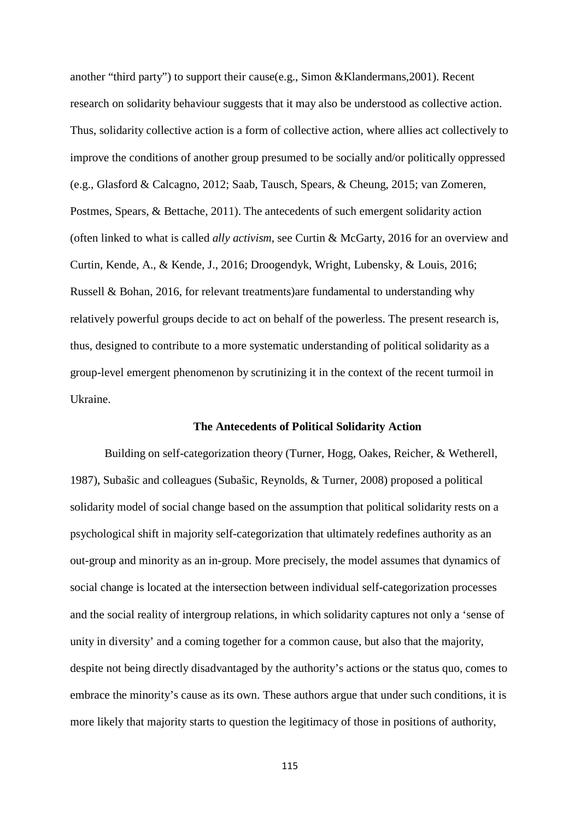another "third party") to support their cause(e.g., Simon &Klandermans,2001). Recent research on solidarity behaviour suggests that it may also be understood as collective action. Thus, solidarity collective action is a form of collective action, where allies act collectively to improve the conditions of another group presumed to be socially and/or politically oppressed (e.g., Glasford & Calcagno, 2012; Saab, Tausch, Spears, & Cheung, 2015; van Zomeren, Postmes, Spears, & Bettache, 2011). The antecedents of such emergent solidarity action (often linked to what is called *ally activism*, see Curtin & McGarty, 2016 for an overview and Curtin, Kende, A., & Kende, J., 2016; Droogendyk, Wright, Lubensky, & Louis, 2016; Russell & Bohan, 2016, for relevant treatments)are fundamental to understanding why relatively powerful groups decide to act on behalf of the powerless. The present research is, thus, designed to contribute to a more systematic understanding of political solidarity as a group-level emergent phenomenon by scrutinizing it in the context of the recent turmoil in Ukraine.

#### **The Antecedents of Political Solidarity Action**

Building on self-categorization theory (Turner, Hogg, Oakes, Reicher, & Wetherell, 1987), Subašic and colleagues (Subašic, Reynolds, & Turner, 2008) proposed a political solidarity model of social change based on the assumption that political solidarity rests on a psychological shift in majority self-categorization that ultimately redefines authority as an out-group and minority as an in-group. More precisely, the model assumes that dynamics of social change is located at the intersection between individual self-categorization processes and the social reality of intergroup relations, in which solidarity captures not only a 'sense of unity in diversity' and a coming together for a common cause, but also that the majority, despite not being directly disadvantaged by the authority's actions or the status quo, comes to embrace the minority's cause as its own. These authors argue that under such conditions, it is more likely that majority starts to question the legitimacy of those in positions of authority,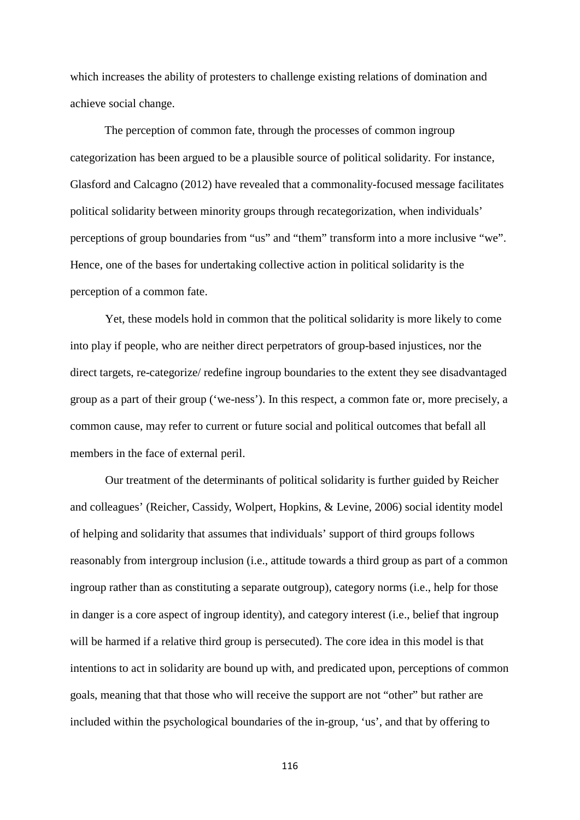which increases the ability of protesters to challenge existing relations of domination and achieve social change.

The perception of common fate, through the processes of common ingroup categorization has been argued to be a plausible source of political solidarity. For instance, Glasford and Calcagno (2012) have revealed that a commonality-focused message facilitates political solidarity between minority groups through recategorization, when individuals' perceptions of group boundaries from "us" and "them" transform into a more inclusive "we". Hence, one of the bases for undertaking collective action in political solidarity is the perception of a common fate.

Yet, these models hold in common that the political solidarity is more likely to come into play if people, who are neither direct perpetrators of group-based injustices, nor the direct targets, re-categorize/ redefine ingroup boundaries to the extent they see disadvantaged group as a part of their group ('we-ness'). In this respect, a common fate or, more precisely, a common cause, may refer to current or future social and political outcomes that befall all members in the face of external peril.

Our treatment of the determinants of political solidarity is further guided by Reicher and colleagues' (Reicher, Cassidy, Wolpert, Hopkins, & Levine, 2006) social identity model of helping and solidarity that assumes that individuals' support of third groups follows reasonably from intergroup inclusion (i.e., attitude towards a third group as part of a common ingroup rather than as constituting a separate outgroup), category norms (i.e., help for those in danger is a core aspect of ingroup identity), and category interest (i.e., belief that ingroup will be harmed if a relative third group is persecuted). The core idea in this model is that intentions to act in solidarity are bound up with, and predicated upon, perceptions of common goals, meaning that that those who will receive the support are not "other" but rather are included within the psychological boundaries of the in-group, 'us', and that by offering to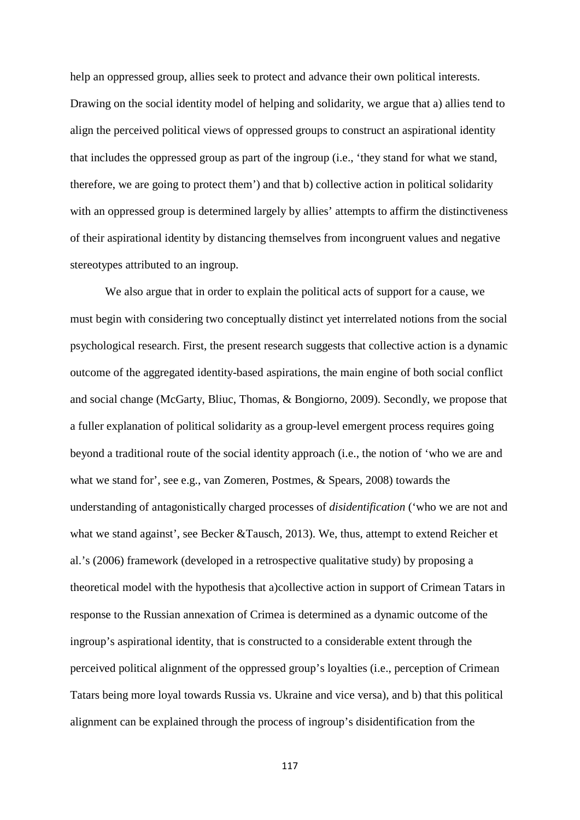help an oppressed group, allies seek to protect and advance their own political interests. Drawing on the social identity model of helping and solidarity, we argue that a) allies tend to align the perceived political views of oppressed groups to construct an aspirational identity that includes the oppressed group as part of the ingroup (i.e., 'they stand for what we stand, therefore, we are going to protect them') and that b) collective action in political solidarity with an oppressed group is determined largely by allies' attempts to affirm the distinctiveness of their aspirational identity by distancing themselves from incongruent values and negative stereotypes attributed to an ingroup.

We also argue that in order to explain the political acts of support for a cause, we must begin with considering two conceptually distinct yet interrelated notions from the social psychological research. First, the present research suggests that collective action is a dynamic outcome of the aggregated identity-based aspirations, the main engine of both social conflict and social change (McGarty, Bliuc, Thomas, & Bongiorno, 2009). Secondly, we propose that a fuller explanation of political solidarity as a group-level emergent process requires going beyond a traditional route of the social identity approach (i.e., the notion of 'who we are and what we stand for', see e.g., van Zomeren, Postmes, & Spears, 2008) towards the understanding of antagonistically charged processes of *disidentification* ('who we are not and what we stand against', see Becker &Tausch, 2013). We, thus, attempt to extend Reicher et al.'s (2006) framework (developed in a retrospective qualitative study) by proposing a theoretical model with the hypothesis that a)collective action in support of Crimean Tatars in response to the Russian annexation of Crimea is determined as a dynamic outcome of the ingroup's aspirational identity, that is constructed to a considerable extent through the perceived political alignment of the oppressed group's loyalties (i.e., perception of Crimean Tatars being more loyal towards Russia vs. Ukraine and vice versa), and b) that this political alignment can be explained through the process of ingroup's disidentification from the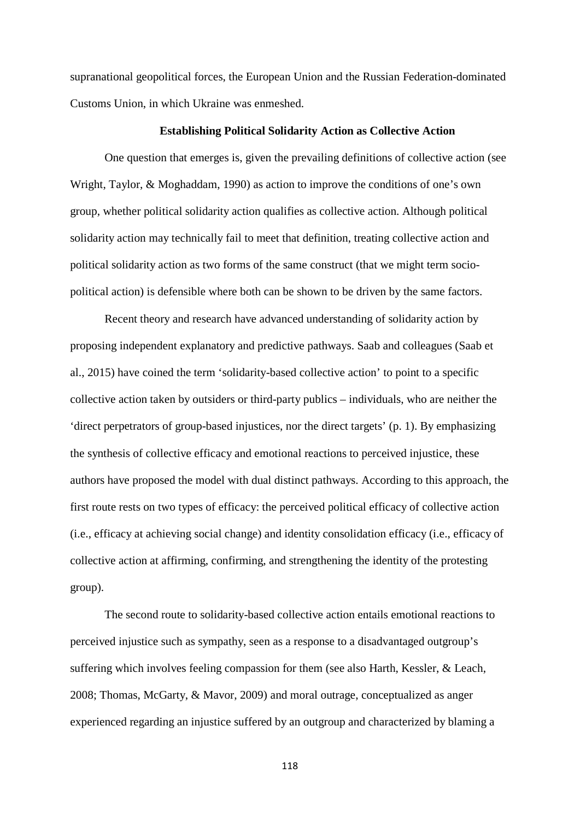supranational geopolitical forces, the European Union and the Russian Federation-dominated Customs Union, in which Ukraine was enmeshed.

#### **Establishing Political Solidarity Action as Collective Action**

One question that emerges is, given the prevailing definitions of collective action (see Wright, Taylor, & Moghaddam, 1990) as action to improve the conditions of one's own group, whether political solidarity action qualifies as collective action. Although political solidarity action may technically fail to meet that definition, treating collective action and political solidarity action as two forms of the same construct (that we might term sociopolitical action) is defensible where both can be shown to be driven by the same factors.

Recent theory and research have advanced understanding of solidarity action by proposing independent explanatory and predictive pathways. Saab and colleagues (Saab et al., 2015) have coined the term 'solidarity-based collective action' to point to a specific collective action taken by outsiders or third-party publics – individuals, who are neither the 'direct perpetrators of group-based injustices, nor the direct targets' (p. 1). By emphasizing the synthesis of collective efficacy and emotional reactions to perceived injustice, these authors have proposed the model with dual distinct pathways. According to this approach, the first route rests on two types of efficacy: the perceived political efficacy of collective action (i.e., efficacy at achieving social change) and identity consolidation efficacy (i.e., efficacy of collective action at affirming, confirming, and strengthening the identity of the protesting group).

The second route to solidarity-based collective action entails emotional reactions to perceived injustice such as sympathy, seen as a response to a disadvantaged outgroup's suffering which involves feeling compassion for them (see also Harth, Kessler, & Leach, 2008; Thomas, McGarty, & Mavor, 2009) and moral outrage, conceptualized as anger experienced regarding an injustice suffered by an outgroup and characterized by blaming a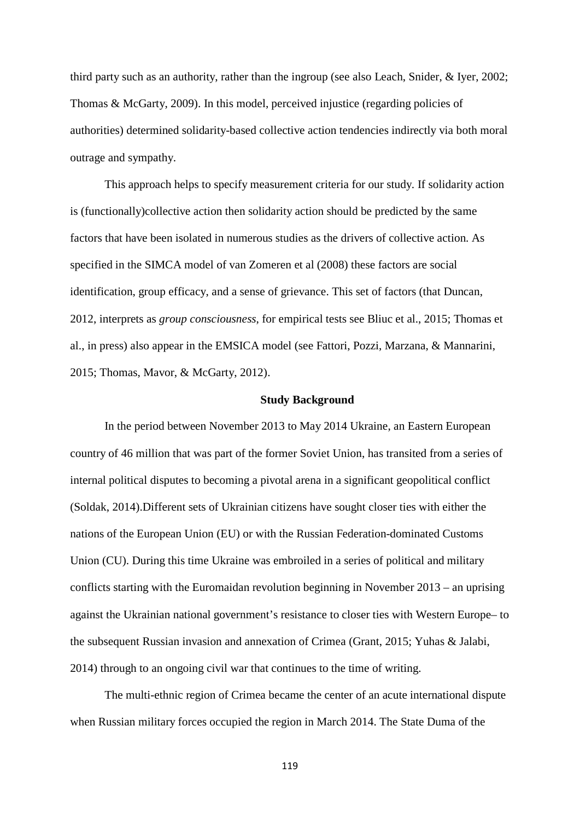third party such as an authority, rather than the ingroup (see also Leach, Snider, & Iyer, 2002; Thomas & McGarty, 2009). In this model, perceived injustice (regarding policies of authorities) determined solidarity-based collective action tendencies indirectly via both moral outrage and sympathy.

This approach helps to specify measurement criteria for our study. If solidarity action is (functionally)collective action then solidarity action should be predicted by the same factors that have been isolated in numerous studies as the drivers of collective action. As specified in the SIMCA model of van Zomeren et al (2008) these factors are social identification, group efficacy, and a sense of grievance. This set of factors (that Duncan, 2012, interprets as *group consciousness*, for empirical tests see Bliuc et al., 2015; Thomas et al., in press) also appear in the EMSICA model (see Fattori, Pozzi, Marzana, & Mannarini, 2015; Thomas, Mavor, & McGarty, 2012).

#### **Study Background**

In the period between November 2013 to May 2014 Ukraine, an Eastern European country of 46 million that was part of the former Soviet Union, has transited from a series of internal political disputes to becoming a pivotal arena in a significant geopolitical conflict (Soldak, 2014).Different sets of Ukrainian citizens have sought closer ties with either the nations of the European Union (EU) or with the Russian Federation-dominated Customs Union (CU). During this time Ukraine was embroiled in a series of political and military conflicts starting with the Euromaidan revolution beginning in November 2013 – an uprising against the Ukrainian national government's resistance to closer ties with Western Europe– to the subsequent Russian invasion and annexation of Crimea (Grant, 2015; Yuhas & Jalabi, 2014) through to an ongoing civil war that continues to the time of writing.

The multi-ethnic region of Crimea became the center of an acute international dispute when Russian military forces occupied the region in March 2014. The State Duma of the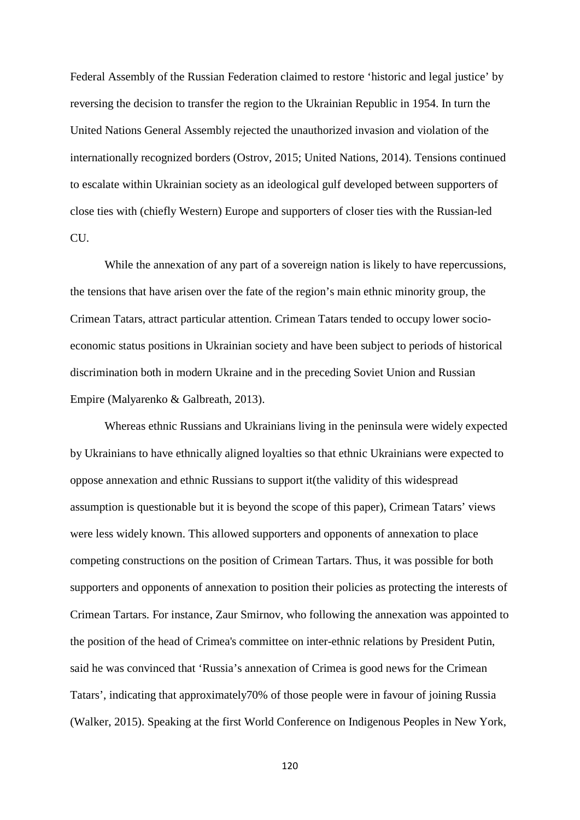Federal Assembly of the Russian Federation claimed to restore 'historic and legal justice' by reversing the decision to transfer the region to the Ukrainian Republic in 1954. In turn the United Nations General Assembly rejected the unauthorized invasion and violation of the internationally recognized borders (Ostrov, 2015; United Nations, 2014). Tensions continued to escalate within Ukrainian society as an ideological gulf developed between supporters of close ties with (chiefly Western) Europe and supporters of closer ties with the Russian-led CU.

While the annexation of any part of a sovereign nation is likely to have repercussions, the tensions that have arisen over the fate of the region's main ethnic minority group, the Crimean Tatars, attract particular attention. Crimean Tatars tended to occupy lower socioeconomic status positions in Ukrainian society and have been subject to periods of historical discrimination both in modern Ukraine and in the preceding Soviet Union and Russian Empire (Malyarenko & Galbreath, 2013).

Whereas ethnic Russians and Ukrainians living in the peninsula were widely expected by Ukrainians to have ethnically aligned loyalties so that ethnic Ukrainians were expected to oppose annexation and ethnic Russians to support it(the validity of this widespread assumption is questionable but it is beyond the scope of this paper), Crimean Tatars' views were less widely known. This allowed supporters and opponents of annexation to place competing constructions on the position of Crimean Tartars. Thus, it was possible for both supporters and opponents of annexation to position their policies as protecting the interests of Crimean Tartars. For instance, Zaur Smirnov, who following the annexation was appointed to the position of the head of Crimea's committee on inter-ethnic relations by President Putin, said he was convinced that 'Russia's annexation of Crimea is good news for the Crimean Tatars', indicating that approximately70% of those people were in favour of joining Russia (Walker, 2015). Speaking at the first World Conference on Indigenous Peoples in New York,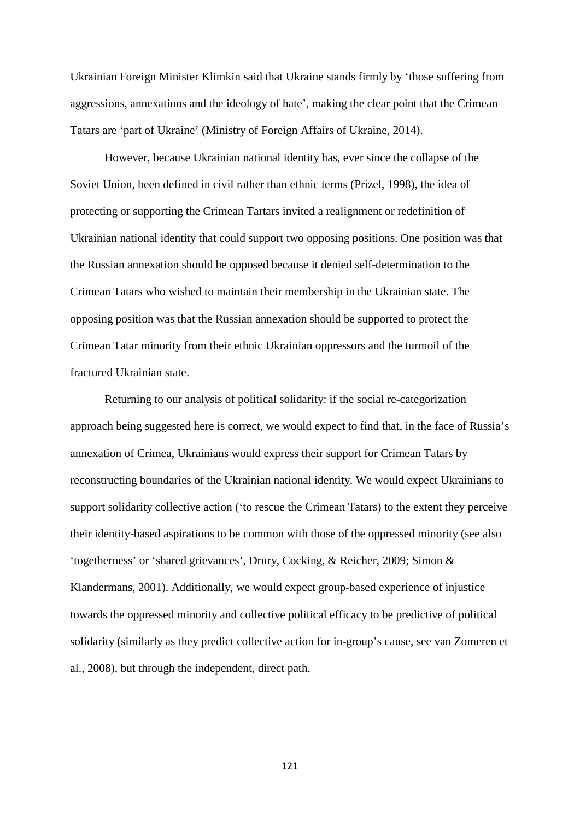Ukrainian Foreign Minister Klimkin said that Ukraine stands firmly by 'those suffering from aggressions, annexations and the ideology of hate', making the clear point that the Crimean Tatars are 'part of Ukraine' (Ministry of Foreign Affairs of Ukraine, 2014).

However, because Ukrainian national identity has, ever since the collapse of the Soviet Union, been defined in civil rather than ethnic terms (Prizel, 1998), the idea of protecting or supporting the Crimean Tartars invited a realignment or redefinition of Ukrainian national identity that could support two opposing positions. One position was that the Russian annexation should be opposed because it denied self-determination to the Crimean Tatars who wished to maintain their membership in the Ukrainian state. The opposing position was that the Russian annexation should be supported to protect the Crimean Tatar minority from their ethnic Ukrainian oppressors and the turmoil of the fractured Ukrainian state.

Returning to our analysis of political solidarity: if the social re-categorization approach being suggested here is correct, we would expect to find that, in the face of Russia's annexation of Crimea, Ukrainians would express their support for Crimean Tatars by reconstructing boundaries of the Ukrainian national identity. We would expect Ukrainians to support solidarity collective action ('to rescue the Crimean Tatars) to the extent they perceive their identity-based aspirations to be common with those of the oppressed minority (see also 'togetherness' or 'shared grievances', Drury, Cocking, & Reicher, 2009; Simon & Klandermans, 2001). Additionally, we would expect group-based experience of injustice towards the oppressed minority and collective political efficacy to be predictive of political solidarity (similarly as they predict collective action for in-group's cause, see van Zomeren et al., 2008), but through the independent, direct path.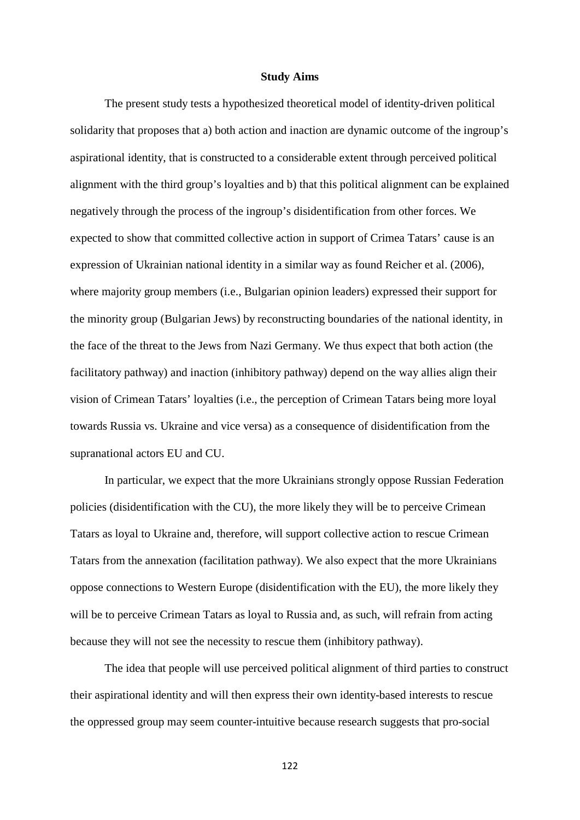#### **Study Aims**

The present study tests a hypothesized theoretical model of identity-driven political solidarity that proposes that a) both action and inaction are dynamic outcome of the ingroup's aspirational identity, that is constructed to a considerable extent through perceived political alignment with the third group's loyalties and b) that this political alignment can be explained negatively through the process of the ingroup's disidentification from other forces. We expected to show that committed collective action in support of Crimea Tatars' cause is an expression of Ukrainian national identity in a similar way as found Reicher et al. (2006), where majority group members (i.e., Bulgarian opinion leaders) expressed their support for the minority group (Bulgarian Jews) by reconstructing boundaries of the national identity, in the face of the threat to the Jews from Nazi Germany. We thus expect that both action (the facilitatory pathway) and inaction (inhibitory pathway) depend on the way allies align their vision of Crimean Tatars' loyalties (i.e., the perception of Crimean Tatars being more loyal towards Russia vs. Ukraine and vice versa) as a consequence of disidentification from the supranational actors EU and CU.

In particular, we expect that the more Ukrainians strongly oppose Russian Federation policies (disidentification with the CU), the more likely they will be to perceive Crimean Tatars as loyal to Ukraine and, therefore, will support collective action to rescue Crimean Tatars from the annexation (facilitation pathway). We also expect that the more Ukrainians oppose connections to Western Europe (disidentification with the EU), the more likely they will be to perceive Crimean Tatars as loyal to Russia and, as such, will refrain from acting because they will not see the necessity to rescue them (inhibitory pathway).

The idea that people will use perceived political alignment of third parties to construct their aspirational identity and will then express their own identity-based interests to rescue the oppressed group may seem counter-intuitive because research suggests that pro-social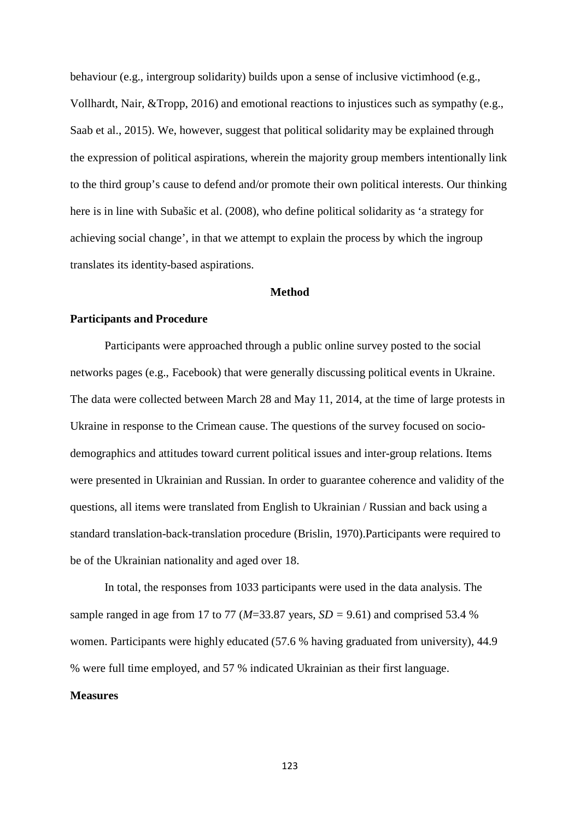behaviour (e.g., intergroup solidarity) builds upon a sense of inclusive victimhood (e.g., Vollhardt, Nair, &Tropp, 2016) and emotional reactions to injustices such as sympathy (e.g., Saab et al., 2015). We, however, suggest that political solidarity may be explained through the expression of political aspirations, wherein the majority group members intentionally link to the third group's cause to defend and/or promote their own political interests. Our thinking here is in line with Subašic et al. (2008), who define political solidarity as 'a strategy for achieving social change', in that we attempt to explain the process by which the ingroup translates its identity-based aspirations.

#### **Method**

#### **Participants and Procedure**

Participants were approached through a public online survey posted to the social networks pages (e.g., Facebook) that were generally discussing political events in Ukraine. The data were collected between March 28 and May 11, 2014, at the time of large protests in Ukraine in response to the Crimean cause. The questions of the survey focused on sociodemographics and attitudes toward current political issues and inter-group relations. Items were presented in Ukrainian and Russian. In order to guarantee coherence and validity of the questions, all items were translated from English to Ukrainian / Russian and back using a standard translation-back-translation procedure (Brislin, 1970).Participants were required to be of the Ukrainian nationality and aged over 18.

In total, the responses from 1033 participants were used in the data analysis. The sample ranged in age from 17 to 77 ( $M=33.87$  years,  $SD = 9.61$ ) and comprised 53.4 % women. Participants were highly educated (57.6 % having graduated from university), 44.9 % were full time employed, and 57 % indicated Ukrainian as their first language.

#### **Measures**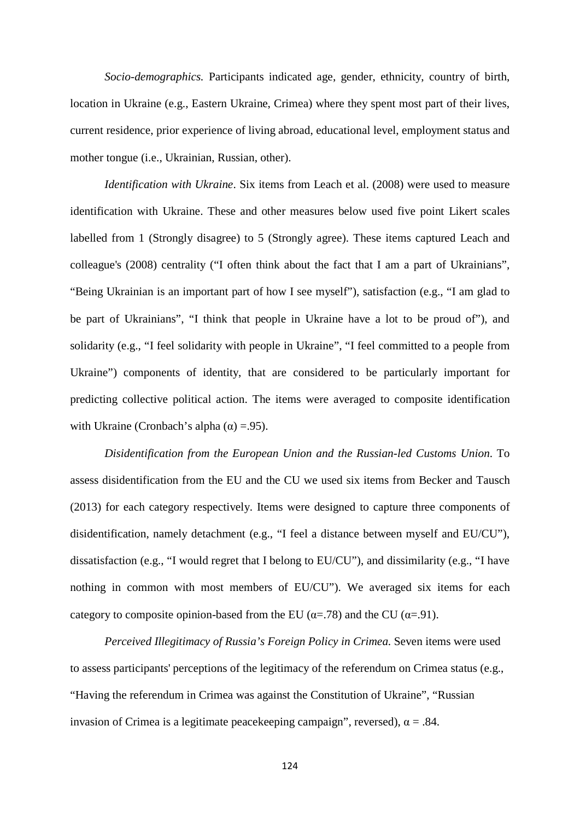*Socio-demographics.* Participants indicated age, gender, ethnicity, country of birth, location in Ukraine (e.g., Eastern Ukraine, Crimea) where they spent most part of their lives, current residence, prior experience of living abroad, educational level, employment status and mother tongue (i.e., Ukrainian, Russian, other).

*Identification with Ukraine*. Six items from Leach et al. (2008) were used to measure identification with Ukraine. These and other measures below used five point Likert scales labelled from 1 (Strongly disagree) to 5 (Strongly agree). These items captured Leach and colleague's (2008) centrality ("I often think about the fact that I am a part of Ukrainians", "Being Ukrainian is an important part of how I see myself"), satisfaction (e.g., "I am glad to be part of Ukrainians", "I think that people in Ukraine have a lot to be proud of"), and solidarity (e.g., "I feel solidarity with people in Ukraine", "I feel committed to a people from Ukraine") components of identity, that are considered to be particularly important for predicting collective political action. The items were averaged to composite identification with Ukraine (Cronbach's alpha  $(\alpha) = .95$ ).

*Disidentification from the European Union and the Russian-led Customs Union*. To assess disidentification from the EU and the CU we used six items from Becker and Tausch (2013) for each category respectively. Items were designed to capture three components of disidentification, namely detachment (e.g., "I feel a distance between myself and EU/CU"), dissatisfaction (e.g., "I would regret that I belong to EU/CU"), and dissimilarity (e.g., "I have nothing in common with most members of EU/CU"). We averaged six items for each category to composite opinion-based from the EU ( $\alpha$ =.78) and the CU ( $\alpha$ =.91).

*Perceived Illegitimacy of Russia's Foreign Policy in Crimea.* Seven items were used to assess participants' perceptions of the legitimacy of the referendum on Crimea status (e.g., "Having the referendum in Crimea was against the Constitution of Ukraine", "Russian invasion of Crimea is a legitimate peacekeeping campaign", reversed),  $\alpha = .84$ .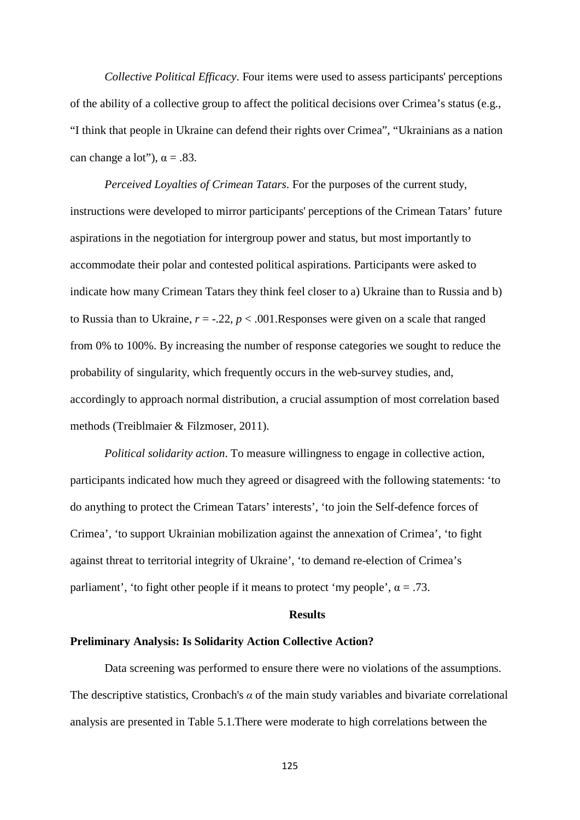*Collective Political Efficacy*. Four items were used to assess participants' perceptions of the ability of a collective group to affect the political decisions over Crimea's status (e.g., "I think that people in Ukraine can defend their rights over Crimea", "Ukrainians as a nation can change a lot"),  $\alpha = .83$ .

*Perceived Loyalties of Crimean Tatars*. For the purposes of the current study, instructions were developed to mirror participants' perceptions of the Crimean Tatars' future aspirations in the negotiation for intergroup power and status, but most importantly to accommodate their polar and contested political aspirations. Participants were asked to indicate how many Crimean Tatars they think feel closer to a) Ukraine than to Russia and b) to Russia than to Ukraine,  $r = 0.22$ ,  $p < 0.001$ . Responses were given on a scale that ranged from 0% to 100%. By increasing the number of response categories we sought to reduce the probability of singularity, which frequently occurs in the web-survey studies, and, accordingly to approach normal distribution, a crucial assumption of most correlation based methods (Treiblmaier & Filzmoser, 2011).

*Political solidarity action*. To measure willingness to engage in collective action, participants indicated how much they agreed or disagreed with the following statements: 'to do anything to protect the Crimean Tatars' interests', 'to join the Self-defence forces of Crimea', 'to support Ukrainian mobilization against the annexation of Crimea', 'to fight against threat to territorial integrity of Ukraine', 'to demand re-election of Crimea's parliament', 'to fight other people if it means to protect 'my people',  $\alpha = .73$ .

### **Results**

#### **Preliminary Analysis: Is Solidarity Action Collective Action?**

Data screening was performed to ensure there were no violations of the assumptions. The descriptive statistics, Cronbach's  $\alpha$  of the main study variables and bivariate correlational analysis are presented in Table 5.1.There were moderate to high correlations between the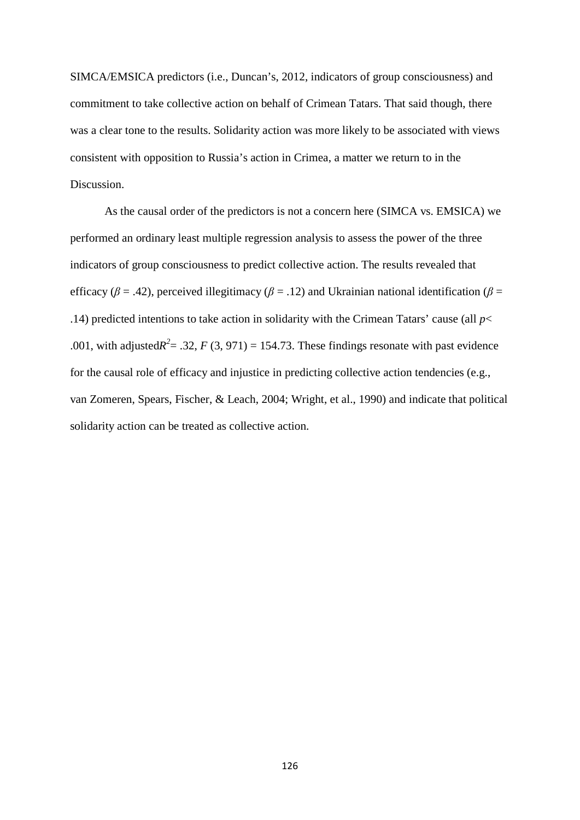SIMCA/EMSICA predictors (i.e., Duncan's, 2012, indicators of group consciousness) and commitment to take collective action on behalf of Crimean Tatars. That said though, there was a clear tone to the results. Solidarity action was more likely to be associated with views consistent with opposition to Russia's action in Crimea, a matter we return to in the Discussion.

As the causal order of the predictors is not a concern here (SIMCA vs. EMSICA) we performed an ordinary least multiple regression analysis to assess the power of the three indicators of group consciousness to predict collective action. The results revealed that efficacy ( $\beta$  = .42), perceived illegitimacy ( $\beta$  = .12) and Ukrainian national identification ( $\beta$  = .14) predicted intentions to take action in solidarity with the Crimean Tatars' cause (all *p*< .001, with adjusted $R^2 = 0.32$ ,  $F(3, 971) = 154.73$ . These findings resonate with past evidence for the causal role of efficacy and injustice in predicting collective action tendencies (e.g., van Zomeren, Spears, Fischer, & Leach, 2004; Wright, et al., 1990) and indicate that political solidarity action can be treated as collective action.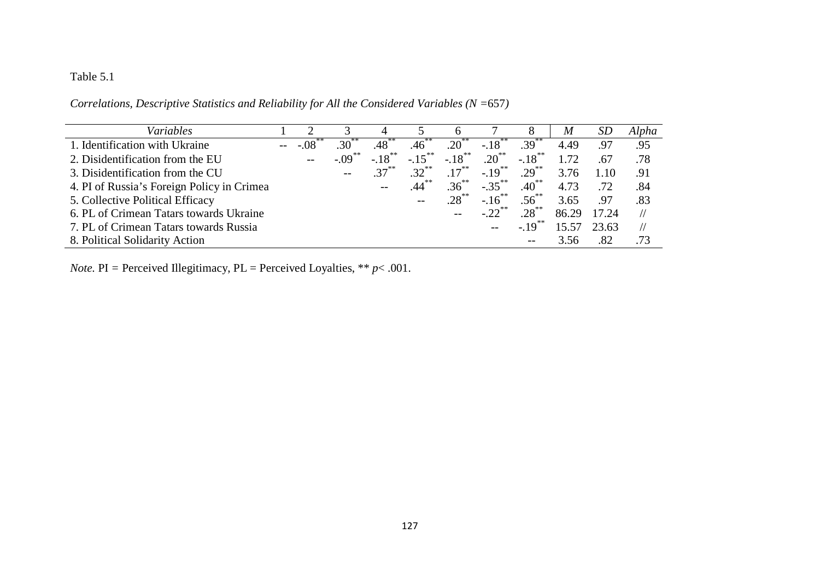### Table 5.1

| Variables                                  |        |                 |           |                   |                      |                     | 8                   | M     | SD    | Alpha         |
|--------------------------------------------|--------|-----------------|-----------|-------------------|----------------------|---------------------|---------------------|-------|-------|---------------|
| 1. Identification with Ukraine             | $-.08$ | 30 <sup>°</sup> | .48       | .46               | $.20^{**}$           | $-.18$ <sup>2</sup> | $.39^{**}$          | 4.49  | .97   | .95           |
| 2. Disidentification from the EU           | $-$    | $-0.09$         | $-.18***$ | $-.15***$         | $-.18$ <sup>**</sup> | $.20^{**}$          | $-.18***$           | 1.72  | .67   | .78           |
| 3. Disidentification from the CU           |        | $- -$           | $37***$   | $32^{**}$         | $.17***$             | $-.19***$           | $.29$ <sup>**</sup> | 3.76  | 1.10  | .91           |
| 4. PI of Russia's Foreign Policy in Crimea |        |                 |           | $.44***$          | $.36***$             | $-.35***$           | $.40^{**}$          | 4.73  | .72   | .84           |
| 5. Collective Political Efficacy           |        |                 |           | $\qquad \qquad -$ | $.28***$             | $-16^{**}$          | $.56^{**}$          | 3.65  | .97   | .83           |
| 6. PL of Crimean Tatars towards Ukraine    |        |                 |           |                   |                      |                     | $.28***$            | 86.29 | 17.24 | $\frac{1}{2}$ |
| 7. PL of Crimean Tatars towards Russia     |        |                 |           |                   |                      |                     | $-.19$              | 15.57 | 23.63 | $\frac{1}{2}$ |
| 8. Political Solidarity Action             |        |                 |           |                   |                      |                     | $- -$               |       | .82   | .73           |

*Correlations, Descriptive Statistics and Reliability for All the Considered Variables (N =*657*)*

*Note.* PI = Perceived Illegitimacy, PL = Perceived Loyalties, \*\*  $p$  < .001.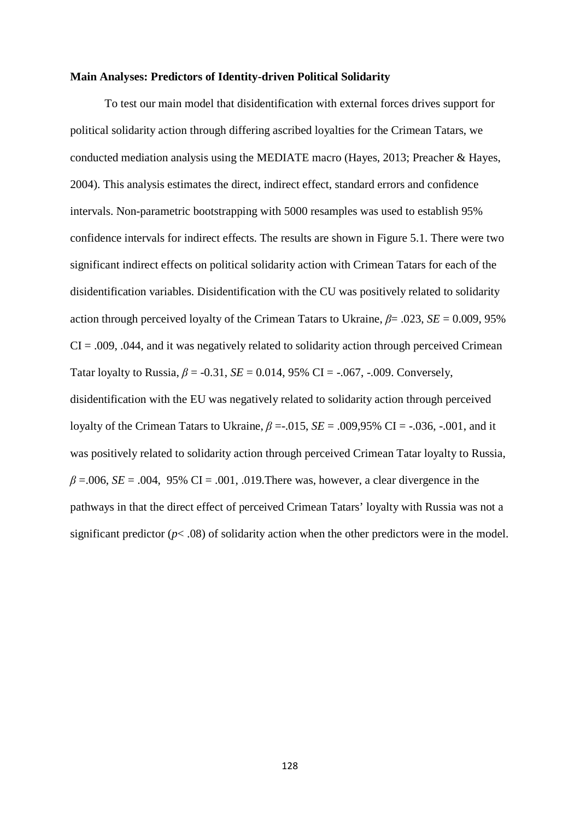#### **Main Analyses: Predictors of Identity-driven Political Solidarity**

To test our main model that disidentification with external forces drives support for political solidarity action through differing ascribed loyalties for the Crimean Tatars, we conducted mediation analysis using the MEDIATE macro (Hayes, 2013; Preacher & Hayes, 2004). This analysis estimates the direct, indirect effect, standard errors and confidence intervals. Non-parametric bootstrapping with 5000 resamples was used to establish 95% confidence intervals for indirect effects. The results are shown in Figure 5.1. There were two significant indirect effects on political solidarity action with Crimean Tatars for each of the disidentification variables. Disidentification with the CU was positively related to solidarity action through perceived loyalty of the Crimean Tatars to Ukraine,  $\beta$ = .023, *SE* = 0.009, 95%  $CI = .009, .044,$  and it was negatively related to solidarity action through perceived Crimean Tatar loyalty to Russia,  $\beta = -0.31$ ,  $SE = 0.014$ ,  $95\%$  CI =  $-.067$ ,  $-.009$ . Conversely, disidentification with the EU was negatively related to solidarity action through perceived loyalty of the Crimean Tatars to Ukraine, *β* =-.015, *SE* = .009,95% CI = -.036, -.001, and it was positively related to solidarity action through perceived Crimean Tatar loyalty to Russia,  $\beta$  =.006, *SE* = .004, 95% CI = .001, .019. There was, however, a clear divergence in the pathways in that the direct effect of perceived Crimean Tatars' loyalty with Russia was not a significant predictor  $(p<.08)$  of solidarity action when the other predictors were in the model.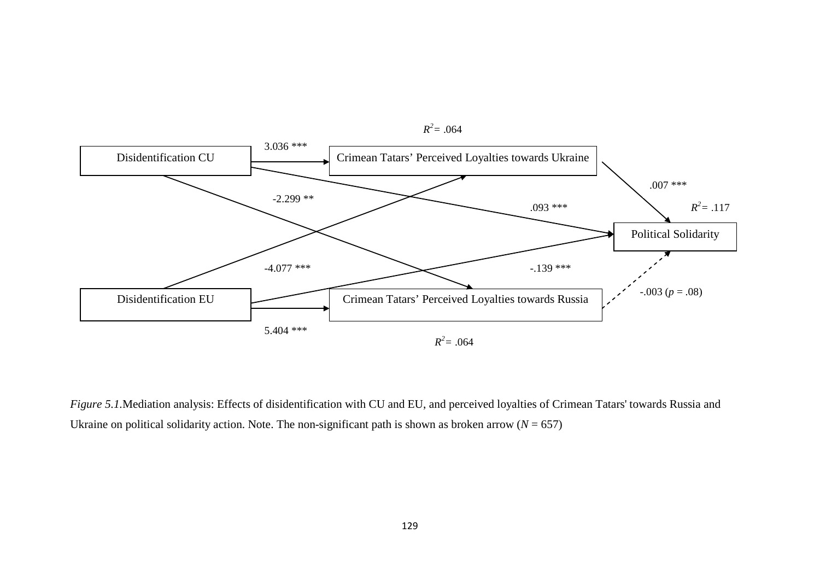

*Figure 5.1.*Mediation analysis: Effects of disidentification with CU and EU, and perceived loyalties of Crimean Tatars' towards Russia and Ukraine on political solidarity action. Note. The non-significant path is shown as broken arrow  $(N = 657)$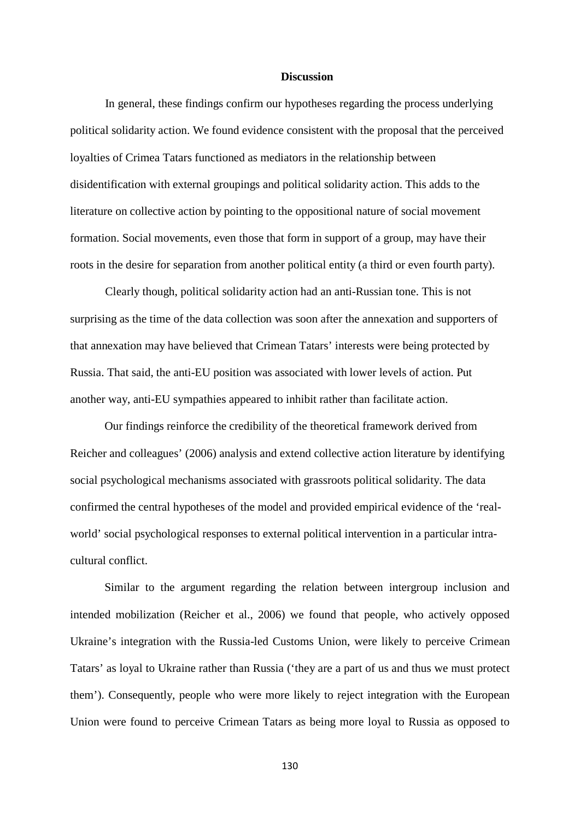#### **Discussion**

In general, these findings confirm our hypotheses regarding the process underlying political solidarity action. We found evidence consistent with the proposal that the perceived loyalties of Crimea Tatars functioned as mediators in the relationship between disidentification with external groupings and political solidarity action. This adds to the literature on collective action by pointing to the oppositional nature of social movement formation. Social movements, even those that form in support of a group, may have their roots in the desire for separation from another political entity (a third or even fourth party).

Clearly though, political solidarity action had an anti-Russian tone. This is not surprising as the time of the data collection was soon after the annexation and supporters of that annexation may have believed that Crimean Tatars' interests were being protected by Russia. That said, the anti-EU position was associated with lower levels of action. Put another way, anti-EU sympathies appeared to inhibit rather than facilitate action.

Our findings reinforce the credibility of the theoretical framework derived from Reicher and colleagues' (2006) analysis and extend collective action literature by identifying social psychological mechanisms associated with grassroots political solidarity. The data confirmed the central hypotheses of the model and provided empirical evidence of the 'realworld' social psychological responses to external political intervention in a particular intracultural conflict.

Similar to the argument regarding the relation between intergroup inclusion and intended mobilization (Reicher et al., 2006) we found that people, who actively opposed Ukraine's integration with the Russia-led Customs Union, were likely to perceive Crimean Tatars' as loyal to Ukraine rather than Russia ('they are a part of us and thus we must protect them'). Consequently, people who were more likely to reject integration with the European Union were found to perceive Crimean Tatars as being more loyal to Russia as opposed to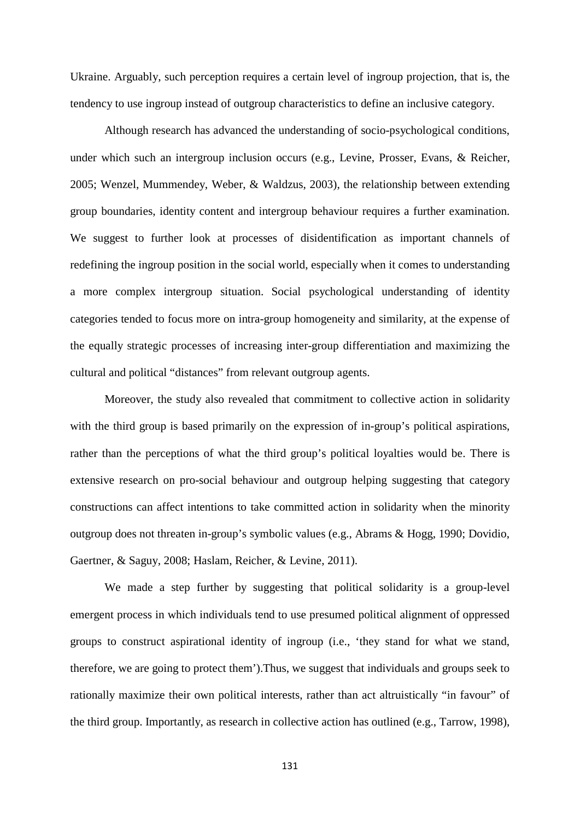Ukraine. Arguably, such perception requires a certain level of ingroup projection, that is, the tendency to use ingroup instead of outgroup characteristics to define an inclusive category.

Although research has advanced the understanding of socio-psychological conditions, under which such an intergroup inclusion occurs (e.g., Levine, Prosser, Evans, & Reicher, 2005; Wenzel, Mummendey, Weber, & Waldzus, 2003), the relationship between extending group boundaries, identity content and intergroup behaviour requires a further examination. We suggest to further look at processes of disidentification as important channels of redefining the ingroup position in the social world, especially when it comes to understanding a more complex intergroup situation. Social psychological understanding of identity categories tended to focus more on intra-group homogeneity and similarity, at the expense of the equally strategic processes of increasing inter-group differentiation and maximizing the cultural and political "distances" from relevant outgroup agents.

Moreover, the study also revealed that commitment to collective action in solidarity with the third group is based primarily on the expression of in-group's political aspirations, rather than the perceptions of what the third group's political loyalties would be. There is extensive research on pro-social behaviour and outgroup helping suggesting that category constructions can affect intentions to take committed action in solidarity when the minority outgroup does not threaten in-group's symbolic values (e.g., Abrams & Hogg, 1990; Dovidio, Gaertner, & Saguy, 2008; Haslam, Reicher, & Levine, 2011).

We made a step further by suggesting that political solidarity is a group-level emergent process in which individuals tend to use presumed political alignment of oppressed groups to construct aspirational identity of ingroup (i.e., 'they stand for what we stand, therefore, we are going to protect them').Thus, we suggest that individuals and groups seek to rationally maximize their own political interests, rather than act altruistically "in favour" of the third group. Importantly, as research in collective action has outlined (e.g., Tarrow, 1998),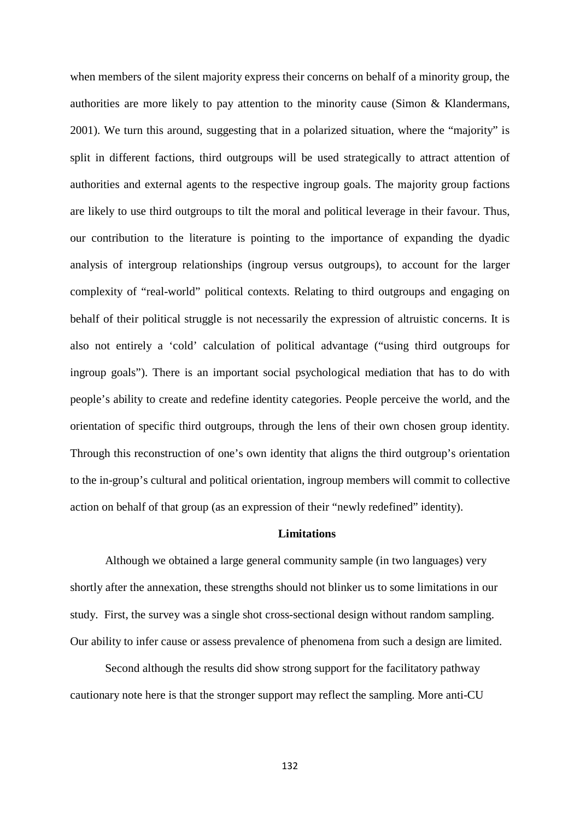when members of the silent majority express their concerns on behalf of a minority group, the authorities are more likely to pay attention to the minority cause (Simon & Klandermans, 2001). We turn this around, suggesting that in a polarized situation, where the "majority" is split in different factions, third outgroups will be used strategically to attract attention of authorities and external agents to the respective ingroup goals. The majority group factions are likely to use third outgroups to tilt the moral and political leverage in their favour. Thus, our contribution to the literature is pointing to the importance of expanding the dyadic analysis of intergroup relationships (ingroup versus outgroups), to account for the larger complexity of "real-world" political contexts. Relating to third outgroups and engaging on behalf of their political struggle is not necessarily the expression of altruistic concerns. It is also not entirely a 'cold' calculation of political advantage ("using third outgroups for ingroup goals"). There is an important social psychological mediation that has to do with people's ability to create and redefine identity categories. People perceive the world, and the orientation of specific third outgroups, through the lens of their own chosen group identity. Through this reconstruction of one's own identity that aligns the third outgroup's orientation to the in-group's cultural and political orientation, ingroup members will commit to collective action on behalf of that group (as an expression of their "newly redefined" identity).

### **Limitations**

Although we obtained a large general community sample (in two languages) very shortly after the annexation, these strengths should not blinker us to some limitations in our study. First, the survey was a single shot cross-sectional design without random sampling. Our ability to infer cause or assess prevalence of phenomena from such a design are limited.

Second although the results did show strong support for the facilitatory pathway cautionary note here is that the stronger support may reflect the sampling. More anti-CU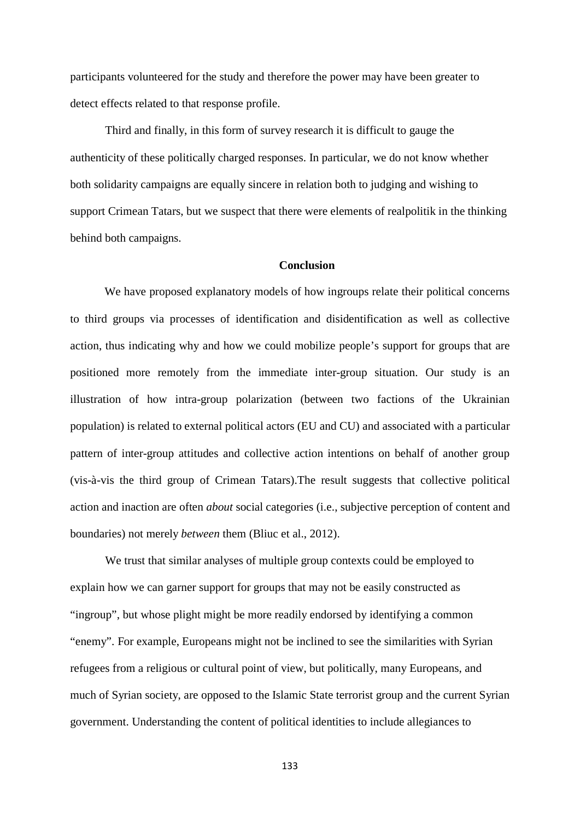participants volunteered for the study and therefore the power may have been greater to detect effects related to that response profile.

Third and finally, in this form of survey research it is difficult to gauge the authenticity of these politically charged responses. In particular, we do not know whether both solidarity campaigns are equally sincere in relation both to judging and wishing to support Crimean Tatars, but we suspect that there were elements of realpolitik in the thinking behind both campaigns.

#### **Conclusion**

We have proposed explanatory models of how ingroups relate their political concerns to third groups via processes of identification and disidentification as well as collective action, thus indicating why and how we could mobilize people's support for groups that are positioned more remotely from the immediate inter-group situation. Our study is an illustration of how intra-group polarization (between two factions of the Ukrainian population) is related to external political actors (EU and CU) and associated with a particular pattern of inter-group attitudes and collective action intentions on behalf of another group (vis-à-vis the third group of Crimean Tatars).The result suggests that collective political action and inaction are often *about* social categories (i.e., subjective perception of content and boundaries) not merely *between* them (Bliuc et al., 2012).

We trust that similar analyses of multiple group contexts could be employed to explain how we can garner support for groups that may not be easily constructed as "ingroup", but whose plight might be more readily endorsed by identifying a common "enemy". For example, Europeans might not be inclined to see the similarities with Syrian refugees from a religious or cultural point of view, but politically, many Europeans, and much of Syrian society, are opposed to the Islamic State terrorist group and the current Syrian government. Understanding the content of political identities to include allegiances to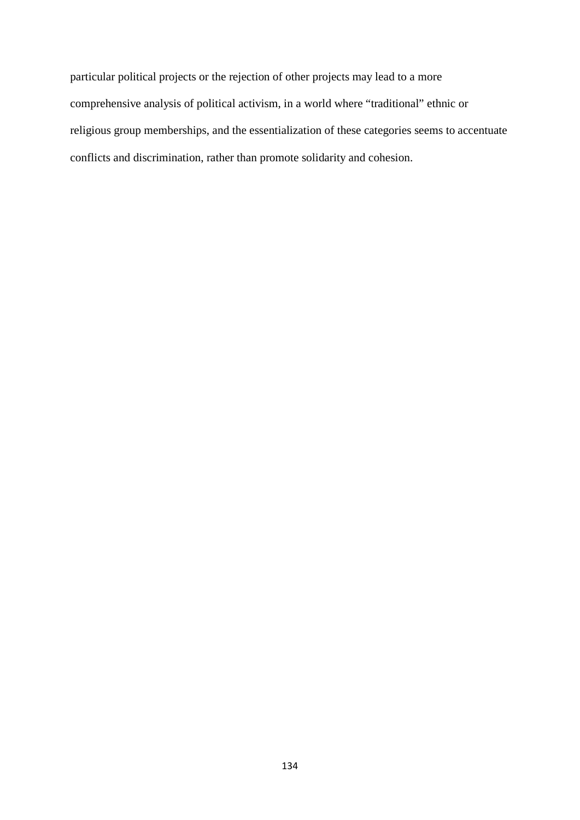particular political projects or the rejection of other projects may lead to a more comprehensive analysis of political activism, in a world where "traditional" ethnic or religious group memberships, and the essentialization of these categories seems to accentuate conflicts and discrimination, rather than promote solidarity and cohesion.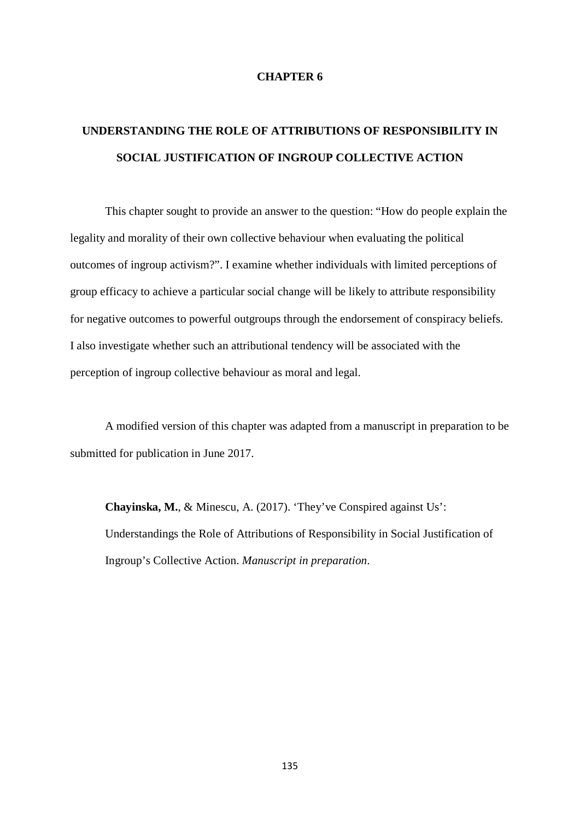#### **CHAPTER 6**

# **UNDERSTANDING THE ROLE OF ATTRIBUTIONS OF RESPONSIBILITY IN SOCIAL JUSTIFICATION OF INGROUP COLLECTIVE ACTION**

This chapter sought to provide an answer to the question: "How do people explain the legality and morality of their own collective behaviour when evaluating the political outcomes of ingroup activism?". I examine whether individuals with limited perceptions of group efficacy to achieve a particular social change will be likely to attribute responsibility for negative outcomes to powerful outgroups through the endorsement of conspiracy beliefs. I also investigate whether such an attributional tendency will be associated with the perception of ingroup collective behaviour as moral and legal.

A modified version of this chapter was adapted from a manuscript in preparation to be submitted for publication in June 2017.

**Chayinska, M.**, & Minescu, A. (2017). 'They've Conspired against Us': Understandings the Role of Attributions of Responsibility in Social Justification of Ingroup's Collective Action. *Manuscript in preparation*.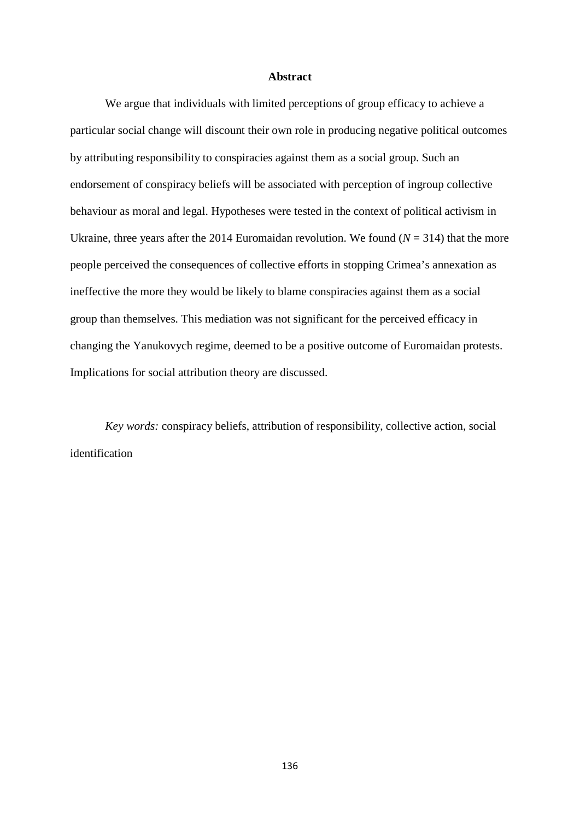#### **Abstract**

We argue that individuals with limited perceptions of group efficacy to achieve a particular social change will discount their own role in producing negative political outcomes by attributing responsibility to conspiracies against them as a social group. Such an endorsement of conspiracy beliefs will be associated with perception of ingroup collective behaviour as moral and legal. Hypotheses were tested in the context of political activism in Ukraine, three years after the 2014 Euromaidan revolution. We found  $(N = 314)$  that the more people perceived the consequences of collective efforts in stopping Crimea's annexation as ineffective the more they would be likely to blame conspiracies against them as a social group than themselves. This mediation was not significant for the perceived efficacy in changing the Yanukovych regime, deemed to be a positive outcome of Euromaidan protests. Implications for social attribution theory are discussed.

*Key words:* conspiracy beliefs, attribution of responsibility, collective action, social identification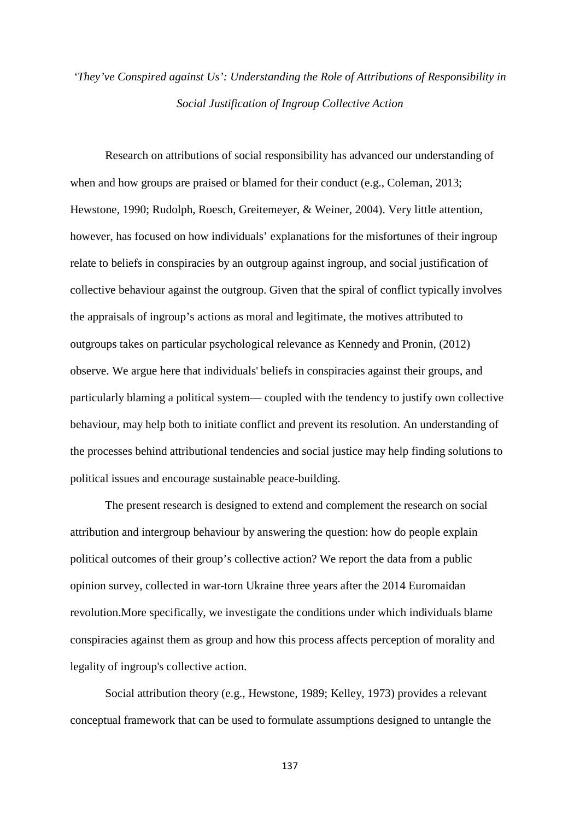# *'They've Conspired against Us': Understanding the Role of Attributions of Responsibility in Social Justification of Ingroup Collective Action*

Research on attributions of social responsibility has advanced our understanding of when and how groups are praised or blamed for their conduct (e.g., Coleman, 2013; Hewstone, 1990; Rudolph, Roesch, Greitemeyer, & Weiner, 2004). Very little attention, however, has focused on how individuals' explanations for the misfortunes of their ingroup relate to beliefs in conspiracies by an outgroup against ingroup, and social justification of collective behaviour against the outgroup. Given that the spiral of conflict typically involves the appraisals of ingroup's actions as moral and legitimate, the motives attributed to outgroups takes on particular psychological relevance as Kennedy and Pronin, (2012) observe. We argue here that individuals' beliefs in conspiracies against their groups, and particularly blaming a political system— coupled with the tendency to justify own collective behaviour, may help both to initiate conflict and prevent its resolution. An understanding of the processes behind attributional tendencies and social justice may help finding solutions to political issues and encourage sustainable peace-building.

The present research is designed to extend and complement the research on social attribution and intergroup behaviour by answering the question: how do people explain political outcomes of their group's collective action? We report the data from a public opinion survey, collected in war-torn Ukraine three years after the 2014 Euromaidan revolution.More specifically, we investigate the conditions under which individuals blame conspiracies against them as group and how this process affects perception of morality and legality of ingroup's collective action.

Social attribution theory (e.g., Hewstone, 1989; Kelley, 1973) provides a relevant conceptual framework that can be used to formulate assumptions designed to untangle the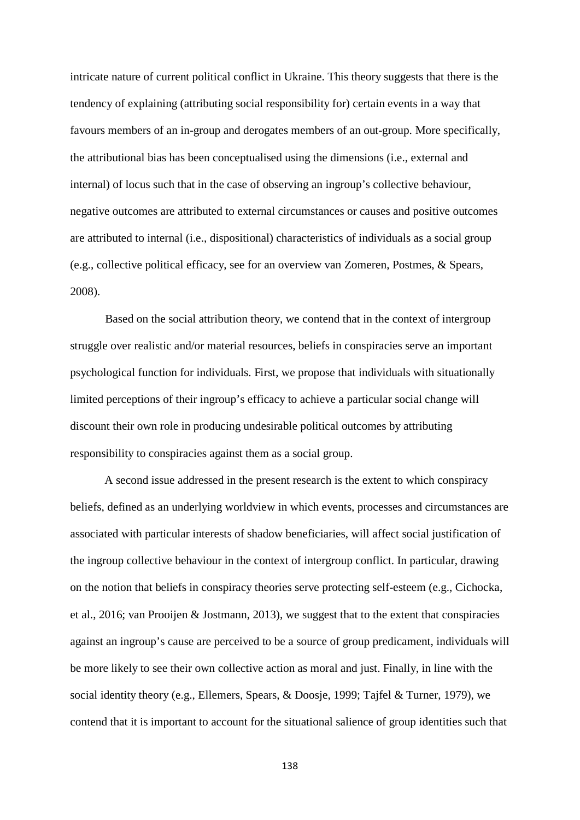intricate nature of current political conflict in Ukraine. This theory suggests that there is the tendency of explaining (attributing social responsibility for) certain events in a way that favours members of an in-group and derogates members of an out-group. More specifically, the attributional bias has been conceptualised using the dimensions (i.e., external and internal) of locus such that in the case of observing an ingroup's collective behaviour, negative outcomes are attributed to external circumstances or causes and positive outcomes are attributed to internal (i.e., dispositional) characteristics of individuals as a social group (e.g., collective political efficacy, see for an overview van Zomeren, Postmes, & Spears, 2008).

Based on the social attribution theory, we contend that in the context of intergroup struggle over realistic and/or material resources, beliefs in conspiracies serve an important psychological function for individuals. First, we propose that individuals with situationally limited perceptions of their ingroup's efficacy to achieve a particular social change will discount their own role in producing undesirable political outcomes by attributing responsibility to conspiracies against them as a social group.

A second issue addressed in the present research is the extent to which conspiracy beliefs, defined as an underlying worldview in which events, processes and circumstances are associated with particular interests of shadow beneficiaries, will affect social justification of the ingroup collective behaviour in the context of intergroup conflict. In particular, drawing on the notion that beliefs in conspiracy theories serve protecting self-esteem (e.g., Cichocka, et al., 2016; van Prooijen & Jostmann, 2013), we suggest that to the extent that conspiracies against an ingroup's cause are perceived to be a source of group predicament, individuals will be more likely to see their own collective action as moral and just. Finally, in line with the social identity theory (e.g., Ellemers, Spears, & Doosje, 1999; Tajfel & Turner, 1979), we contend that it is important to account for the situational salience of group identities such that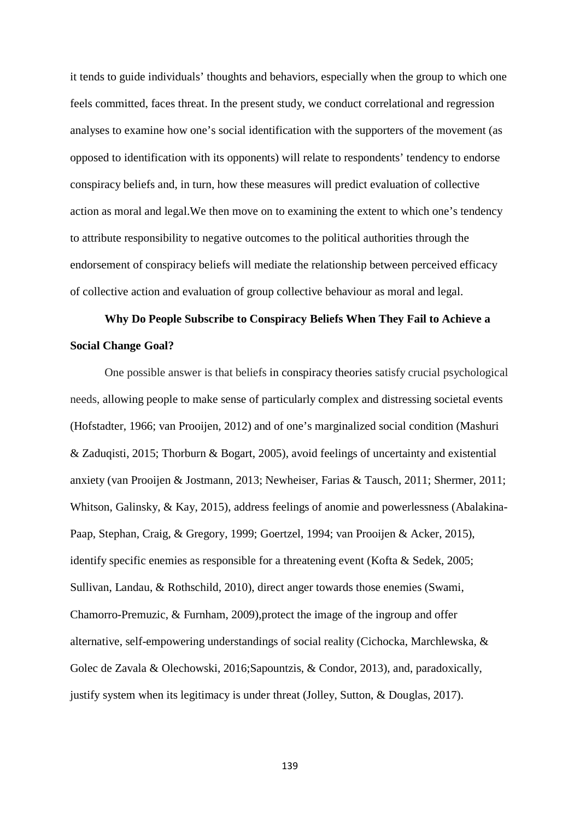it tends to guide individuals' thoughts and behaviors, especially when the group to which one feels committed, faces threat. In the present study, we conduct correlational and regression analyses to examine how one's social identification with the supporters of the movement (as opposed to identification with its opponents) will relate to respondents' tendency to endorse conspiracy beliefs and, in turn, how these measures will predict evaluation of collective action as moral and legal.We then move on to examining the extent to which one's tendency to attribute responsibility to negative outcomes to the political authorities through the endorsement of conspiracy beliefs will mediate the relationship between perceived efficacy of collective action and evaluation of group collective behaviour as moral and legal.

## **Why Do People Subscribe to Conspiracy Beliefs When They Fail to Achieve a Social Change Goal?**

One possible answer is that beliefs in conspiracy theories satisfy crucial psychological needs, allowing people to make sense of particularly complex and distressing societal events (Hofstadter, 1966; van Prooijen, 2012) and of one's marginalized social condition (Mashuri & Zaduqisti, 2015; Thorburn & Bogart, 2005), avoid feelings of uncertainty and existential anxiety (van Prooijen & Jostmann, 2013; Newheiser, Farias & Tausch, 2011; Shermer, 2011; Whitson, Galinsky, & Kay, 2015), address feelings of anomie and powerlessness (Abalakina-Paap, Stephan, Craig, & Gregory, 1999; Goertzel, 1994; van Prooijen & Acker, 2015), identify specific enemies as responsible for a threatening event (Kofta & Sedek, 2005; Sullivan, Landau, & Rothschild, 2010), direct anger towards those enemies (Swami, Chamorro-Premuzic, & Furnham, 2009),protect the image of the ingroup and offer alternative, self-empowering understandings of social reality (Cichocka, Marchlewska, & Golec de Zavala & Olechowski, 2016;Sapountzis, & Condor, 2013), and, paradoxically, justify system when its legitimacy is under threat (Jolley, Sutton, & Douglas, 2017).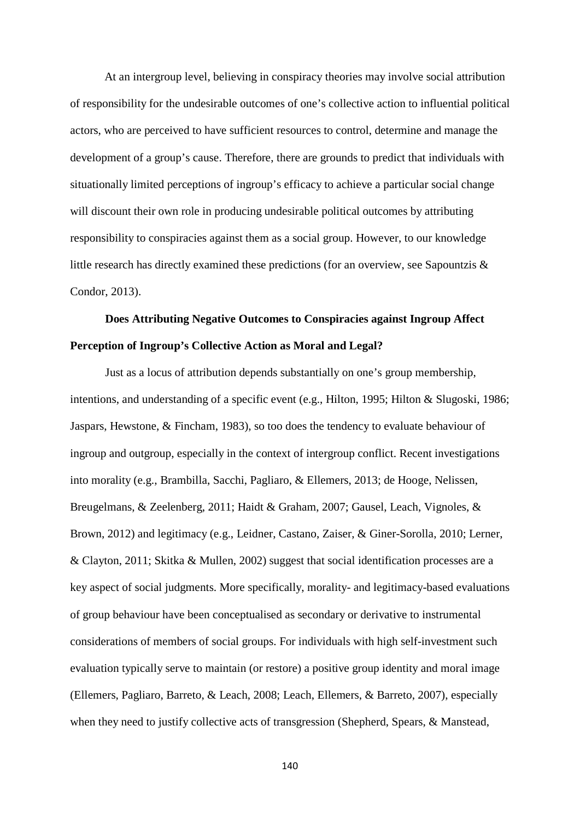At an intergroup level, believing in conspiracy theories may involve social attribution of responsibility for the undesirable outcomes of one's collective action to influential political actors, who are perceived to have sufficient resources to control, determine and manage the development of a group's cause. Therefore, there are grounds to predict that individuals with situationally limited perceptions of ingroup's efficacy to achieve a particular social change will discount their own role in producing undesirable political outcomes by attributing responsibility to conspiracies against them as a social group. However, to our knowledge little research has directly examined these predictions (for an overview, see Sapountzis & Condor, 2013).

## **Does Attributing Negative Outcomes to Conspiracies against Ingroup Affect Perception of Ingroup's Collective Action as Moral and Legal?**

Just as a locus of attribution depends substantially on one's group membership, intentions, and understanding of a specific event (e.g., Hilton, 1995; Hilton & Slugoski, 1986; Jaspars, Hewstone, & Fincham, 1983), so too does the tendency to evaluate behaviour of ingroup and outgroup, especially in the context of intergroup conflict. Recent investigations into morality (e.g., Brambilla, Sacchi, Pagliaro, & Ellemers, 2013; de Hooge, Nelissen, Breugelmans, & Zeelenberg, 2011; Haidt & Graham, 2007; Gausel, Leach, Vignoles, & Brown, 2012) and legitimacy (e.g., Leidner, Castano, Zaiser, & Giner-Sorolla, 2010; Lerner, & Clayton, 2011; Skitka & Mullen, 2002) suggest that social identification processes are a key aspect of social judgments. More specifically, morality- and legitimacy-based evaluations of group behaviour have been conceptualised as secondary or derivative to instrumental considerations of members of social groups. For individuals with high self-investment such evaluation typically serve to maintain (or restore) a positive group identity and moral image (Ellemers, Pagliaro, Barreto, & Leach, 2008; Leach, Ellemers, & Barreto, 2007), especially when they need to justify collective acts of transgression (Shepherd, Spears, & Manstead,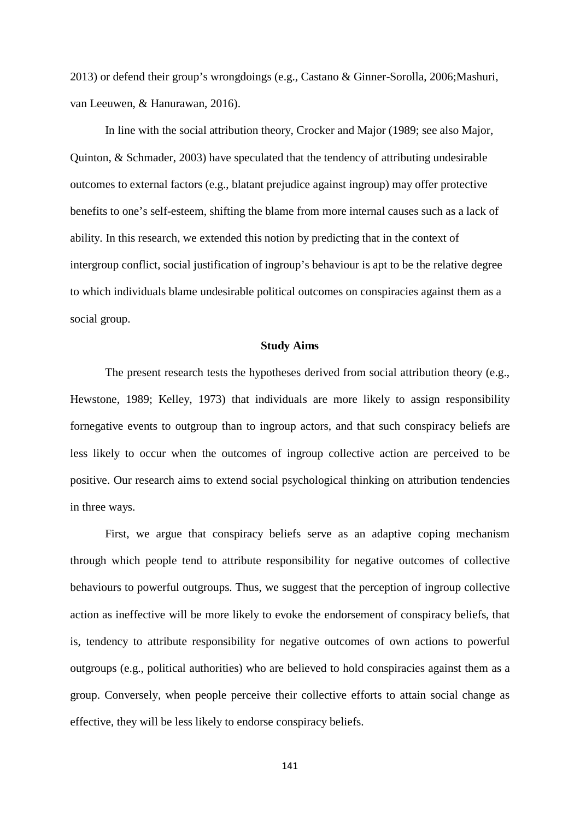2013) or defend their group's wrongdoings (e.g., Castano & Ginner-Sorolla, 2006;Mashuri, van Leeuwen, & Hanurawan, 2016).

In line with the social attribution theory, Crocker and Major (1989; see also Major, Quinton, & Schmader, 2003) have speculated that the tendency of attributing undesirable outcomes to external factors (e.g., blatant prejudice against ingroup) may offer protective benefits to one's self-esteem, shifting the blame from more internal causes such as a lack of ability. In this research, we extended this notion by predicting that in the context of intergroup conflict, social justification of ingroup's behaviour is apt to be the relative degree to which individuals blame undesirable political outcomes on conspiracies against them as a social group.

### **Study Aims**

The present research tests the hypotheses derived from social attribution theory (e.g., Hewstone, 1989; Kelley, 1973) that individuals are more likely to assign responsibility fornegative events to outgroup than to ingroup actors, and that such conspiracy beliefs are less likely to occur when the outcomes of ingroup collective action are perceived to be positive. Our research aims to extend social psychological thinking on attribution tendencies in three ways.

First, we argue that conspiracy beliefs serve as an adaptive coping mechanism through which people tend to attribute responsibility for negative outcomes of collective behaviours to powerful outgroups. Thus, we suggest that the perception of ingroup collective action as ineffective will be more likely to evoke the endorsement of conspiracy beliefs, that is, tendency to attribute responsibility for negative outcomes of own actions to powerful outgroups (e.g., political authorities) who are believed to hold conspiracies against them as a group. Conversely, when people perceive their collective efforts to attain social change as effective, they will be less likely to endorse conspiracy beliefs.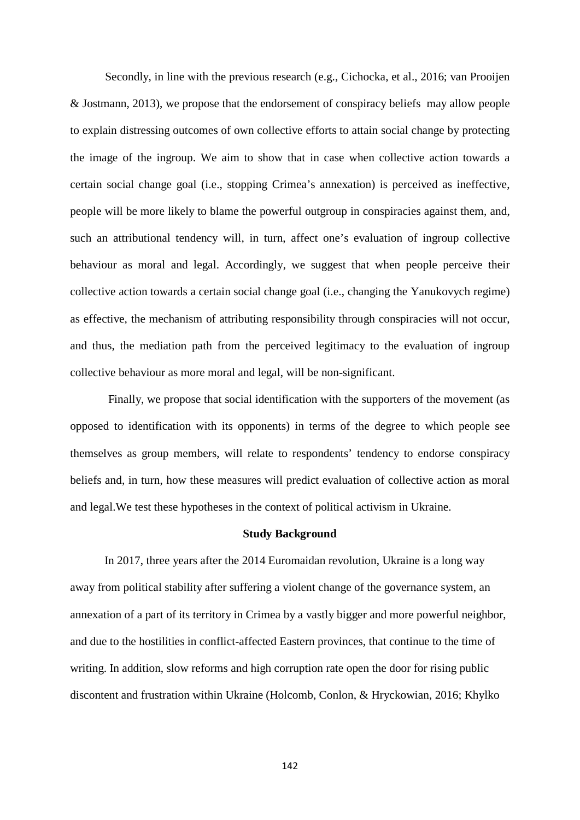Secondly, in line with the previous research (e.g., Cichocka, et al., 2016; van Prooijen & Jostmann, 2013), we propose that the endorsement of conspiracy beliefs may allow people to explain distressing outcomes of own collective efforts to attain social change by protecting the image of the ingroup. We aim to show that in case when collective action towards a certain social change goal (i.e., stopping Crimea's annexation) is perceived as ineffective, people will be more likely to blame the powerful outgroup in conspiracies against them, and, such an attributional tendency will, in turn, affect one's evaluation of ingroup collective behaviour as moral and legal. Accordingly, we suggest that when people perceive their collective action towards a certain social change goal (i.e., changing the Yanukovych regime) as effective, the mechanism of attributing responsibility through conspiracies will not occur, and thus, the mediation path from the perceived legitimacy to the evaluation of ingroup collective behaviour as more moral and legal, will be non-significant.

Finally, we propose that social identification with the supporters of the movement (as opposed to identification with its opponents) in terms of the degree to which people see themselves as group members, will relate to respondents' tendency to endorse conspiracy beliefs and, in turn, how these measures will predict evaluation of collective action as moral and legal.We test these hypotheses in the context of political activism in Ukraine.

#### **Study Background**

In 2017, three years after the 2014 Euromaidan revolution, Ukraine is a long way away from political stability after suffering a violent change of the governance system, an annexation of a part of its territory in Crimea by a vastly bigger and more powerful neighbor, and due to the hostilities in conflict-affected Eastern provinces, that continue to the time of writing. In addition, slow reforms and high corruption rate open the door for rising public discontent and frustration within Ukraine (Holcomb, Conlon, & Hryckowian, 2016; Khylko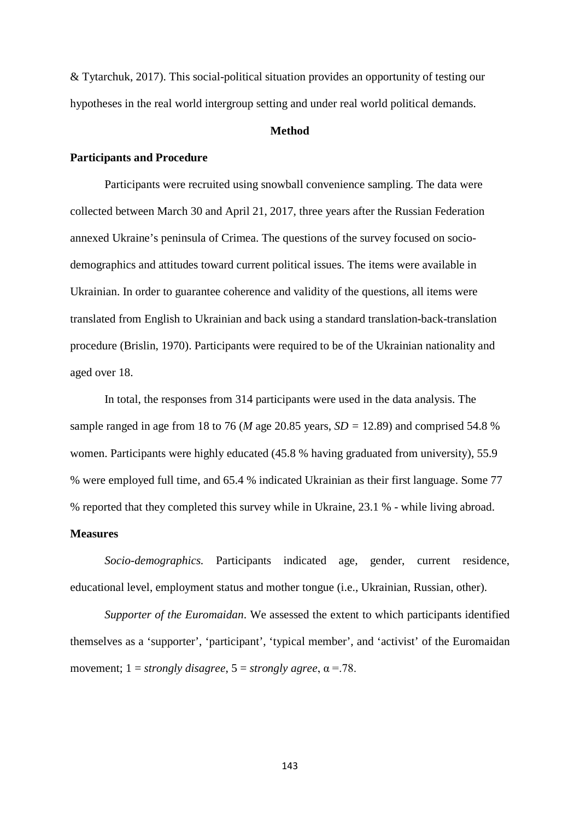& Tytarchuk, 2017). This social-political situation provides an opportunity of testing our hypotheses in the real world intergroup setting and under real world political demands.

#### **Method**

#### **Participants and Procedure**

Participants were recruited using snowball convenience sampling. The data were collected between March 30 and April 21, 2017, three years after the Russian Federation annexed Ukraine's peninsula of Crimea. The questions of the survey focused on sociodemographics and attitudes toward current political issues. The items were available in Ukrainian. In order to guarantee coherence and validity of the questions, all items were translated from English to Ukrainian and back using a standard translation-back-translation procedure (Brislin, 1970). Participants were required to be of the Ukrainian nationality and aged over 18.

In total, the responses from 314 participants were used in the data analysis. The sample ranged in age from 18 to 76 (*M* age 20.85 years, *SD =* 12.89) and comprised 54.8 % women. Participants were highly educated (45.8 % having graduated from university), 55.9 % were employed full time, and 65.4 % indicated Ukrainian as their first language. Some 77 % reported that they completed this survey while in Ukraine, 23.1 % - while living abroad.

### **Measures**

*Socio-demographics.* Participants indicated age, gender, current residence, educational level, employment status and mother tongue (i.e., Ukrainian, Russian, other).

*Supporter of the Euromaidan*. We assessed the extent to which participants identified themselves as a 'supporter', 'participant', 'typical member', and 'activist' of the Euromaidan movement;  $1 =$  *strongly disagree*,  $5 =$  *strongly agree*,  $\alpha = .78$ .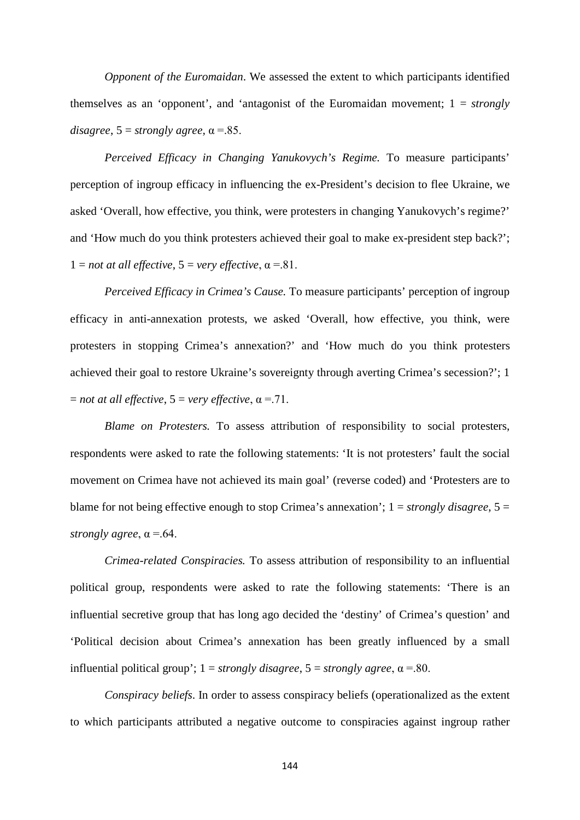*Opponent of the Euromaidan*. We assessed the extent to which participants identified themselves as an 'opponent', and 'antagonist of the Euromaidan movement; 1 = *strongly disagree*,  $5 =$ *strongly agree*,  $\alpha = .85$ .

*Perceived Efficacy in Changing Yanukovych's Regime.* To measure participants' perception of ingroup efficacy in influencing the ex-President's decision to flee Ukraine, we asked 'Overall, how effective, you think, were protesters in changing Yanukovych's regime?' and 'How much do you think protesters achieved their goal to make ex-president step back?';  $1 = not$  *at all effective*,  $5 = very$  *effective*,  $\alpha = .81$ .

*Perceived Efficacy in Crimea's Cause.* To measure participants' perception of ingroup efficacy in anti-annexation protests, we asked 'Overall, how effective, you think, were protesters in stopping Crimea's annexation?' and 'How much do you think protesters achieved their goal to restore Ukraine's sovereignty through averting Crimea's secession?'; 1  $=$  *not at all effective*,  $5 =$ *very effective*,  $\alpha = .71$ .

*Blame on Protesters.* To assess attribution of responsibility to social protesters, respondents were asked to rate the following statements: 'It is not protesters' fault the social movement on Crimea have not achieved its main goal' (reverse coded) and 'Protesters are to blame for not being effective enough to stop Crimea's annexation'; 1 = *strongly disagree*, 5 = *strongly agree,*  $\alpha = .64$ .

*Crimea-related Conspiracies.* To assess attribution of responsibility to an influential political group, respondents were asked to rate the following statements: 'There is an influential secretive group that has long ago decided the 'destiny' of Crimea's question' and 'Political decision about Crimea's annexation has been greatly influenced by a small influential political group';  $1 =$  *strongly disagree*,  $5 =$  *strongly agree*,  $\alpha = .80$ .

*Conspiracy beliefs*. In order to assess conspiracy beliefs (operationalized as the extent to which participants attributed a negative outcome to conspiracies against ingroup rather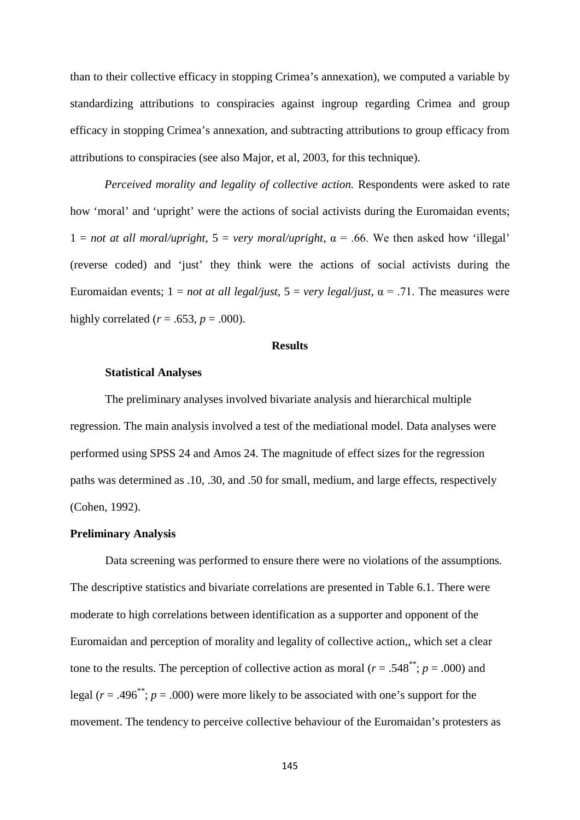than to their collective efficacy in stopping Crimea's annexation), we computed a variable by standardizing attributions to conspiracies against ingroup regarding Crimea and group efficacy in stopping Crimea's annexation, and subtracting attributions to group efficacy from attributions to conspiracies (see also Major, et al, 2003, for this technique).

*Perceived morality and legality of collective action.* Respondents were asked to rate how 'moral' and 'upright' were the actions of social activists during the Euromaidan events;  $1 = not at all moral/upright, 5 = very moral/upright,  $\alpha = .66$ . We then asked how 'illegal'$ (reverse coded) and 'just' they think were the actions of social activists during the Euromaidan events;  $1 = not$  *at all legal/just*,  $5 = very$  *legal/just*,  $\alpha = .71$ . The measures were highly correlated ( $r = .653$ ,  $p = .000$ ).

#### **Results**

#### **Statistical Analyses**

The preliminary analyses involved bivariate analysis and hierarchical multiple regression. The main analysis involved a test of the mediational model. Data analyses were performed using SPSS 24 and Amos 24. The magnitude of effect sizes for the regression paths was determined as .10, .30, and .50 for small, medium, and large effects, respectively (Cohen, 1992).

#### **Preliminary Analysis**

Data screening was performed to ensure there were no violations of the assumptions. The descriptive statistics and bivariate correlations are presented in Table 6.1. There were moderate to high correlations between identification as a supporter and opponent of the Euromaidan and perception of morality and legality of collective action,, which set a clear tone to the results. The perception of collective action as moral ( $r = .548$ <sup>\*\*</sup>;  $p = .000$ ) and legal  $(r = .496^{**}; p = .000)$  were more likely to be associated with one's support for the movement. The tendency to perceive collective behaviour of the Euromaidan's protesters as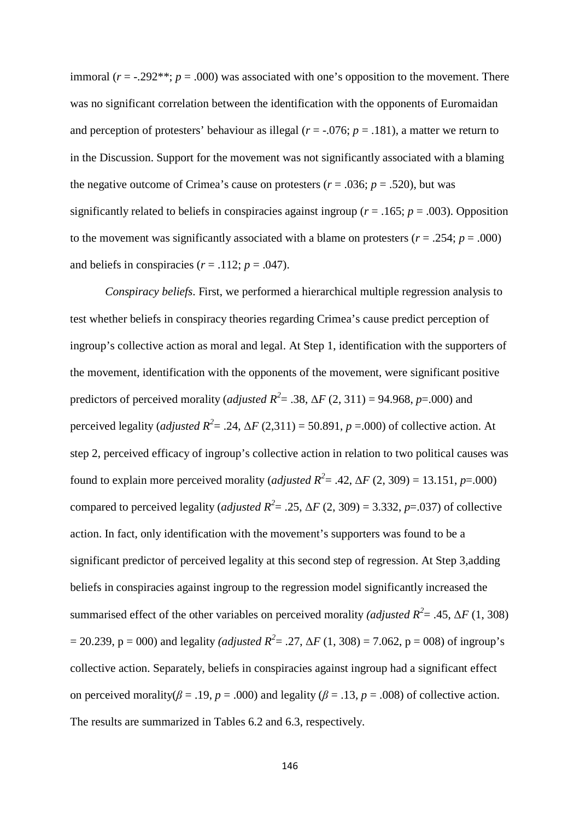immoral ( $r = -0.292**$ ;  $p = 0.000$ ) was associated with one's opposition to the movement. There was no significant correlation between the identification with the opponents of Euromaidan and perception of protesters' behaviour as illegal ( $r = -0.076$ ;  $p = 0.181$ ), a matter we return to in the Discussion. Support for the movement was not significantly associated with a blaming the negative outcome of Crimea's cause on protesters ( $r = .036$ ;  $p = .520$ ), but was significantly related to beliefs in conspiracies against ingroup ( $r = .165$ ;  $p = .003$ ). Opposition to the movement was significantly associated with a blame on protesters ( $r = .254$ ;  $p = .000$ ) and beliefs in conspiracies  $(r = .112; p = .047)$ .

*Conspiracy beliefs*. First, we performed a hierarchical multiple regression analysis to test whether beliefs in conspiracy theories regarding Crimea's cause predict perception of ingroup's collective action as moral and legal. At Step 1, identification with the supporters of the movement, identification with the opponents of the movement, were significant positive predictors of perceived morality (*adjusted R*<sup>2</sup> = .38,  $\Delta F$  (2, 311) = 94.968, *p*=.000) and perceived legality (*adjusted R*<sup>2</sup> = .24,  $\Delta F$  (2,311) = 50.891, *p* = .000) of collective action. At step 2, perceived efficacy of ingroup's collective action in relation to two political causes was found to explain more perceived morality (*adjusted R*<sup>2</sup> = .42,  $\Delta F$  (2, 309) = 13.151, *p*=.000) compared to perceived legality (*adjusted R*<sup>2</sup> = .25,  $\Delta F$  (2, 309) = 3.332, *p*=.037) of collective action. In fact, only identification with the movement's supporters was found to be a significant predictor of perceived legality at this second step of regression. At Step 3,adding beliefs in conspiracies against ingroup to the regression model significantly increased the summarised effect of the other variables on perceived morality *(adjusted R*<sup>2</sup> = .45,  $\Delta F$  (1, 308)  $= 20.239$ ,  $p = 000$ ) and legality *(adjusted R<sup>2</sup>* = .27,  $\Delta F$  (1, 308) = 7.062,  $p = 008$ ) of ingroup's collective action. Separately, beliefs in conspiracies against ingroup had a significant effect on perceived morality( $\beta$  = .19,  $p$  = .000) and legality ( $\beta$  = .13,  $p$  = .008) of collective action. The results are summarized in Tables 6.2 and 6.3, respectively.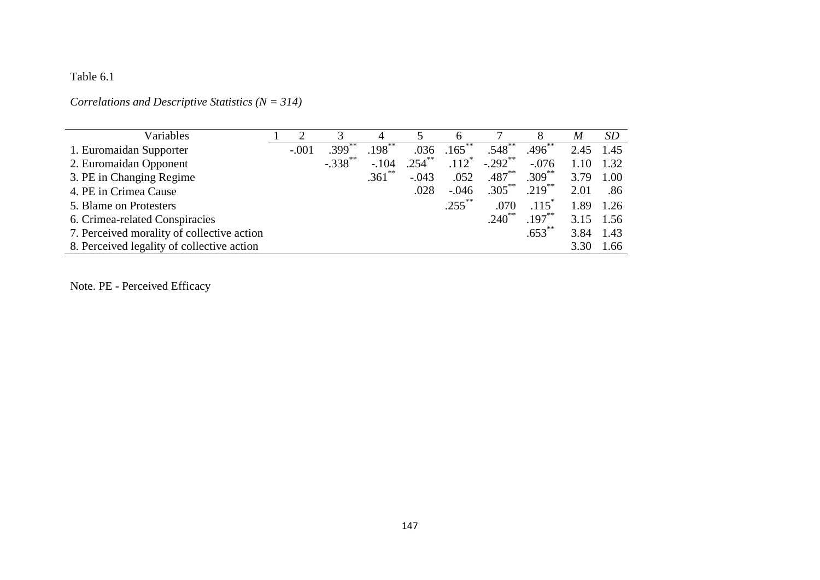# Table 6.1

*Correlations and Descriptive Statistics (N = 314)*

| Variables                                  |         |                      |           |           | 6                   |             |                     | M    | <i>SD</i> |
|--------------------------------------------|---------|----------------------|-----------|-----------|---------------------|-------------|---------------------|------|-----------|
| 1. Euromaidan Supporter                    | $-.001$ | $.399$ <sup>-1</sup> | $.198$ ** | .036      | $.165$ <sup>*</sup> | $.548$ **   | .496                | 2.45 | 1.45      |
| 2. Euromaidan Opponent                     |         | $-.338$ **           | $-.104$   | $.254***$ | $.112$ <sup>*</sup> | $-.292$ **  | $-.076$             | 1.10 | 1.32      |
| 3. PE in Changing Regime                   |         |                      | $.361$ ** | $-.043$   | .052                | $.487***$   | $.309***$           | 3.79 | 1.00      |
| 4. PE in Crimea Cause                      |         |                      |           | .028      | $-.046$             | $.305***$   | $.219$ **           | 2.01 | .86       |
| 5. Blame on Protesters                     |         |                      |           |           | $.255***$           | .070        | $.115$ <sup>*</sup> | 1.89 | 1.26      |
| 6. Crimea-related Conspiracies             |         |                      |           |           |                     | $.240^{**}$ | $.197***$           | 3.15 | 1.56      |
| 7. Perceived morality of collective action |         |                      |           |           |                     |             | $.653***$           | 3.84 | 1.43      |
| 8. Perceived legality of collective action |         |                      |           |           |                     |             |                     | 3.30 | 1.66      |

Note. PE - Perceived Efficacy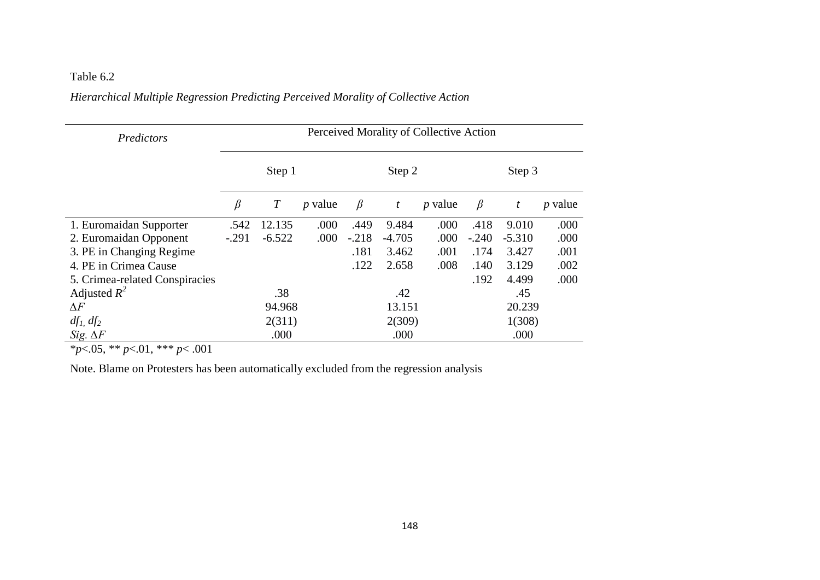## Table 6.2

## *Hierarchical Multiple Regression Predicting Perceived Morality of Collective Action*

| Predictors                     | Perceived Morality of Collective Action |                  |           |         |          |           |         |          |                |
|--------------------------------|-----------------------------------------|------------------|-----------|---------|----------|-----------|---------|----------|----------------|
|                                |                                         | Step 1           |           |         | Step 2   |           | Step 3  |          |                |
|                                | $\beta$                                 | $\boldsymbol{T}$ | $p$ value | $\beta$ | t        | $p$ value | $\beta$ | t        | <i>p</i> value |
| 1. Euromaidan Supporter        | .542                                    | 12.135           | .000      | .449    | 9.484    | .000      | .418    | 9.010    | .000           |
| 2. Euromaidan Opponent         | $-.291$                                 | $-6.522$         | .000      | $-.218$ | $-4.705$ | .000      | $-.240$ | $-5.310$ | .000           |
| 3. PE in Changing Regime       |                                         |                  |           | .181    | 3.462    | .001      | .174    | 3.427    | .001           |
| 4. PE in Crimea Cause          |                                         |                  |           | .122    | 2.658    | .008      | .140    | 3.129    | .002           |
| 5. Crimea-related Conspiracies |                                         |                  |           |         |          |           | .192    | 4.499    | .000           |
| Adjusted $R^2$                 |                                         | .38              |           |         | .42      |           |         | .45      |                |
| $\Delta F$                     |                                         | 94.968           |           |         | 13.151   |           | 20.239  |          |                |
| $df_1$ , $df_2$                |                                         | 2(311)           |           |         | 2(309)   |           | 1(308)  |          |                |
| Sig. $\Delta F$                | .000<br>.000<br>.000                    |                  |           |         |          |           |         |          |                |

\**p*<.05, \*\* *p*<.01, \*\*\* *p*< .001

Note. Blame on Protesters has been automatically excluded from the regression analysis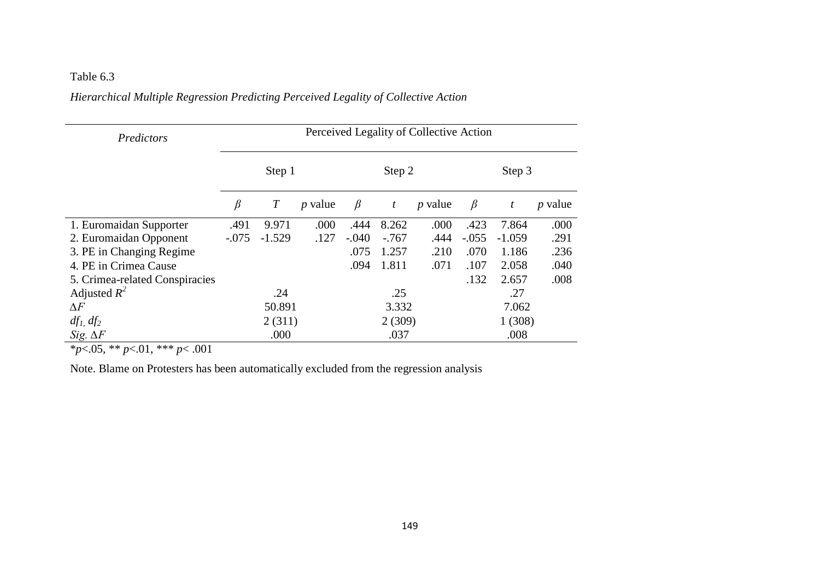# Table 6.3

## *Hierarchical Multiple Regression Predicting Perceived Legality of Collective Action*

| Predictors                     | Perceived Legality of Collective Action |                  |           |         |         |           |         |          |                |
|--------------------------------|-----------------------------------------|------------------|-----------|---------|---------|-----------|---------|----------|----------------|
|                                |                                         | Step 1           |           |         | Step 2  |           | Step 3  |          |                |
|                                | β                                       | $\boldsymbol{T}$ | $p$ value | $\beta$ | t       | $p$ value | $\beta$ | t        | <i>p</i> value |
| 1. Euromaidan Supporter        | .491                                    | 9.971            | .000      | .444    | 8.262   | .000      | .423    | 7.864    | .000           |
| 2. Euromaidan Opponent         | $-.075$                                 | $-1.529$         | .127      | $-.040$ | $-.767$ | .444      | $-.055$ | $-1.059$ | .291           |
| 3. PE in Changing Regime       |                                         |                  |           | .075    | 1.257   | .210      | .070    | 1.186    | .236           |
| 4. PE in Crimea Cause          |                                         |                  |           | .094    | 1.811   | .071      | .107    | 2.058    | .040           |
| 5. Crimea-related Conspiracies |                                         |                  |           |         |         |           | .132    | 2.657    | .008           |
| Adjusted $R^2$                 |                                         | .24              |           |         | .25     |           |         | .27      |                |
| $\Delta F$                     |                                         | 50.891           |           |         | 3.332   |           | 7.062   |          |                |
| $df_1$ , $df_2$                |                                         | 2(311)           |           |         | 2(309)  |           | 1(308)  |          |                |
| Sig. $\Delta F$                |                                         | .000             |           |         | .037    |           | .008    |          |                |

\**p*<.05, \*\* *p*<.01, \*\*\* *p*< .001

Note. Blame on Protesters has been automatically excluded from the regression analysis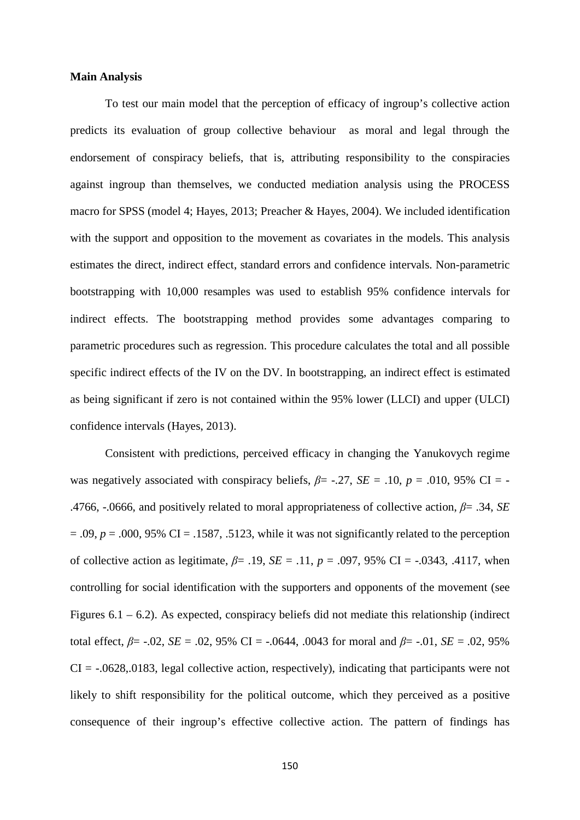#### **Main Analysis**

To test our main model that the perception of efficacy of ingroup's collective action predicts its evaluation of group collective behaviour as moral and legal through the endorsement of conspiracy beliefs, that is, attributing responsibility to the conspiracies against ingroup than themselves, we conducted mediation analysis using the PROCESS macro for SPSS (model 4; Hayes, 2013; Preacher & Hayes, 2004). We included identification with the support and opposition to the movement as covariates in the models. This analysis estimates the direct, indirect effect, standard errors and confidence intervals. Non-parametric bootstrapping with 10,000 resamples was used to establish 95% confidence intervals for indirect effects. The bootstrapping method provides some advantages comparing to parametric procedures such as regression. This procedure calculates the total and all possible specific indirect effects of the IV on the DV. In bootstrapping, an indirect effect is estimated as being significant if zero is not contained within the 95% lower (LLCI) and upper (ULCI) confidence intervals (Hayes, 2013).

Consistent with predictions, perceived efficacy in changing the Yanukovych regime was negatively associated with conspiracy beliefs,  $\beta$ = -.27, *SE* = .10,  $p$  = .010, 95% CI = -.4766, -.0666, and positively related to moral appropriateness of collective action, *β*= .34, *SE*  $= .09$ ,  $p = .000$ , 95% CI = .1587, .5123, while it was not significantly related to the perception of collective action as legitimate,  $\beta$ = .19,  $SE$  = .11,  $p$  = .097, 95% CI = -.0343, .4117, when controlling for social identification with the supporters and opponents of the movement (see Figures  $6.1 - 6.2$ ). As expected, conspiracy beliefs did not mediate this relationship (indirect total effect,  $\beta$ = -.02, *SE* = .02, 95% CI = -.0644, .0043 for moral and  $\beta$ = -.01, *SE* = .02, 95%  $CI = -.0628, .0183,$  legal collective action, respectively), indicating that participants were not likely to shift responsibility for the political outcome, which they perceived as a positive consequence of their ingroup's effective collective action. The pattern of findings has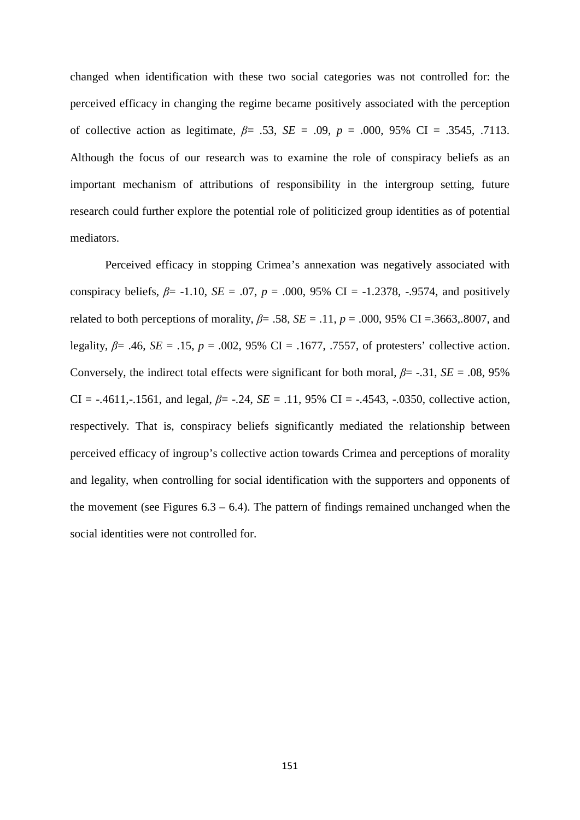changed when identification with these two social categories was not controlled for: the perceived efficacy in changing the regime became positively associated with the perception of collective action as legitimate, *β*= .53, *SE* = .09, *p* = .000, 95% CI = .3545, .7113. Although the focus of our research was to examine the role of conspiracy beliefs as an important mechanism of attributions of responsibility in the intergroup setting, future research could further explore the potential role of politicized group identities as of potential mediators.

Perceived efficacy in stopping Crimea's annexation was negatively associated with conspiracy beliefs,  $\beta$ = -1.10,  $SE$  = .07,  $p$  = .000, 95% CI = -1.2378, -.9574, and positively related to both perceptions of morality,  $\beta$ = .58,  $SE$  = .11,  $p$  = .000, 95% CI = .3663,.8007, and legality, *β*= .46, *SE* = .15, *p* = .002, 95% CI = .1677, .7557, of protesters' collective action. Conversely, the indirect total effects were significant for both moral,  $\beta$ = -.31, *SE* = .08, 95% CI =  $-.4611, -.1561$ , and legal,  $\beta$  =  $-.24$ ,  $SE = .11$ , 95% CI =  $-.4543$ ,  $-.0350$ , collective action, respectively. That is, conspiracy beliefs significantly mediated the relationship between perceived efficacy of ingroup's collective action towards Crimea and perceptions of morality and legality, when controlling for social identification with the supporters and opponents of the movement (see Figures  $6.3 - 6.4$ ). The pattern of findings remained unchanged when the social identities were not controlled for.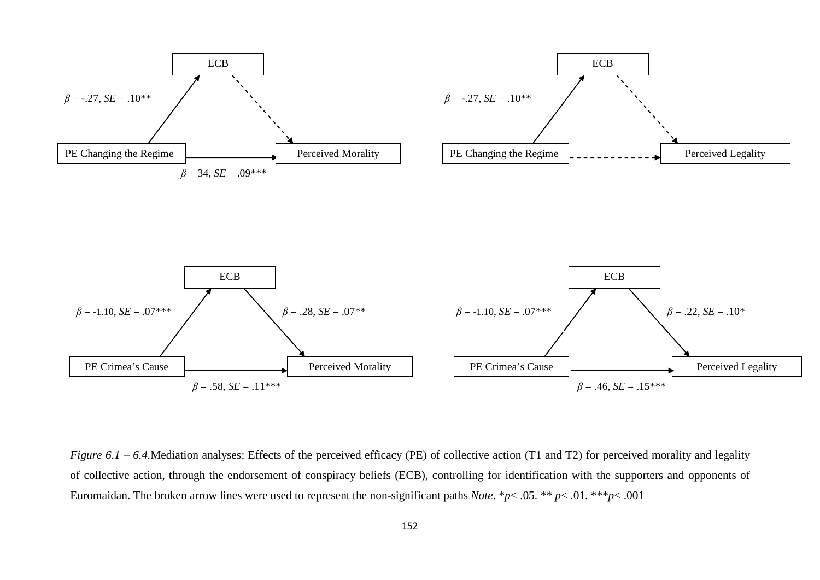

*Figure 6.1 – 6.4.*Mediation analyses: Effects of the perceived efficacy (PE) of collective action (T1 and T2) for perceived morality and legality of collective action, through the endorsement of conspiracy beliefs (ECB), controlling for identification with the supporters and opponents of Euromaidan. The broken arrow lines were used to represent the non-significant paths *Note*. \**p*< .05. \*\* *p*< .01. \*\*\**p*< .001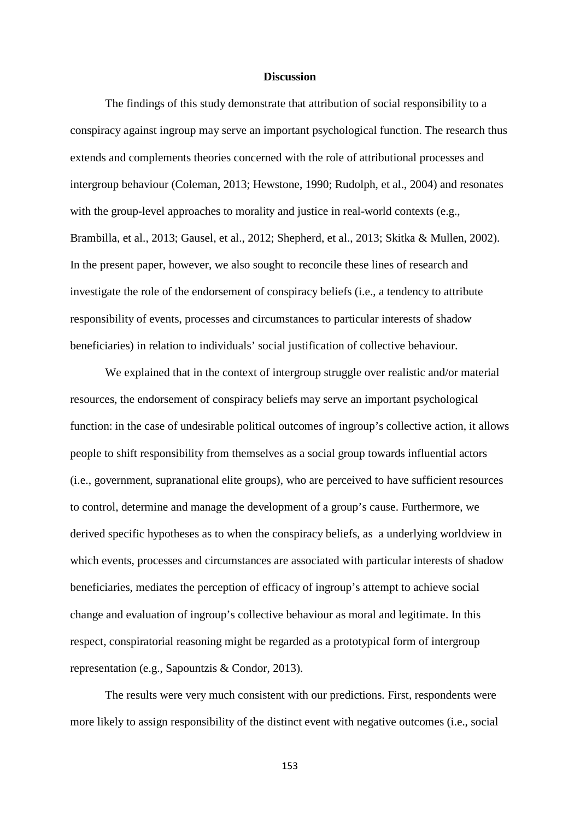#### **Discussion**

The findings of this study demonstrate that attribution of social responsibility to a conspiracy against ingroup may serve an important psychological function. The research thus extends and complements theories concerned with the role of attributional processes and intergroup behaviour (Coleman, 2013; Hewstone, 1990; Rudolph, et al., 2004) and resonates with the group-level approaches to morality and justice in real-world contexts (e.g., Brambilla, et al., 2013; Gausel, et al., 2012; Shepherd, et al., 2013; Skitka & Mullen, 2002). In the present paper, however, we also sought to reconcile these lines of research and investigate the role of the endorsement of conspiracy beliefs (i.e., a tendency to attribute responsibility of events, processes and circumstances to particular interests of shadow beneficiaries) in relation to individuals' social justification of collective behaviour.

We explained that in the context of intergroup struggle over realistic and/or material resources, the endorsement of conspiracy beliefs may serve an important psychological function: in the case of undesirable political outcomes of ingroup's collective action, it allows people to shift responsibility from themselves as a social group towards influential actors (i.e., government, supranational elite groups), who are perceived to have sufficient resources to control, determine and manage the development of a group's cause. Furthermore, we derived specific hypotheses as to when the conspiracy beliefs, as a underlying worldview in which events, processes and circumstances are associated with particular interests of shadow beneficiaries, mediates the perception of efficacy of ingroup's attempt to achieve social change and evaluation of ingroup's collective behaviour as moral and legitimate. In this respect, conspiratorial reasoning might be regarded as a prototypical form of intergroup representation (e.g., Sapountzis & Condor, 2013).

The results were very much consistent with our predictions. First, respondents were more likely to assign responsibility of the distinct event with negative outcomes (i.e., social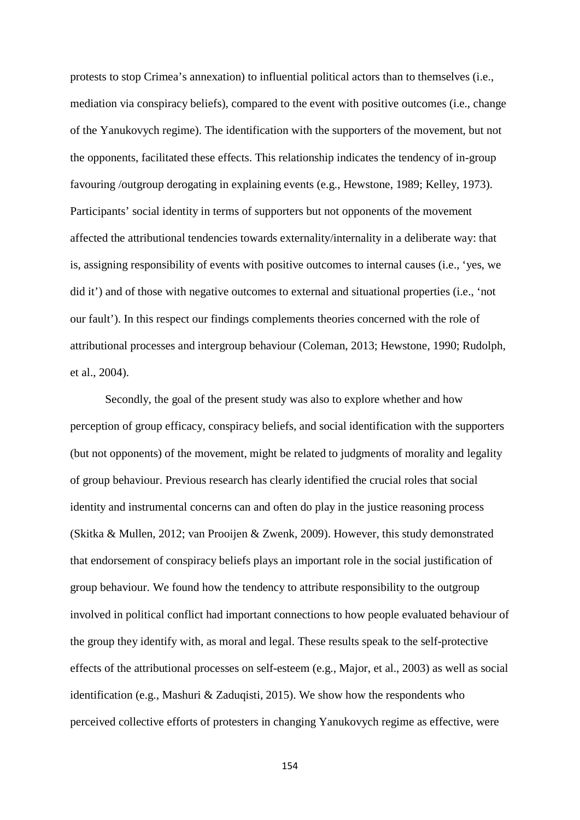protests to stop Crimea's annexation) to influential political actors than to themselves (i.e., mediation via conspiracy beliefs), compared to the event with positive outcomes (i.e., change of the Yanukovych regime). The identification with the supporters of the movement, but not the opponents, facilitated these effects. This relationship indicates the tendency of in-group favouring /outgroup derogating in explaining events (e.g., Hewstone, 1989; Kelley, 1973). Participants' social identity in terms of supporters but not opponents of the movement affected the attributional tendencies towards externality/internality in a deliberate way: that is, assigning responsibility of events with positive outcomes to internal causes (i.e., 'yes, we did it') and of those with negative outcomes to external and situational properties (i.e., 'not our fault'). In this respect our findings complements theories concerned with the role of attributional processes and intergroup behaviour (Coleman, 2013; Hewstone, 1990; Rudolph, et al., 2004).

Secondly, the goal of the present study was also to explore whether and how perception of group efficacy, conspiracy beliefs, and social identification with the supporters (but not opponents) of the movement, might be related to judgments of morality and legality of group behaviour. Previous research has clearly identified the crucial roles that social identity and instrumental concerns can and often do play in the justice reasoning process (Skitka & Mullen, 2012; van Prooijen & Zwenk, 2009). However, this study demonstrated that endorsement of conspiracy beliefs plays an important role in the social justification of group behaviour. We found how the tendency to attribute responsibility to the outgroup involved in political conflict had important connections to how people evaluated behaviour of the group they identify with, as moral and legal. These results speak to the self-protective effects of the attributional processes on self-esteem (e.g., Major, et al., 2003) as well as social identification (e.g., Mashuri & Zaduqisti, 2015). We show how the respondents who perceived collective efforts of protesters in changing Yanukovych regime as effective, were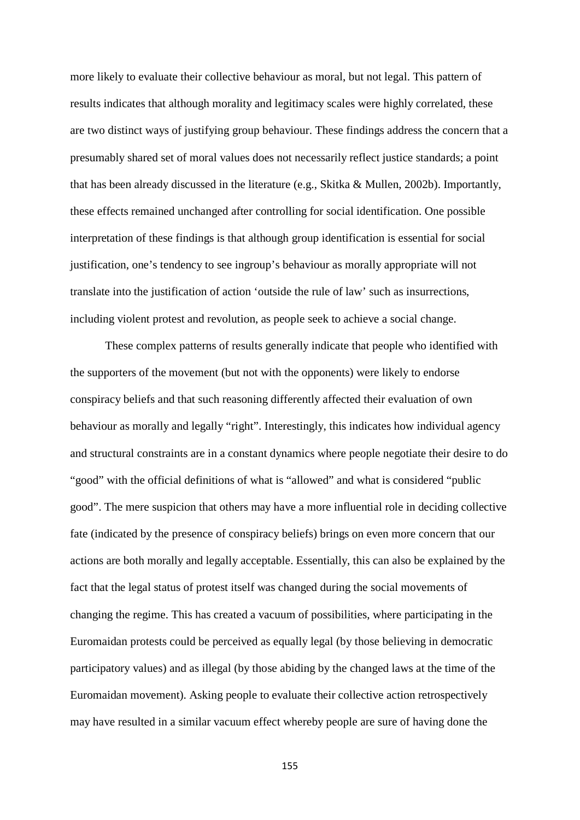more likely to evaluate their collective behaviour as moral, but not legal. This pattern of results indicates that although morality and legitimacy scales were highly correlated, these are two distinct ways of justifying group behaviour. These findings address the concern that a presumably shared set of moral values does not necessarily reflect justice standards; a point that has been already discussed in the literature (e.g., Skitka & Mullen, 2002b). Importantly, these effects remained unchanged after controlling for social identification. One possible interpretation of these findings is that although group identification is essential for social justification, one's tendency to see ingroup's behaviour as morally appropriate will not translate into the justification of action 'outside the rule of law' such as insurrections, including violent protest and revolution, as people seek to achieve a social change.

These complex patterns of results generally indicate that people who identified with the supporters of the movement (but not with the opponents) were likely to endorse conspiracy beliefs and that such reasoning differently affected their evaluation of own behaviour as morally and legally "right". Interestingly, this indicates how individual agency and structural constraints are in a constant dynamics where people negotiate their desire to do "good" with the official definitions of what is "allowed" and what is considered "public good". The mere suspicion that others may have a more influential role in deciding collective fate (indicated by the presence of conspiracy beliefs) brings on even more concern that our actions are both morally and legally acceptable. Essentially, this can also be explained by the fact that the legal status of protest itself was changed during the social movements of changing the regime. This has created a vacuum of possibilities, where participating in the Euromaidan protests could be perceived as equally legal (by those believing in democratic participatory values) and as illegal (by those abiding by the changed laws at the time of the Euromaidan movement). Asking people to evaluate their collective action retrospectively may have resulted in a similar vacuum effect whereby people are sure of having done the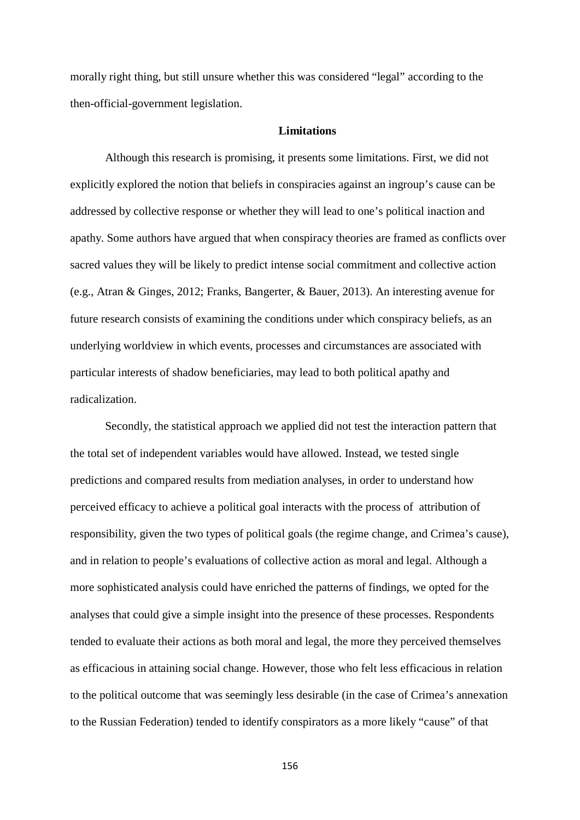morally right thing, but still unsure whether this was considered "legal" according to the then-official-government legislation.

#### **Limitations**

Although this research is promising, it presents some limitations. First, we did not explicitly explored the notion that beliefs in conspiracies against an ingroup's cause can be addressed by collective response or whether they will lead to one's political inaction and apathy. Some authors have argued that when conspiracy theories are framed as conflicts over sacred values they will be likely to predict intense social commitment and collective action (e.g., Atran & Ginges, 2012; Franks, Bangerter, & Bauer, 2013). An interesting avenue for future research consists of examining the conditions under which conspiracy beliefs, as an underlying worldview in which events, processes and circumstances are associated with particular interests of shadow beneficiaries, may lead to both political apathy and radicalization.

Secondly, the statistical approach we applied did not test the interaction pattern that the total set of independent variables would have allowed. Instead, we tested single predictions and compared results from mediation analyses, in order to understand how perceived efficacy to achieve a political goal interacts with the process of attribution of responsibility, given the two types of political goals (the regime change, and Crimea's cause), and in relation to people's evaluations of collective action as moral and legal. Although a more sophisticated analysis could have enriched the patterns of findings, we opted for the analyses that could give a simple insight into the presence of these processes. Respondents tended to evaluate their actions as both moral and legal, the more they perceived themselves as efficacious in attaining social change. However, those who felt less efficacious in relation to the political outcome that was seemingly less desirable (in the case of Crimea's annexation to the Russian Federation) tended to identify conspirators as a more likely "cause" of that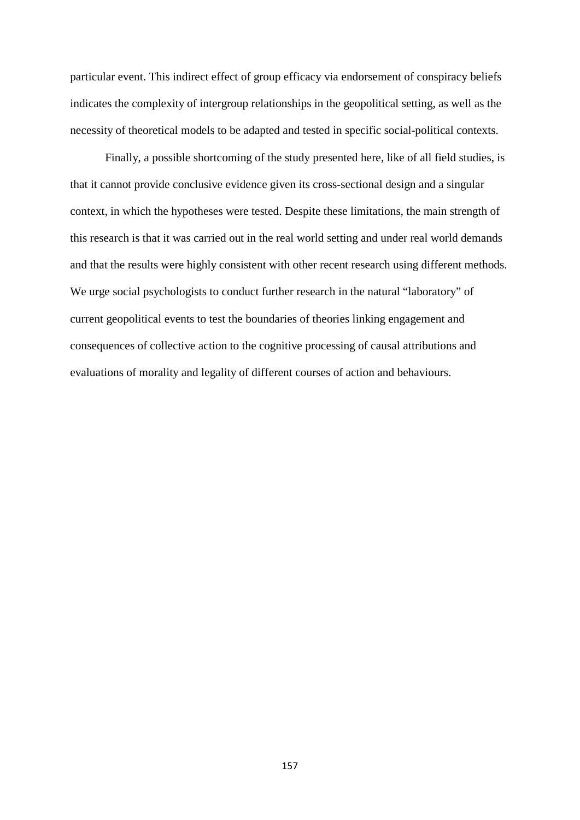particular event. This indirect effect of group efficacy via endorsement of conspiracy beliefs indicates the complexity of intergroup relationships in the geopolitical setting, as well as the necessity of theoretical models to be adapted and tested in specific social-political contexts.

Finally, a possible shortcoming of the study presented here, like of all field studies, is that it cannot provide conclusive evidence given its cross-sectional design and a singular context, in which the hypotheses were tested. Despite these limitations, the main strength of this research is that it was carried out in the real world setting and under real world demands and that the results were highly consistent with other recent research using different methods. We urge social psychologists to conduct further research in the natural "laboratory" of current geopolitical events to test the boundaries of theories linking engagement and consequences of collective action to the cognitive processing of causal attributions and evaluations of morality and legality of different courses of action and behaviours.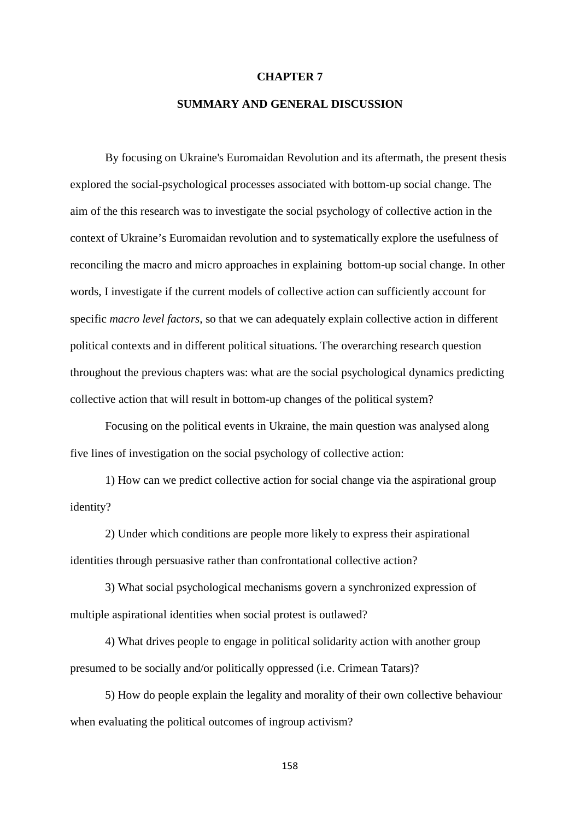#### **CHAPTER 7**

#### **SUMMARY AND GENERAL DISCUSSION**

By focusing on Ukraine's Euromaidan Revolution and its aftermath, the present thesis explored the social-psychological processes associated with bottom-up social change. The aim of the this research was to investigate the social psychology of collective action in the context of Ukraine's Euromaidan revolution and to systematically explore the usefulness of reconciling the macro and micro approaches in explaining bottom-up social change. In other words, I investigate if the current models of collective action can sufficiently account for specific *macro level factors*, so that we can adequately explain collective action in different political contexts and in different political situations. The overarching research question throughout the previous chapters was: what are the social psychological dynamics predicting collective action that will result in bottom-up changes of the political system?

Focusing on the political events in Ukraine, the main question was analysed along five lines of investigation on the social psychology of collective action:

1) How can we predict collective action for social change via the aspirational group identity?

2) Under which conditions are people more likely to express their aspirational identities through persuasive rather than confrontational collective action?

3) What social psychological mechanisms govern a synchronized expression of multiple aspirational identities when social protest is outlawed?

4) What drives people to engage in political solidarity action with another group presumed to be socially and/or politically oppressed (i.e. Crimean Tatars)?

5) How do people explain the legality and morality of their own collective behaviour when evaluating the political outcomes of ingroup activism?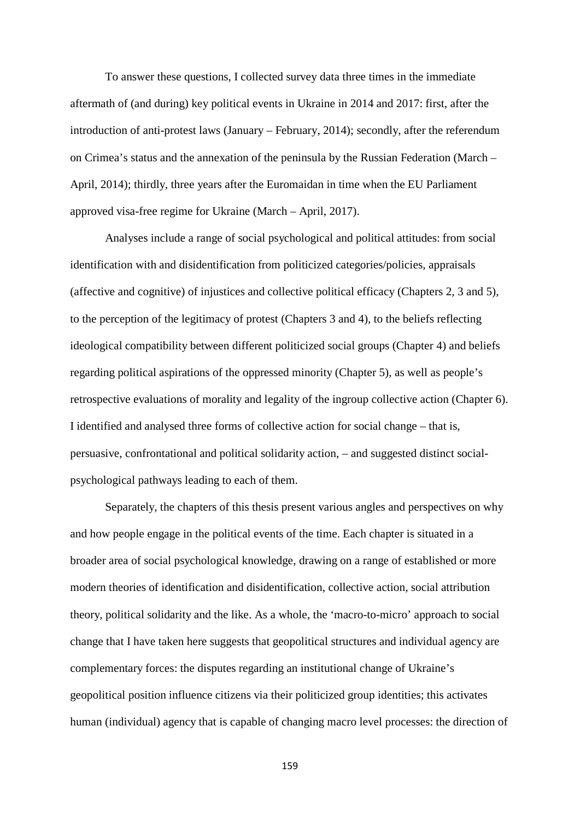To answer these questions, I collected survey data three times in the immediate aftermath of (and during) key political events in Ukraine in 2014 and 2017: first, after the introduction of anti-protest laws (January – February, 2014); secondly, after the referendum on Crimea's status and the annexation of the peninsula by the Russian Federation (March – April, 2014); thirdly, three years after the Euromaidan in time when the EU Parliament approved visa-free regime for Ukraine (March – April, 2017).

Analyses include a range of social psychological and political attitudes: from social identification with and disidentification from politicized categories/policies, appraisals (affective and cognitive) of injustices and collective political efficacy (Chapters 2, 3 and 5), to the perception of the legitimacy of protest (Chapters 3 and 4), to the beliefs reflecting ideological compatibility between different politicized social groups (Chapter 4) and beliefs regarding political aspirations of the oppressed minority (Chapter 5), as well as people's retrospective evaluations of morality and legality of the ingroup collective action (Chapter 6). I identified and analysed three forms of collective action for social change – that is, persuasive, confrontational and political solidarity action, – and suggested distinct socialpsychological pathways leading to each of them.

Separately, the chapters of this thesis present various angles and perspectives on why and how people engage in the political events of the time. Each chapter is situated in a broader area of social psychological knowledge, drawing on a range of established or more modern theories of identification and disidentification, collective action, social attribution theory, political solidarity and the like. As a whole, the 'macro-to-micro' approach to social change that I have taken here suggests that geopolitical structures and individual agency are complementary forces: the disputes regarding an institutional change of Ukraine's geopolitical position influence citizens via their politicized group identities; this activates human (individual) agency that is capable of changing macro level processes: the direction of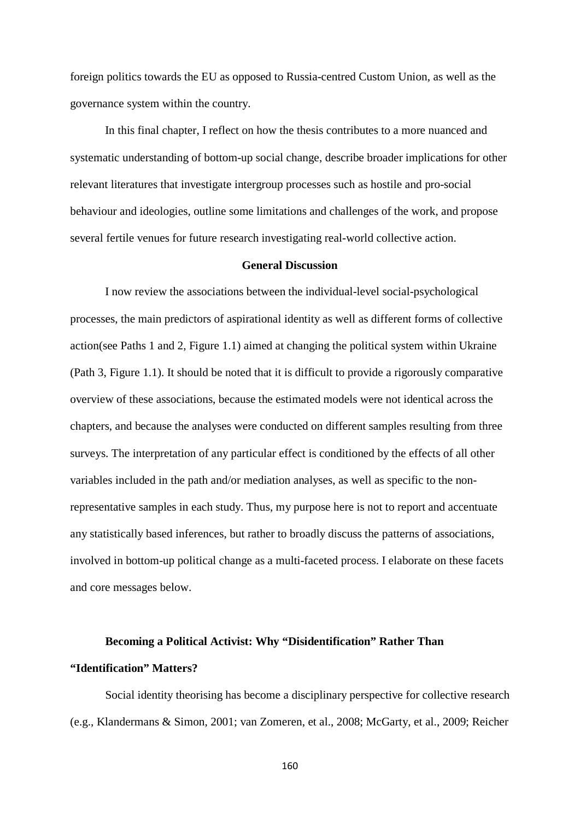foreign politics towards the EU as opposed to Russia-centred Custom Union, as well as the governance system within the country.

In this final chapter, I reflect on how the thesis contributes to a more nuanced and systematic understanding of bottom-up social change, describe broader implications for other relevant literatures that investigate intergroup processes such as hostile and pro-social behaviour and ideologies, outline some limitations and challenges of the work, and propose several fertile venues for future research investigating real-world collective action.

#### **General Discussion**

I now review the associations between the individual-level social-psychological processes, the main predictors of aspirational identity as well as different forms of collective action(see Paths 1 and 2, Figure 1.1) aimed at changing the political system within Ukraine (Path 3, Figure 1.1). It should be noted that it is difficult to provide a rigorously comparative overview of these associations, because the estimated models were not identical across the chapters, and because the analyses were conducted on different samples resulting from three surveys. The interpretation of any particular effect is conditioned by the effects of all other variables included in the path and/or mediation analyses, as well as specific to the nonrepresentative samples in each study. Thus, my purpose here is not to report and accentuate any statistically based inferences, but rather to broadly discuss the patterns of associations, involved in bottom-up political change as a multi-faceted process. I elaborate on these facets and core messages below.

#### **Becoming a Political Activist: Why "Disidentification" Rather Than**

#### **"Identification" Matters?**

Social identity theorising has become a disciplinary perspective for collective research (e.g., Klandermans & Simon, 2001; van Zomeren, et al., 2008; McGarty, et al., 2009; Reicher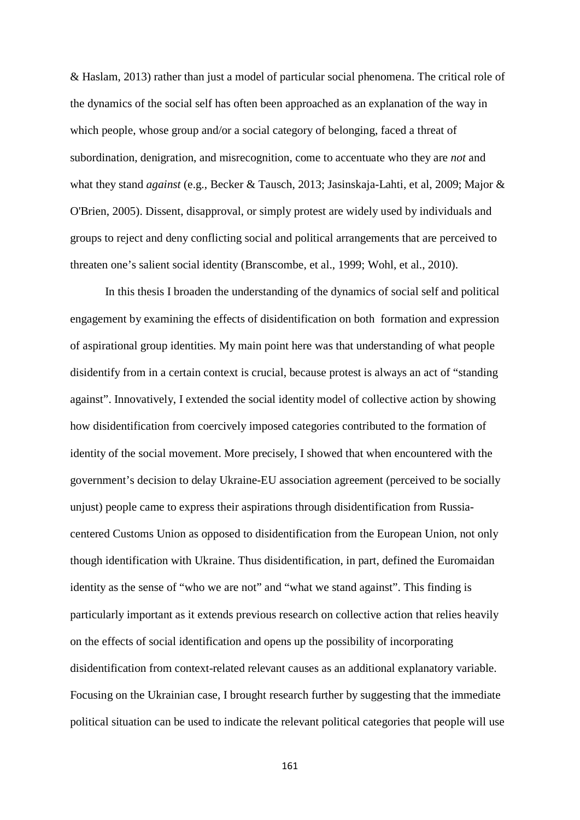& Haslam, 2013) rather than just a model of particular social phenomena. The critical role of the dynamics of the social self has often been approached as an explanation of the way in which people, whose group and/or a social category of belonging, faced a threat of subordination, denigration, and misrecognition, come to accentuate who they are *not* and what they stand *against* (e.g., Becker & Tausch, 2013; Jasinskaja-Lahti, et al, 2009; Major & O'Brien, 2005). Dissent, disapproval, or simply protest are widely used by individuals and groups to reject and deny conflicting social and political arrangements that are perceived to threaten one's salient social identity (Branscombe, et al., 1999; Wohl, et al., 2010).

In this thesis I broaden the understanding of the dynamics of social self and political engagement by examining the effects of disidentification on both formation and expression of aspirational group identities. My main point here was that understanding of what people disidentify from in a certain context is crucial, because protest is always an act of "standing against". Innovatively, I extended the social identity model of collective action by showing how disidentification from coercively imposed categories contributed to the formation of identity of the social movement. More precisely, I showed that when encountered with the government's decision to delay Ukraine-EU association agreement (perceived to be socially unjust) people came to express their aspirations through disidentification from Russiacentered Customs Union as opposed to disidentification from the European Union, not only though identification with Ukraine. Thus disidentification, in part, defined the Euromaidan identity as the sense of "who we are not" and "what we stand against". This finding is particularly important as it extends previous research on collective action that relies heavily on the effects of social identification and opens up the possibility of incorporating disidentification from context-related relevant causes as an additional explanatory variable. Focusing on the Ukrainian case, I brought research further by suggesting that the immediate political situation can be used to indicate the relevant political categories that people will use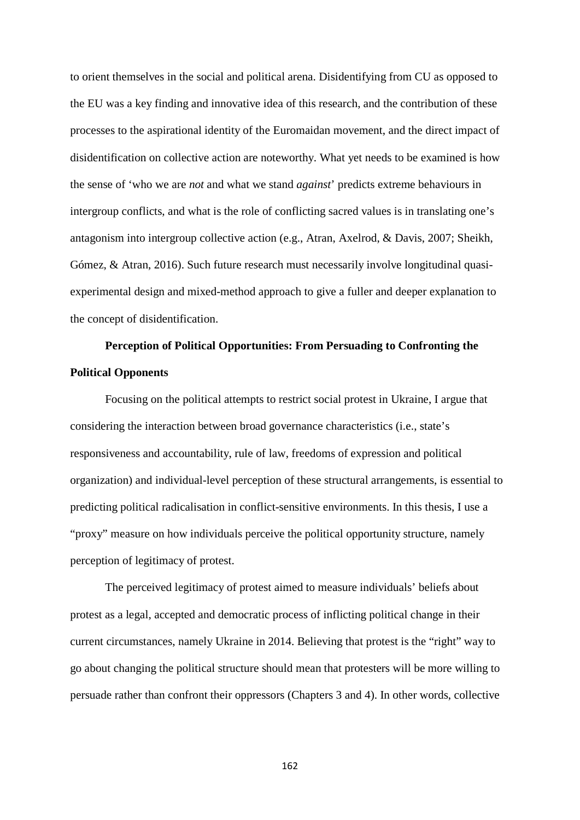to orient themselves in the social and political arena. Disidentifying from CU as opposed to the EU was a key finding and innovative idea of this research, and the contribution of these processes to the aspirational identity of the Euromaidan movement, and the direct impact of disidentification on collective action are noteworthy. What yet needs to be examined is how the sense of 'who we are *not* and what we stand *against*' predicts extreme behaviours in intergroup conflicts, and what is the role of conflicting sacred values is in translating one's antagonism into intergroup collective action (e.g., Atran, Axelrod, & Davis, 2007; Sheikh, Gómez, & Atran, 2016). Such future research must necessarily involve longitudinal quasiexperimental design and mixed-method approach to give a fuller and deeper explanation to the concept of disidentification.

# **Perception of Political Opportunities: From Persuading to Confronting the Political Opponents**

Focusing on the political attempts to restrict social protest in Ukraine, I argue that considering the interaction between broad governance characteristics (i.e., state's responsiveness and accountability, rule of law, freedoms of expression and political organization) and individual-level perception of these structural arrangements, is essential to predicting political radicalisation in conflict-sensitive environments. In this thesis, I use a "proxy" measure on how individuals perceive the political opportunity structure, namely perception of legitimacy of protest.

The perceived legitimacy of protest aimed to measure individuals' beliefs about protest as a legal, accepted and democratic process of inflicting political change in their current circumstances, namely Ukraine in 2014. Believing that protest is the "right" way to go about changing the political structure should mean that protesters will be more willing to persuade rather than confront their oppressors (Chapters 3 and 4). In other words, collective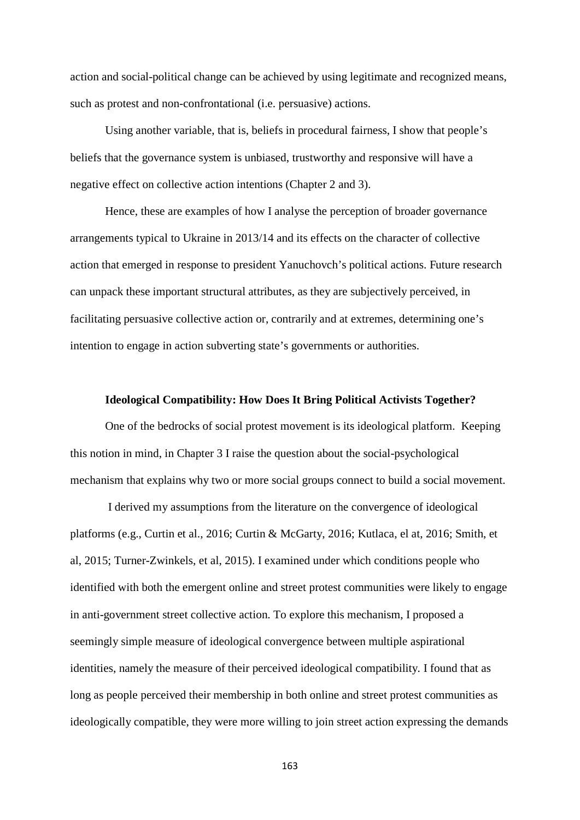action and social-political change can be achieved by using legitimate and recognized means, such as protest and non-confrontational (i.e. persuasive) actions.

Using another variable, that is, beliefs in procedural fairness, I show that people's beliefs that the governance system is unbiased, trustworthy and responsive will have a negative effect on collective action intentions (Chapter 2 and 3).

Hence, these are examples of how I analyse the perception of broader governance arrangements typical to Ukraine in 2013/14 and its effects on the character of collective action that emerged in response to president Yanuchovch's political actions. Future research can unpack these important structural attributes, as they are subjectively perceived, in facilitating persuasive collective action or, contrarily and at extremes, determining one's intention to engage in action subverting state's governments or authorities.

#### **Ideological Compatibility: How Does It Bring Political Activists Together?**

One of the bedrocks of social protest movement is its ideological platform. Keeping this notion in mind, in Chapter 3 I raise the question about the social-psychological mechanism that explains why two or more social groups connect to build a social movement.

I derived my assumptions from the literature on the convergence of ideological platforms (e.g., Curtin et al., 2016; Curtin & McGarty, 2016; Kutlaca, el at, 2016; Smith, et al, 2015; Turner-Zwinkels, et al, 2015). I examined under which conditions people who identified with both the emergent online and street protest communities were likely to engage in anti-government street collective action. To explore this mechanism, I proposed a seemingly simple measure of ideological convergence between multiple aspirational identities, namely the measure of their perceived ideological compatibility. I found that as long as people perceived their membership in both online and street protest communities as ideologically compatible, they were more willing to join street action expressing the demands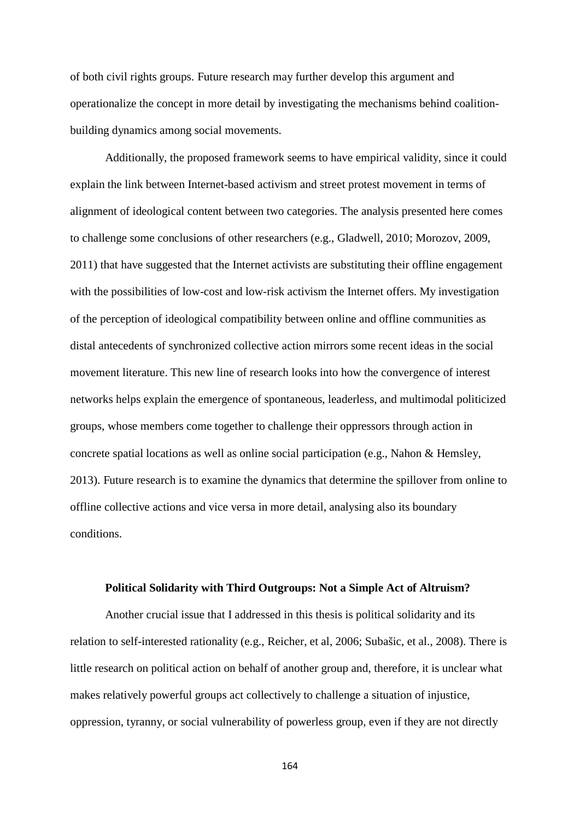of both civil rights groups. Future research may further develop this argument and operationalize the concept in more detail by investigating the mechanisms behind coalitionbuilding dynamics among social movements.

Additionally, the proposed framework seems to have empirical validity, since it could explain the link between Internet-based activism and street protest movement in terms of alignment of ideological content between two categories. The analysis presented here comes to challenge some conclusions of other researchers (e.g., Gladwell, 2010; Morozov, 2009, 2011) that have suggested that the Internet activists are substituting their offline engagement with the possibilities of low-cost and low-risk activism the Internet offers. My investigation of the perception of ideological compatibility between online and offline communities as distal antecedents of synchronized collective action mirrors some recent ideas in the social movement literature. This new line of research looks into how the convergence of interest networks helps explain the emergence of spontaneous, leaderless, and multimodal politicized groups, whose members come together to challenge their oppressors through action in concrete spatial locations as well as online social participation (e.g., Nahon & Hemsley, 2013). Future research is to examine the dynamics that determine the spillover from online to offline collective actions and vice versa in more detail, analysing also its boundary conditions.

#### **Political Solidarity with Third Outgroups: Not a Simple Act of Altruism?**

Another crucial issue that I addressed in this thesis is political solidarity and its relation to self-interested rationality (e.g., Reicher, et al, 2006; Subašic, et al., 2008). There is little research on political action on behalf of another group and, therefore, it is unclear what makes relatively powerful groups act collectively to challenge a situation of injustice, oppression, tyranny, or social vulnerability of powerless group, even if they are not directly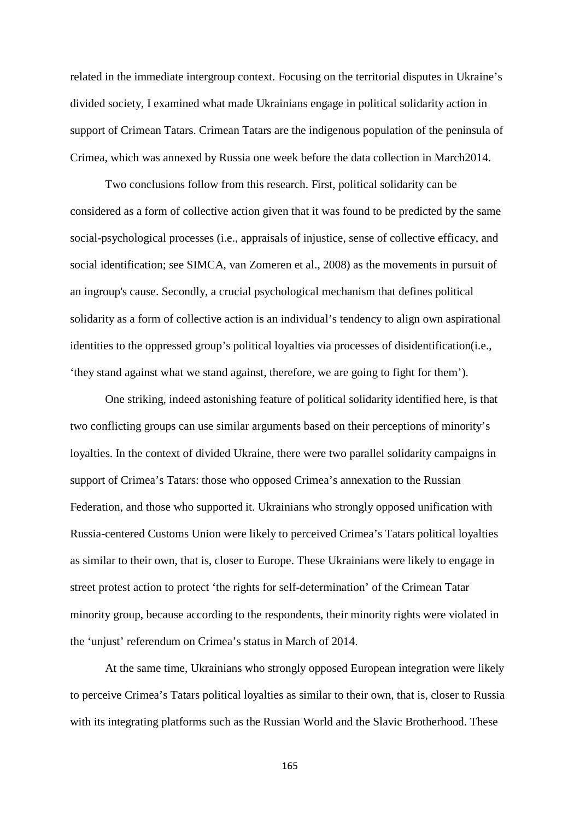related in the immediate intergroup context. Focusing on the territorial disputes in Ukraine's divided society, I examined what made Ukrainians engage in political solidarity action in support of Crimean Tatars. Crimean Tatars are the indigenous population of the peninsula of Crimea, which was annexed by Russia one week before the data collection in March2014.

Two conclusions follow from this research. First, political solidarity can be considered as a form of collective action given that it was found to be predicted by the same social-psychological processes (i.e., appraisals of injustice, sense of collective efficacy, and social identification; see SIMCA, van Zomeren et al., 2008) as the movements in pursuit of an ingroup's cause. Secondly, a crucial psychological mechanism that defines political solidarity as a form of collective action is an individual's tendency to align own aspirational identities to the oppressed group's political loyalties via processes of disidentification(i.e., 'they stand against what we stand against, therefore, we are going to fight for them').

One striking, indeed astonishing feature of political solidarity identified here, is that two conflicting groups can use similar arguments based on their perceptions of minority's loyalties. In the context of divided Ukraine, there were two parallel solidarity campaigns in support of Crimea's Tatars: those who opposed Crimea's annexation to the Russian Federation, and those who supported it. Ukrainians who strongly opposed unification with Russia-centered Customs Union were likely to perceived Crimea's Tatars political loyalties as similar to their own, that is, closer to Europe. These Ukrainians were likely to engage in street protest action to protect 'the rights for self-determination' of the Crimean Tatar minority group, because according to the respondents, their minority rights were violated in the 'unjust' referendum on Crimea's status in March of 2014.

At the same time, Ukrainians who strongly opposed European integration were likely to perceive Crimea's Tatars political loyalties as similar to their own, that is, closer to Russia with its integrating platforms such as the Russian World and the Slavic Brotherhood. These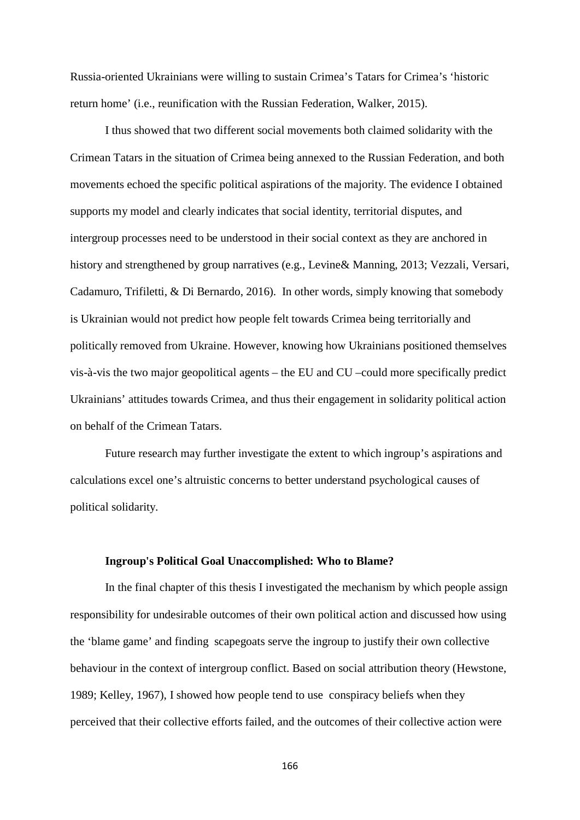Russia-oriented Ukrainians were willing to sustain Crimea's Tatars for Crimea's 'historic return home' (i.e., reunification with the Russian Federation, Walker, 2015).

I thus showed that two different social movements both claimed solidarity with the Crimean Tatars in the situation of Crimea being annexed to the Russian Federation, and both movements echoed the specific political aspirations of the majority. The evidence I obtained supports my model and clearly indicates that social identity, territorial disputes, and intergroup processes need to be understood in their social context as they are anchored in history and strengthened by group narratives (e.g., Levine& Manning, 2013; Vezzali, Versari, Cadamuro, Trifiletti, & Di Bernardo, 2016). In other words, simply knowing that somebody is Ukrainian would not predict how people felt towards Crimea being territorially and politically removed from Ukraine. However, knowing how Ukrainians positioned themselves vis-à-vis the two major geopolitical agents – the EU and CU –could more specifically predict Ukrainians' attitudes towards Crimea, and thus their engagement in solidarity political action on behalf of the Crimean Tatars.

Future research may further investigate the extent to which ingroup's aspirations and calculations excel one's altruistic concerns to better understand psychological causes of political solidarity.

#### **Ingroup's Political Goal Unaccomplished: Who to Blame?**

In the final chapter of this thesis I investigated the mechanism by which people assign responsibility for undesirable outcomes of their own political action and discussed how using the 'blame game' and finding scapegoats serve the ingroup to justify their own collective behaviour in the context of intergroup conflict. Based on social attribution theory (Hewstone, 1989; Kelley, 1967), I showed how people tend to use conspiracy beliefs when they perceived that their collective efforts failed, and the outcomes of their collective action were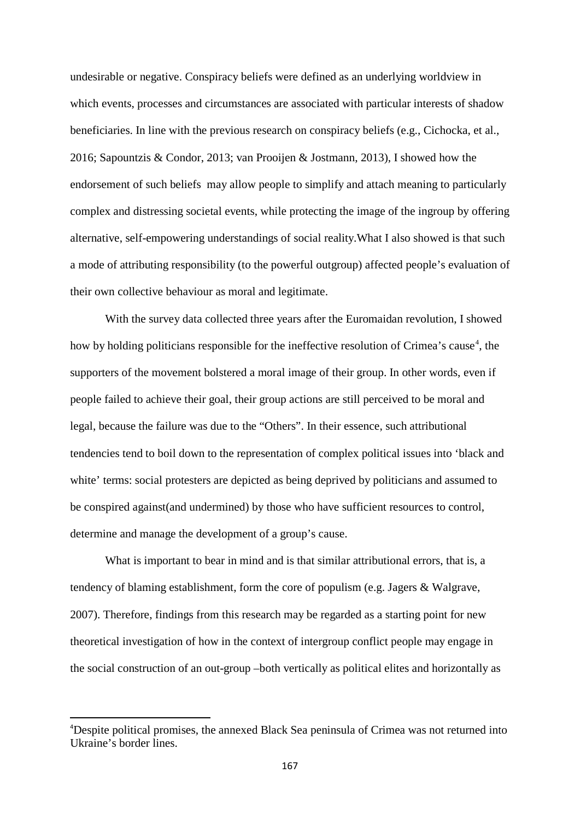undesirable or negative. Conspiracy beliefs were defined as an underlying worldview in which events, processes and circumstances are associated with particular interests of shadow beneficiaries. In line with the previous research on conspiracy beliefs (e.g., Cichocka, et al., 2016; Sapountzis & Condor, 2013; van Prooijen & Jostmann, 2013), I showed how the endorsement of such beliefs may allow people to simplify and attach meaning to particularly complex and distressing societal events, while protecting the image of the ingroup by offering alternative, self-empowering understandings of social reality.What I also showed is that such a mode of attributing responsibility (to the powerful outgroup) affected people's evaluation of their own collective behaviour as moral and legitimate.

With the survey data collected three years after the Euromaidan revolution, I showed how by holding politicians responsible for the ineffective resolution of Crimea's cause<sup>[4](#page-166-0)</sup>, the supporters of the movement bolstered a moral image of their group. In other words, even if people failed to achieve their goal, their group actions are still perceived to be moral and legal, because the failure was due to the "Others". In their essence, such attributional tendencies tend to boil down to the representation of complex political issues into 'black and white' terms: social protesters are depicted as being deprived by politicians and assumed to be conspired against(and undermined) by those who have sufficient resources to control, determine and manage the development of a group's cause.

What is important to bear in mind and is that similar attributional errors, that is, a tendency of blaming establishment, form the core of populism (e.g. Jagers & Walgrave, 2007). Therefore, findings from this research may be regarded as a starting point for new theoretical investigation of how in the context of intergroup conflict people may engage in the social construction of an out-group –both vertically as political elites and horizontally as

<span id="page-166-0"></span><sup>&</sup>lt;sup>4</sup>Despite political promises, the annexed Black Sea peninsula of Crimea was not returned into Ukraine's border lines.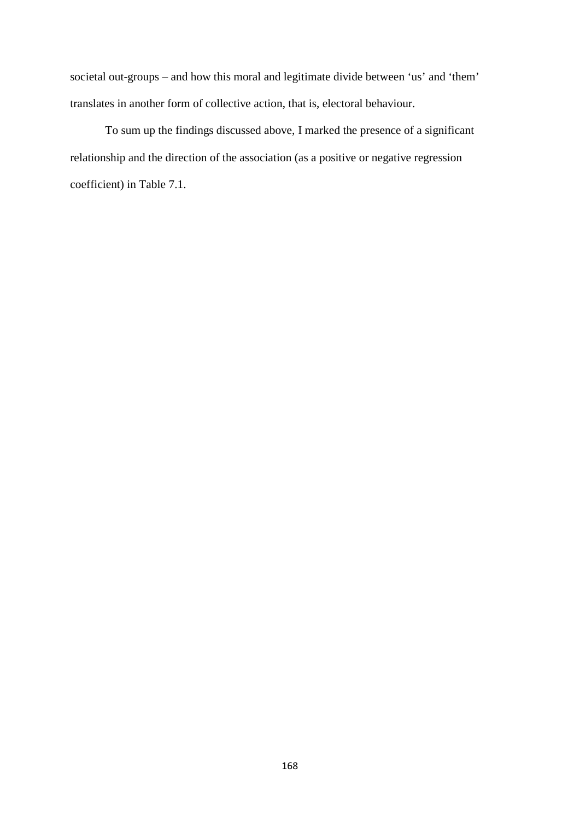societal out-groups – and how this moral and legitimate divide between 'us' and 'them' translates in another form of collective action, that is, electoral behaviour.

To sum up the findings discussed above, I marked the presence of a significant relationship and the direction of the association (as a positive or negative regression coefficient) in Table 7.1.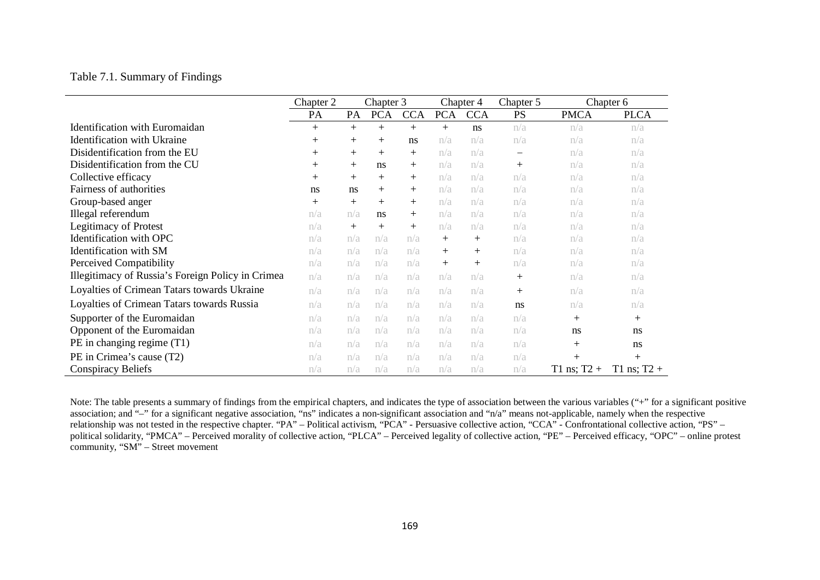#### Table 7.1. Summary of Findings

|                                                   | Chapter 3<br>Chapter 2 |     | Chapter 4  |            | Chapter 5  | Chapter 6  |           |               |               |
|---------------------------------------------------|------------------------|-----|------------|------------|------------|------------|-----------|---------------|---------------|
|                                                   | PA                     | PA  | <b>PCA</b> | <b>CCA</b> | <b>PCA</b> | <b>CCA</b> | <b>PS</b> | <b>PMCA</b>   | <b>PLCA</b>   |
| <b>Identification with Euromaidan</b>             | $+$                    | $+$ | $+$        | $+$        | $+$        | ns         | n/a       | n/a           | n/a           |
| <b>Identification with Ukraine</b>                | $^{+}$                 | $+$ | $^{+}$     | ns         | n/a        | n/a        | n/a       | n/a           | n/a           |
| Disidentification from the EU                     | $+$                    | $+$ | $^{+}$     | $+$        | n/a        | n/a        | -         | n/a           | n/a           |
| Disidentification from the CU                     | $^{+}$                 | $+$ | ns         | $^{+}$     | n/a        | n/a        | $^{+}$    | n/a           | n/a           |
| Collective efficacy                               | $^{+}$                 | $+$ | $^{+}$     | $+$        | n/a        | n/a        | n/a       | n/a           | n/a           |
| Fairness of authorities                           | ns                     | ns  | $^{+}$     | $+$        | n/a        | n/a        | n/a       | n/a           | n/a           |
| Group-based anger                                 | $^{+}$                 | $+$ | $+$        | $+$        | n/a        | n/a        | n/a       | n/a           | n/a           |
| Illegal referendum                                | n/a                    | n/a | ns         | $+$        | n/a        | n/a        | n/a       | n/a           | n/a           |
| <b>Legitimacy of Protest</b>                      | n/a                    | $+$ | $^{+}$     | $+$        | n/a        | n/a        | n/a       | n/a           | n/a           |
| Identification with OPC                           | n/a                    | n/a | n/a        | n/a        | $+$        | $+$        | n/a       | n/a           | n/a           |
| Identification with SM                            | n/a                    | n/a | n/a        | n/a        | $+$        | $+$        | n/a       | n/a           | n/a           |
| Perceived Compatibility                           | n/a                    | n/a | n/a        | n/a        | $+$        | $+$        | n/a       | n/a           | n/a           |
| Illegitimacy of Russia's Foreign Policy in Crimea | n/a                    | n/a | n/a        | n/a        | n/a        | n/a        | $^{+}$    | n/a           | n/a           |
| Loyalties of Crimean Tatars towards Ukraine       | n/a                    | n/a | n/a        | n/a        | n/a        | n/a        | $+$       | n/a           | n/a           |
| Loyalties of Crimean Tatars towards Russia        | n/a                    | n/a | n/a        | n/a        | n/a        | n/a        | ns        | n/a           | n/a           |
| Supporter of the Euromaidan                       | n/a                    | n/a | n/a        | n/a        | n/a        | n/a        | n/a       | $+$           | $^{+}$        |
| Opponent of the Euromaidan                        | n/a                    | n/a | n/a        | n/a        | n/a        | n/a        | n/a       | ns            | ns            |
| PE in changing regime (T1)                        | n/a                    | n/a | n/a        | n/a        | n/a        | n/a        | n/a       | $+$           | ns            |
| PE in Crimea's cause (T2)                         | n/a                    | n/a | n/a        | n/a        | n/a        | n/a        | n/a       | $+$           | $+$           |
| <b>Conspiracy Beliefs</b>                         | n/a                    | n/a | n/a        | n/a        | n/a        | n/a        | n/a       | T1 ns; $T2 +$ | T1 ns; $T2 +$ |

Note: The table presents a summary of findings from the empirical chapters, and indicates the type of association between the various variables ("+" for a significant positive association; and "–" for a significant negative association, "ns" indicates a non-significant association and "n/a" means not-applicable, namely when the respective relationship was not tested in the respective chapter. "PA" – Political activism, "PCA" - Persuasive collective action, "CCA" - Confrontational collective action, "PS" – political solidarity, "PMCA" – Perceived morality of collective action, "PLCA" – Perceived legality of collective action, "PE" – Perceived efficacy, "OPC" – online protest community, "SM" – Street movement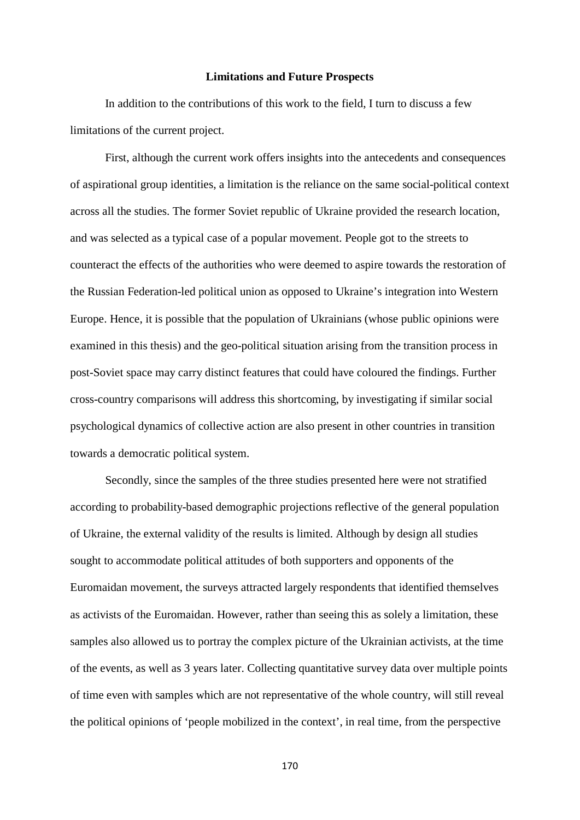#### **Limitations and Future Prospects**

In addition to the contributions of this work to the field, I turn to discuss a few limitations of the current project.

First, although the current work offers insights into the antecedents and consequences of aspirational group identities, a limitation is the reliance on the same social-political context across all the studies. The former Soviet republic of Ukraine provided the research location, and was selected as a typical case of a popular movement. People got to the streets to counteract the effects of the authorities who were deemed to aspire towards the restoration of the Russian Federation-led political union as opposed to Ukraine's integration into Western Europe. Hence, it is possible that the population of Ukrainians (whose public opinions were examined in this thesis) and the geo-political situation arising from the transition process in post-Soviet space may carry distinct features that could have coloured the findings. Further cross-country comparisons will address this shortcoming, by investigating if similar social psychological dynamics of collective action are also present in other countries in transition towards a democratic political system.

Secondly, since the samples of the three studies presented here were not stratified according to probability-based demographic projections reflective of the general population of Ukraine, the external validity of the results is limited. Although by design all studies sought to accommodate political attitudes of both supporters and opponents of the Euromaidan movement, the surveys attracted largely respondents that identified themselves as activists of the Euromaidan. However, rather than seeing this as solely a limitation, these samples also allowed us to portray the complex picture of the Ukrainian activists, at the time of the events, as well as 3 years later. Collecting quantitative survey data over multiple points of time even with samples which are not representative of the whole country, will still reveal the political opinions of 'people mobilized in the context', in real time, from the perspective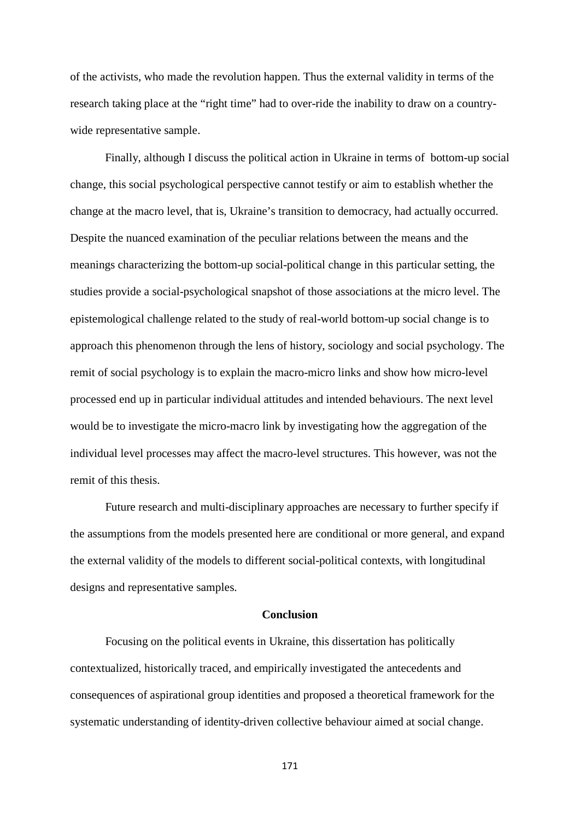of the activists, who made the revolution happen. Thus the external validity in terms of the research taking place at the "right time" had to over-ride the inability to draw on a countrywide representative sample.

Finally, although I discuss the political action in Ukraine in terms of bottom-up social change, this social psychological perspective cannot testify or aim to establish whether the change at the macro level, that is, Ukraine's transition to democracy, had actually occurred. Despite the nuanced examination of the peculiar relations between the means and the meanings characterizing the bottom-up social-political change in this particular setting, the studies provide a social-psychological snapshot of those associations at the micro level. The epistemological challenge related to the study of real-world bottom-up social change is to approach this phenomenon through the lens of history, sociology and social psychology. The remit of social psychology is to explain the macro-micro links and show how micro-level processed end up in particular individual attitudes and intended behaviours. The next level would be to investigate the micro-macro link by investigating how the aggregation of the individual level processes may affect the macro-level structures. This however, was not the remit of this thesis.

Future research and multi-disciplinary approaches are necessary to further specify if the assumptions from the models presented here are conditional or more general, and expand the external validity of the models to different social-political contexts, with longitudinal designs and representative samples.

#### **Conclusion**

Focusing on the political events in Ukraine, this dissertation has politically contextualized, historically traced, and empirically investigated the antecedents and consequences of aspirational group identities and proposed a theoretical framework for the systematic understanding of identity-driven collective behaviour aimed at social change.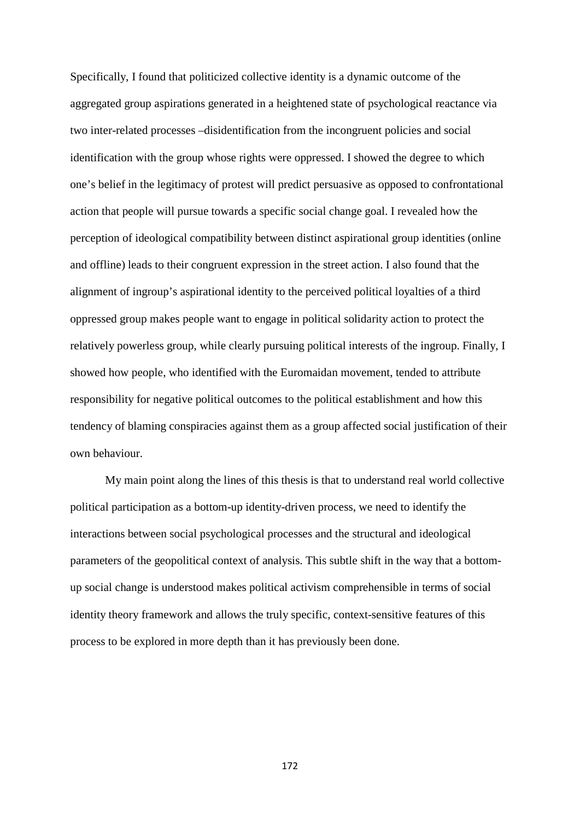Specifically, I found that politicized collective identity is a dynamic outcome of the aggregated group aspirations generated in a heightened state of psychological reactance via two inter-related processes –disidentification from the incongruent policies and social identification with the group whose rights were oppressed. I showed the degree to which one's belief in the legitimacy of protest will predict persuasive as opposed to confrontational action that people will pursue towards a specific social change goal. I revealed how the perception of ideological compatibility between distinct aspirational group identities (online and offline) leads to their congruent expression in the street action. I also found that the alignment of ingroup's aspirational identity to the perceived political loyalties of a third oppressed group makes people want to engage in political solidarity action to protect the relatively powerless group, while clearly pursuing political interests of the ingroup. Finally, I showed how people, who identified with the Euromaidan movement, tended to attribute responsibility for negative political outcomes to the political establishment and how this tendency of blaming conspiracies against them as a group affected social justification of their own behaviour.

My main point along the lines of this thesis is that to understand real world collective political participation as a bottom-up identity-driven process, we need to identify the interactions between social psychological processes and the structural and ideological parameters of the geopolitical context of analysis. This subtle shift in the way that a bottomup social change is understood makes political activism comprehensible in terms of social identity theory framework and allows the truly specific, context-sensitive features of this process to be explored in more depth than it has previously been done.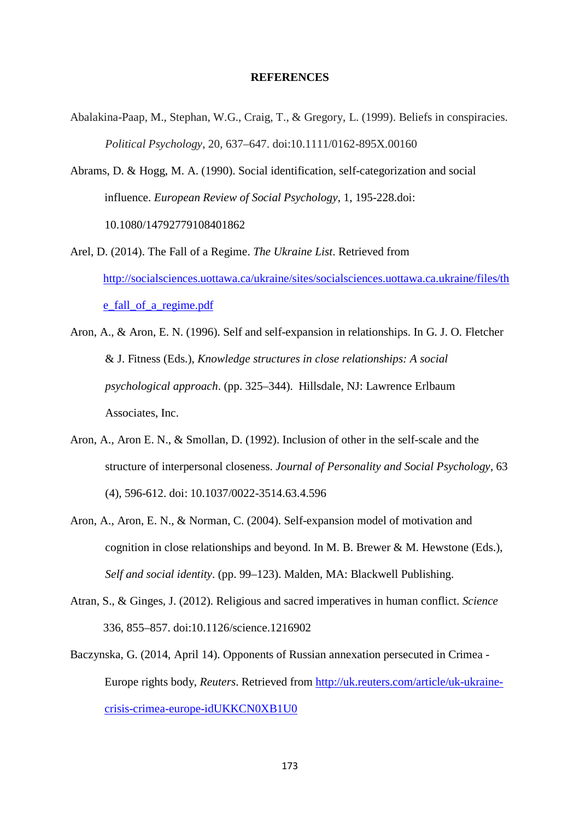#### **REFERENCES**

- Abalakina-Paap, M., Stephan, W.G., Craig, T., & Gregory, L. (1999). Beliefs in conspiracies. *Political Psychology*, 20, 637–647. doi:10.1111/0162-895X.00160
- Abrams, D. & Hogg, M. A. (1990). Social identification, self-categorization and social influence. *European Review of Social Psychology*, 1, 195-228.doi: 10.1080/14792779108401862
- Arel, D. (2014). The Fall of a Regime. *The Ukraine List*. Retrieved from [http://socialsciences.uottawa.ca/ukraine/sites/socialsciences.uottawa.ca.ukraine/files/th](http://socialsciences.uottawa.ca/ukraine/sites/socialsciences.uottawa.ca.ukraine/files/the_fall_of_a_regime.pdf) [e\\_fall\\_of\\_a\\_regime.pdf](http://socialsciences.uottawa.ca/ukraine/sites/socialsciences.uottawa.ca.ukraine/files/the_fall_of_a_regime.pdf)
- Aron, A., & Aron, E. N. (1996). Self and self-expansion in relationships. In G. J. O. Fletcher & J. Fitness (Eds.), *Knowledge structures in close relationships: A social psychological approach*. (pp. 325–344). Hillsdale, NJ: Lawrence Erlbaum Associates, Inc.
- Aron, A., Aron E. N., & Smollan, D. (1992). Inclusion of other in the self-scale and the structure of interpersonal closeness. *Journal of Personality and Social Psychology*, 63 (4), 596-612. doi: 10.1037/0022-3514.63.4.596
- Aron, A., Aron, E. N., & Norman, C. (2004). Self-expansion model of motivation and cognition in close relationships and beyond. In M. B. Brewer & M. Hewstone (Eds.), *Self and social identity*. (pp. 99–123). Malden, MA: Blackwell Publishing.
- Atran, S., & Ginges, J. (2012). Religious and sacred imperatives in human conflict. *Science* 336, 855–857. doi:10.1126/science.1216902
- Baczynska, G. (2014, April 14). Opponents of Russian annexation persecuted in Crimea Europe rights body, *Reuters*. Retrieved from [http://uk.reuters.com/article/uk-ukraine](http://uk.reuters.com/article/uk-ukraine-crisis-crimea-europe-idUKKCN0XB1U0)[crisis-crimea-europe-idUKKCN0XB1U0](http://uk.reuters.com/article/uk-ukraine-crisis-crimea-europe-idUKKCN0XB1U0)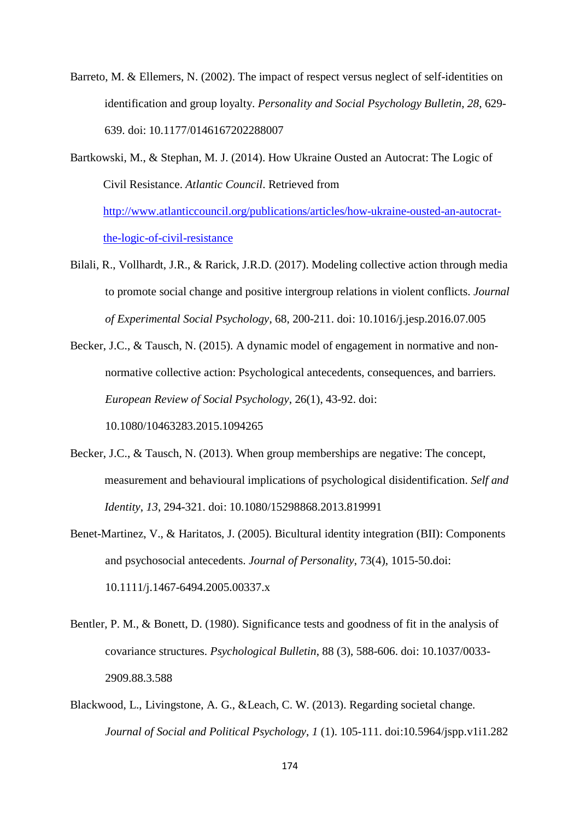- Barreto, M. & Ellemers, N. (2002). The impact of respect versus neglect of self-identities on identification and group loyalty. *Personality and Social Psychology Bulletin*, *28*, 629- 639. doi: 10.1177/0146167202288007
- Bartkowski, M., & Stephan, M. J. (2014). How Ukraine Ousted an Autocrat: The Logic of Civil Resistance. *Atlantic Council*. Retrieved from [http://www.atlanticcouncil.org/publications/articles/how-ukraine-ousted-an-autocrat](http://www.atlanticcouncil.org/publications/articles/how-ukraine-ousted-an-autocrat-the-logic-of-civil-resistance)[the-logic-of-civil-resistance](http://www.atlanticcouncil.org/publications/articles/how-ukraine-ousted-an-autocrat-the-logic-of-civil-resistance)
- Bilali, R., Vollhardt, J.R., & Rarick, J.R.D. (2017). Modeling collective action through media to promote social change and positive intergroup relations in violent conflicts. *Journal of Experimental Social Psychology*, 68, 200-211. doi: 10.1016/j.jesp.2016.07.005
- Becker, J.C., & Tausch, N. (2015). A dynamic model of engagement in normative and nonnormative collective action: Psychological antecedents, consequences, and barriers. *European Review of Social Psychology*, 26(1), 43-92. doi:

10.1080/10463283.2015.1094265

- Becker, J.C., & Tausch, N. (2013). When group memberships are negative: The concept, measurement and behavioural implications of psychological disidentification. *Self and Identity*, *13*, 294-321. doi: 10.1080/15298868.2013.819991
- Benet-Martinez, V., & Haritatos, J. (2005). Bicultural identity integration (BII): Components and psychosocial antecedents. *Journal of Personality*, 73(4), 1015-50.doi: 10.1111/j.1467-6494.2005.00337.x
- Bentler, P. M., & Bonett, D. (1980). Significance tests and goodness of fit in the analysis of covariance structures. *Psychological Bulletin*, 88 (3), 588-606. doi: 10.1037/0033- 2909.88.3.588
- Blackwood, L., Livingstone, A. G., &Leach, C. W. (2013). Regarding societal change*. Journal of Social and Political Psychology*, *1* (1). 105-111. doi:10.5964/jspp.v1i1.282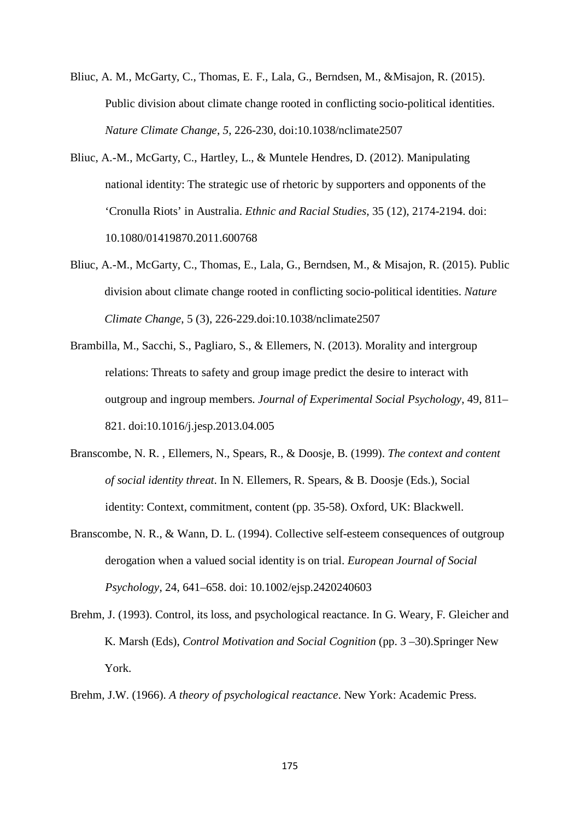- Bliuc, A. M., McGarty, C., Thomas, E. F., Lala, G., Berndsen, M., &Misajon, R. (2015). Public division about climate change rooted in conflicting socio-political identities. *Nature Climate Change*, *5*, 226-230, doi:10.1038/nclimate2507
- Bliuc, A.-M., McGarty, C., Hartley, L., & Muntele Hendres, D. (2012). Manipulating national identity: The strategic use of rhetoric by supporters and opponents of the 'Cronulla Riots' in Australia. *Ethnic and Racial Studies*, 35 (12), 2174-2194. doi: 10.1080/01419870.2011.600768
- Bliuc, A.-M., McGarty, C., Thomas, E., Lala, G., Berndsen, M., & Misajon, R. (2015). Public division about climate change rooted in conflicting socio-political identities. *Nature Climate Change*, 5 (3), 226-229.doi:10.1038/nclimate2507
- Brambilla, M., Sacchi, S., Pagliaro, S., & Ellemers, N. (2013). Morality and intergroup relations: Threats to safety and group image predict the desire to interact with outgroup and ingroup members. *Journal of Experimental Social Psychology*, 49, 811– 821. doi:10.1016/j.jesp.2013.04.005
- Branscombe, N. R. , Ellemers, N., Spears, R., & Doosje, B. (1999). *The context and content of social identity threat*. In N. Ellemers, R. Spears, & B. Doosje (Eds.), Social identity: Context, commitment, content (pp. 35-58). Oxford, UK: Blackwell.
- Branscombe, N. R., & Wann, D. L. (1994). Collective self-esteem consequences of outgroup derogation when a valued social identity is on trial. *European Journal of Social Psychology*, 24, 641–658. doi: 10.1002/ejsp.2420240603
- Brehm, J. (1993). Control, its loss, and psychological reactance. In G. Weary, F. Gleicher and K. Marsh (Eds), *Control Motivation and Social Cognition* (pp. 3 –30).Springer New York.

Brehm, J.W. (1966). *A theory of psychological reactance*. New York: Academic Press.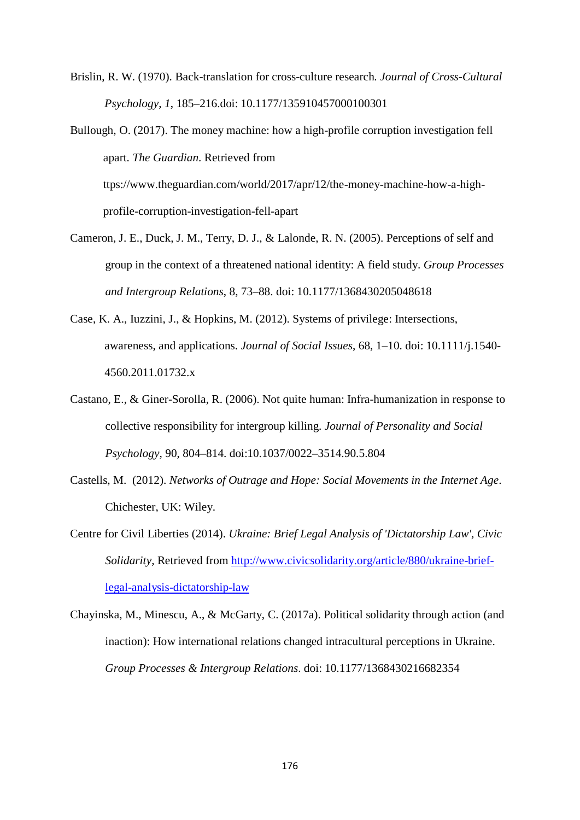Brislin, R. W. (1970). Back-translation for cross-culture research*. Journal of Cross-Cultural Psychology*, *1*, 185–216.doi: 10.1177/135910457000100301

Bullough, O. (2017). The money machine: how a high-profile corruption investigation fell apart*. The Guardian*. Retrieved from ttps://www.theguardian.com/world/2017/apr/12/the-money-machine-how-a-highprofile-corruption-investigation-fell-apart

- Cameron, J. E., Duck, J. M., Terry, D. J., & Lalonde, R. N. (2005). Perceptions of self and group in the context of a threatened national identity: A field study. *Group Processes and Intergroup Relations*, 8, 73–88. doi: 10.1177/1368430205048618
- Case, K. A., Iuzzini, J., & Hopkins, M. (2012). Systems of privilege: Intersections, awareness, and applications. *Journal of Social Issues*, 68, 1–10. doi: 10.1111/j.1540- 4560.2011.01732.x
- Castano, E., & Giner-Sorolla, R. (2006). Not quite human: Infra-humanization in response to collective responsibility for intergroup killing. *Journal of Personality and Social Psychology*, 90, 804–814. doi:10.1037/0022–3514.90.5.804
- Castells, M. (2012). *Networks of Outrage and Hope: Social Movements in the Internet Age*. Chichester, UK: Wiley.
- Centre for Civil Liberties (2014). *Ukraine: Brief Legal Analysis of 'Dictatorship Law', Civic Solidarity*, Retrieved from [http://www.civicsolidarity.org/article/880/ukraine-brief](http://www.civicsolidarity.org/article/880/ukraine-brief-legal-analysis-dictatorship-law)[legal-analysis-dictatorship-law](http://www.civicsolidarity.org/article/880/ukraine-brief-legal-analysis-dictatorship-law)
- Chayinska, M., Minescu, A., & McGarty, C. (2017a). Political solidarity through action (and inaction): How international relations changed intracultural perceptions in Ukraine. *Group Processes & Intergroup Relations*. doi: 10.1177/1368430216682354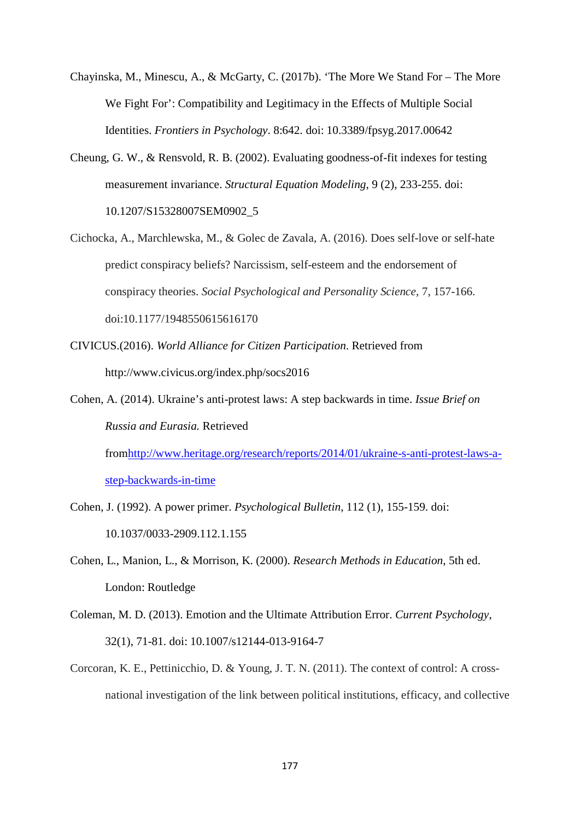- Chayinska, M., Minescu, A., & McGarty, C. (2017b). 'The More We Stand For The More We Fight For': Compatibility and Legitimacy in the Effects of Multiple Social Identities. *Frontiers in Psychology*. 8:642. doi: 10.3389/fpsyg.2017.00642
- Cheung, G. W., & Rensvold, R. B. (2002). Evaluating goodness-of-fit indexes for testing measurement invariance. *Structural Equation Modeling*, 9 (2), 233-255. doi: 10.1207/S15328007SEM0902\_5
- Cichocka, A., Marchlewska, M., & Golec de Zavala, A. (2016). Does self-love or self-hate predict conspiracy beliefs? Narcissism, self-esteem and the endorsement of conspiracy theories. *Social Psychological and Personality Science*, 7, 157-166. doi:10.1177/1948550615616170
- CIVICUS.(2016). *World Alliance for Citizen Participation*. Retrieved from http://www.civicus.org/index.php/socs2016
- Cohen, A. (2014). Ukraine's anti-protest laws: A step backwards in time. *Issue Brief on Russia and Eurasia.* Retrieved fro[mhttp://www.heritage.org/research/reports/2014/01/ukraine-s-anti-protest-laws-a](http://www.heritage.org/research/reports/2014/01/ukraine-s-anti-protest-laws-a-step-backwards-in-time)[step-backwards-in-time](http://www.heritage.org/research/reports/2014/01/ukraine-s-anti-protest-laws-a-step-backwards-in-time)
- Cohen, J. (1992). A power primer. *Psychological Bulletin*, 112 (1), 155-159. doi: 10.1037/0033-2909.112.1.155
- Cohen, L., Manion, L., & Morrison, K. (2000). *Research Methods in Education*, 5th ed. London: Routledge
- Coleman, M. D. (2013). Emotion and the Ultimate Attribution Error. *Current Psychology*, 32(1), 71-81. doi: 10.1007/s12144-013-9164-7
- Corcoran, K. E., Pettinicchio, D. & Young, J. T. N. (2011). The context of control: A crossnational investigation of the link between political institutions, efficacy, and collective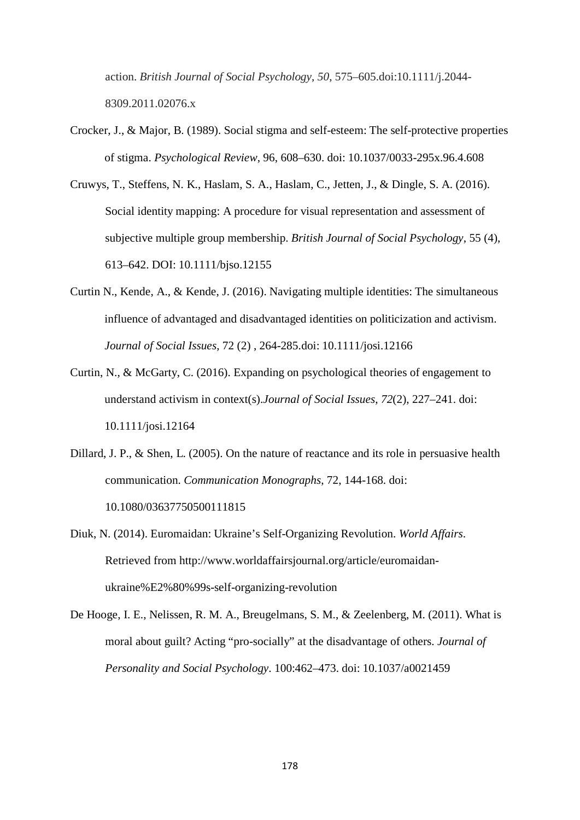action. *British Journal of Social Psychology*, *50*, 575–605.doi:10.1111/j.2044- 8309.2011.02076.x

- Crocker, J., & Major, B. (1989). Social stigma and self-esteem: The self-protective properties of stigma. *Psychological Review*, 96, 608–630. doi: 10.1037/0033-295x.96.4.608
- Cruwys, T., Steffens, N. K., Haslam, S. A., Haslam, C., Jetten, J., & Dingle, S. A. (2016). Social identity mapping: A procedure for visual representation and assessment of subjective multiple group membership. *British Journal of Social Psychology*, 55 (4), 613–642. DOI: 10.1111/bjso.12155
- Curtin N., Kende, A., & Kende, J. (2016). Navigating multiple identities: The simultaneous influence of advantaged and disadvantaged identities on politicization and activism. *Journal of Social Issues*, 72 (2) , 264-285.doi: 10.1111/josi.12166
- Curtin, N., & McGarty, C. (2016). Expanding on psychological theories of engagement to understand activism in context(s).*Journal of Social Issues*, *72*(2), 227–241. doi: 10.1111/josi.12164
- Dillard, J. P., & Shen, L. (2005). On the nature of reactance and its role in persuasive health communication. *Communication Monographs*, 72, 144-168. doi: 10.1080/03637750500111815
- Diuk, N. (2014). Euromaidan: Ukraine's Self-Organizing Revolution. *World Affairs*. Retrieved from [http://www.worldaffairsjournal.org/article/euromaidan](http://www.worldaffairsjournal.org/article/euromaidan-ukraine%E2%80%99s-self-organizing-revolution)[ukraine%E2%80%99s-self-organizing-revolution](http://www.worldaffairsjournal.org/article/euromaidan-ukraine%E2%80%99s-self-organizing-revolution)
- De Hooge, I. E., Nelissen, R. M. A., Breugelmans, S. M., & Zeelenberg, M. (2011). What is moral about guilt? Acting "pro-socially" at the disadvantage of others. *Journal of Personality and Social Psychology*. 100:462–473. doi: 10.1037/a0021459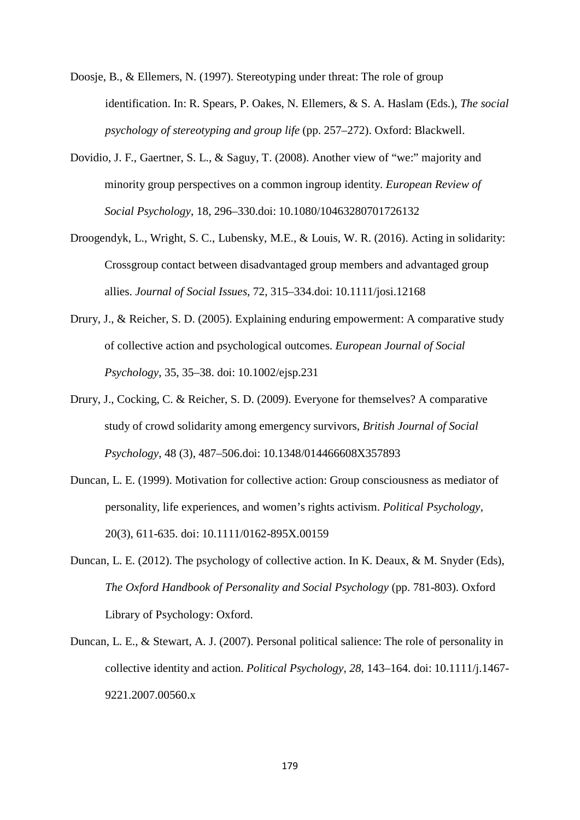- Doosje, B., & Ellemers, N. (1997). Stereotyping under threat: The role of group identification. In: R. Spears, P. Oakes, N. Ellemers, & S. A. Haslam (Eds.), *The social psychology of stereotyping and group life* (pp. 257–272). Oxford: Blackwell.
- Dovidio, J. F., Gaertner, S. L., & Saguy, T. (2008). Another view of "we:" majority and minority group perspectives on a common ingroup identity. *European Review of Social Psychology*, 18, 296–330.doi: 10.1080/10463280701726132
- Droogendyk, L., Wright, S. C., Lubensky, M.E., & Louis, W. R. (2016). Acting in solidarity: Crossgroup contact between disadvantaged group members and advantaged group allies. *Journal of Social Issues*, 72, 315–334.doi: 10.1111/josi.12168
- Drury, J., & Reicher, S. D. (2005). Explaining enduring empowerment: A comparative study of collective action and psychological outcomes. *European Journal of Social Psychology*, 35, 35–38. doi: 10.1002/ejsp.231
- Drury, J., Cocking, C. & Reicher, S. D. (2009). Everyone for themselves? A comparative study of crowd solidarity among emergency survivors, *British Journal of Social Psychology*, 48 (3), 487–506.doi: 10.1348/014466608X357893
- Duncan, L. E. (1999). Motivation for collective action: Group consciousness as mediator of personality, life experiences, and women's rights activism. *Political Psychology*, 20(3), 611-635. doi: 10.1111/0162-895X.00159
- Duncan, L. E. (2012). The psychology of collective action. In K. Deaux, & M. Snyder (Eds), *The Oxford Handbook of Personality and Social Psychology* (pp. 781-803). Oxford Library of Psychology: Oxford.
- Duncan, L. E., & Stewart, A. J. (2007). Personal political salience: The role of personality in collective identity and action. *Political Psychology*, *28*, 143–164. doi: 10.1111/j.1467- 9221.2007.00560.x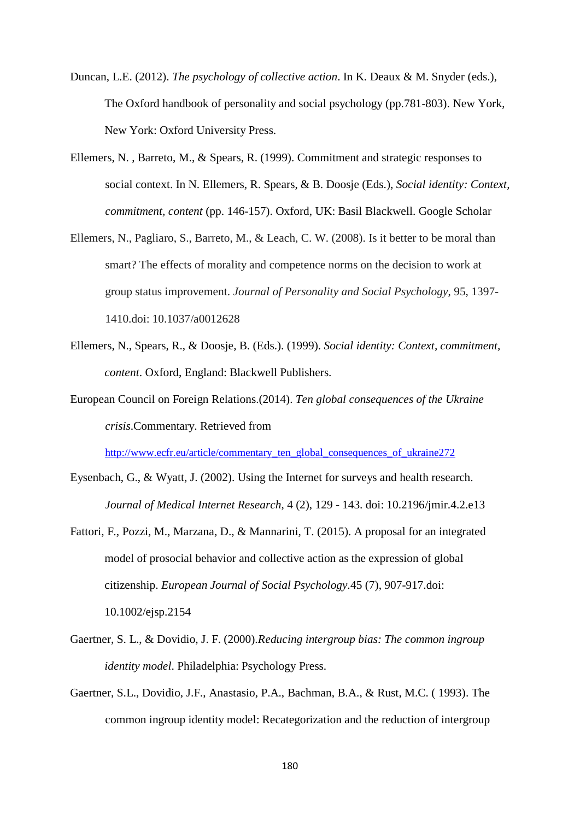- Duncan, L.E. (2012). *The psychology of collective action*. In K. Deaux & M. Snyder (eds.), The Oxford handbook of personality and social psychology (pp.781-803). New York, New York: Oxford University Press.
- Ellemers, N. , Barreto, M., & Spears, R. (1999). Commitment and strategic responses to social context. In N. Ellemers, R. Spears, & B. Doosje (Eds.), *Social identity: Context, commitment, content* (pp. 146-157). Oxford, UK: Basil Blackwell. Google Scholar
- Ellemers, N., Pagliaro, S., Barreto, M., & Leach, C. W. (2008). Is it better to be moral than smart? The effects of morality and competence norms on the decision to work at group status improvement. *Journal of Personality and Social Psychology*, 95, 1397- 1410.doi: 10.1037/a0012628
- Ellemers, N., Spears, R., & Doosje, B. (Eds.). (1999). *Social identity: Context, commitment, content*. Oxford, England: Blackwell Publishers.
- European Council on Foreign Relations.(2014). *Ten global consequences of the Ukraine crisis*.Commentary. Retrieved from

[http://www.ecfr.eu/article/commentary\\_ten\\_global\\_consequences\\_of\\_ukraine272](http://www.ecfr.eu/article/commentary_ten_global_consequences_of_ukraine272)

- Eysenbach, G., & Wyatt, J. (2002). Using the Internet for surveys and health research. *Journal of Medical Internet Research*, 4 (2), 129 - 143. doi: 10.2196/jmir.4.2.e13
- Fattori, F., Pozzi, M., Marzana, D., & Mannarini, T. (2015). A proposal for an integrated model of prosocial behavior and collective action as the expression of global citizenship. *European Journal of Social Psychology.*45 (7), 907-917.doi: 10.1002/ejsp.2154
- Gaertner, S. L., & Dovidio, J. F. (2000).*Reducing intergroup bias: The common ingroup identity model*. Philadelphia: Psychology Press.
- Gaertner, S.L., Dovidio, J.F., Anastasio, P.A., Bachman, B.A., & Rust, M.C. ( 1993). The common ingroup identity model: Recategorization and the reduction of intergroup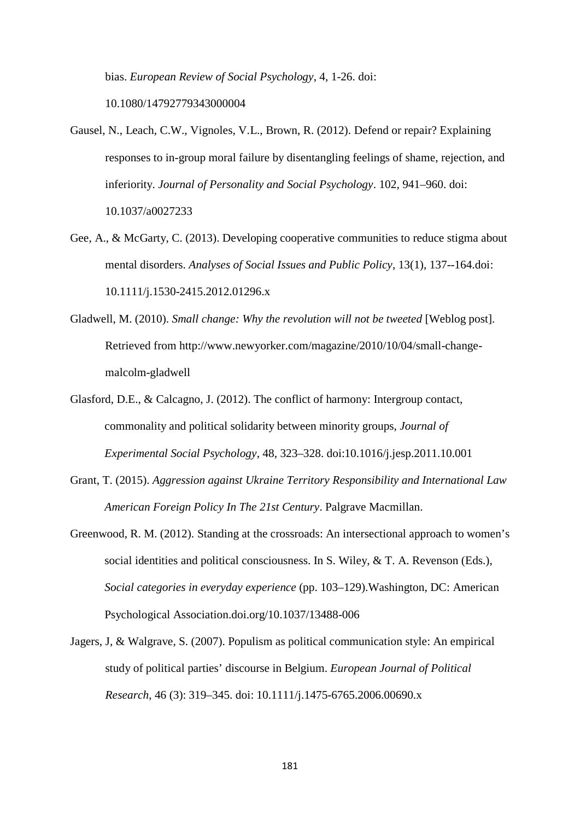bias. *European Review of Social Psychology*, 4, 1-26. doi:

10.1080/14792779343000004

- Gausel, N., Leach, C.W., Vignoles, V.L., Brown, R. (2012). Defend or repair? Explaining responses to in-group moral failure by disentangling feelings of shame, rejection, and inferiority. *Journal of Personality and Social Psychology*. 102, 941–960. doi: 10.1037/a0027233
- Gee, A., & McGarty, C. (2013). Developing cooperative communities to reduce stigma about mental disorders. *Analyses of Social Issues and Public Policy*, 13(1), 137--164.doi: 10.1111/j.1530-2415.2012.01296.x
- Gladwell, M. (2010). *Small change: Why the revolution will not be tweeted* [Weblog post]. Retrieved from http://www.newyorker.com/magazine/2010/10/04/small-changemalcolm-gladwell
- Glasford, D.E., & Calcagno, J. (2012). The conflict of harmony: Intergroup contact, commonality and political solidarity between minority groups, *Journal of Experimental Social Psychology*, 48, 323–328. doi:10.1016/j.jesp.2011.10.001
- Grant, T. (2015). *Aggression against Ukraine Territory Responsibility and International Law American Foreign Policy In The 21st Century*. Palgrave Macmillan.
- Greenwood, R. M. (2012). Standing at the crossroads: An intersectional approach to women's social identities and political consciousness. In S. Wiley, & T. A. Revenson (Eds.), *Social categories in everyday experience* (pp. 103–129).Washington, DC: American Psychological Association.doi.org/10.1037/13488-006
- Jagers, J, & Walgrave, S. (2007). Populism as political communication style: An empirical study of political parties' discourse in Belgium. *European Journal of Political Research*, 46 (3): 319–345. doi: 10.1111/j.1475-6765.2006.00690.x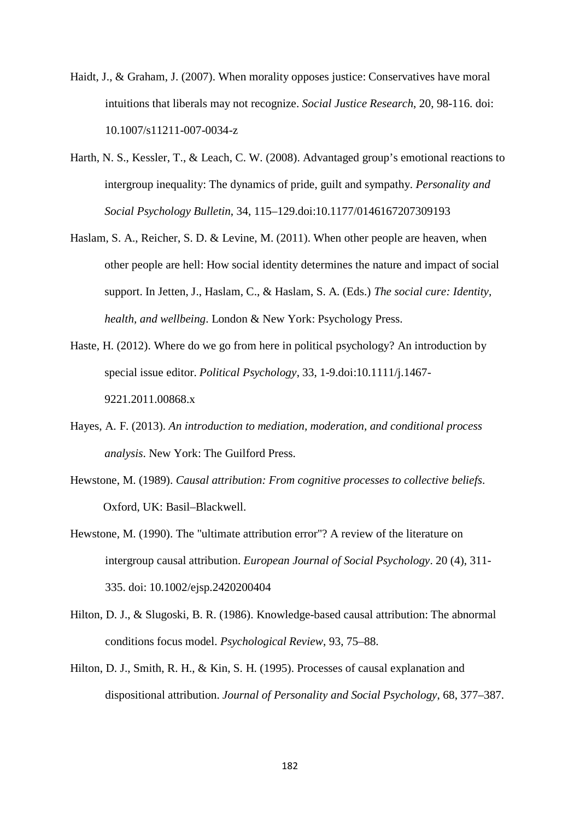- Haidt, J., & Graham, J. (2007). When morality opposes justice: Conservatives have moral intuitions that liberals may not recognize. *Social Justice Research*, 20, 98-116. doi: 10.1007/s11211-007-0034-z
- Harth, N. S., Kessler, T., & Leach, C. W. (2008). Advantaged group's emotional reactions to intergroup inequality: The dynamics of pride, guilt and sympathy. *Personality and Social Psychology Bulletin*, 34, 115–129.doi:10.1177/0146167207309193
- Haslam, S. A., Reicher, S. D. & Levine, M. (2011). When other people are heaven, when other people are hell: How social identity determines the nature and impact of social support. In Jetten, J., Haslam, C., & Haslam, S. A. (Eds.) *The social cure: Identity, health, and wellbeing*. London & New York: Psychology Press.
- Haste, H. (2012). Where do we go from here in political psychology? An introduction by special issue editor. *Political Psychology*, 33, 1-9.doi:10.1111/j.1467- 9221.2011.00868.x
- Hayes, A. F. (2013). *An introduction to mediation, moderation, and conditional process analysis*. New York: The Guilford Press.
- Hewstone, M. (1989). *Causal attribution: From cognitive processes to collective beliefs*. Oxford, UK: Basil–Blackwell.
- Hewstone, M. (1990). The "ultimate attribution error"? A review of the literature on intergroup causal attribution. *European Journal of Social Psychology*. 20 (4), 311- 335. doi: 10.1002/ejsp.2420200404
- Hilton, D. J., & Slugoski, B. R. (1986). Knowledge-based causal attribution: The abnormal conditions focus model. *Psychological Review*, 93, 75–88.
- Hilton, D. J., Smith, R. H., & Kin, S. H. (1995). Processes of causal explanation and dispositional attribution. *Journal of Personality and Social Psychology*, 68, 377–387.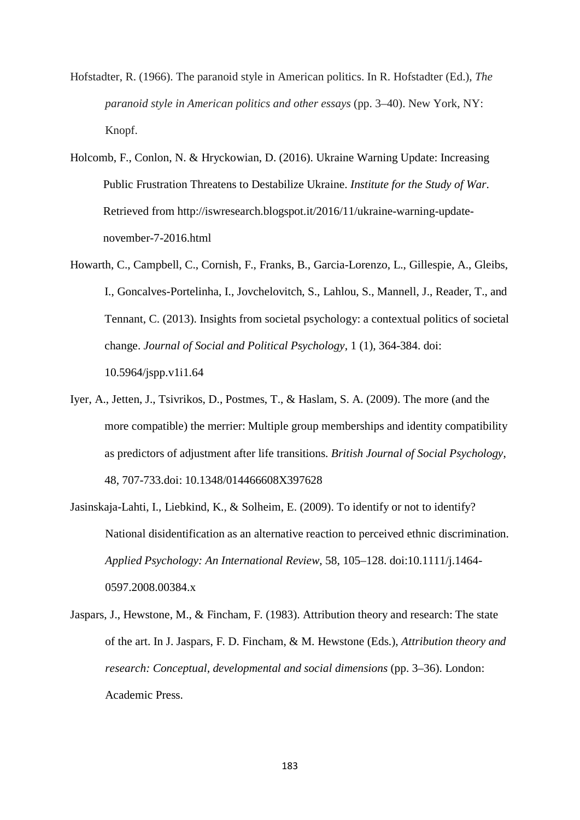Hofstadter, R. (1966). The paranoid style in American politics. In R. Hofstadter (Ed.), *The paranoid style in American politics and other essays* (pp. 3–40). New York, NY: Knopf.

- Holcomb, F., Conlon, N. & Hryckowian, D. (2016). Ukraine Warning Update: Increasing Public Frustration Threatens to Destabilize Ukraine. *Institute for the Study of War*. Retrieved from http://iswresearch.blogspot.it/2016/11/ukraine-warning-updatenovember-7-2016.html
- Howarth, C., Campbell, C., Cornish, F., Franks, B., Garcia-Lorenzo, L., Gillespie, A., Gleibs, I., Goncalves-Portelinha, I., Jovchelovitch, S., Lahlou, S., Mannell, J., Reader, T., and Tennant, C. (2013). Insights from societal psychology: a contextual politics of societal change. *Journal of Social and Political Psychology*, 1 (1), 364-384. doi: 10.5964/jspp.v1i1.64
- Iyer, A., Jetten, J., Tsivrikos, D., Postmes, T., & Haslam, S. A. (2009). The more (and the more compatible) the merrier: Multiple group memberships and identity compatibility as predictors of adjustment after life transitions. *British Journal of Social Psychology*, 48, 707-733.doi: 10.1348/014466608X397628
- Jasinskaja-Lahti, I., Liebkind, K., & Solheim, E. (2009). To identify or not to identify? National disidentification as an alternative reaction to perceived ethnic discrimination. *Applied Psychology: An International Review*, 58, 105–128. doi:10.1111/j.1464- 0597.2008.00384.x
- Jaspars, J., Hewstone, M., & Fincham, F. (1983). Attribution theory and research: The state of the art. In J. Jaspars, F. D. Fincham, & M. Hewstone (Eds.), *Attribution theory and research: Conceptual, developmental and social dimensions* (pp. 3–36). London: Academic Press.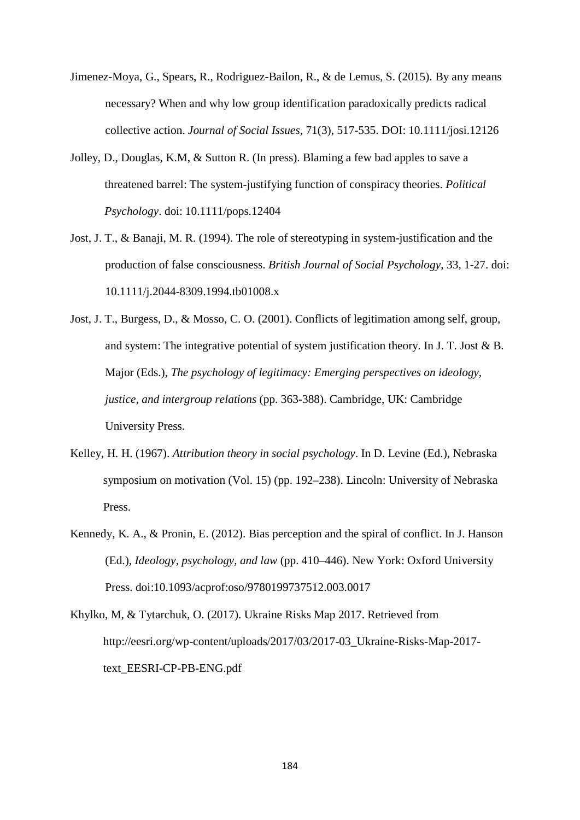- Jimenez-Moya, G., Spears, R., Rodriguez-Bailon, R., & de Lemus, S. (2015). By any means necessary? When and why low group identification paradoxically predicts radical collective action. *Journal of Social Issues*, 71(3), 517-535. DOI: 10.1111/josi.12126
- Jolley, D., Douglas, K.M, & Sutton R. (In press). Blaming a few bad apples to save a threatened barrel: The system-justifying function of conspiracy theories. *Political Psychology*. doi: 10.1111/pops.12404
- Jost, J. T., & Banaji, M. R. (1994). The role of stereotyping in system-justification and the production of false consciousness. *British Journal of Social Psychology*, 33, 1-27. doi: 10.1111/j.2044-8309.1994.tb01008.x
- Jost, J. T., Burgess, D., & Mosso, C. O. (2001). Conflicts of legitimation among self, group, and system: The integrative potential of system justification theory. In J. T. Jost & B. Major (Eds.), *The psychology of legitimacy: Emerging perspectives on ideology, justice, and intergroup relations* (pp. 363-388). Cambridge, UK: Cambridge University Press.
- Kelley, H. H. (1967). *Attribution theory in social psychology*. In D. Levine (Ed.), Nebraska symposium on motivation (Vol. 15) (pp. 192–238). Lincoln: University of Nebraska Press.
- Kennedy, K. A., & Pronin, E. (2012). Bias perception and the spiral of conflict. In J. Hanson (Ed.), *Ideology, psychology, and law* (pp. 410–446). New York: Oxford University Press. doi:10.1093/acprof:oso/9780199737512.003.0017
- Khylko, M, & Tytarchuk, O. (2017). Ukraine Risks Map 2017. Retrieved from http://eesri.org/wp-content/uploads/2017/03/2017-03\_Ukraine-Risks-Map-2017 text\_EESRI-CP-PB-ENG.pdf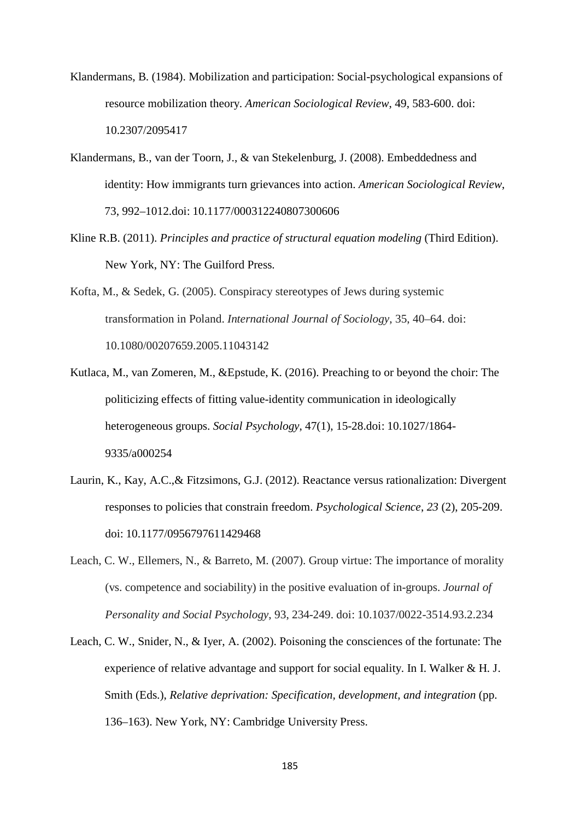- Klandermans, B. (1984). Mobilization and participation: Social-psychological expansions of resource mobilization theory. *American Sociological Review*, 49, 583-600. doi: 10.2307/2095417
- Klandermans, B., van der Toorn, J., & van Stekelenburg, J. (2008). Embeddedness and identity: How immigrants turn grievances into action. *American Sociological Review*, 73, 992–1012.doi: 10.1177/000312240807300606
- Kline R.B. (2011). *Principles and practice of structural equation modeling* (Third Edition). New York, NY: The Guilford Press.
- Kofta, M., & Sedek, G. (2005). Conspiracy stereotypes of Jews during systemic transformation in Poland. *International Journal of Sociology*, 35, 40–64. doi: 10.1080/00207659.2005.11043142
- Kutlaca, M., van Zomeren, M., &Epstude, K. (2016). Preaching to or beyond the choir: The politicizing effects of fitting value-identity communication in ideologically heterogeneous groups. *Social Psychology*, 47(1), 15-28.doi: 10.1027/1864- 9335/a000254
- Laurin, K., Kay, A.C.,& Fitzsimons, G.J. (2012). Reactance versus rationalization: Divergent responses to policies that constrain freedom. *Psychological Science*, *23* (2), 205-209. doi: 10.1177/0956797611429468
- Leach, C. W., Ellemers, N., & Barreto, M. (2007). Group virtue: The importance of morality (vs. competence and sociability) in the positive evaluation of in-groups. *Journal of Personality and Social Psychology*, 93, 234-249. doi: 10.1037/0022-3514.93.2.234
- Leach, C. W., Snider, N., & Iyer, A. (2002). Poisoning the consciences of the fortunate: The experience of relative advantage and support for social equality. In I. Walker  $\&$  H. J. Smith (Eds.), *Relative deprivation: Specification, development, and integration* (pp. 136–163). New York, NY: Cambridge University Press.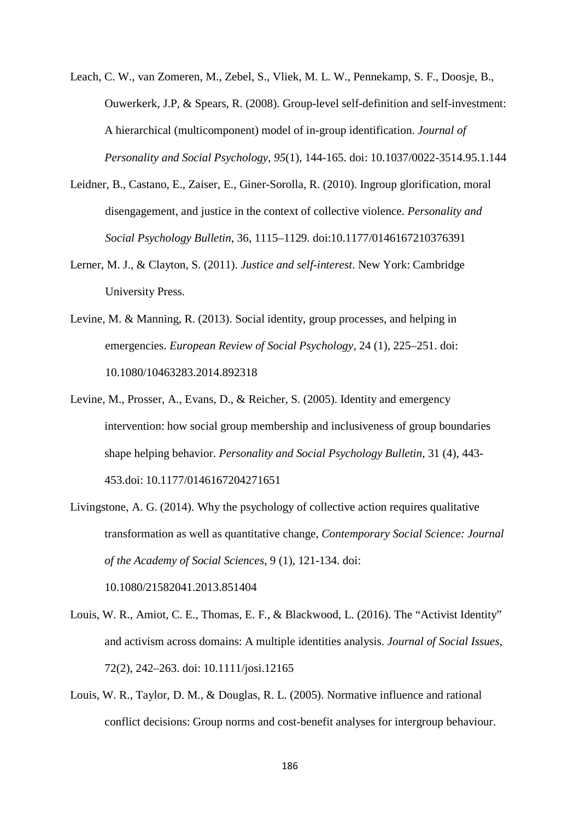- Leach, C. W., van Zomeren, M., Zebel, S., Vliek, M. L. W., Pennekamp, S. F., Doosje, B., Ouwerkerk, J.P, & Spears, R. (2008). Group-level self-definition and self-investment: A hierarchical (multicomponent) model of in-group identification. *Journal of Personality and Social Psychology*, *95*(1), 144-165. doi: 10.1037/0022-3514.95.1.144
- Leidner, B., Castano, E., Zaiser, E., Giner-Sorolla, R. (2010). Ingroup glorification, moral disengagement, and justice in the context of collective violence. *Personality and Social Psychology Bulletin*, 36, 1115–1129. doi:10.1177/0146167210376391
- Lerner, M. J., & Clayton, S. (2011). *Justice and self-interest*. New York: Cambridge University Press.
- Levine, M. & Manning, R. (2013). Social identity, group processes, and helping in emergencies. *European Review of Social Psychology,* 24 (1), 225–251. doi: 10.1080/10463283.2014.892318
- Levine, M., Prosser, A., Evans, D., & Reicher, S. (2005). Identity and emergency intervention: how social group membership and inclusiveness of group boundaries shape helping behavior. *Personality and Social Psychology Bulletin*, 31 (4), 443- 453.doi: 10.1177/0146167204271651
- Livingstone, A. G. (2014). Why the psychology of collective action requires qualitative transformation as well as quantitative change, *Contemporary Social Science: Journal of the Academy of Social Sciences*, 9 (1), 121-134. doi: 10.1080/21582041.2013.851404
- Louis, W. R., Amiot, C. E., Thomas, E. F., & Blackwood, L. (2016). The "Activist Identity" and activism across domains: A multiple identities analysis. *Journal of Social Issues*, 72(2), 242–263. doi: 10.1111/josi.12165
- Louis, W. R., Taylor, D. M., & Douglas, R. L. (2005). Normative influence and rational conflict decisions: Group norms and cost-benefit analyses for intergroup behaviour.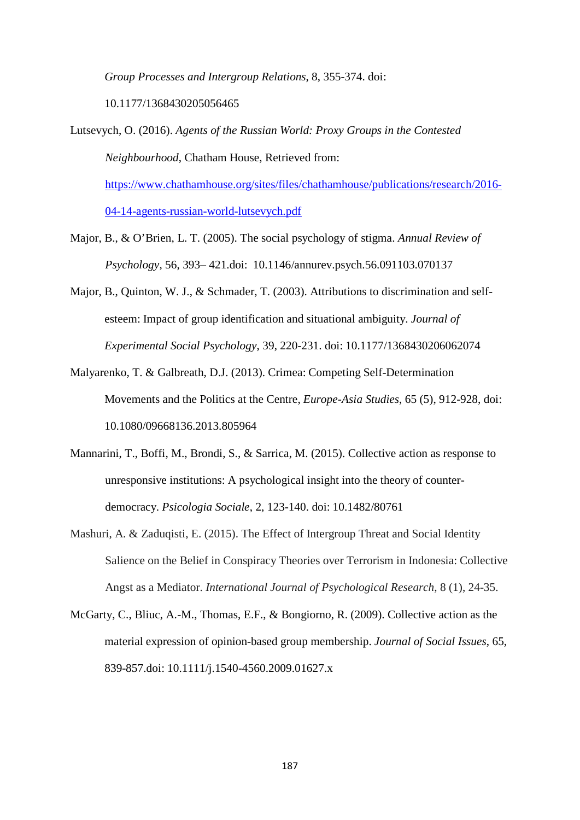*Group Processes and Intergroup Relations*, 8, 355-374. doi:

10.1177/1368430205056465

Lutsevych, O. (2016). *Agents of the Russian World: Proxy Groups in the Contested Neighbourhood*, Chatham House, Retrieved from: [https://www.chathamhouse.org/sites/files/chathamhouse/publications/research/2016-](https://www.chathamhouse.org/sites/files/chathamhouse/publications/research/2016-04-14-agents-russian-world-lutsevych.pdf) [04-14-agents-russian-world-lutsevych.pdf](https://www.chathamhouse.org/sites/files/chathamhouse/publications/research/2016-04-14-agents-russian-world-lutsevych.pdf)

- Major, B., & O'Brien, L. T. (2005). The social psychology of stigma. *Annual Review of Psychology*, 56, 393– 421.doi: 10.1146/annurev.psych.56.091103.070137
- Major, B., Quinton, W. J., & Schmader, T. (2003). Attributions to discrimination and selfesteem: Impact of group identification and situational ambiguity. *Journal of Experimental Social Psychology*, 39, 220-231. doi: 10.1177/1368430206062074
- Malyarenko, T. & Galbreath, D.J. (2013). Crimea: Competing Self-Determination Movements and the Politics at the Centre, *Europe-Asia Studies*, 65 (5), 912-928, doi: 10.1080/09668136.2013.805964
- Mannarini, T., Boffi, M., Brondi, S., & Sarrica, M. (2015). Collective action as response to unresponsive institutions: A psychological insight into the theory of counterdemocracy. *Psicologia Sociale*, 2, 123-140. doi: 10.1482/80761
- Mashuri, A. & Zaduqisti, E. (2015). The Effect of Intergroup Threat and Social Identity Salience on the Belief in Conspiracy Theories over Terrorism in Indonesia: Collective Angst as a Mediator. *International Journal of Psychological Research*, 8 (1), 24-35.
- McGarty, C., Bliuc, A.-M., Thomas, E.F., & Bongiorno, R. (2009). Collective action as the material expression of opinion-based group membership. *Journal of Social Issues*, 65, 839-857.doi: 10.1111/j.1540-4560.2009.01627.x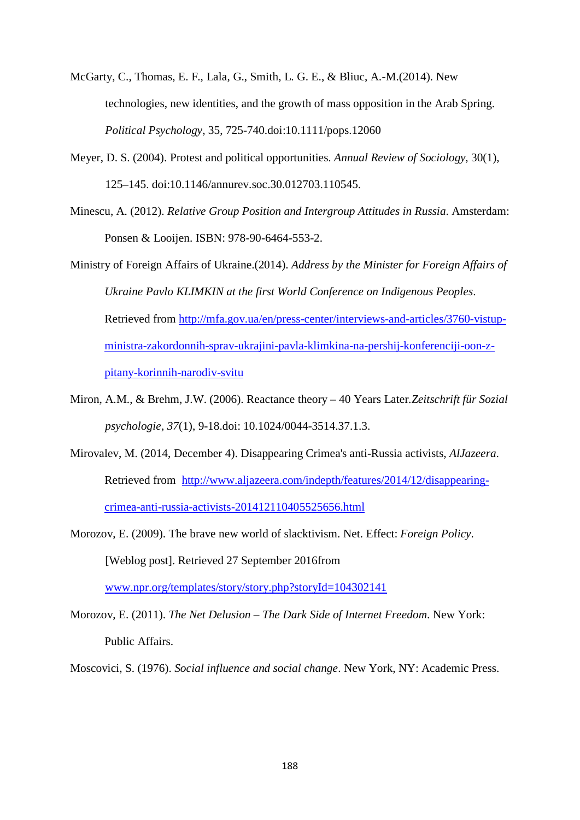- McGarty, C., Thomas, E. F., Lala, G., Smith, L. G. E., & Bliuc, A.-M.(2014). New technologies, new identities, and the growth of mass opposition in the Arab Spring. *Political Psychology*, 35, 725-740.doi:10.1111/pops.12060
- Meyer, D. S. (2004). Protest and political opportunities. *Annual Review of Sociology*, 30(1), 125–145. doi:10.1146/annurev.soc.30.012703.110545.
- Minescu, A. (2012). *Relative Group Position and Intergroup Attitudes in Russia*. Amsterdam: Ponsen & Looijen. ISBN: 978-90-6464-553-2.

Ministry of Foreign Affairs of Ukraine.(2014). *Address by the Minister for Foreign Affairs of Ukraine Pavlo KLIMKIN at the first World Conference on Indigenous Peoples*. Retrieved from [http://mfa.gov.ua/en/press-center/interviews-and-articles/3760-vistup](http://mfa.gov.ua/en/press-center/interviews-and-articles/3760-vistup-ministra-zakordonnih-sprav-ukrajini-pavla-klimkina-na-pershij-konferenciji-oon-z-pitany-korinnih-narodiv-svitu)[ministra-zakordonnih-sprav-ukrajini-pavla-klimkina-na-pershij-konferenciji-oon-z](http://mfa.gov.ua/en/press-center/interviews-and-articles/3760-vistup-ministra-zakordonnih-sprav-ukrajini-pavla-klimkina-na-pershij-konferenciji-oon-z-pitany-korinnih-narodiv-svitu)[pitany-korinnih-narodiv-svitu](http://mfa.gov.ua/en/press-center/interviews-and-articles/3760-vistup-ministra-zakordonnih-sprav-ukrajini-pavla-klimkina-na-pershij-konferenciji-oon-z-pitany-korinnih-narodiv-svitu)

- Miron, A.M., & Brehm, J.W. (2006). Reactance theory 40 Years Later*.Zeitschrift für Sozial psychologie*, *37*(1), 9-18.doi: 10.1024/0044-3514.37.1.3.
- Mirovalev, M. (2014, December 4). Disappearing Crimea's anti-Russia activists, *AlJazeera*. Retrieved from [http://www.aljazeera.com/indepth/features/2014/12/disappearing](http://www.aljazeera.com/indepth/features/2014/12/disappearing-crimea-anti-russia-activists-201412110405525656.html)[crimea-anti-russia-activists-201412110405525656.html](http://www.aljazeera.com/indepth/features/2014/12/disappearing-crimea-anti-russia-activists-201412110405525656.html)
- Morozov, E. (2009). The brave new world of slacktivism. Net. Effect: *Foreign Policy*. [Weblog post]. Retrieved 27 September 2016from

[www.npr.org/templates/story/story.php?storyId=104302141](http://www.npr.org/templates/story/story.php?storyId=104302141)

Morozov, E. (2011). *The Net Delusion – The Dark Side of Internet Freedom*. New York: Public Affairs.

Moscovici, S. (1976). *Social influence and social change*. New York, NY: Academic Press.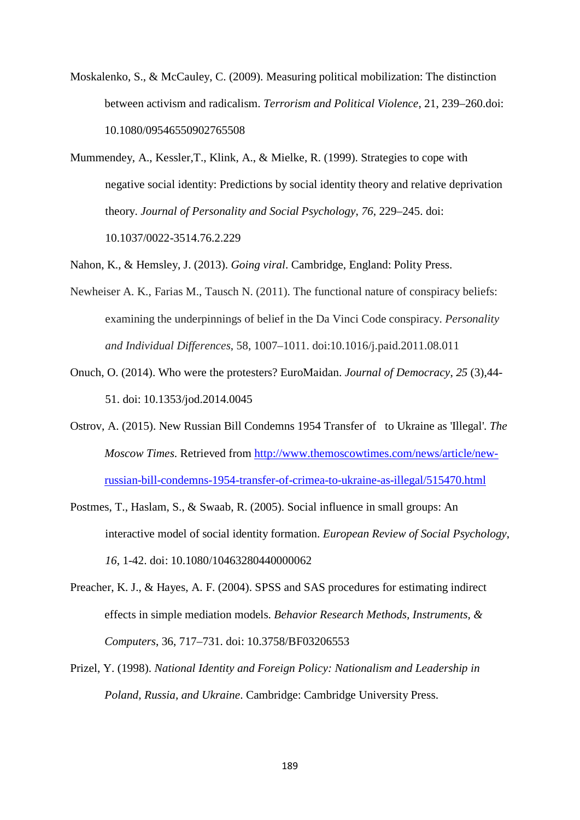- Moskalenko, S., & McCauley, C. (2009). Measuring political mobilization: The distinction between activism and radicalism. *Terrorism and Political Violence*, 21, 239–260.doi: 10.1080/09546550902765508
- Mummendey, A., Kessler,T., Klink, A., & Mielke, R. (1999). Strategies to cope with negative social identity: Predictions by social identity theory and relative deprivation theory. *Journal of Personality and Social Psychology*, *76*, 229–245. doi: 10.1037/0022-3514.76.2.229
- Nahon, K., & Hemsley, J. (2013). *Going viral*. Cambridge, England: Polity Press.
- Newheiser A. K., Farias M., Tausch N. (2011). The functional nature of conspiracy beliefs: examining the underpinnings of belief in the Da Vinci Code conspiracy. *Personality and Individual Differences*, 58, 1007–1011. doi:10.1016/j.paid.2011.08.011
- Onuch, O. (2014). Who were the protesters? EuroMaidan. *Journal of Democracy*, *25* (3),44- 51. doi: 10.1353/jod.2014.0045
- Ostrov, A. (2015). New Russian Bill Condemns 1954 Transfer of to Ukraine as 'Illegal'. *The Moscow Times*. Retrieved from [http://www.themoscowtimes.com/news/article/new](http://www.themoscowtimes.com/news/article/new-russian-bill-condemns-1954-transfer-of-crimea-to-ukraine-as-illegal/515470.html)[russian-bill-condemns-1954-transfer-of-crimea-to-ukraine-as-illegal/515470.html](http://www.themoscowtimes.com/news/article/new-russian-bill-condemns-1954-transfer-of-crimea-to-ukraine-as-illegal/515470.html)
- Postmes, T., Haslam, S., & Swaab, R. (2005). Social influence in small groups: An interactive model of social identity formation. *European Review of Social Psychology*, *16*, 1-42. doi: 10.1080/10463280440000062
- Preacher, K. J., & Hayes, A. F. (2004). SPSS and SAS procedures for estimating indirect effects in simple mediation models. *Behavior Research Methods, Instruments, & Computers*, 36, 717–731. doi: 10.3758/BF03206553
- Prizel, Y. (1998). *National Identity and Foreign Policy: Nationalism and Leadership in Poland, Russia, and Ukraine*. Cambridge: Cambridge University Press.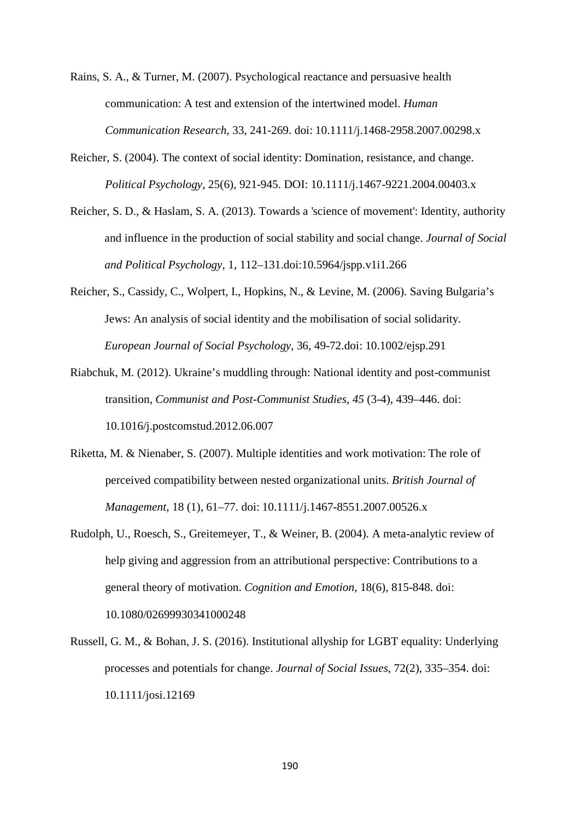Rains, S. A., & Turner, M. (2007). Psychological reactance and persuasive health communication: A test and extension of the intertwined model. *Human Communication Research*, 33, 241-269. doi: 10.1111/j.1468-2958.2007.00298.x

- Reicher, S. (2004). The context of social identity: Domination, resistance, and change. *Political Psychology*, 25(6), 921-945. DOI: 10.1111/j.1467-9221.2004.00403.x
- Reicher, S. D., & Haslam, S. A. (2013). Towards a 'science of movement': Identity, authority and influence in the production of social stability and social change. *Journal of Social and Political Psychology*, 1, 112–131.doi:10.5964/jspp.v1i1.266
- Reicher, S., Cassidy, C., Wolpert, I., Hopkins, N., & Levine, M. (2006). Saving Bulgaria's Jews: An analysis of social identity and the mobilisation of social solidarity. *European Journal of Social Psychology*, 36, 49-72.doi: 10.1002/ejsp.291
- Riabchuk, M. (2012). Ukraine's muddling through: National identity and post-communist transition, *Communist and Post-Communist Studies*, *45* (3-4), 439–446. doi: 10.1016/j.postcomstud.2012.06.007
- Riketta, M. & Nienaber, S. (2007). Multiple identities and work motivation: The role of perceived compatibility between nested organizational units. *British Journal of Management*, 18 (1), 61–77. doi: 10.1111/j.1467-8551.2007.00526.x
- Rudolph, U., Roesch, S., Greitemeyer, T., & Weiner, B. (2004). A meta-analytic review of help giving and aggression from an attributional perspective: Contributions to a general theory of motivation. *Cognition and Emotion*, 18(6), 815-848. doi: 10.1080/02699930341000248
- Russell, G. M., & Bohan, J. S. (2016). Institutional allyship for LGBT equality: Underlying processes and potentials for change. *Journal of Social Issues*, 72(2), 335–354. doi: 10.1111/josi.12169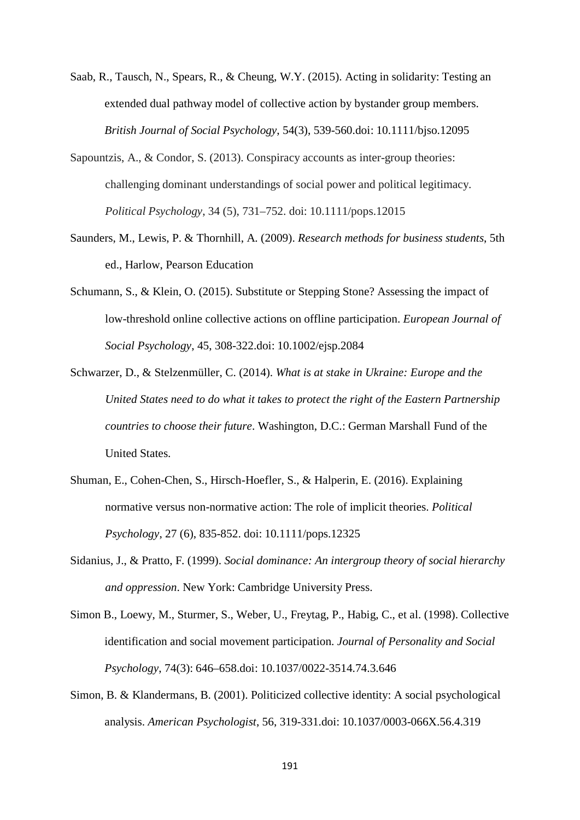- Saab, R., Tausch, N., Spears, R., & Cheung, W.Y. (2015). Acting in solidarity: Testing an extended dual pathway model of collective action by bystander group members. *British Journal of Social Psychology*, 54(3), 539-560.doi: 10.1111/bjso.12095
- Sapountzis, A., & Condor, S. (2013). Conspiracy accounts as inter-group theories: challenging dominant understandings of social power and political legitimacy. *Political Psychology*, 34 (5), 731–752. doi: 10.1111/pops.12015
- Saunders, M., Lewis, P. & Thornhill, A. (2009). *Research methods for business students*, 5th ed., Harlow, Pearson Education
- Schumann, S., & Klein, O. (2015). Substitute or Stepping Stone? Assessing the impact of low-threshold online collective actions on offline participation. *European Journal of Social Psychology*, 45, 308-322.doi: 10.1002/ejsp.2084
- Schwarzer, D., & Stelzenmüller, C. (2014). *What is at stake in Ukraine: Europe and the United States need to do what it takes to protect the right of the Eastern Partnership countries to choose their future*. Washington, D.C.: German Marshall Fund of the United States.
- Shuman, E., Cohen-Chen, S., Hirsch-Hoefler, S., & Halperin, E. (2016). Explaining normative versus non-normative action: The role of implicit theories. *Political Psychology*, 27 (6), 835-852. doi: 10.1111/pops.12325
- Sidanius, J., & Pratto, F. (1999). *Social dominance: An intergroup theory of social hierarchy and oppression*. New York: Cambridge University Press.
- Simon B., Loewy, M., Sturmer, S., Weber, U., Freytag, P., Habig, C., et al. (1998). Collective identification and social movement participation. *Journal of Personality and Social Psychology*, 74(3): 646–658.doi: 10.1037/0022-3514.74.3.646
- Simon, B. & Klandermans, B. (2001). Politicized collective identity: A social psychological analysis. *American Psychologist*, 56, 319-331.doi: 10.1037/0003-066X.56.4.319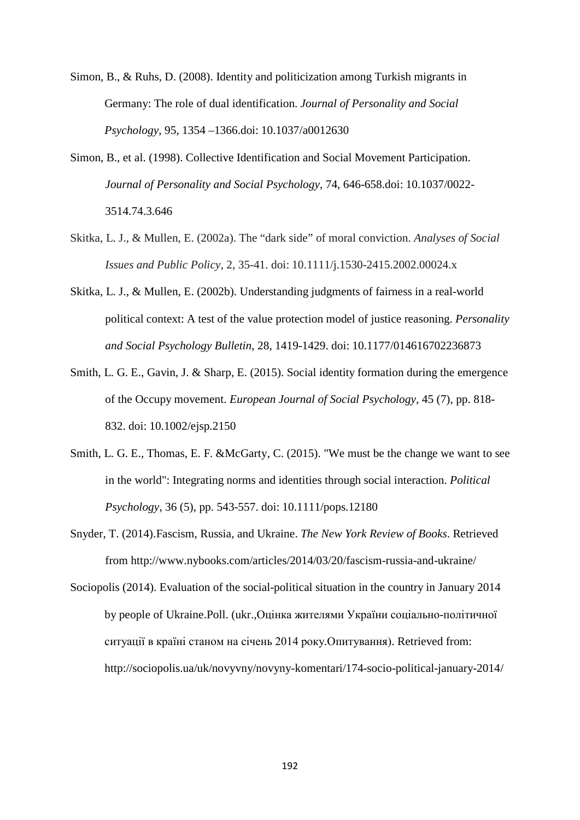- Simon, B., & Ruhs, D. (2008). Identity and politicization among Turkish migrants in Germany: The role of dual identification. *Journal of Personality and Social Psychology*, 95, 1354 –1366.doi: 10.1037/a0012630
- Simon, B., et al. (1998). Collective Identification and Social Movement Participation. *Journal of Personality and Social Psychology*, 74, 646-658.doi: 10.1037/0022- 3514.74.3.646
- Skitka, L. J., & Mullen, E. (2002a). The "dark side" of moral conviction. *Analyses of Social Issues and Public Policy*, 2, 35-41. doi: 10.1111/j.1530-2415.2002.00024.x
- Skitka, L. J., & Mullen, E. (2002b). Understanding judgments of fairness in a real-world political context: A test of the value protection model of justice reasoning. *Personality and Social Psychology Bulletin*, 28, 1419-1429. doi: 10.1177/014616702236873
- Smith, L. G. E., Gavin, J. & Sharp, E. (2015). Social identity formation during the emergence of the Occupy movement. *European Journal of Social Psychology*, 45 (7), pp. 818- 832. doi: 10.1002/ejsp.2150
- Smith, L. G. E., Thomas, E. F. &McGarty, C. (2015). "We must be the change we want to see in the world": Integrating norms and identities through social interaction. *Political Psychology*, 36 (5), pp. 543-557. doi: 10.1111/pops.12180
- Snyder, T. (2014).Fascism, Russia, and Ukraine. *The New York Review of Books*. Retrieved from<http://www.nybooks.com/articles/2014/03/20/fascism-russia-and-ukraine/>
- Sociopolis (2014). Evaluation of the social-political situation in the country in January 2014 by people of Ukraine.Poll. (ukr.,Оцінка жителями України соціально-політичної ситуації в країні станом на січень 2014 року.Опитування). Retrieved from: http://sociopolis.ua/uk/novyvny/novyny-komentari/174-socio-political-january-2014/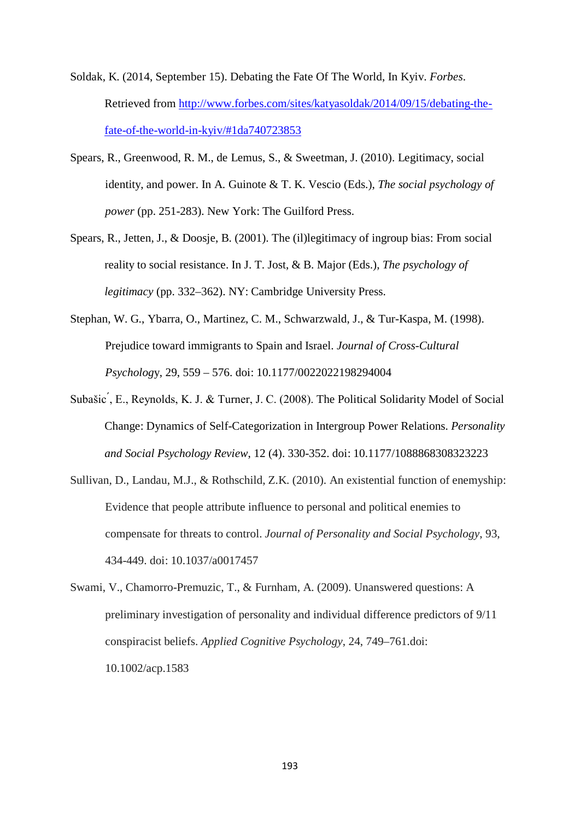- Soldak, K. (2014, September 15). Debating the Fate Of The World, In Kyiv. *Forbes*. Retrieved from [http://www.forbes.com/sites/katyasoldak/2014/09/15/debating-the](http://www.forbes.com/sites/katyasoldak/2014/09/15/debating-the-fate-of-the-world-in-kyiv/%231da740723853)[fate-of-the-world-in-kyiv/#1da740723853](http://www.forbes.com/sites/katyasoldak/2014/09/15/debating-the-fate-of-the-world-in-kyiv/%231da740723853)
- Spears, R., Greenwood, R. M., de Lemus, S., & Sweetman, J. (2010). Legitimacy, social identity, and power. In A. Guinote & T. K. Vescio (Eds.), *The social psychology of power* (pp. 251-283). New York: The Guilford Press.
- Spears, R., Jetten, J., & Doosje, B. (2001). The (il)legitimacy of ingroup bias: From social reality to social resistance. In J. T. Jost, & B. Major (Eds.), *The psychology of legitimacy* (pp. 332–362). NY: Cambridge University Press.
- Stephan, W. G., Ybarra, O., Martinez, C. M., Schwarzwald, J., & Tur-Kaspa, M. (1998). Prejudice toward immigrants to Spain and Israel. *Journal of Cross-Cultural Psycholog*y, 29, 559 – 576. doi: 10.1177/0022022198294004
- Subašic ́, E., Reynolds, K. J. & Turner, J. C. (2008). The Political Solidarity Model of Social Change: Dynamics of Self-Categorization in Intergroup Power Relations. *Personality and Social Psychology Review*, 12 (4). 330-352. doi: 10.1177/1088868308323223
- Sullivan, D., Landau, M.J., & Rothschild, Z.K. (2010). An existential function of enemyship: Evidence that people attribute influence to personal and political enemies to compensate for threats to control. *Journal of Personality and Social Psychology*, 93, 434-449. doi: 10.1037/a0017457
- Swami, V., Chamorro-Premuzic, T., & Furnham, A. (2009). Unanswered questions: A preliminary investigation of personality and individual difference predictors of 9/11 conspiracist beliefs. *Applied Cognitive Psychology*, 24, 749–761.doi: 10.1002/acp.1583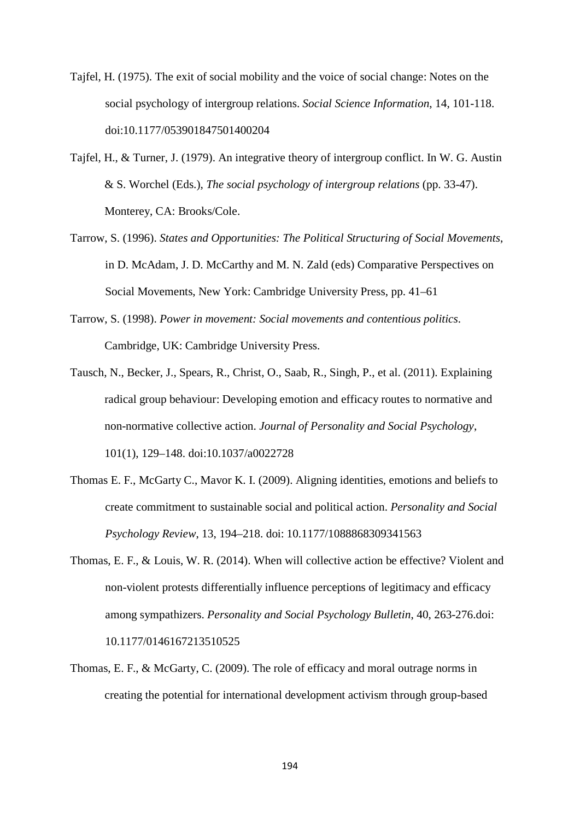- Tajfel, H. (1975). The exit of social mobility and the voice of social change: Notes on the social psychology of intergroup relations. *Social Science Information*, 14, 101-118. doi:10.1177/053901847501400204
- Tajfel, H., & Turner, J. (1979). An integrative theory of intergroup conflict. In W. G. Austin & S. Worchel (Eds.), *The social psychology of intergroup relations* (pp. 33-47). Monterey, CA: Brooks/Cole.
- Tarrow, S. (1996). *States and Opportunities: The Political Structuring of Social Movements*, in D. McAdam, J. D. McCarthy and M. N. Zald (eds) Comparative Perspectives on Social Movements, New York: Cambridge University Press, pp. 41–61
- Tarrow, S. (1998). *Power in movement: Social movements and contentious politics*. Cambridge, UK: Cambridge University Press.
- Tausch, N., Becker, J., Spears, R., Christ, O., Saab, R., Singh, P., et al. (2011). Explaining radical group behaviour: Developing emotion and efficacy routes to normative and non-normative collective action. *Journal of Personality and Social Psychology*, 101(1), 129–148. doi:10.1037/a0022728
- Thomas E. F., McGarty C., Mavor K. I. (2009). Aligning identities, emotions and beliefs to create commitment to sustainable social and political action. *Personality and Social Psychology Review*, 13, 194–218. doi: 10.1177/1088868309341563
- Thomas, E. F., & Louis, W. R. (2014). When will collective action be effective? Violent and non-violent protests differentially influence perceptions of legitimacy and efficacy among sympathizers. *Personality and Social Psychology Bulletin*, 40, 263-276.doi: 10.1177/0146167213510525
- Thomas, E. F., & McGarty, C. (2009). The role of efficacy and moral outrage norms in creating the potential for international development activism through group-based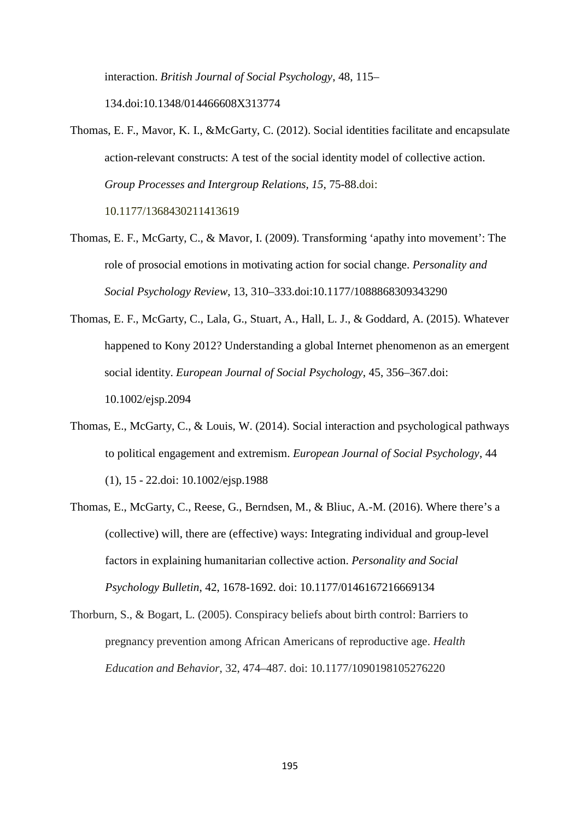interaction. *British Journal of Social Psychology*, 48, 115–

134.doi:10.1348/014466608X313774

- Thomas, E. F., Mavor, K. I., &McGarty, C. (2012). Social identities facilitate and encapsulate action-relevant constructs: A test of the social identity model of collective action. *Group Processes and Intergroup Relations, 15*, 75-88.doi: 10.1177/1368430211413619
- Thomas, E. F., McGarty, C., & Mavor, I. (2009). Transforming 'apathy into movement': The role of prosocial emotions in motivating action for social change. *Personality and Social Psychology Review*, 13, 310–333.doi:10.1177/1088868309343290
- Thomas, E. F., McGarty, C., Lala, G., Stuart, A., Hall, L. J., & Goddard, A. (2015). Whatever happened to Kony 2012? Understanding a global Internet phenomenon as an emergent social identity. *European Journal of Social Psychology*, 45, 356–367.doi: 10.1002/ejsp.2094
- Thomas, E., McGarty, C., & Louis, W. (2014). Social interaction and psychological pathways to political engagement and extremism. *European Journal of Social Psychology*, 44 (1), 15 - 22.doi: 10.1002/ejsp.1988
- Thomas, E., McGarty, C., Reese, G., Berndsen, M., & Bliuc, A.-M. (2016). Where there's a (collective) will, there are (effective) ways: Integrating individual and group-level factors in explaining humanitarian collective action. *Personality and Social Psychology Bulletin*, 42, 1678-1692. doi: 10.1177/0146167216669134
- Thorburn, S., & Bogart, L. (2005). Conspiracy beliefs about birth control: Barriers to pregnancy prevention among African Americans of reproductive age. *Health Education and Behavior*, 32, 474–487. doi: 10.1177/1090198105276220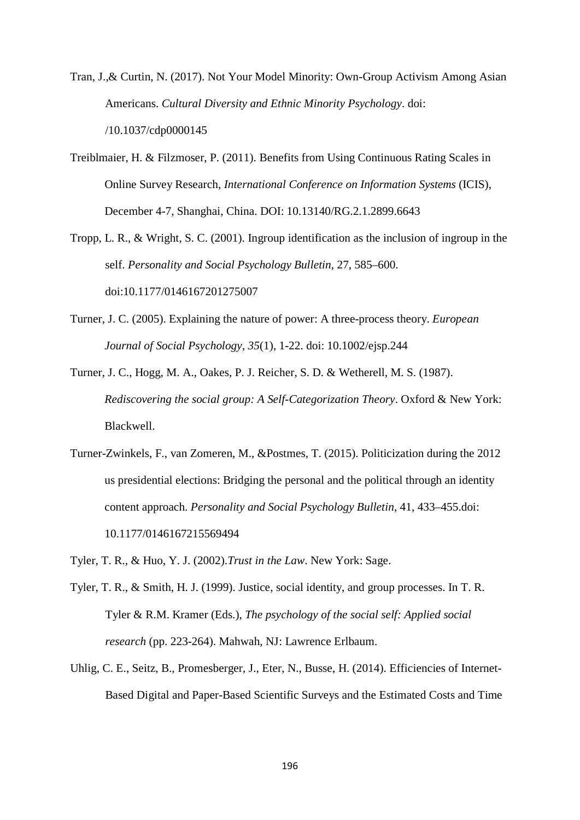Tran, J.,& Curtin, N. (2017). Not Your Model Minority: Own-Group Activism Among Asian Americans. *Cultural Diversity and Ethnic Minority Psychology*. doi: /10.1037/cdp0000145

- Treiblmaier, H. & Filzmoser, P. (2011). Benefits from Using Continuous Rating Scales in Online Survey Research, *International Conference on Information Systems* (ICIS), December 4-7, Shanghai, China. DOI: 10.13140/RG.2.1.2899.6643
- Tropp, L. R., & Wright, S. C. (2001). Ingroup identification as the inclusion of ingroup in the self. *Personality and Social Psychology Bulletin*, 27, 585–600. doi:10.1177/0146167201275007
- Turner, J. C. (2005). Explaining the nature of power: A three-process theory. *European Journal of Social Psychology*, *35*(1), 1-22. doi: 10.1002/ejsp.244
- Turner, J. C., Hogg, M. A., Oakes, P. J. Reicher, S. D. & Wetherell, M. S. (1987). *Rediscovering the social group: A Self-Categorization Theory*. Oxford & New York: Blackwell.
- Turner-Zwinkels, F., van Zomeren, M., &Postmes, T. (2015). Politicization during the 2012 us presidential elections: Bridging the personal and the political through an identity content approach. *Personality and Social Psychology Bulletin*, 41, 433–455.doi: 10.1177/0146167215569494
- Tyler, T. R., & Huo, Y. J. (2002).*Trust in the Law*. New York: Sage.
- Tyler, T. R., & Smith, H. J. (1999). Justice, social identity, and group processes. In T. R. Tyler & R.M. Kramer (Eds.), *The psychology of the social self: Applied social research* (pp. 223-264). Mahwah, NJ: Lawrence Erlbaum.
- Uhlig, C. E., Seitz, B., Promesberger, J., Eter, N., Busse, H. (2014). Efficiencies of Internet-Based Digital and Paper-Based Scientific Surveys and the Estimated Costs and Time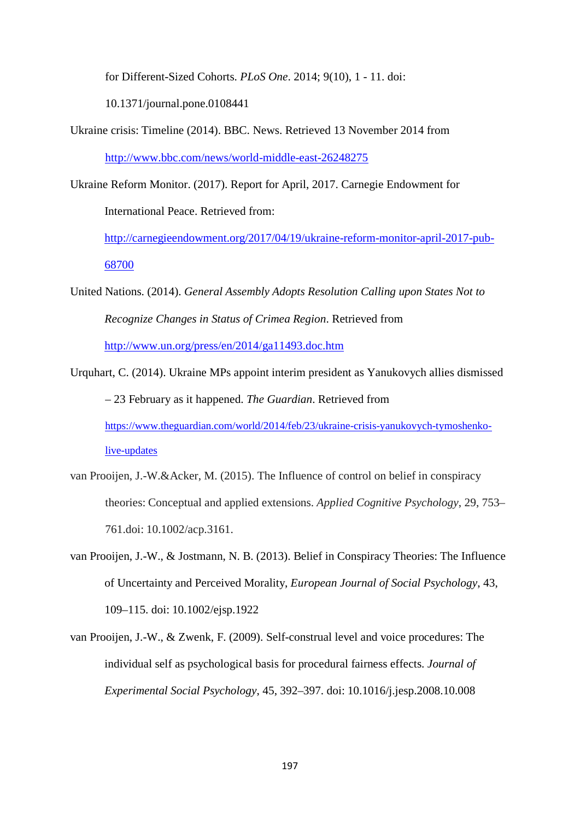for Different-Sized Cohorts. *PLoS One*. 2014; 9(10), 1 - 11. doi:

10.1371/journal.pone.0108441

Ukraine crisis: Timeline (2014). BBC. News. Retrieved 13 November 2014 from <http://www.bbc.com/news/world-middle-east-26248275>

Ukraine Reform Monitor. (2017). Report for April, 2017. Carnegie Endowment for International Peace. Retrieved from:

[http://carnegieendowment.org/2017/04/19/ukraine-reform-monitor-april-2017-pub-](http://carnegieendowment.org/2017/04/19/ukraine-reform-monitor-april-2017-pub-68700)[68700](http://carnegieendowment.org/2017/04/19/ukraine-reform-monitor-april-2017-pub-68700)

United Nations. (2014). *General Assembly Adopts Resolution Calling upon States Not to Recognize Changes in Status of Crimea Region*. Retrieved from <http://www.un.org/press/en/2014/ga11493.doc.htm>

Urquhart, C. (2014). Ukraine MPs appoint interim president as Yanukovych allies dismissed – 23 February as it happened. *The Guardian*. Retrieved from [https://www.theguardian.com/world/2014/feb/23/ukraine-crisis-yanukovych-tymoshenko](https://www.theguardian.com/world/2014/feb/23/ukraine-crisis-yanukovych-tymoshenko-live-updates)[live-updates](https://www.theguardian.com/world/2014/feb/23/ukraine-crisis-yanukovych-tymoshenko-live-updates)

- van Prooijen, J.-W.&Acker, M. (2015). The Influence of control on belief in conspiracy theories: Conceptual and applied extensions. *Applied Cognitive Psychology*, 29, 753– 761.doi: 10.1002/acp.3161.
- van Prooijen, J.-W., & Jostmann, N. B. (2013). Belief in Conspiracy Theories: The Influence of Uncertainty and Perceived Morality, *European Journal of Social Psychology*, 43, 109–115. doi: 10.1002/ejsp.1922
- van Prooijen, J.-W., & Zwenk, F. (2009). Self-construal level and voice procedures: The individual self as psychological basis for procedural fairness effects. *Journal of Experimental Social Psychology*, 45, 392–397. doi: 10.1016/j.jesp.2008.10.008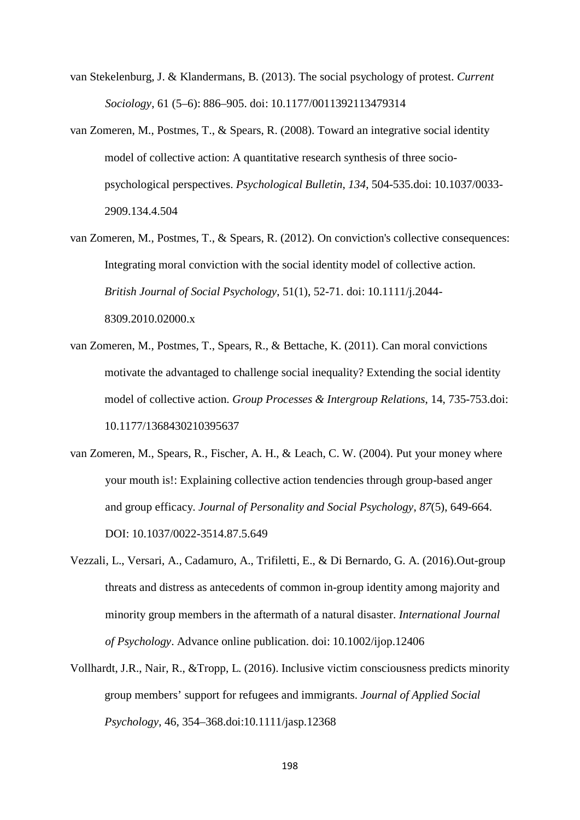- van Stekelenburg, J. & Klandermans, B. (2013). The social psychology of protest. *Current Sociology*, 61 (5–6): 886–905. doi: 10.1177/0011392113479314
- van Zomeren, M., Postmes, T., & Spears, R. (2008). Toward an integrative social identity model of collective action: A quantitative research synthesis of three sociopsychological perspectives. *Psychological Bulletin*, *134*, 504-535.doi: 10.1037/0033- 2909.134.4.504
- van Zomeren, M., Postmes, T., & Spears, R. (2012). On conviction's collective consequences: Integrating moral conviction with the social identity model of collective action. *British Journal of Social Psychology*, 51(1), 52-71. doi: 10.1111/j.2044- 8309.2010.02000.x
- van Zomeren, M., Postmes, T., Spears, R., & Bettache, K. (2011). Can moral convictions motivate the advantaged to challenge social inequality? Extending the social identity model of collective action. *Group Processes & Intergroup Relations*, 14, 735-753.doi: 10.1177/1368430210395637
- van Zomeren, M., Spears, R., Fischer, A. H., & Leach, C. W. (2004). Put your money where your mouth is!: Explaining collective action tendencies through group-based anger and group efficacy. *Journal of Personality and Social Psychology*, *87*(5), 649-664. DOI: 10.1037/0022-3514.87.5.649
- Vezzali, L., Versari, A., Cadamuro, A., Trifiletti, E., & Di Bernardo, G. A. (2016).Out-group threats and distress as antecedents of common in-group identity among majority and minority group members in the aftermath of a natural disaster. *International Journal of Psychology*. Advance online publication. doi: 10.1002/ijop.12406
- Vollhardt, J.R., Nair, R., &Tropp, L. (2016). Inclusive victim consciousness predicts minority group members' support for refugees and immigrants. *Journal of Applied Social Psychology*, 46, 354–368.doi:10.1111/jasp.12368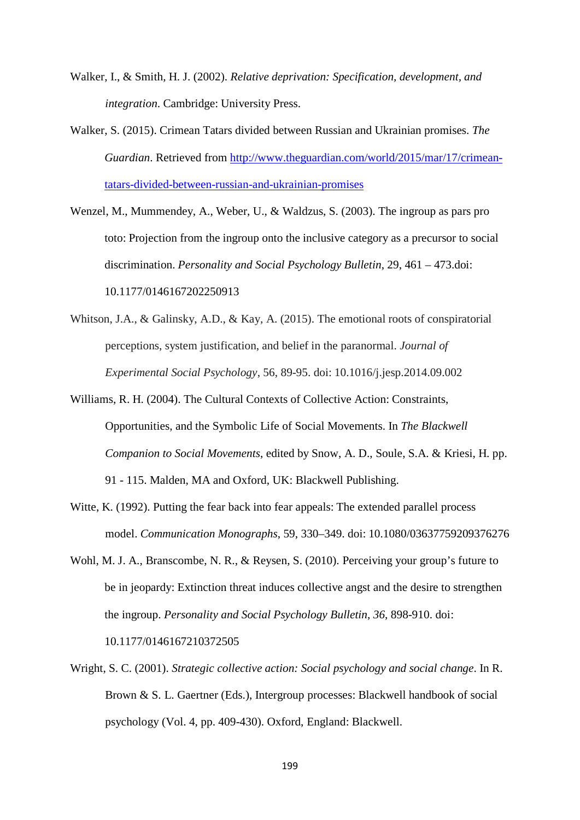- Walker, I., & Smith, H. J. (2002). *Relative deprivation: Specification, development, and integration*. Cambridge: University Press.
- Walker, S. (2015). Crimean Tatars divided between Russian and Ukrainian promises. *The Guardian*. Retrieved from [http://www.theguardian.com/world/2015/mar/17/crimean](http://www.theguardian.com/world/2015/mar/17/crimean-tatars-divided-between-russian-and-ukrainian-promises)[tatars-divided-between-russian-and-ukrainian-promises](http://www.theguardian.com/world/2015/mar/17/crimean-tatars-divided-between-russian-and-ukrainian-promises)
- Wenzel, M., Mummendey, A., Weber, U., & Waldzus, S. (2003). The ingroup as pars pro toto: Projection from the ingroup onto the inclusive category as a precursor to social discrimination. *Personality and Social Psychology Bulletin*, 29, 461 – 473.doi: 10.1177/0146167202250913
- Whitson, J.A., & Galinsky, A.D., & Kay, A. (2015). The emotional roots of conspiratorial perceptions, system justification, and belief in the paranormal. *Journal of Experimental Social Psychology*, 56, 89-95. doi: 10.1016/j.jesp.2014.09.002
- Williams, R. H. (2004). The Cultural Contexts of Collective Action: Constraints, Opportunities, and the Symbolic Life of Social Movements. In *The Blackwell Companion to Social Movements*, edited by Snow, A. D., Soule, S.A. & Kriesi, H. pp. 91 - 115. Malden, MA and Oxford, UK: Blackwell Publishing.
- Witte, K. (1992). Putting the fear back into fear appeals: The extended parallel process model. *Communication Monographs*, 59, 330–349. doi: 10.1080/03637759209376276
- Wohl, M. J. A., Branscombe, N. R., & Reysen, S. (2010). Perceiving your group's future to be in jeopardy: Extinction threat induces collective angst and the desire to strengthen the ingroup. *Personality and Social Psychology Bulletin*, *36*, 898-910. doi:

10.1177/0146167210372505

Wright, S. C. (2001). *Strategic collective action: Social psychology and social change*. In R. Brown & S. L. Gaertner (Eds.), Intergroup processes: Blackwell handbook of social psychology (Vol. 4, pp. 409-430). Oxford, England: Blackwell.